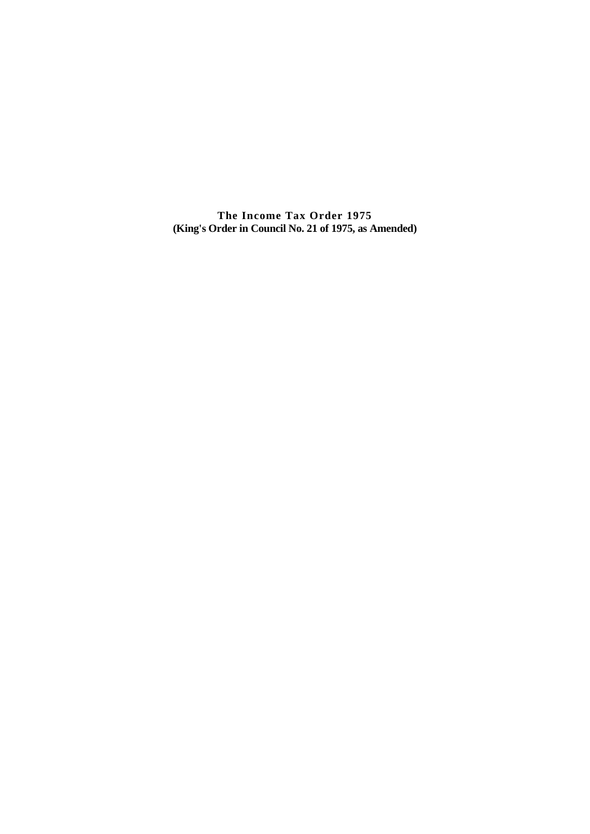**The Income Tax Order 1975 (King's Order in Council No. 21 of 1975, as Amended)**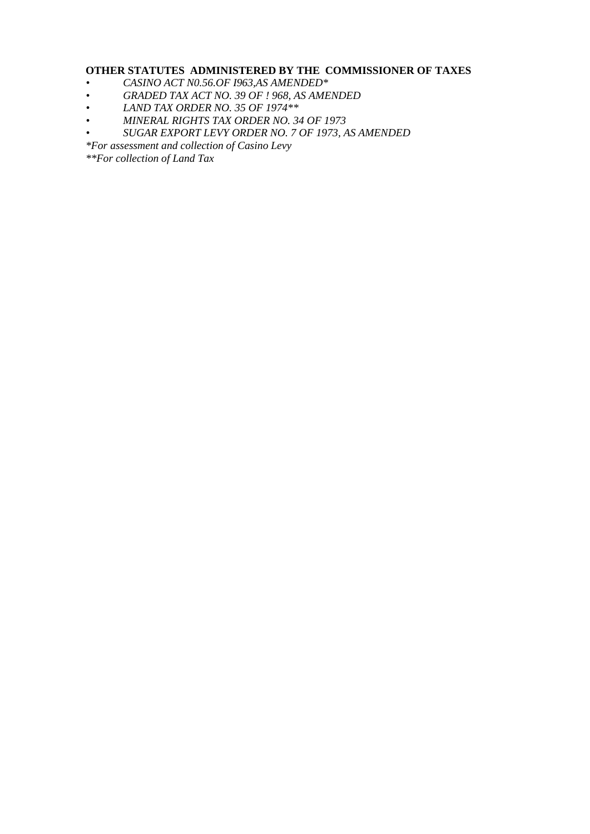## **OTHER STATUTES ADMINISTERED BY THE COMMISSIONER OF TAXES**

- *• CASINO ACT N0.56.OF I963,AS AMENDED\**
- *• GRADED TAX ACT NO. 39 OF ! 968, AS AMENDED*
- *• LAND TAX ORDER NO. 35 OF 1974\*\**
- *• MINERAL RIGHTS TAX ORDER NO. 34 OF 1973*
- *• SUGAR EXPORT LEVY ORDER NO. 7 OF 1973, AS AMENDED*
- *\*For assessment and collection of Casino Levy*

*\*\*For collection of Land Tax*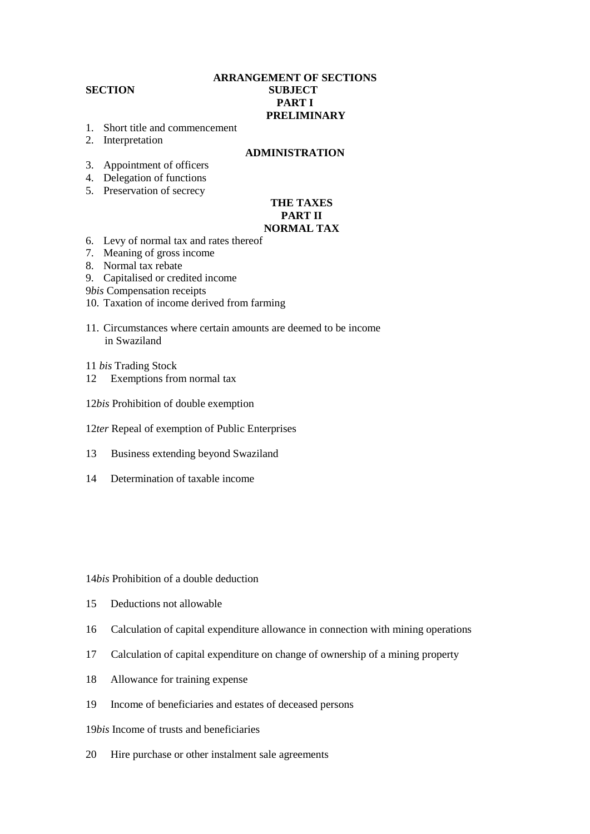## **ARRANGEMENT OF SECTIONS SECTION SUBJECT PART I PRELIMINARY**

- 1. Short title and commencement
- 2. Interpretation

#### **ADMINISTRATION**

- 3. Appointment of officers
- 4. Delegation of functions
- 5. Preservation of secrecy

#### **THE TAXES PART II NORMAL TAX**

- 6. Levy of normal tax and rates thereof
- 7. Meaning of gross income
- 8. Normal tax rebate
- 9. Capitalised or credited income
- 9*bis* Compensation receipts
- 10. Taxation of income derived from farming
- 11. Circumstances where certain amounts are deemed to be income in Swaziland

11 *bis* Trading Stock

- 12 Exemptions from normal tax
- 12*bis* Prohibition of double exemption
- 12*ter* Repeal of exemption of Public Enterprises
- 13 Business extending beyond Swaziland
- 14 Determination of taxable income

## 14*bis* Prohibition of a double deduction

- 15 Deductions not allowable
- 16 Calculation of capital expenditure allowance in connection with mining operations
- 17 Calculation of capital expenditure on change of ownership of a mining property
- 18 Allowance for training expense
- 19 Income of beneficiaries and estates of deceased persons
- 19*bis* Income of trusts and beneficiaries
- 20 Hire purchase or other instalment sale agreements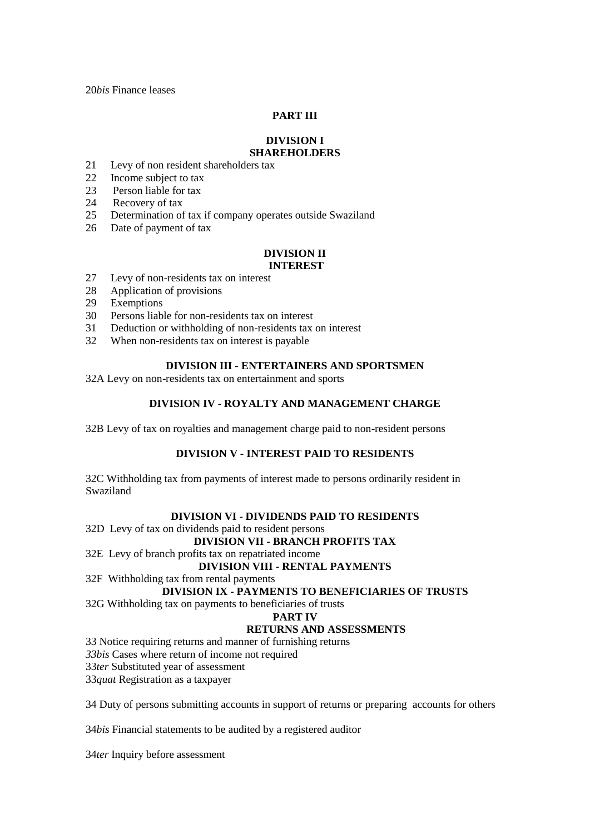20*bis* Finance leases

## **PART III**

## **DIVISION I SHAREHOLDERS**

# 21 Levy of non resident shareholders tax

- 22 Income subject to tax
- 23 Person liable for tax
- 
- 24 Recovery of tax
- 25 Determination of tax if company operates outside Swaziland
- 26 Date of payment of tax

#### **DIVISION II INTEREST**

- 27 Levy of non-residents tax on interest
- 28 Application of provisions
- 29 Exemptions
- 30 Persons liable for non-residents tax on interest
- 31 Deduction or withholding of non-residents tax on interest
- 32 When non-residents tax on interest is payable

## **DIVISION III - ENTERTAINERS AND SPORTSMEN**

32A Levy on non-residents tax on entertainment and sports

## **DIVISION IV** - **ROYALTY AND MANAGEMENT CHARGE**

32B Levy of tax on royalties and management charge paid to non-resident persons

## **DIVISION V - INTEREST PAID TO RESIDENTS**

32C Withholding tax from payments of interest made to persons ordinarily resident in Swaziland

## **DIVISION VI** - **DIVIDENDS PAID TO RESIDENTS**

32D Levy of tax on dividends paid to resident persons

## **DIVISION VII - BRANCH PROFITS TAX**

#### 32E Levy of branch profits tax on repatriated income

#### **DIVISION VIII - RENTAL PAYMENTS**

32F Withholding tax from rental payments

## **DIVISION IX - PAYMENTS TO BENEFICIARIES OF TRUSTS**

32G Withholding tax on payments to beneficiaries of trusts

#### **PART IV**

## **RETURNS AND ASSESSMENTS**

33 Notice requiring returns and manner of furnishing returns

*33bis* Cases where return of income not required

33*ter* Substituted year of assessment

33*quat* Registration as a taxpayer

34 Duty of persons submitting accounts in support of returns or preparing accounts for others

34*bis* Financial statements to be audited by a registered auditor

34*ter* Inquiry before assessment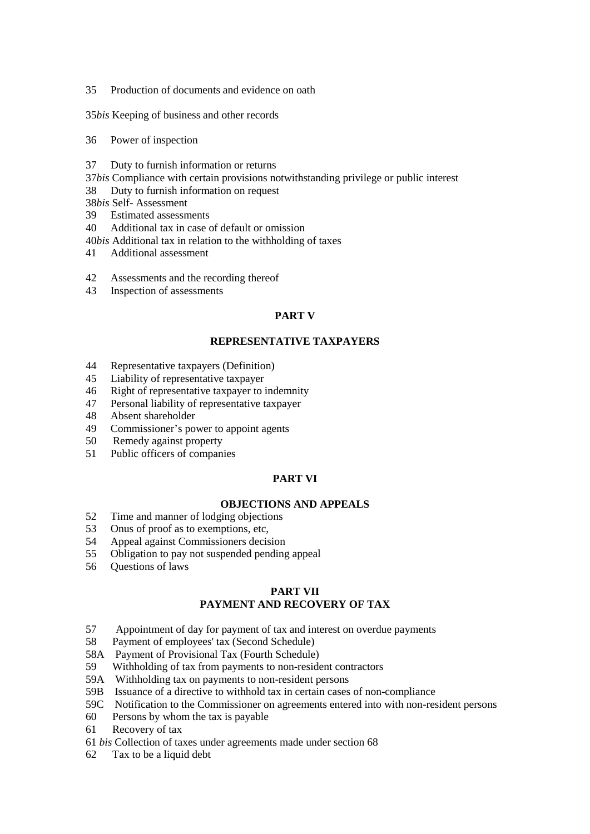Production of documents and evidence on oath

*bis* Keeping of business and other records

- Power of inspection
- Duty to furnish information or returns
- *bis* Compliance with certain provisions notwithstanding privilege or public interest
- Duty to furnish information on request
- *bis* Self- Assessment
- Estimated assessments
- Additional tax in case of default or omission
- *bis* Additional tax in relation to the withholding of taxes
- Additional assessment
- Assessments and the recording thereof
- Inspection of assessments

## **PART V**

#### **REPRESENTATIVE TAXPAYERS**

- Representative taxpayers (Definition)
- Liability of representative taxpayer
- Right of representative taxpayer to indemnity
- Personal liability of representative taxpayer
- Absent shareholder
- Commissioner's power to appoint agents
- 50 Remedy against property
- Public officers of companies

## **PART VI**

## **OBJECTIONS AND APPEALS**

- Time and manner of lodging objections
- Onus of proof as to exemptions, etc,
- Appeal against Commissioners decision
- Obligation to pay not suspended pending appeal
- Questions of laws

## **PART VII PAYMENT AND RECOVERY OF TAX**

- 57 Appointment of day for payment of tax and interest on overdue payments
- Payment of employees' tax (Second Schedule)
- 58A Payment of Provisional Tax (Fourth Schedule)
- Withholding of tax from payments to non-resident contractors
- 59A Withholding tax on payments to non-resident persons
- 59B Issuance of a directive to withhold tax in certain cases of non-compliance
- 59C Notification to the Commissioner on agreements entered into with non-resident persons
- Persons by whom the tax is payable
- Recovery of tax
- *bis* Collection of taxes under agreements made under section 68
- Tax to be a liquid debt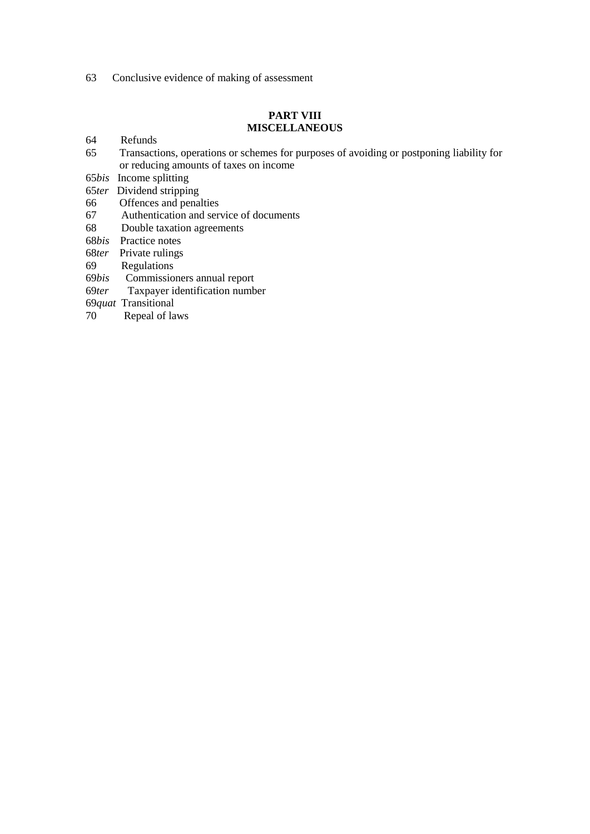Conclusive evidence of making of assessment

## **PART VIII MISCELLANEOUS**

- 64 Refunds
- Transactions, operations or schemes for purposes of avoiding or postponing liability for or reducing amounts of taxes on income
- *bis* Income splitting
- *ter* Dividend stripping
- 66 Offences and penalties<br>67 Authentication and ser
- Authentication and service of documents
- Double taxation agreements
- *bis* Practice notes
- *ter* Private rulings
- Regulations
- *bis* Commissioners annual report
- *ter* Taxpayer identification number
- *quat* Transitional
- 70 Repeal of laws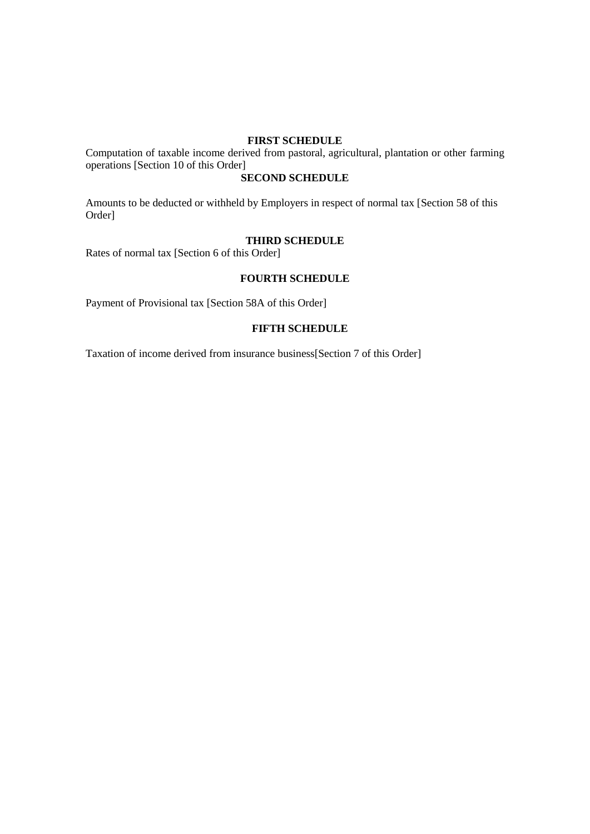## **FIRST SCHEDULE**

Computation of taxable income derived from pastoral, agricultural, plantation or other farming operations [Section 10 of this Order]

## **SECOND SCHEDULE**

Amounts to be deducted or withheld by Employers in respect of normal tax [Section 58 of this Order]

## **THIRD SCHEDULE**

Rates of normal tax [Section 6 of this Order]

## **FOURTH SCHEDULE**

Payment of Provisional tax [Section 58A of this Order]

#### **FIFTH SCHEDULE**

Taxation of income derived from insurance business[Section 7 of this Order]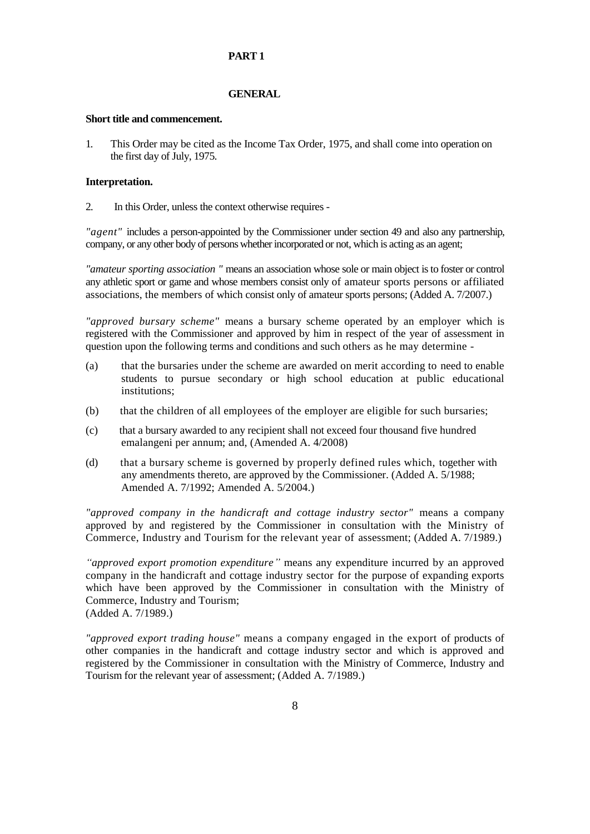#### **PART 1**

#### **GENERAL**

#### **Short title and commencement.**

1. This Order may be cited as the Income Tax Order, 1975, and shall come into operation on the first day of July, 1975.

#### **Interpretation.**

2. In this Order, unless the context otherwise requires -

*"agent"* includes a person-appointed by the Commissioner under section 49 and also any partnership, company, or any other body of persons whether incorporated or not, which is acting as an agent;

*"amateur sporting association "* means an association whose sole or main object is to foster or control any athletic sport or game and whose members consist only of amateur sports persons or affiliated associations, the members of which consist only of amateur sports persons; (Added A. 7/2007.)

*"approved bursary scheme"* means a bursary scheme operated by an employer which is registered with the Commissioner and approved by him in respect of the year of assessment in question upon the following terms and conditions and such others as he may determine -

- (a) that the bursaries under the scheme are awarded on merit according to need to enable students to pursue secondary or high school education at public educational institutions;
- (b) that the children of all employees of the employer are eligible for such bursaries;
- (c) that a bursary awarded to any recipient shall not exceed four thousand five hundred emalangeni per annum; and, (Amended A. 4/2008)
- (d) that a bursary scheme is governed by properly defined rules which, together with any amendments thereto, are approved by the Commissioner. (Added A. 5/1988; Amended A. 7/1992; Amended A. 5/2004.)

*"approved company in the handicraft and cottage industry sector"* means a company approved by and registered by the Commissioner in consultation with the Ministry of Commerce, Industry and Tourism for the relevant year of assessment; (Added A. 7/1989.)

*"approved export promotion expenditure"* means any expenditure incurred by an approved company in the handicraft and cottage industry sector for the purpose of expanding exports which have been approved by the Commissioner in consultation with the Ministry of Commerce, Industry and Tourism; (Added A. 7/1989.)

*"approved export trading house"* means a company engaged in the export of products of other companies in the handicraft and cottage industry sector and which is approved and registered by the Commissioner in consultation with the Ministry of Commerce, Industry and Tourism for the relevant year of assessment; (Added A. 7/1989.)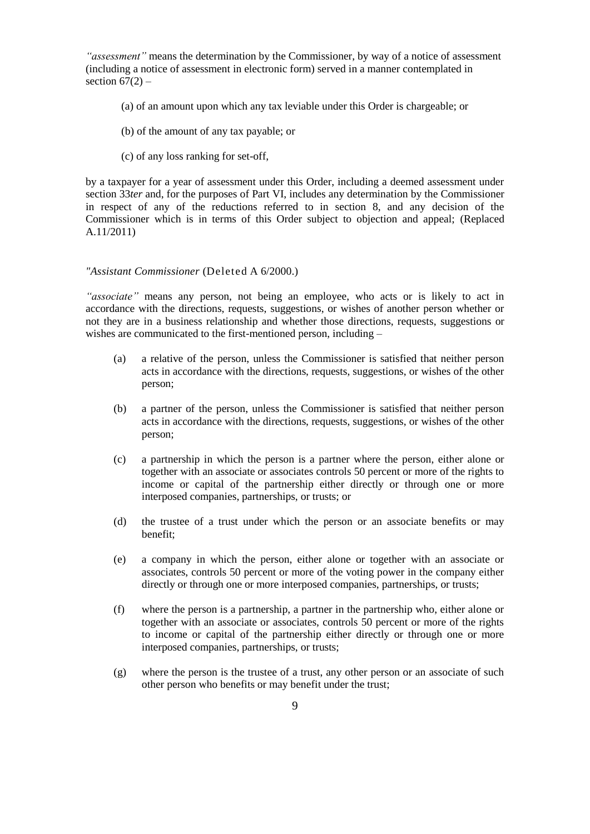*"assessment"* means the determination by the Commissioner, by way of a notice of assessment (including a notice of assessment in electronic form) served in a manner contemplated in section  $67(2)$  –

- (a) of an amount upon which any tax leviable under this Order is chargeable; or
- (b) of the amount of any tax payable; or
- (c) of any loss ranking for set-off,

by a taxpayer for a year of assessment under this Order, including a deemed assessment under section 33*ter* and, for the purposes of Part VI, includes any determination by the Commissioner in respect of any of the reductions referred to in section 8, and any decision of the Commissioner which is in terms of this Order subject to objection and appeal; (Replaced A.11/2011)

#### *"Assistant Commissioner* (Deleted A 6/2000.)

*"associate"* means any person, not being an employee, who acts or is likely to act in accordance with the directions, requests, suggestions, or wishes of another person whether or not they are in a business relationship and whether those directions, requests, suggestions or wishes are communicated to the first-mentioned person, including –

- (a) a relative of the person, unless the Commissioner is satisfied that neither person acts in accordance with the directions, requests, suggestions, or wishes of the other person;
- (b) a partner of the person, unless the Commissioner is satisfied that neither person acts in accordance with the directions, requests, suggestions, or wishes of the other person;
- (c) a partnership in which the person is a partner where the person, either alone or together with an associate or associates controls 50 percent or more of the rights to income or capital of the partnership either directly or through one or more interposed companies, partnerships, or trusts; or
- (d) the trustee of a trust under which the person or an associate benefits or may benefit;
- (e) a company in which the person, either alone or together with an associate or associates, controls 50 percent or more of the voting power in the company either directly or through one or more interposed companies, partnerships, or trusts;
- (f) where the person is a partnership, a partner in the partnership who, either alone or together with an associate or associates, controls 50 percent or more of the rights to income or capital of the partnership either directly or through one or more interposed companies, partnerships, or trusts;
- (g) where the person is the trustee of a trust, any other person or an associate of such other person who benefits or may benefit under the trust;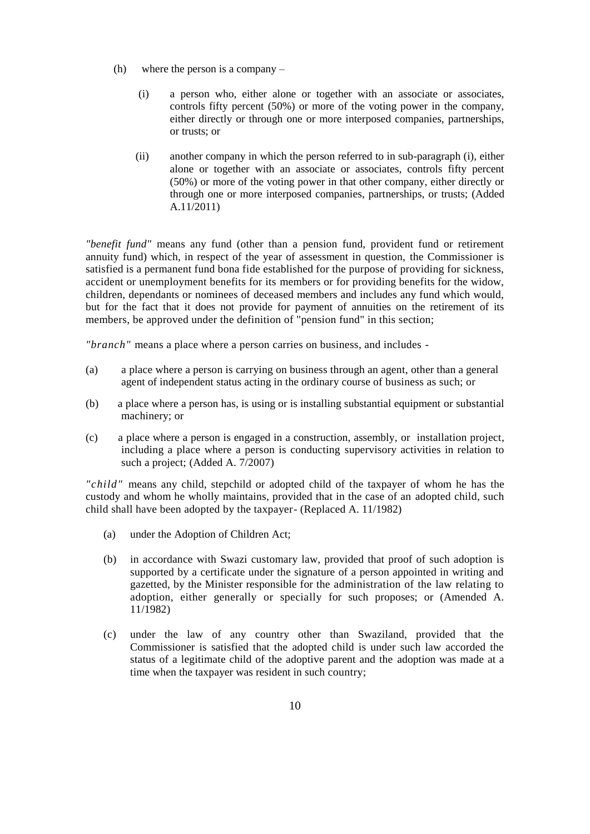- (h) where the person is a company
	- (i) a person who, either alone or together with an associate or associates, controls fifty percent (50%) or more of the voting power in the company, either directly or through one or more interposed companies, partnerships, or trusts; or
	- (ii) another company in which the person referred to in sub-paragraph (i), either alone or together with an associate or associates, controls fifty percent (50%) or more of the voting power in that other company, either directly or through one or more interposed companies, partnerships, or trusts; (Added A.11/2011)

*"benefit fund"* means any fund (other than a pension fund, provident fund or retirement annuity fund) which, in respect of the year of assessment in question, the Commissioner is satisfied is a permanent fund bona fide established for the purpose of providing for sickness, accident or unemployment benefits for its members or for providing benefits for the widow, children, dependants or nominees of deceased members and includes any fund which would, but for the fact that it does not provide for payment of annuities on the retirement of its members, be approved under the definition of "pension fund" in this section;

*"branch"* means a place where a person carries on business, and includes -

- (a) a place where a person is carrying on business through an agent, other than a general agent of independent status acting in the ordinary course of business as such; or
- (b) a place where a person has, is using or is installing substantial equipment or substantial machinery; or
- (c) a place where a person is engaged in a construction, assembly, or installation project, including a place where a person is conducting supervisory activities in relation to such a project; (Added A. 7/2007)

*"child"* means any child, stepchild or adopted child of the taxpayer of whom he has the custody and whom he wholly maintains, provided that in the case of an adopted child, such child shall have been adopted by the taxpayer- (Replaced A. 11/1982)

- (a) under the Adoption of Children Act;
- (b) in accordance with Swazi customary law, provided that proof of such adoption is supported by a certificate under the signature of a person appointed in writing and gazetted, by the Minister responsible for the administration of the law relating to adoption, either generally or specially for such proposes; or (Amended A. 11/1982)
- (c) under the law of any country other than Swaziland, provided that the Commissioner is satisfied that the adopted child is under such law accorded the status of a legitimate child of the adoptive parent and the adoption was made at a time when the taxpayer was resident in such country;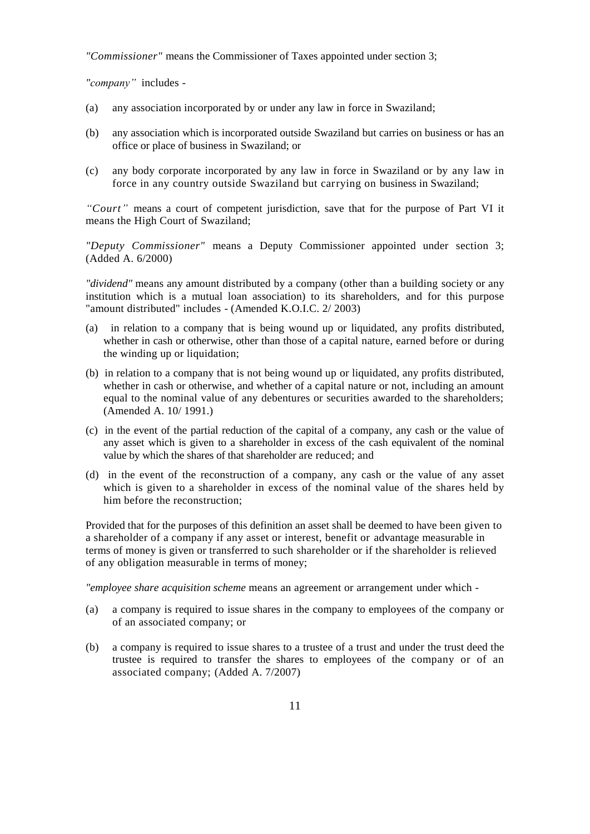*"Commissioner"* means the Commissioner of Taxes appointed under section 3;

*"company"* includes -

- (a) any association incorporated by or under any law in force in Swaziland;
- (b) any association which is incorporated outside Swaziland but carries on business or has an office or place of business in Swaziland; or
- (c) any body corporate incorporated by any law in force in Swaziland or by any law in force in any country outside Swaziland but carrying on business in Swaziland;

*"Court"* means a court of competent jurisdiction, save that for the purpose of Part VI it means the High Court of Swaziland;

*"Deputy Commissioner"* means a Deputy Commissioner appointed under section 3; (Added A. 6/2000)

*"dividend"* means any amount distributed by a company (other than a building society or any institution which is a mutual loan association) to its shareholders, and for this purpose "amount distributed" includes - (Amended K.O.I.C. 2/ 2003)

- (a) in relation to a company that is being wound up or liquidated, any profits distributed, whether in cash or otherwise, other than those of a capital nature, earned before or during the winding up or liquidation;
- (b) in relation to a company that is not being wound up or liquidated, any profits distributed, whether in cash or otherwise, and whether of a capital nature or not, including an amount equal to the nominal value of any debentures or securities awarded to the shareholders; (Amended A. 10/ 1991.)
- (c) in the event of the partial reduction of the capital of a company, any cash or the value of any asset which is given to a shareholder in excess of the cash equivalent of the nominal value by which the shares of that shareholder are reduced; and
- (d) in the event of the reconstruction of a company, any cash or the value of any asset which is given to a shareholder in excess of the nominal value of the shares held by him before the reconstruction;

Provided that for the purposes of this definition an asset shall be deemed to have been given to a shareholder of a company if any asset or interest, benefit or advantage measurable in terms of money is given or transferred to such shareholder or if the shareholder is relieved of any obligation measurable in terms of money;

*"employee share acquisition scheme* means an agreement or arrangement under which -

- (a) a company is required to issue shares in the company to employees of the company or of an associated company; or
- (b) a company is required to issue shares to a trustee of a trust and under the trust deed the trustee is required to transfer the shares to employees of the company or of an associated company; (Added A. 7/2007)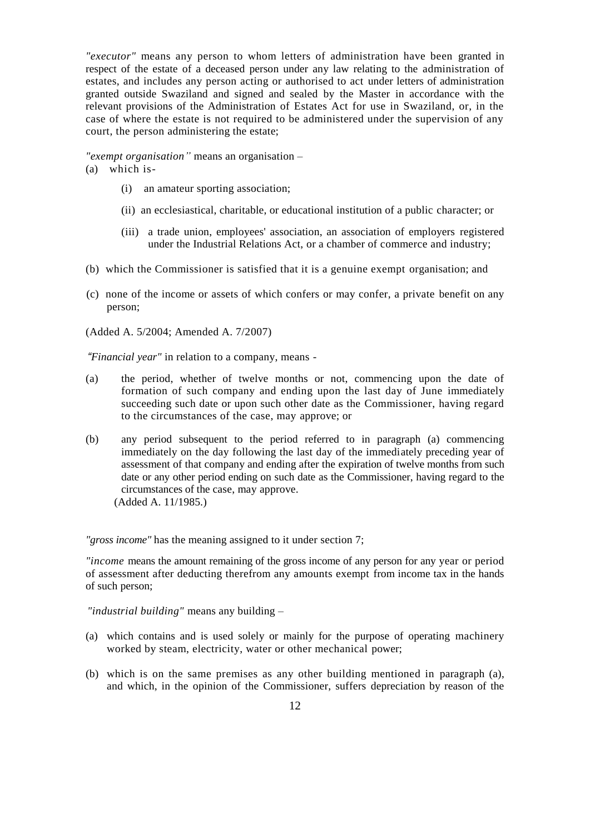*"executor"* means any person to whom letters of administration have been granted in respect of the estate of a deceased person under any law relating to the administration of estates, and includes any person acting or authorised to act under letters of administration granted outside Swaziland and signed and sealed by the Master in accordance with the relevant provisions of the Administration of Estates Act for use in Swaziland, or, in the case of where the estate is not required to be administered under the supervision of any court, the person administering the estate;

*"exempt organisation"* means an organisation –

(a) which is-

- (i) an amateur sporting association;
- (ii) an ecclesiastical, charitable, or educational institution of a public character; or
- (iii) a trade union, employees' association, an association of employers registered under the Industrial Relations Act, or a chamber of commerce and industry;
- (b) which the Commissioner is satisfied that it is a genuine exempt organisation; and
- (c) none of the income or assets of which confers or may confer, a private benefit on any person;

(Added A. 5/2004; Amended A. 7/2007)

*"Financial year"* in relation to a company, means -

- (a) the period, whether of twelve months or not, commencing upon the date of formation of such company and ending upon the last day of June immediately succeeding such date or upon such other date as the Commissioner, having regard to the circumstances of the case, may approve; or
- (b) any period subsequent to the period referred to in paragraph (a) commencing immediately on the day following the last day of the immediately preceding year of assessment of that company and ending after the expiration of twelve months from such date or any other period ending on such date as the Commissioner, having regard to the circumstances of the case, may approve. (Added A. 11/1985.)

*"gross income"* has the meaning assigned to it under section 7;

*"income* means the amount remaining of the gross income of any person for any year or period of assessment after deducting therefrom any amounts exempt from income tax in the hands of such person;

*"industrial building"* means any building –

- (a) which contains and is used solely or mainly for the purpose of operating machinery worked by steam, electricity, water or other mechanical power;
- (b) which is on the same premises as any other building mentioned in paragraph (a), and which, in the opinion of the Commissioner, suffers depreciation by reason of the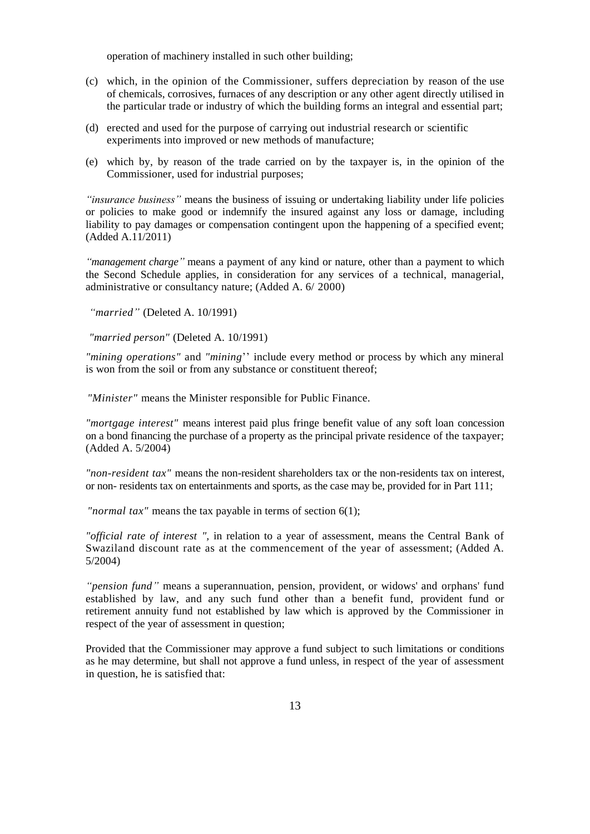operation of machinery installed in such other building;

- (c) which, in the opinion of the Commissioner, suffers depreciation by reason of the use of chemicals, corrosives, furnaces of any description or any other agent directly utilised in the particular trade or industry of which the building forms an integral and essential part;
- (d) erected and used for the purpose of carrying out industrial research or scientific experiments into improved or new methods of manufacture;
- (e) which by, by reason of the trade carried on by the taxpayer is, in the opinion of the Commissioner, used for industrial purposes;

*"insurance business"* means the business of issuing or undertaking liability under life policies or policies to make good or indemnify the insured against any loss or damage, including liability to pay damages or compensation contingent upon the happening of a specified event; (Added A.11/2011)

*"management charge"* means a payment of any kind or nature, other than a payment to which the Second Schedule applies, in consideration for any services of a technical, managerial, administrative or consultancy nature; (Added A. 6/ 2000)

*"married"* (Deleted A. 10/1991)

*"married person"* (Deleted A. 10/1991)

*"mining operations"* and *"mining*'' include every method or process by which any mineral is won from the soil or from any substance or constituent thereof;

*"Minister"* means the Minister responsible for Public Finance.

*"mortgage interest"* means interest paid plus fringe benefit value of any soft loan concession on a bond financing the purchase of a property as the principal private residence of the taxpayer; (Added A. 5/2004)

*"non-resident tax"* means the non-resident shareholders tax or the non-residents tax on interest, or non- residents tax on entertainments and sports, as the case may be, provided for in Part 111;

*"normal tax"* means the tax payable in terms of section 6(1);

*"official rate of interest ",* in relation to a year of assessment, means the Central Bank of Swaziland discount rate as at the commencement of the year of assessment; (Added A. 5/2004)

*"pension fund"* means a superannuation, pension, provident, or widows' and orphans' fund established by law, and any such fund other than a benefit fund, provident fund or retirement annuity fund not established by law which is approved by the Commissioner in respect of the year of assessment in question;

Provided that the Commissioner may approve a fund subject to such limitations or conditions as he may determine, but shall not approve a fund unless, in respect of the year of assessment in question, he is satisfied that: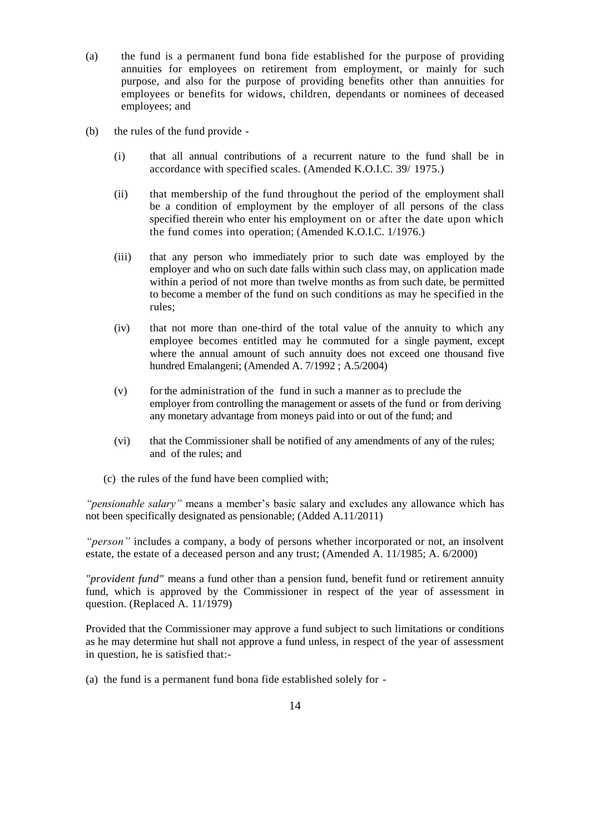- (a) the fund is a permanent fund bona fide established for the purpose of providing annuities for employees on retirement from employment, or mainly for such purpose, and also for the purpose of providing benefits other than annuities for employees or benefits for widows, children, dependants or nominees of deceased employees; and
- (b) the rules of the fund provide
	- (i) that all annual contributions of a recurrent nature to the fund shall be in accordance with specified scales. (Amended K.O.I.C. 39/ 1975.)
	- (ii) that membership of the fund throughout the period of the employment shall be a condition of employment by the employer of all persons of the class specified therein who enter his employment on or after the date upon which the fund comes into operation; (Amended K.O.I.C. 1/1976.)
	- (iii) that any person who immediately prior to such date was employed by the employer and who on such date falls within such class may, on application made within a period of not more than twelve months as from such date, be permitted to become a member of the fund on such conditions as may he specified in the rules;
	- (iv) that not more than one-third of the total value of the annuity to which any employee becomes entitled may he commuted for a single payment, except where the annual amount of such annuity does not exceed one thousand five hundred Emalangeni; (Amended A. 7/1992 ; A.5/2004)
	- (v) for the administration of the fund in such a manner as to preclude the employer from controlling the management or assets of the fund or from deriving any monetary advantage from moneys paid into or out of the fund; and
	- (vi) that the Commissioner shall be notified of any amendments of any of the rules; and of the rules; and
	- (c) the rules of the fund have been complied with;

*"pensionable salary"* means a member's basic salary and excludes any allowance which has not been specifically designated as pensionable; (Added A.11/2011)

*"person"* includes a company, a body of persons whether incorporated or not, an insolvent estate, the estate of a deceased person and any trust; (Amended A. 11/1985; A. 6/2000)

*"provident fund"* means a fund other than a pension fund, benefit fund or retirement annuity fund, which is approved by the Commissioner in respect of the year of assessment in question. (Replaced A. 11/1979)

Provided that the Commissioner may approve a fund subject to such limitations or conditions as he may determine hut shall not approve a fund unless, in respect of the year of assessment in question, he is satisfied that:-

(a) the fund is a permanent fund bona fide established solely for -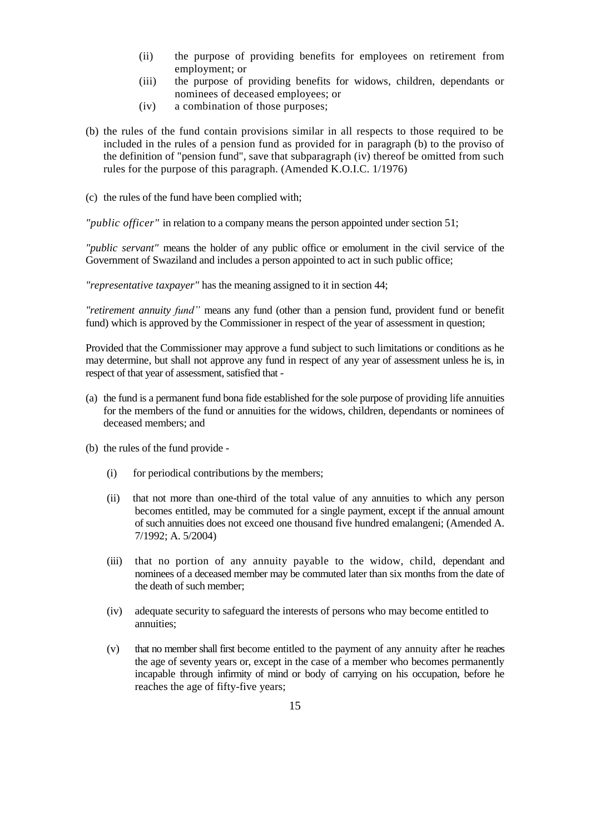- (ii) the purpose of providing benefits for employees on retirement from employment; or
- (iii) the purpose of providing benefits for widows, children, dependants or nominees of deceased employees; or
- (iv) a combination of those purposes;
- (b) the rules of the fund contain provisions similar in all respects to those required to be included in the rules of a pension fund as provided for in paragraph (b) to the proviso of the definition of "pension fund", save that subparagraph (iv) thereof be omitted from such rules for the purpose of this paragraph. (Amended K.O.I.C. 1/1976)
- (c) the rules of the fund have been complied with;

*"public officer"* in relation to a company means the person appointed under section 51;

*"public servant"* means the holder of any public office or emolument in the civil service of the Government of Swaziland and includes a person appointed to act in such public office;

*"representative taxpayer"* has the meaning assigned to it in section 44;

*"retirement annuity fund"* means any fund (other than a pension fund, provident fund or benefit fund) which is approved by the Commissioner in respect of the year of assessment in question;

Provided that the Commissioner may approve a fund subject to such limitations or conditions as he may determine, but shall not approve any fund in respect of any year of assessment unless he is, in respect of that year of assessment, satisfied that -

- (a) the fund is a permanent fund bona fide established for the sole purpose of providing life annuities for the members of the fund or annuities for the widows, children, dependants or nominees of deceased members; and
- (b) the rules of the fund provide
	- (i) for periodical contributions by the members;
	- (ii) that not more than one-third of the total value of any annuities to which any person becomes entitled, may be commuted for a single payment, except if the annual amount of such annuities does not exceed one thousand five hundred emalangeni; (Amended A. 7/1992; A. 5/2004)
	- (iii) that no portion of any annuity payable to the widow, child, dependant and nominees of a deceased member may be commuted later than six months from the date of the death of such member;
	- (iv) adequate security to safeguard the interests of persons who may become entitled to annuities;
	- (v) that no member shall first become entitled to the payment of any annuity after he reaches the age of seventy years or, except in the case of a member who becomes permanently incapable through infirmity of mind or body of carrying on his occupation, before he reaches the age of fifty-five years;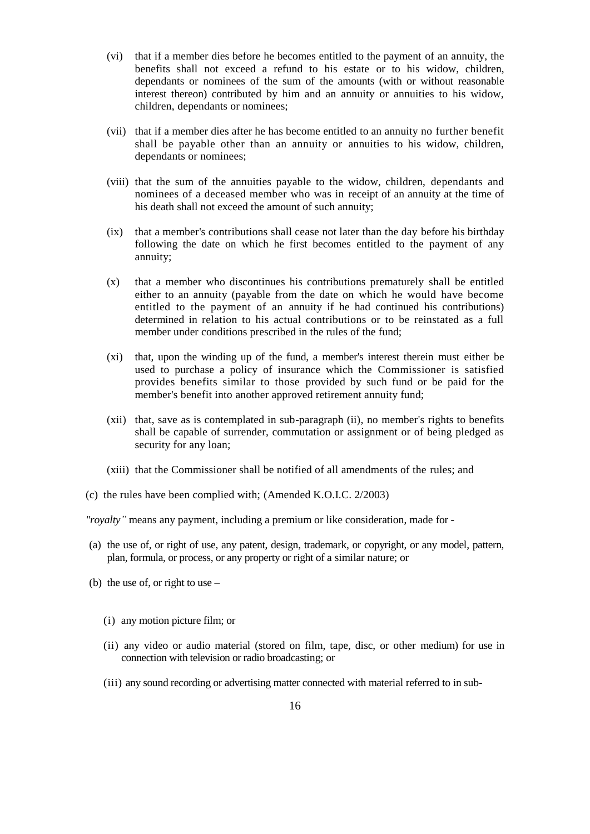- (vi) that if a member dies before he becomes entitled to the payment of an annuity, the benefits shall not exceed a refund to his estate or to his widow, children, dependants or nominees of the sum of the amounts (with or without reasonable interest thereon) contributed by him and an annuity or annuities to his widow, children, dependants or nominees;
- (vii) that if a member dies after he has become entitled to an annuity no further benefit shall be payable other than an annuity or annuities to his widow, children, dependants or nominees;
- (viii) that the sum of the annuities payable to the widow, children, dependants and nominees of a deceased member who was in receipt of an annuity at the time of his death shall not exceed the amount of such annuity;
- (ix) that a member's contributions shall cease not later than the day before his birthday following the date on which he first becomes entitled to the payment of any annuity;
- (x) that a member who discontinues his contributions prematurely shall be entitled either to an annuity (payable from the date on which he would have become entitled to the payment of an annuity if he had continued his contributions) determined in relation to his actual contributions or to be reinstated as a full member under conditions prescribed in the rules of the fund;
- (xi) that, upon the winding up of the fund, a member's interest therein must either be used to purchase a policy of insurance which the Commissioner is satisfied provides benefits similar to those provided by such fund or be paid for the member's benefit into another approved retirement annuity fund;
- (xii) that, save as is contemplated in sub-paragraph (ii), no member's rights to benefits shall be capable of surrender, commutation or assignment or of being pledged as security for any loan;
- (xiii) that the Commissioner shall be notified of all amendments of the rules; and
- (c) the rules have been complied with; (Amended [K.O.I.C. 2/2003\)](http://k.o.i.c.2/2003.))

*"royalty"* means any payment, including a premium or like consideration, made for -

- (a) the use of, or right of use, any patent, design, trademark, or copyright, or any model, pattern, plan, formula, or process, or any property or right of a similar nature; or
- (b) the use of, or right to use
	- (i) any motion picture film; or
	- (ii) any video or audio material (stored on film, tape, disc, or other medium) for use in connection with television or radio broadcasting; or
	- (iii) any sound recording or advertising matter connected with material referred to in sub-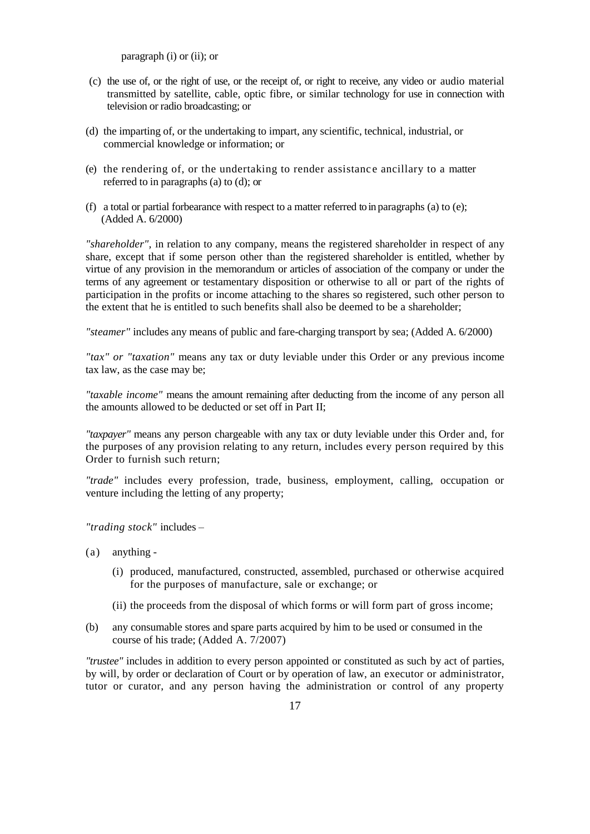paragraph (i) or (ii); or

- (c) the use of, or the right of use, or the receipt of, or right to receive, any video or audio material transmitted by satellite, cable, optic fibre, or similar technology for use in connection with television or radio broadcasting; or
- (d) the imparting of, or the undertaking to impart, any scientific, technical, industrial, or commercial knowledge or information; or
- (e) the rendering of, or the undertaking to render assistanc e ancillary to a matter referred to in paragraphs (a) to (d); or
- (f) a total or partial forbearance with respect to a matter referred to in paragraphs (a) to (e); (Added A. 6/2000)

*"shareholder",* in relation to any company, means the registered shareholder in respect of any share, except that if some person other than the registered shareholder is entitled, whether by virtue of any provision in the memorandum or articles of association of the company or under the terms of any agreement or testamentary disposition or otherwise to all or part of the rights of participation in the profits or income attaching to the shares so registered, such other person to the extent that he is entitled to such benefits shall also be deemed to be a shareholder;

*"steamer"* includes any means of public and fare-charging transport by sea; (Added A. 6/2000)

*"tax" or "taxation"* means any tax or duty leviable under this Order or any previous income tax law, as the case may be;

*"taxable income"* means the amount remaining after deducting from the income of any person all the amounts allowed to be deducted or set off in Part II;

*"taxpayer"* means any person chargeable with any tax or duty leviable under this Order and, for the purposes of any provision relating to any return, includes every person required by this Order to furnish such return;

*"trade"* includes every profession, trade, business, employment, calling, occupation or venture including the letting of any property;

*"trading stock"* includes –

- (a) anything
	- (i) produced, manufactured, constructed, assembled, purchased or otherwise acquired for the purposes of manufacture, sale or exchange; or
	- (ii) the proceeds from the disposal of which forms or will form part of gross income;
- (b) any consumable stores and spare parts acquired by him to be used or consumed in the course of his trade; (Added A. 7/2007)

*"trustee"* includes in addition to every person appointed or constituted as such by act of parties, by will, by order or declaration of Court or by operation of law, an executor or administrator, tutor or curator, and any person having the administration or control of any property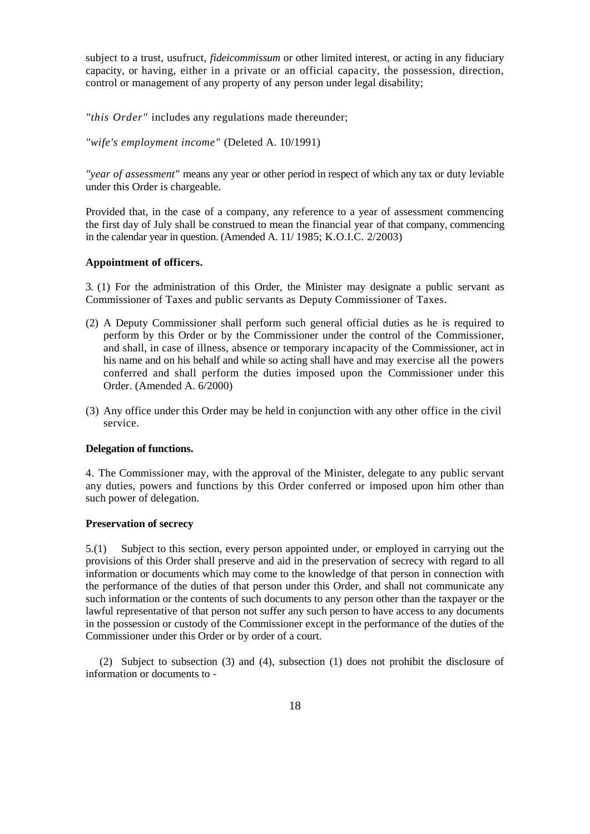subject to a trust, usufruct, *fideicommissum* or other limited interest, or acting in any fiduciary capacity, or having, either in a private or an official capacity, the possession, direction, control or management of any property of any person under legal disability;

*"this Order"* includes any regulations made thereunder;

*"wife's employment income"* (Deleted A. 10/1991)

*"year of assessment"* means any year or other period in respect of which any tax or duty leviable under this Order is chargeable.

Provided that, in the case of a company, any reference to a year of assessment commencing the first day of July shall be construed to mean the financial year of that company, commencing in the calendar year in question. (Amended A. 11/ 1985; K.O.I.C. 2/2003)

#### **Appointment of officers.**

3. (1) For the administration of this Order, the Minister may designate a public servant as Commissioner of Taxes and public servants as Deputy Commissioner of Taxes.

- (2) A Deputy Commissioner shall perform such general official duties as he is required to perform by this Order or by the Commissioner under the control of the Commissioner, and shall, in case of illness, absence or temporary incapacity of the Commissioner, act in his name and on his behalf and while so acting shall have and may exercise all the powers conferred and shall perform the duties imposed upon the Commissioner under this Order. (Amended A. 6/2000)
- (3) Any office under this Order may be held in conjunction with any other office in the civil service.

## **Delegation of functions.**

4. The Commissioner may, with the approval of the Minister, delegate to any public servant any duties, powers and functions by this Order conferred or imposed upon him other than such power of delegation.

#### **Preservation of secrecy**

5.(1) Subject to this section, every person appointed under, or employed in carrying out the provisions of this Order shall preserve and aid in the preservation of secrecy with regard to all information or documents which may come to the knowledge of that person in connection with the performance of the duties of that person under this Order, and shall not communicate any such information or the contents of such documents to any person other than the taxpayer or the lawful representative of that person not suffer any such person to have access to any documents in the possession or custody of the Commissioner except in the performance of the duties of the Commissioner under this Order or by order of a court.

(2) Subject to subsection (3) and (4), subsection (1) does not prohibit the disclosure of information or documents to -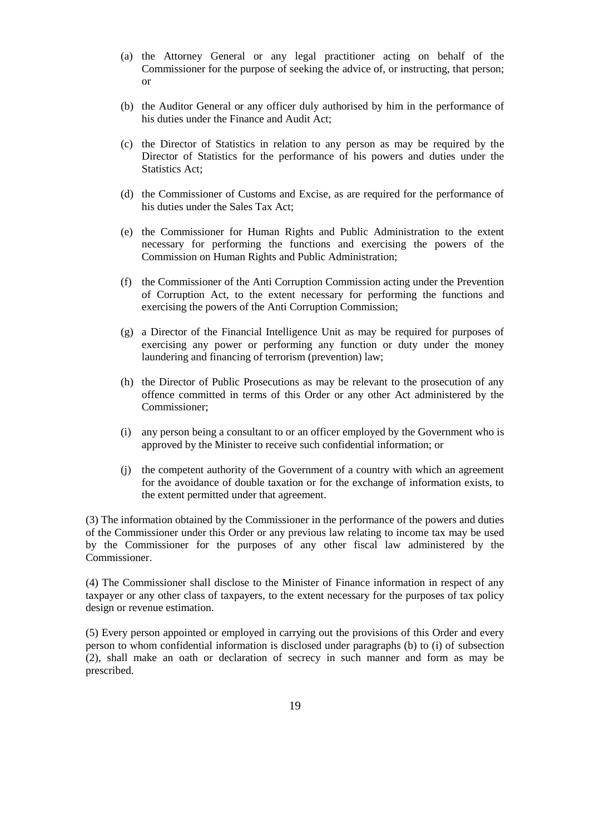- (a) the Attorney General or any legal practitioner acting on behalf of the Commissioner for the purpose of seeking the advice of, or instructing, that person; or
- (b) the Auditor General or any officer duly authorised by him in the performance of his duties under the Finance and Audit Act;
- (c) the Director of Statistics in relation to any person as may be required by the Director of Statistics for the performance of his powers and duties under the Statistics Act;
- (d) the Commissioner of Customs and Excise, as are required for the performance of his duties under the Sales Tax Act;
- (e) the Commissioner for Human Rights and Public Administration to the extent necessary for performing the functions and exercising the powers of the Commission on Human Rights and Public Administration;
- (f) the Commissioner of the Anti Corruption Commission acting under the Prevention of Corruption Act, to the extent necessary for performing the functions and exercising the powers of the Anti Corruption Commission;
- (g) a Director of the Financial Intelligence Unit as may be required for purposes of exercising any power or performing any function or duty under the money laundering and financing of terrorism (prevention) law;
- (h) the Director of Public Prosecutions as may be relevant to the prosecution of any offence committed in terms of this Order or any other Act administered by the Commissioner;
- (i) any person being a consultant to or an officer employed by the Government who is approved by the Minister to receive such confidential information; or
- (j) the competent authority of the Government of a country with which an agreement for the avoidance of double taxation or for the exchange of information exists, to the extent permitted under that agreement.

(3) The information obtained by the Commissioner in the performance of the powers and duties of the Commissioner under this Order or any previous law relating to income tax may be used by the Commissioner for the purposes of any other fiscal law administered by the Commissioner.

(4) The Commissioner shall disclose to the Minister of Finance information in respect of any taxpayer or any other class of taxpayers, to the extent necessary for the purposes of tax policy design or revenue estimation.

(5) Every person appointed or employed in carrying out the provisions of this Order and every person to whom confidential information is disclosed under paragraphs (b) to (i) of subsection (2), shall make an oath or declaration of secrecy in such manner and form as may be prescribed.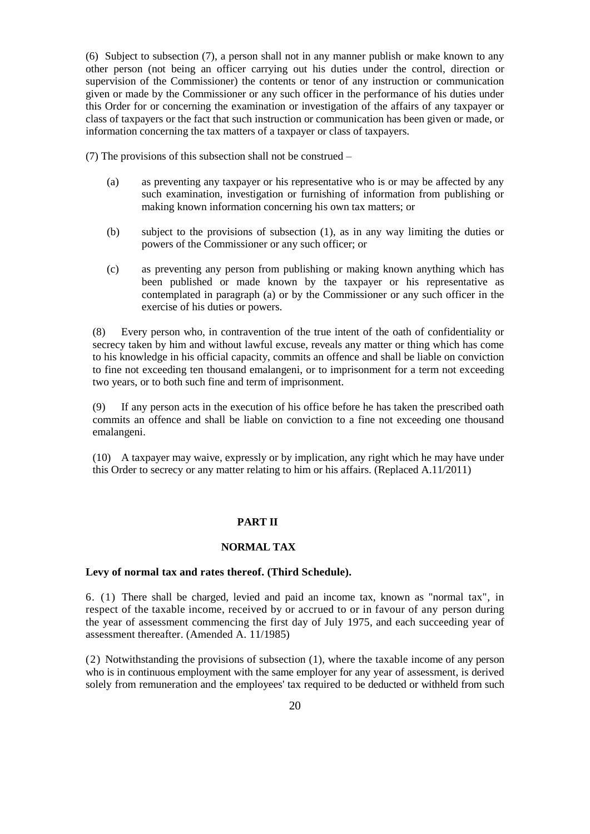(6) Subject to subsection (7), a person shall not in any manner publish or make known to any other person (not being an officer carrying out his duties under the control, direction or supervision of the Commissioner) the contents or tenor of any instruction or communication given or made by the Commissioner or any such officer in the performance of his duties under this Order for or concerning the examination or investigation of the affairs of any taxpayer or class of taxpayers or the fact that such instruction or communication has been given or made, or information concerning the tax matters of a taxpayer or class of taxpayers.

(7) The provisions of this subsection shall not be construed –

- (a) as preventing any taxpayer or his representative who is or may be affected by any such examination, investigation or furnishing of information from publishing or making known information concerning his own tax matters; or
- (b) subject to the provisions of subsection (1), as in any way limiting the duties or powers of the Commissioner or any such officer; or
- (c) as preventing any person from publishing or making known anything which has been published or made known by the taxpayer or his representative as contemplated in paragraph (a) or by the Commissioner or any such officer in the exercise of his duties or powers.

(8) Every person who, in contravention of the true intent of the oath of confidentiality or secrecy taken by him and without lawful excuse, reveals any matter or thing which has come to his knowledge in his official capacity, commits an offence and shall be liable on conviction to fine not exceeding ten thousand emalangeni, or to imprisonment for a term not exceeding two years, or to both such fine and term of imprisonment.

(9) If any person acts in the execution of his office before he has taken the prescribed oath commits an offence and shall be liable on conviction to a fine not exceeding one thousand emalangeni.

(10) A taxpayer may waive, expressly or by implication, any right which he may have under this Order to secrecy or any matter relating to him or his affairs. (Replaced A.11/2011)

#### **PART II**

## **NORMAL TAX**

#### **Levy of normal tax and rates thereof. (Third Schedule).**

6. (1) There shall be charged, levied and paid an income tax, known as "normal tax", in respect of the taxable income, received by or accrued to or in favour of any person during the year of assessment commencing the first day of July 1975*,* and each succeeding year of assessment thereafter. (Amended A. 11/1985)

(2) Notwithstanding the provisions of subsection (1), where the taxable income of any person who is in continuous employment with the same employer for any year of assessment, is derived solely from remuneration and the employees' tax required to be deducted or withheld from such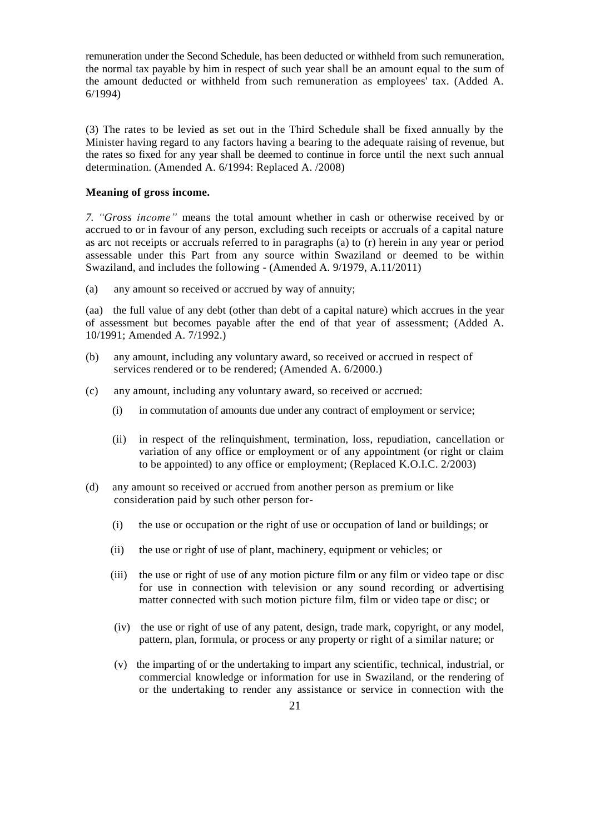remuneration under the Second Schedule, has been deducted or withheld from such remuneration, the normal tax payable by him in respect of such year shall be an amount equal to the sum of the amount deducted or withheld from such remuneration as employees' tax. (Added A. 6/1994)

(3) The rates to be levied as set out in the Third Schedule shall be fixed annually by the Minister having regard to any factors having a bearing to the adequate raising of revenue, but the rates so fixed for any year shall be deemed to continue in force until the next such annual determination. (Amended A. 6/1994: Replaced A. /2008)

#### **Meaning of gross income.**

*7. "Gross income"* means the total amount whether in cash or otherwise received by or accrued to or in favour of any person, excluding such receipts or accruals of a capital nature as arc not receipts or accruals referred to in paragraphs (a) to (r) herein in any year or period assessable under this Part from any source within Swaziland or deemed to be within Swaziland, and includes the following - (Amended A. 9/1979, A.11/2011)

(a) any amount so received or accrued by way of annuity;

(aa) the full value of any debt (other than debt of a capital nature) which accrues in the year of assessment but becomes payable after the end of that year of assessment; (Added A. 10/1991; Amended A. 7/1992.)

- (b) any amount, including any voluntary award, so received or accrued in respect of services rendered or to be rendered; (Amended A. 6/2000.)
- (c) any amount, including any voluntary award, so received or accrued:
	- (i) in commutation of amounts due under any contract of employment or service;
	- (ii) in respect of the relinquishment, termination, loss, repudiation, cancellation or variation of any office or employment or of any appointment (or right or claim to be appointed) to any office or employment; (Replaced [K.O.I.C. 2/2003\)](http://k.o.i.c.2/2003.))
- (d) any amount so received or accrued from another person as premium or like consideration paid by such other person for-
	- (i) the use or occupation or the right of use or occupation of land or buildings; or
	- (ii) the use or right of use of plant, machinery, equipment or vehicles; or
	- (iii) the use or right of use of any motion picture film or any film or video tape or disc for use in connection with television or any sound recording or advertising matter connected with such motion picture film, film or video tape or disc; or
	- (iv) the use or right of use of any patent, design, trade mark, copyright, or any model, pattern, plan, formula, or process or any property or right of a similar nature; or
	- (v) the imparting of or the undertaking to impart any scientific, technical, industrial, or commercial knowledge or information for use in Swaziland, or the rendering of or the undertaking to render any assistance or service in connection with the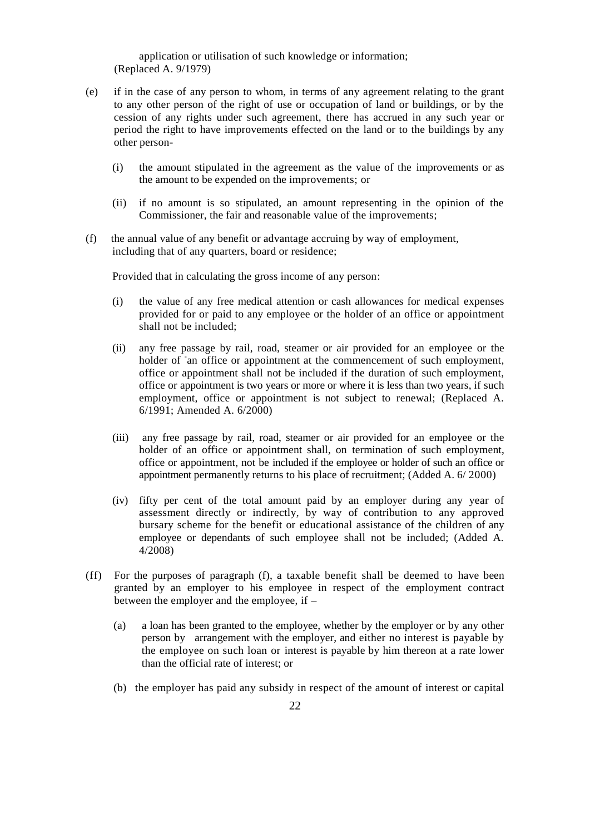application or utilisation of such knowledge or information; (Replaced A. 9/1979)

- (e) if in the case of any person to whom, in terms of any agreement relating to the grant to any other person of the right of use or occupation of land or buildings, or by the cession of any rights under such agreement, there has accrued in any such year or period the right to have improvements effected on the land or to the buildings by any other person-
	- (i) the amount stipulated in the agreement as the value of the improvements or as the amount to be expended on the improvements; or
	- (ii) if no amount is so stipulated, an amount representing in the opinion of the Commissioner, the fair and reasonable value of the improvements;
- (f) the annual value of any benefit or advantage accruing by way of employment, including that of any quarters, board or residence;

Provided that in calculating the gross income of any person:

- (i) the value of any free medical attention or cash allowances for medical expenses provided for or paid to any employee or the holder of an office or appointment shall not be included;
- (ii) any free passage by rail, road, steamer or air provided for an employee or the holder of <sup>-</sup>an office or appointment at the commencement of such employment, office or appointment shall not be included if the duration of such employment, office or appointment is two years or more or where it is less than two years, if such employment, office or appointment is not subject to renewal; (Replaced A. 6/1991; Amended A. 6/2000)
- (iii) any free passage by rail, road, steamer or air provided for an employee or the holder of an office or appointment shall, on termination of such employment, office or appointment, not be included if the employee or holder of such an office or appointment permanently returns to his place of recruitment; (Added A. 6/ 2000)
- (iv) fifty per cent of the total amount paid by an employer during any year of assessment directly or indirectly, by way of contribution to any approved bursary scheme for the benefit or educational assistance of the children of any employee or dependants of such employee shall not be included; (Added A. 4/2008)
- (ff) For the purposes of paragraph (f), a taxable benefit shall be deemed to have been granted by an employer to his employee in respect of the employment contract between the employer and the employee, if –
	- (a) a loan has been granted to the employee, whether by the employer or by any other person by arrangement with the employer, and either no interest is payable by the employee on such loan or interest is payable by him thereon at a rate lower than the official rate of interest; or
	- (b) the employer has paid any subsidy in respect of the amount of interest or capital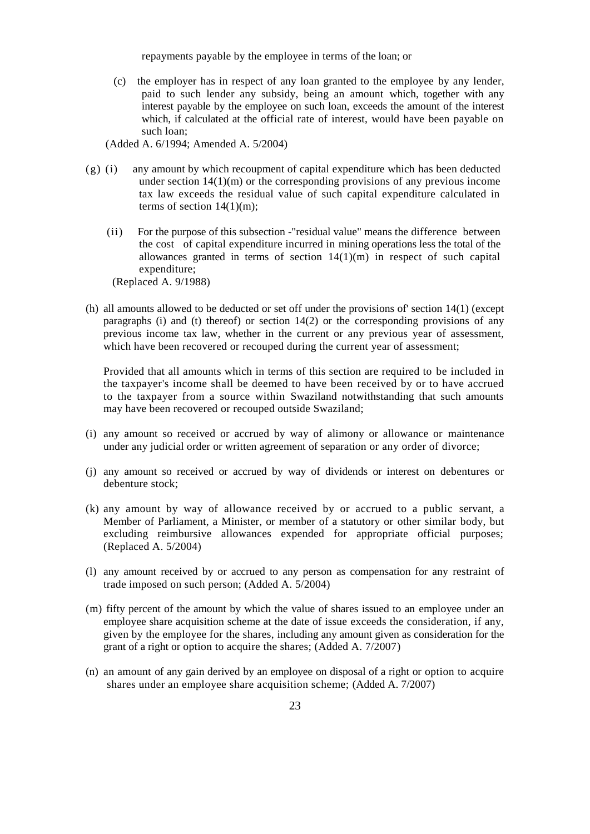repayments payable by the employee in terms of the loan; or

(c) the employer has in respect of any loan granted to the employee by any lender, paid to such lender any subsidy, being an amount which, together with any interest payable by the employee on such loan, exceeds the amount of the interest which, if calculated at the official rate of interest, would have been payable on such loan;

(Added A. 6/1994; Amended A. 5/2004)

- (g) (i) any amount by which recoupment of capital expenditure which has been deducted under section  $14(1)(m)$  or the corresponding provisions of any previous income tax law exceeds the residual value of such capital expenditure calculated in terms of section  $14(1)(m)$ ;
	- (ii) For the purpose of this subsection -"residual value" means the difference between the cost of capital expenditure incurred in mining operations less the total of the allowances granted in terms of section  $14(1)(m)$  in respect of such capital expenditure;

(Replaced A. 9/1988)

(h) all amounts allowed to be deducted or set off under the provisions of' section 14(1) (except paragraphs (i) and (t) thereof) or section  $14(2)$  or the corresponding provisions of any previous income tax law, whether in the current or any previous year of assessment, which have been recovered or recouped during the current year of assessment;

Provided that all amounts which in terms of this section are required to be included in the taxpayer's income shall be deemed to have been received by or to have accrued to the taxpayer from a source within Swaziland notwithstanding that such amounts may have been recovered or recouped outside Swaziland;

- (i) any amount so received or accrued by way of alimony or allowance or maintenance under any judicial order or written agreement of separation or any order of divorce;
- (j) any amount so received or accrued by way of dividends or interest on debentures or debenture stock;
- (k) any amount by way of allowance received by or accrued to a public servant, a Member of Parliament, a Minister, or member of a statutory or other similar body, but excluding reimbursive allowances expended for appropriate official purposes; (Replaced A. 5/2004)
- (l) any amount received by or accrued to any person as compensation for any restraint of trade imposed on such person; (Added A. 5/2004)
- (m) fifty percent of the amount by which the value of shares issued to an employee under an employee share acquisition scheme at the date of issue exceeds the consideration, if any, given by the employee for the shares, including any amount given as consideration for the grant of a right or option to acquire the shares; (Added A. 7/2007)
- (n) an amount of any gain derived by an employee on disposal of a right or option to acquire shares under an employee share acquisition scheme; (Added A. 7/2007)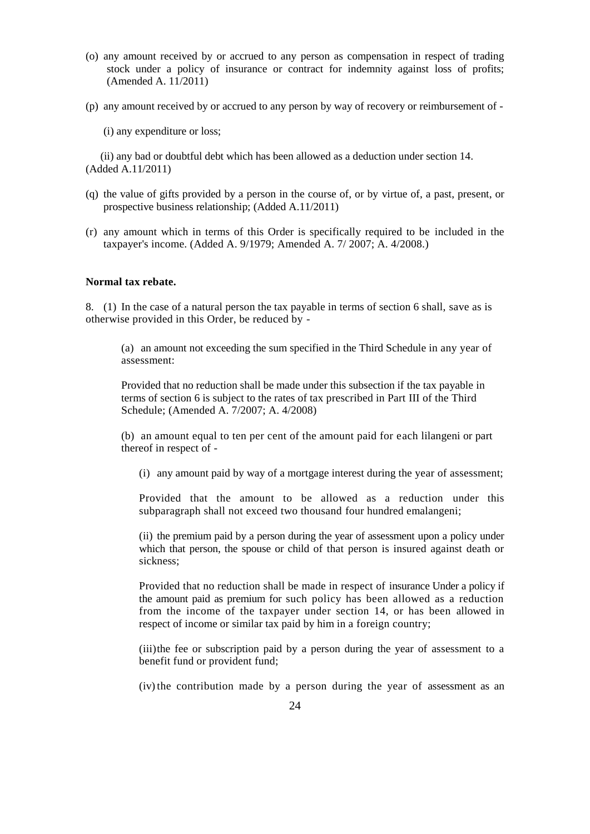- (o) any amount received by or accrued to any person as compensation in respect of trading stock under a policy of insurance or contract for indemnity against loss of profits; (Amended A. 11/2011)
- (p) any amount received by or accrued to any person by way of recovery or reimbursement of
	- (i) any expenditure or loss;

(ii) any bad or doubtful debt which has been allowed as a deduction under section 14. (Added A.11/2011)

- (q) the value of gifts provided by a person in the course of, or by virtue of, a past, present, or prospective business relationship; (Added A.11/2011)
- (r) any amount which in terms of this Order is specifically required to be included in the taxpayer's income. (Added A. 9/1979; Amended A. 7/ 2007; A. 4/2008.)

#### **Normal tax rebate.**

8. (1) In the case of a natural person the tax payable in terms of section 6 shall, save as is otherwise provided in this Order, be reduced by -

(a) an amount not exceeding the sum specified in the Third Schedule in any year of assessment:

Provided that no reduction shall be made under this subsection if the tax payable in terms of section 6 is subject to the rates of tax prescribed in Part III of the Third Schedule; (Amended A. 7/2007; A. 4/2008)

(b) an amount equal to ten per cent of the amount paid for each lilangeni or part thereof in respect of -

(i) any amount paid by way of a mortgage interest during the year of assessment;

Provided that the amount to be allowed as a reduction under this subparagraph shall not exceed two thousand four hundred emalangeni;

(ii) the premium paid by a person during the year of assessment upon a policy under which that person, the spouse or child of that person is insured against death or sickness;

Provided that no reduction shall be made in respect of insurance Under a policy if the amount paid as premium for such policy has been allowed as a reduction from the income of the taxpayer under section 14, or has been allowed in respect of income or similar tax paid by him in a foreign country;

(iii)the fee or subscription paid by a person during the year of assessment to a benefit fund or provident fund;

(iv)the contribution made by a person during the year of assessment as an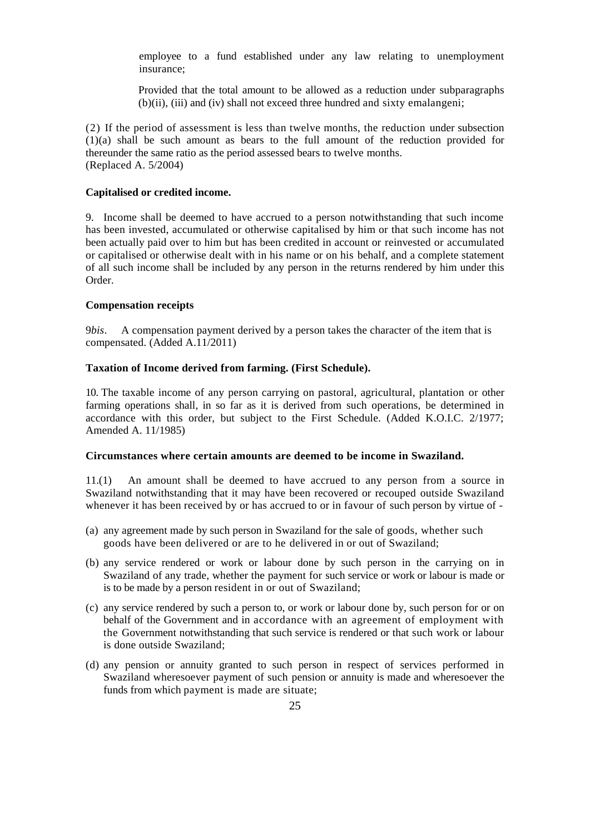employee to a fund established under any law relating to unemployment insurance;

Provided that the total amount to be allowed as a reduction under subparagraphs (b)(ii), (iii) and (iv) shall not exceed three hundred and sixty emalangeni;

(2) If the period of assessment is less than twelve months, the reduction under subsection (1)(a) shall be such amount as bears to the full amount of the reduction provided for thereunder the same ratio as the period assessed bears to twelve months. (Replaced A. 5/2004)

#### **Capitalised or credited income.**

9. Income shall be deemed to have accrued to a person notwithstanding that such income has been invested, accumulated or otherwise capitalised by him or that such income has not been actually paid over to him but has been credited in account or reinvested or accumulated or capitalised or otherwise dealt with in his name or on his behalf, and a complete statement of all such income shall be included by any person in the returns rendered by him under this Order.

#### **Compensation receipts**

9*bis*. A compensation payment derived by a person takes the character of the item that is compensated. (Added A.11/2011)

#### **Taxation of Income derived from farming. (First Schedule).**

10. The taxable income of any person carrying on pastoral, agricultural, plantation or other farming operations shall, in so far as it is derived from such operations, be determined in accordance with this order, but subject to the First Schedule. (Added K.O.I.C. 2/1977; Amended A. 11/1985)

#### **Circumstances where certain amounts are deemed to be income in Swaziland.**

11.(1) An amount shall be deemed to have accrued to any person from a source in Swaziland notwithstanding that it may have been recovered or recouped outside Swaziland whenever it has been received by or has accrued to or in favour of such person by virtue of -

- (a) any agreement made by such person in Swaziland for the sale of goods, whether such goods have been delivered or are to he delivered in or out of Swaziland;
- (b) any service rendered or work or labour done by such person in the carrying on in Swaziland of any trade, whether the payment for such service or work or labour is made or is to be made by a person resident in or out of Swaziland;
- (c) any service rendered by such a person to, or work or labour done by, such person for or on behalf of the Government and in accordance with an agreement of employment with the Government notwithstanding that such service is rendered or that such work or labour is done outside Swaziland;
- (d) any pension or annuity granted to such person in respect of services performed in Swaziland wheresoever payment of such pension or annuity is made and wheresoever the funds from which payment is made are situate;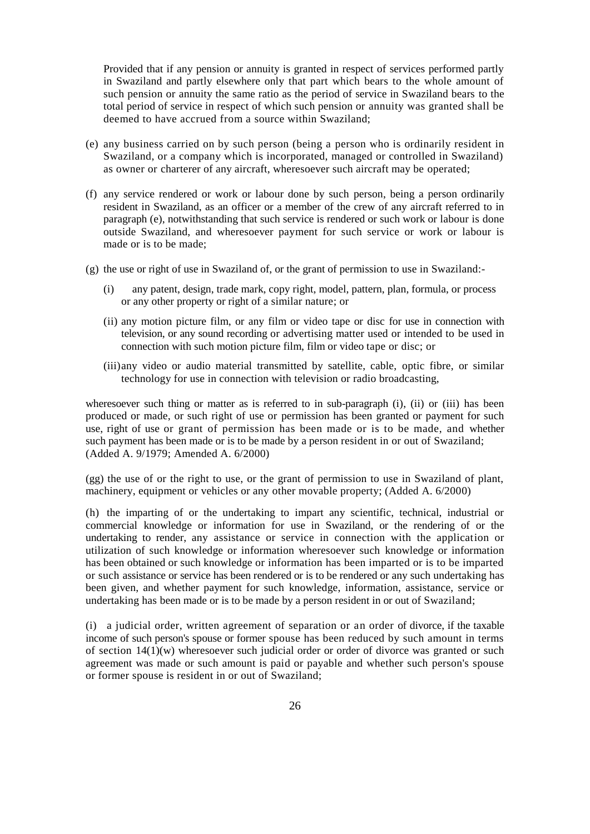Provided that if any pension or annuity is granted in respect of services performed partly in Swaziland and partly elsewhere only that part which bears to the whole amount of such pension or annuity the same ratio as the period of service in Swaziland bears to the total period of service in respect of which such pension or annuity was granted shall be deemed to have accrued from a source within Swaziland;

- (e) any business carried on by such person (being a person who is ordinarily resident in Swaziland, or a company which is incorporated, managed or controlled in Swaziland) as owner or charterer of any aircraft, wheresoever such aircraft may be operated;
- (f) any service rendered or work or labour done by such person, being a person ordinarily resident in Swaziland, as an officer or a member of the crew of any aircraft referred to in paragraph (e), notwithstanding that such service is rendered or such work or labour is done outside Swaziland, and wheresoever payment for such service or work or labour is made or is to be made;
- $(g)$  the use or right of use in Swaziland of, or the grant of permission to use in Swaziland:
	- (i) any patent, design, trade mark, copy right, model, pattern, plan, formula, or process or any other property or right of a similar nature; or
	- (ii) any motion picture film, or any film or video tape or disc for use in connection with television, or any sound recording or advertising matter used or intended to be used in connection with such motion picture film, film or video tape or disc; or
	- (iii)any video or audio material transmitted by satellite, cable, optic fibre, or similar technology for use in connection with television or radio broadcasting,

wheresoever such thing or matter as is referred to in sub-paragraph (i), (ii) or (iii) has been produced or made, or such right of use or permission has been granted or payment for such use, right of use or grant of permission has been made or is to be made, and whether such payment has been made or is to be made by a person resident in or out of Swaziland; (Added A. 9/1979; Amended A. 6/2000)

(gg) the use of or the right to use, or the grant of permission to use in Swaziland of plant, machinery, equipment or vehicles or any other movable property; (Added A. 6/2000)

(h) the imparting of or the undertaking to impart any scientific, technical, industrial or commercial knowledge or information for use in Swaziland, or the rendering of or the undertaking to render, any assistance or service in connection with the application or utilization of such knowledge or information wheresoever such knowledge or information has been obtained or such knowledge or information has been imparted or is to be imparted or such assistance or service has been rendered or is to be rendered or any such undertaking has been given, and whether payment for such knowledge, information, assistance, service or undertaking has been made or is to be made by a person resident in or out of Swaziland;

(i) a judicial order, written agreement of separation or an order of divorce, if the taxable income of such person's spouse or former spouse has been reduced by such amount in terms of section  $14(1)(w)$  wheresoever such judicial order or order of divorce was granted or such agreement was made or such amount is paid or payable and whether such person's spouse or former spouse is resident in or out of Swaziland;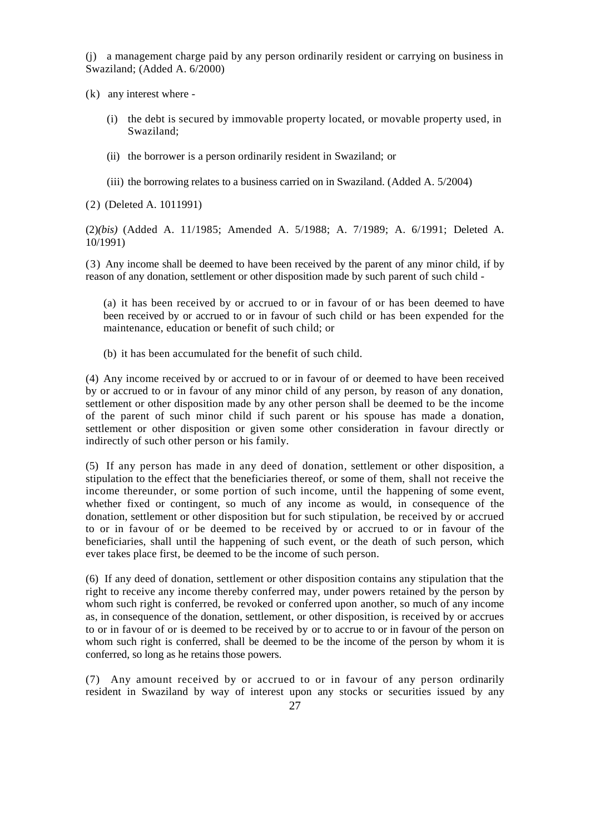(j) a management charge paid by any person ordinarily resident or carrying on business in Swaziland; (Added A. 6/2000)

(k) any interest where -

- (i) the debt is secured by immovable property located, or movable property used, in Swaziland;
- (ii) the borrower is a person ordinarily resident in Swaziland; or
- (iii) the borrowing relates to a business carried on in Swaziland. (Added A. 5/2004)

(2) (Deleted A. 1011991)

(2)*(bis)* (Added A. 11/1985; Amended A. 5/1988; A. 7/1989; A. 6/1991; Deleted A. 10/1991)

(3) Any income shall be deemed to have been received by the parent of any minor child, if by reason of any donation, settlement or other disposition made by such parent of such child -

(a) it has been received by or accrued to or in favour of or has been deemed to have been received by or accrued to or in favour of such child or has been expended for the maintenance, education or benefit of such child; or

(b) it has been accumulated for the benefit of such child.

(4) Any income received by or accrued to or in favour of or deemed to have been received by or accrued to or in favour of any minor child of any person, by reason of any donation, settlement or other disposition made by any other person shall be deemed to be the income of the parent of such minor child if such parent or his spouse has made a donation, settlement or other disposition or given some other consideration in favour directly or indirectly of such other person or his family.

(5) If any person has made in any deed of donation*,* settlement or other disposition, a stipulation to the effect that the beneficiaries thereof, or some of them, shall not receive the income thereunder, or some portion of such income, until the happening of some event, whether fixed or contingent, so much of any income as would, in consequence of the donation, settlement or other disposition but for such [stipulation,](http://stipulation.be/) be received by or accrued to or in favour of or be deemed to be received by or accrued to or in favour of the beneficiaries, shall until the happening of such event, or the death of such person, which ever takes place first, be deemed to be the income of such person.

(6) If any deed of donation, settlement or other disposition contains any stipulation that the right to receive any income thereby conferred may, under powers retained by the person by whom such right is conferred, be revoked or conferred upon another, so much of any income as, in consequence of the donation, settlement, or other disposition, is received by or accrues to or in favour of or is deemed to be received by or to accrue to or in favour of the person on whom such right is conferred, shall be deemed to be the income of the person by whom it is conferred, so long as he retains those powers.

(7) Any amount received by or accrued to or in favour of any person ordinarily resident in Swaziland by way of interest upon any stocks or securities issued by any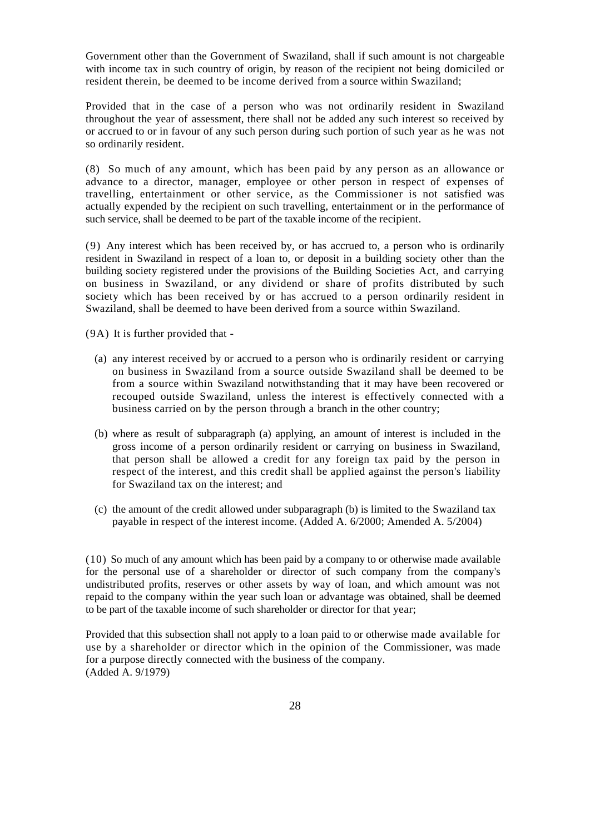Government other than the Government of Swaziland, shall if such amount is not chargeable with income tax in such country of origin, by reason of the recipient not being domiciled or resident therein, be deemed to be income derived from a source within Swaziland;

Provided that in the case of a person who was not ordinarily resident in Swaziland throughout the year of assessment, there shall not be added any such interest so received by or accrued to or in favour of any such person during such portion of such year as he was not so ordinarily resident.

(8) So much of any amount, which has been paid by any person as an allowance or advance to a director, manager, employee or other person in respect of expenses of travelling, entertainment or other service, as the Commissioner is not satisfied was actually expended by the recipient on such travelling, entertainment or in the performance of such service, shall be deemed to be part of the taxable income of the recipient.

(9) Any interest which has been received by, or has accrued to, a person who is ordinarily resident in Swaziland in respect of a loan to, or deposit in a building society other than the building society registered under the provisions of the Building Societies Act, and carrying on business in Swaziland, or any dividend or share of profits distributed by such society which has been received by or has accrued to a person ordinarily resident in Swaziland, shall be deemed to have been derived from a source within Swaziland.

(9A) It is further provided that -

- (a) any interest received by or accrued to a person who is ordinarily resident or carrying on business in Swaziland from a source outside Swaziland shall be deemed to be from a source within Swaziland notwithstanding that it may have been recovered or recouped outside Swaziland, unless the interest is effectively connected with a business carried on by the person through a branch in the other country;
- (b) where as result of subparagraph (a) applying, an amount of interest is included in the gross income of a person ordinarily resident or carrying on business in Swaziland, that person shall be allowed a credit for any foreign tax paid by the person in respect of the interest, and this credit shall be applied against the person's liability for Swaziland tax on the interest; and
- (c) the amount of the credit allowed under subparagraph (b) is limited to the Swaziland tax payable in respect of the interest income. (Added A. 6/2000; Amended A. 5/2004)

(10) So much of any amount which has been paid by a company to or otherwise made available for the personal use of a shareholder or director of such company from the company's undistributed profits, reserves or other assets by way of loan, and which amount was not repaid to the company within the year such loan or advantage was obtained, shall be deemed to be part of the taxable income of such shareholder or director for that year;

Provided that this subsection shall not apply to a loan paid to or otherwise made available for use by a shareholder or director which in the opinion of the Commissioner, was made for a purpose directly connected with the business of the company. (Added A. 9/1979)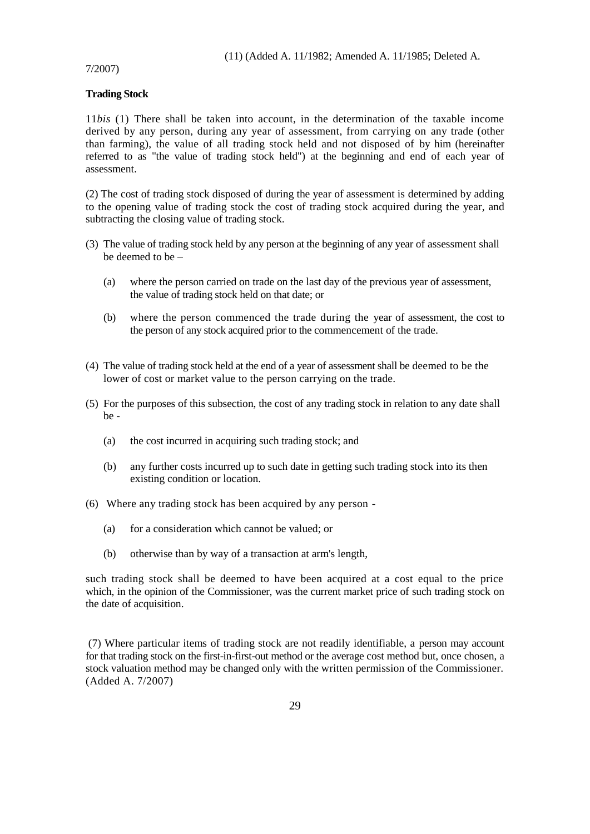#### 7/2007)

#### **Trading Stock**

11*bis* (1) There shall be taken into account, in the determination of the taxable income derived by any person, during any year of assessment, from carrying on any trade (other than farming), the value of all trading stock held and not disposed of by him (hereinafter referred to as "the value of trading stock held") at the beginning and end of each year of assessment.

(2) The cost of trading stock disposed of during the year of assessment is determined by adding to the opening value of trading stock the cost of trading stock acquired during the year, and subtracting the closing value of trading stock.

- (3) The value of trading stock held by any person at the beginning of any year of assessment shall be deemed to be –
	- (a) where the person carried on trade on the last day of the previous year of assessment, the value of trading stock held on that date; or
	- (b) where the person commenced the trade during the year of assessment, the cost to the person of any stock acquired prior to the commencement of the trade.
- (4) The value of trading stock held at the end of a year of assessment shall be deemed to be the lower of cost or market value to the person carrying on the trade.
- (5) For the purposes of this subsection, the cost of any trading stock in relation to any date shall be -
	- (a) the cost incurred in acquiring such trading stock; and
	- (b) any further costs incurred up to such date in getting such trading stock into its then existing condition or location.
- (6) Where any trading stock has been acquired by any person
	- (a) for a consideration which cannot be valued; or
	- (b) otherwise than by way of a transaction at arm's length,

such trading stock shall be deemed to have been acquired at a cost equal to the price which, in the opinion of the Commissioner, was the current market price of such trading stock on the date of acquisition.

(7) Where particular items of trading stock are not readily identifiable, a person may account for that trading stock on the first-in-first-out method or the average cost method but, once chosen, a stock valuation method may be changed only with the written permission of the Commissioner. (Added A. 7/2007)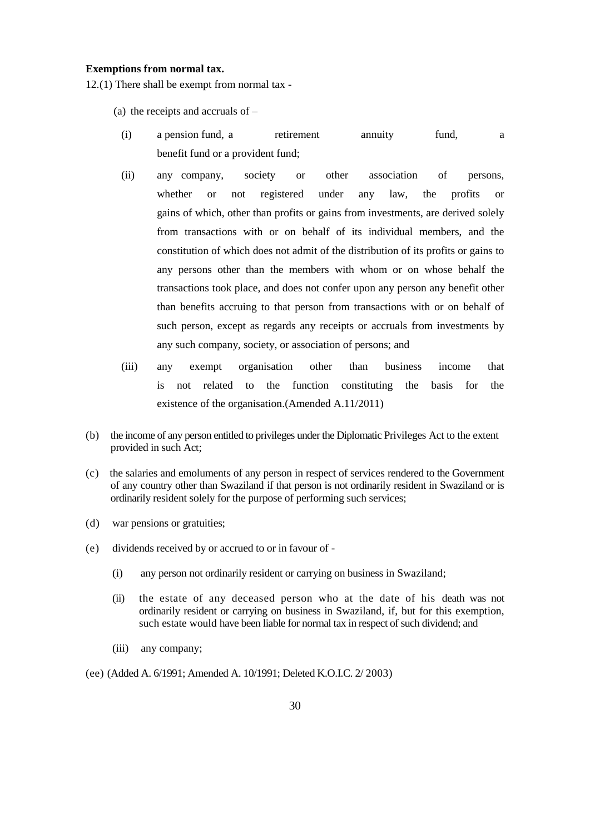#### **Exemptions from normal tax.**

12.(1) There shall be exempt from normal tax -

- (a) the receipts and accruals of –
- (i) a pension fund, a retirement annuity fund, a benefit fund or a provident fund;
- (ii) any company, society or other association of persons, whether or not registered under any law, the profits or gains of which, other than profits or gains from investments, are derived solely from transactions with or on behalf of its individual members, and the constitution of which does not admit of the distribution of its profits or gains to any persons other than the members with whom or on whose behalf the transactions took place, and does not confer upon any person any benefit other than benefits accruing to that person from transactions with or on behalf of such person, except as regards any receipts or accruals from investments by any such company, society, or association of persons; and
- (iii) any exempt organisation other than business income that is not related to the function constituting the basis for the existence of the organisation.(Amended A.11/2011)
- (b) the income of any person entitled to privileges under the Diplomatic Privileges Act to the extent provided in such Act;
- (c) the salaries and emoluments of any person in respect of services rendered to the Government of any country other than Swaziland if that person is not ordinarily resident in Swaziland or is ordinarily resident solely for the purpose of performing such services;
- (d) war pensions or gratuities;
- (e) dividends received by or accrued to or in favour of
	- (i) any person not ordinarily resident or carrying on business in Swaziland;
	- (ii) the estate of any deceased person who at the date of his death was not ordinarily resident or carrying on business in Swaziland, if, but for this exemption, such estate would have been liable for normal tax in respect of such dividend; and
	- (iii) any company;
- (ee) (Added A. 6/1991; Amended A. 10/1991; Deleted K.O.I.C. 2/ 2003)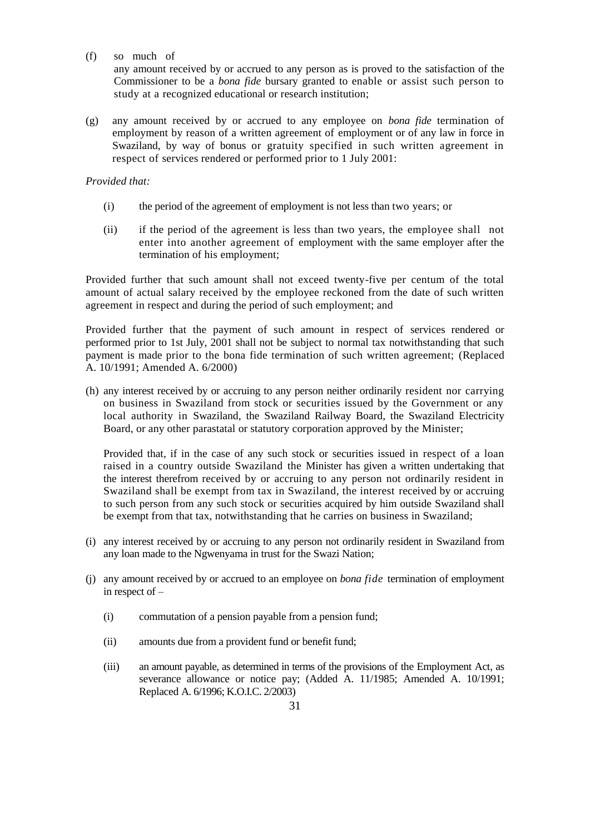(f) so much of

any amount received by or accrued to any person as is proved to the satisfaction of the Commissioner to be a *bona fide* bursary granted to enable or assist such person to study at a recognized educational or research institution;

(g) any amount received by or accrued to any employee on *bona fide* termination of employment by reason of a written agreement of employment or of any law in force in Swaziland, by way of bonus or gratuity specified in such written agreement in respect of services rendered or performed prior to 1 July 2001:

#### *Provided that:*

- (i) the period of the agreement of employment is not less than two years; or
- (ii) if the period of the agreement is less than two years, the employee shall not enter into another agreement of employment with the same employer after the termination of his employment;

Provided further that such amount shall not exceed twenty-five per centum of the total amount of actual salary received by the employee reckoned from the date of such written agreement in respect and during the period of such employment; and

Provided further that the payment of such amount in respect of services rendered or performed prior to 1st July, 2001 shall not be subject to normal tax notwithstanding that such payment is made prior to the bona fide termination of such written agreement; (Replaced A. 10/1991; Amended A. 6/2000)

(h) any interest received by or accruing to any person neither ordinarily resident nor carrying on business in Swaziland from stock or securities issued by the Government or any local authority in Swaziland, the Swaziland Railway Board, the Swaziland Electricity Board, or any other parastatal or statutory corporation approved by the Minister;

Provided that, if in the case of any such stock or securities issued in respect of a loan raised in a country outside Swaziland the Minister has given a written undertaking that the interest therefrom received by or accruing to any person not ordinarily resident in Swaziland shall be exempt from tax in Swaziland, the interest received by or accruing to such person from any such stock or securities acquired by him outside Swaziland shall be exempt from that tax, notwithstanding that he carries on business in Swaziland;

- (i) any interest received by or accruing to any person not ordinarily resident in Swaziland from any loan made to the Ngwenyama in trust for the Swazi Nation;
- (j) any amount received by or accrued to an employee on *bona fide* termination of employment in respect of –
	- (i) commutation of a pension payable from a pension fund;
	- (ii) amounts due from a provident fund or benefit fund;
	- (iii) an amount payable, as determined in terms of the provisions of the Employment Act, as severance allowance or notice pay; (Added A. 11/1985; Amended A. 10/1991; Replaced A. 6/1996; K.O.I.C. 2/2003)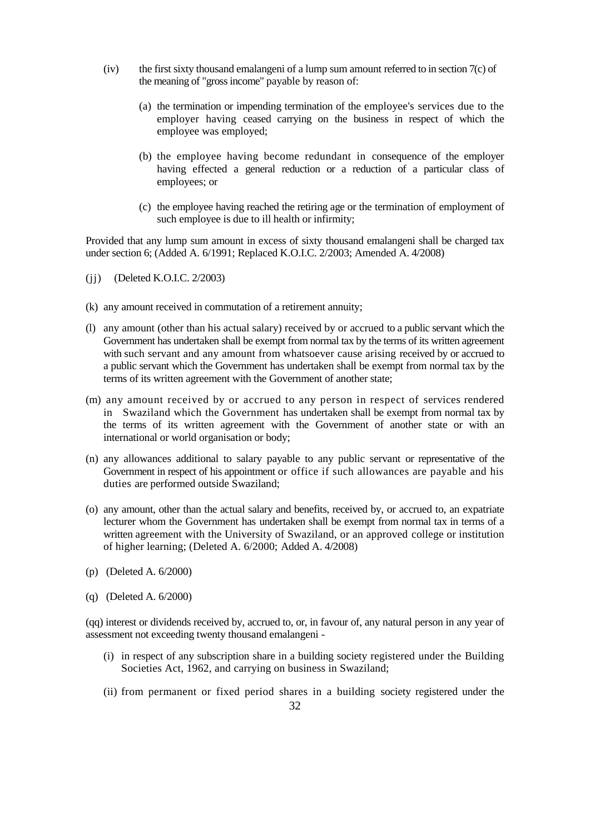- (iv) the first sixty thousand emalangeni of a lump sum amount referred to in section 7(c) of the meaning of "gross income" payable by reason of:
	- (a) the termination or impending termination of the employee's services due to the employer having ceased carrying on the business in respect of which the employee was employed;
	- (b) the employee having become redundant in consequence of the employer having effected a general reduction or a reduction of a particular class of employees; or
	- (c) the employee having reached the retiring age or the termination of employment of such employee is due to ill health or infirmity;

Provided that any lump sum amount in excess of sixty thousand emalangeni shall be charged tax under section 6; (Added A. 6/1991; Replaced K.O.I.C. 2/2003; Amended A. 4/2008)

- (jj) (Deleted K.O.I.C. 2/2003)
- (k) any amount received in commutation of a retirement annuity;
- (l) any amount (other than his actual salary) received by or accrued to a public servant which the Government has undertaken shall be exempt from normal tax by the terms of its written agreement with such servant and any amount from whatsoever cause arising received by or accrued to a public servant which the Government has undertaken shall be exempt from normal tax by the terms of its written agreement with the Government of another state;
- (m) any amount received by or accrued to any person in respect of services rendered in Swaziland which the Government has undertaken shall be exempt from normal tax by the terms of its written agreement with the Government of another state or with an international or world organisation or body;
- (n) any allowances additional to salary payable to any public servant or representative of the Government in respect of his appointment or office if such allowances are payable and his duties are performed outside Swaziland;
- (o) any amount, other than the actual salary and benefits, received by, or accrued to, an expatriate lecturer whom the Government has undertaken shall be exempt from normal tax in terms of a written agreement with the University of Swaziland, or an approved college or institution of higher learning; (Deleted A. 6/2000; Added A. 4/2008)
- (p) (Deleted A. 6/2000)
- (q) (Deleted A. 6/2000)

(qq) interest or dividends received by, accrued to, or, in favour of, any natural person in any year of assessment not exceeding twenty thousand emalangeni -

- (i) in respect of any subscription share in a building society registered under the Building Societies Act, 1962, and carrying on business in Swaziland;
- (ii) from permanent or fixed period shares in a building society registered under the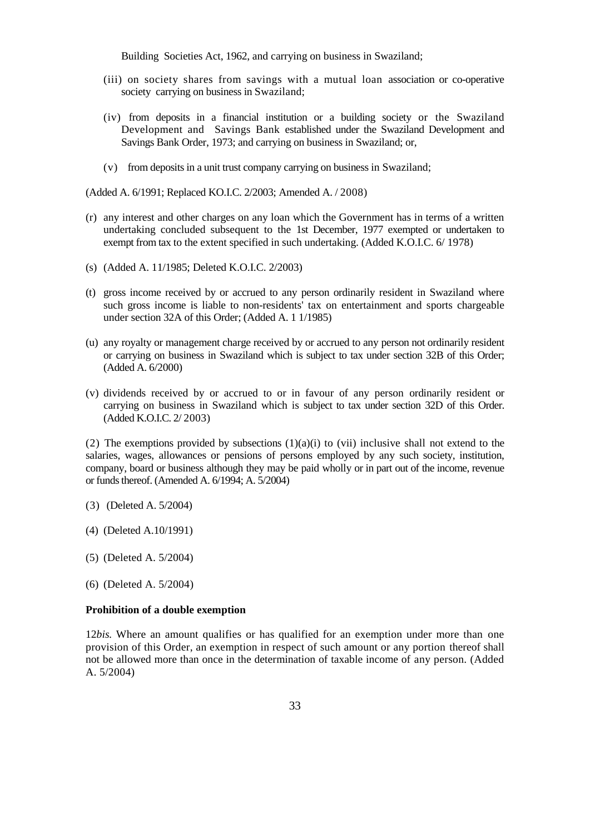Building Societies Act, 1962, and carrying on business in Swaziland;

- (iii) on society shares from savings with a mutual loan association or co-operative society carrying on business in Swaziland;
- (iv) from deposits in a financial institution or a building society or the Swaziland Development and Savings Bank established under the Swaziland Development and Savings Bank Order, 1973; and carrying on business in Swaziland; or,
- (v) from deposits in a unit trust company carrying on business in Swaziland;

(Added A. 6/1991; Replaced KO.I.C. 2/2003; Amended A. / 2008)

- (r) any interest and other charges on any loan which the Government has in terms of a written undertaking concluded subsequent to the 1st December, 1977 exempted or undertaken to exempt from tax to the extent specified in such undertaking. (Added K.O.I.C. 6/ 1978)
- (s) (Added A. 11/1985; Deleted K.O.I.C. 2/2003)
- (t) gross income received by or accrued to any person ordinarily resident in Swaziland where such gross income is liable to non-residents' tax on entertainment and sports chargeable under section 32A of this Order; (Added A. 1 1/1985)
- (u) any royalty or management charge received by or accrued to any person not ordinarily resident or carrying on business in Swaziland which is subject to tax under section 32B of this Order; (Added A. 6/2000)
- (v) dividends received by or accrued to or in favour of any person ordinarily resident or carrying on business in Swaziland which is subject to tax under section 32D of this Order. (Added K.O.I.C. 2/ 2003)

(2) The exemptions provided by subsections  $(1)(a)(i)$  to (vii) inclusive shall not extend to the salaries, wages, allowances or pensions of persons employed by any such society, institution, company, board or business although they may be paid wholly or in part out of the income, revenue or funds thereof. (Amended A. 6/1994; A. 5/2004)

- (3) (Deleted A. 5/2004)
- (4) (Deleted A.10/1991)
- (5) (Deleted A. 5/2004)
- (6) (Deleted A. 5/2004)

#### **Prohibition of a double exemption**

12*bis.* Where an amount qualifies or has qualified for an exemption under more than one provision of this Order, an exemption in respect of such amount or any portion thereof shall not be allowed more than once in the determination of taxable income of any person. (Added A. 5/2004)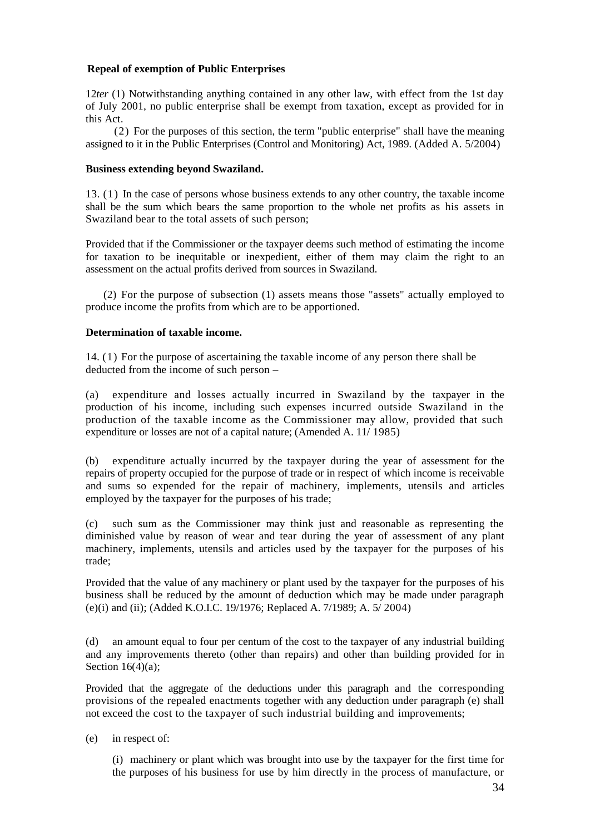## **Repeal of exemption of Public Enterprises**

12*ter* (1) Notwithstanding anything contained in any other law, with effect from the 1st day of July 2001, no public enterprise shall be exempt from taxation, except as provided for in this Act.

(2) For the purposes of this section, the term "public enterprise" shall have the meaning assigned to it in the Public Enterprises (Control and Monitoring) Act, 1989. (Added A. 5/2004)

## **Business extending beyond Swaziland.**

13. (1) In the case of persons whose business extends to any other country, the taxable income shall be the sum which bears the same proportion to the whole net profits as his assets in Swaziland bear to the total assets of such person;

Provided that if the Commissioner or the taxpayer deems such method of estimating the income for taxation to be inequitable or inexpedient, either of them may claim the right to an assessment on the actual profits derived from sources in Swaziland.

(2) For the purpose of subsection (1) assets means those "assets" actually employed to produce income the profits from which are to be apportioned.

## **Determination of taxable income.**

14. (1) For the purpose of ascertaining the taxable income of any person there shall be deducted from the income of such person –

(a) expenditure and losses actually incurred in Swaziland by the taxpayer in the production of his income, including such expenses incurred outside Swaziland in the production of the taxable income as the Commissioner may allow, provided that such expenditure or losses are not of a capital nature; (Amended A. 11/ 1985)

(b) expenditure actually incurred by the taxpayer during the year of assessment for the repairs of property occupied for the purpose of trade or in respect of which income is receivable and sums so expended for the repair of machinery, implements, utensils and articles employed by the taxpayer for the purposes of his trade;

(c) such sum as the Commissioner may think just and reasonable as representing the diminished value by reason of wear and tear during the year of assessment of any plant machinery, implements, utensils and articles used by the taxpayer for the purposes of his trade;

Provided that the value of any machinery or plant used by the taxpayer for the purposes of his business shall be reduced by the amount of deduction which may be made under paragraph (e)(i) and (ii); (Added K.O.I.C. 19/1976; Replaced A. 7/1989; A. 5/ 2004)

(d) an amount equal to four per centum of the cost to the taxpayer of any industrial building and any improvements thereto (other than repairs) and other than building provided for in Section  $16(4)(a)$ ;

Provided that the aggregate of the deductions under this paragraph and the corresponding provisions of the repealed enactments together with any deduction under paragraph (e) shall not exceed the cost to the taxpayer of such industrial building and improvements;

(e) in respect of:

(i) machinery or plant which was brought into use by the taxpayer for the first time for the purposes of his business for use by him directly in the process of manufacture, or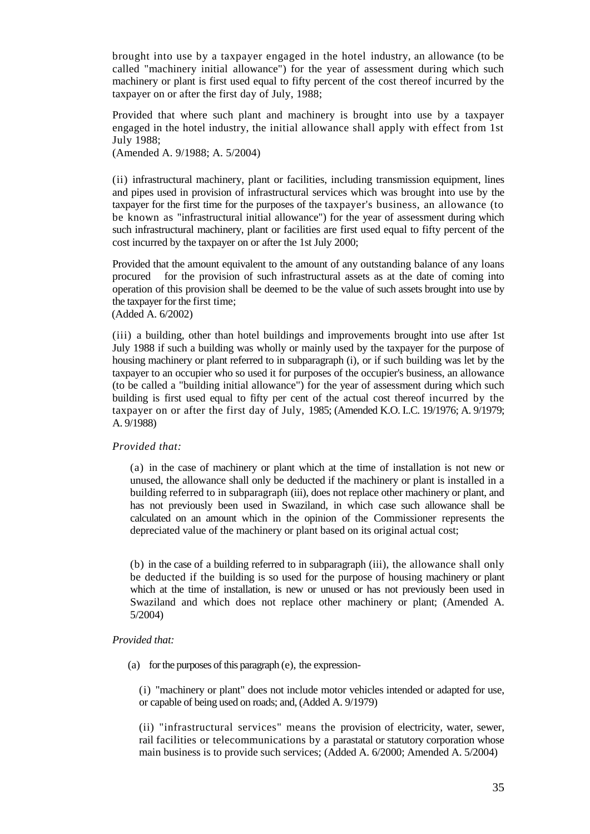brought into use by a taxpayer engaged in the hotel industry, an allowance (to be called "machinery initial allowance") for the year of assessment during which such machinery or plant is first used equal to fifty percent of the cost thereof incurred by the taxpayer on or after the first day of July, 1988;

Provided that where such plant and machinery is brought into use by a taxpayer engaged in the hotel industry, the initial allowance shall apply with effect from 1st July 1988;

(Amended A. 9/1988; A. 5/2004)

(ii) infrastructural machinery, plant or facilities, including transmission equipment, lines and pipes used in provision of infrastructural services which was brought into use by the taxpayer for the first time for the purposes of the taxpayer's business, an allowance (to be known as "infrastructural initial allowance") for the year of assessment during which such infrastructural machinery, plant or facilities are first used equal to fifty percent of the cost incurred by the taxpayer on or after the 1st July 2000;

Provided that the amount equivalent to the amount of any outstanding balance of any loans procured for the provision of such infrastructural assets as at the date of coming into operation of this provision shall be deemed to be the value of such assets brought into use by the taxpayer for the first time;

(Added A. 6/2002)

(iii) a building, other than hotel buildings and improvements brought into use after 1st July 1988 if such a building was wholly or mainly used by the taxpayer for the purpose of housing machinery or plant referred to in subparagraph (i), or if such building was let by the taxpayer to an occupier who so used it for purposes of the occupier's business, an allowance (to be called a "building initial allowance") for the year of assessment during which such building is first used equal to fifty per cent of the actual cost thereof incurred by the taxpayer on or after the first day of July, 1985; (Amended K.O. I..C. 19/1976; A. 9/1979; A. 9/1988)

## *Provided that:*

(a) in the case of machinery or plant which at the time of installation is not new or unused, the allowance shall only be deducted if the machinery or plant is installed in a building referred to in subparagraph (iii), does not replace other machinery or plant, and has not previously been used in Swaziland, in which case such allowance shall be calculated on an amount which in the opinion of the Commissioner represents the depreciated value of the machinery or plant based on its original actual cost;

(b) in the case of a building referred to in subparagraph (iii), the allowance shall only be deducted if the building is so used for the purpose of housing machinery or plant which at the time of installation, is new or unused or has not previously been used in Swaziland and which does not replace other machinery or plant; (Amended A. 5/2004)

## *Provided that:*

(a) for the purposes of this paragraph (e), the expression-

(i) "machinery or plant" does not include motor vehicles intended or adapted for use, or capable of being used on roads; and, (Added A. 9/1979)

(ii) "infrastructural services" means the provision of electricity, water, sewer, rail facilities or telecommunications by a parastatal or statutory corporation whose main business is to provide such services; (Added A. 6/2000; Amended A. 5/2004)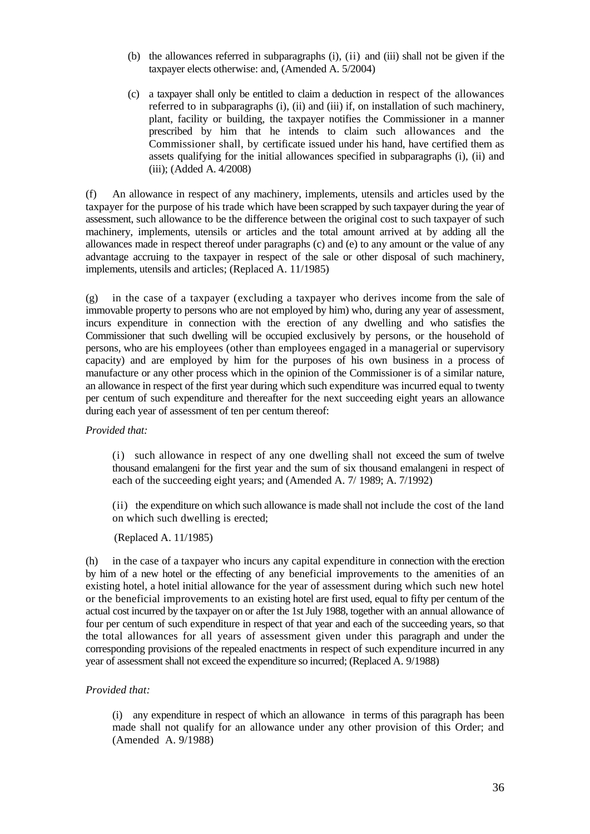- (b) the allowances referred in subparagraphs (i), (ii) and (iii) shall not be given if the taxpayer elects otherwise: and, (Amended A. 5/2004)
- (c) a taxpayer shall only be entitled to claim a deduction in respect of the allowances referred to in subparagraphs (i), (ii) and (iii) if, on installation of such machinery, plant, facility or building, the taxpayer notifies the Commissioner in a manner prescribed by him that he intends to claim such allowances and the Commissioner shall, by certificate issued under his hand, have certified them as assets qualifying for the initial allowances specified in subparagraphs (i), (ii) and (iii); (Added A. 4/2008)

(f) An allowance in respect of any machinery, implements, utensils and articles used by the taxpayer for the purpose of his trade which have been scrapped by such taxpayer during the year of assessment, such allowance to be the difference between the original cost to such taxpayer of such machinery, implements, utensils or articles and the total amount arrived at by adding all the allowances made in respect thereof under paragraphs (c) and (e) to any amount or the value of any advantage accruing to the taxpayer in respect of the sale or other disposal of such machinery, implements, utensils and articles; (Replaced A. 11/1985)

(g) in the case of a taxpayer (excluding a taxpayer who derives income from the sale of immovable property to persons who are not employed by him) who, during any year of assessment, incurs expenditure in connection with the erection of any dwelling and who satisfies the Commissioner that such dwelling will be occupied exclusively by persons, or the household of persons, who are his employees (other than employees engaged in a managerial or supervisory capacity) and are employed by him for the purposes of his own business in a process of manufacture or any other process which in the opinion of the Commissioner is of a similar nature, an allowance in respect of the first year during which such expenditure was incurred equal to twenty per centum of such expenditure and thereafter for the next succeeding eight years an allowance during each year of assessment of ten per centum thereof:

## *Provided that:*

(i) such allowance in respect of any one dwelling shall not exceed the sum of twelve thousand emalangeni for the first year and the sum of six thousand emalangeni in respect of each of the succeeding eight years; and (Amended A. 7/ 1989; A. 7/1992)

(ii) the expenditure on which such allowance is made shall not include the cost of the land on which such dwelling is erected;

(Replaced A. 11/1985)

(h) in the case of a taxpayer who incurs any capital expenditure in connection with the erection by him of a new hotel or the effecting of any beneficial improvements to the amenities of an existing hotel, a hotel initial allowance for the year of assessment during which such new hotel or the beneficial improvements to an existing hotel are first used, equal to fifty per centum of the actual cost incurred by the taxpayer on or after the 1st July 1988, together with an annual allowance of four per centum of such expenditure in respect of that year and each of the succeeding years, so that the total allowances for all years of assessment given under this paragraph and under the corresponding provisions of the repealed enactments in respect of such expenditure incurred in any year of assessment shall not exceed the expenditure so incurred; (Replaced A. 9/1988)

## *Provided that:*

(i) any expenditure in respect of which an allowance in terms of this paragraph has been made shall not qualify for an allowance under any other provision of this Order; and (Amended A. 9/1988)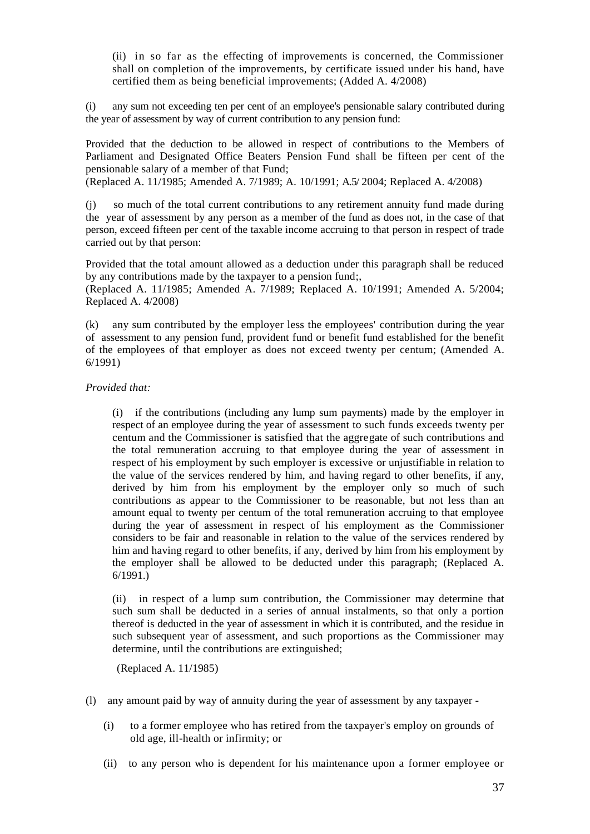(ii) in so far as the effecting of improvements is concerned, the Commissioner shall on completion of the improvements, by certificate issued under his hand, have certified them as being beneficial improvements; (Added A. 4/2008)

(i) any sum not exceeding ten per cent of an employee's pensionable salary contributed during the year of assessment by way of current contribution to any pension fund:

Provided that the deduction to be allowed in respect of contributions to the Members of Parliament and Designated Office Beaters Pension Fund shall be fifteen per cent of the pensionable salary of a member of that Fund; (Replaced A. 11/1985; Amended A. 7/1989; A. 10/1991; A.5/ 2004; Replaced A. 4/2008)

(j) so much of the total current contributions to any retirement annuity fund made during the year of assessment by any person as a member of the fund as does not, in the case of that person, exceed fifteen per cent of the taxable income accruing to that person in respect of trade carried out by that person:

Provided that the total amount allowed as a deduction under this paragraph shall be reduced by any contributions made by the taxpayer to a pension fund;,

(Replaced A. 11/1985; Amended A. 7/1989; Replaced A. 10/1991; Amended A. 5/2004; Replaced A. 4/2008)

(k) any sum contributed by the employer less the employees' contribution during the year of assessment to any pension fund, provident fund or benefit fund established for the benefit of the employees of that employer as does not exceed twenty per centum; (Amended A. 6/1991)

*Provided that:*

(i) if the contributions (including any lump sum payments) made by the employer in respect of an employee during the year of assessment to such funds exceeds twenty per centum and the Commissioner is satisfied that the aggregate of such contributions and the total remuneration accruing to that employee during the year of assessment in respect of his employment by such employer is excessive or unjustifiable in relation to the value of the services rendered by him, and having regard to other benefits, if any, derived by him from his employment by the employer only so much of such contributions as appear to the Commissioner to be reasonable, but not less than an amount equal to twenty per centum of the total remuneration accruing to that employee during the year of assessment in respect of his employment as the Commissioner considers to be fair and reasonable in relation to the value of the services rendered by him and having regard to other benefits, if any, derived by him from his employment by the employer shall be allowed to be deducted under this paragraph; (Replaced A. 6/1991.)

(ii) in respect of a lump sum contribution, the Commissioner may determine that such sum shall be deducted in a series of annual instalments, so that only a portion thereof is deducted in the year of assessment in which it is contributed, and the residue in such subsequent year of assessment, and such proportions as the Commissioner may determine, until the contributions are extinguished;

(Replaced A. 11/1985)

- (l) any amount paid by way of annuity during the year of assessment by any taxpayer
	- (i) to a former employee who has retired from the taxpayer's employ on grounds of old age, ill-health or infirmity; or
	- (ii) to any person who is dependent for his maintenance upon a former employee or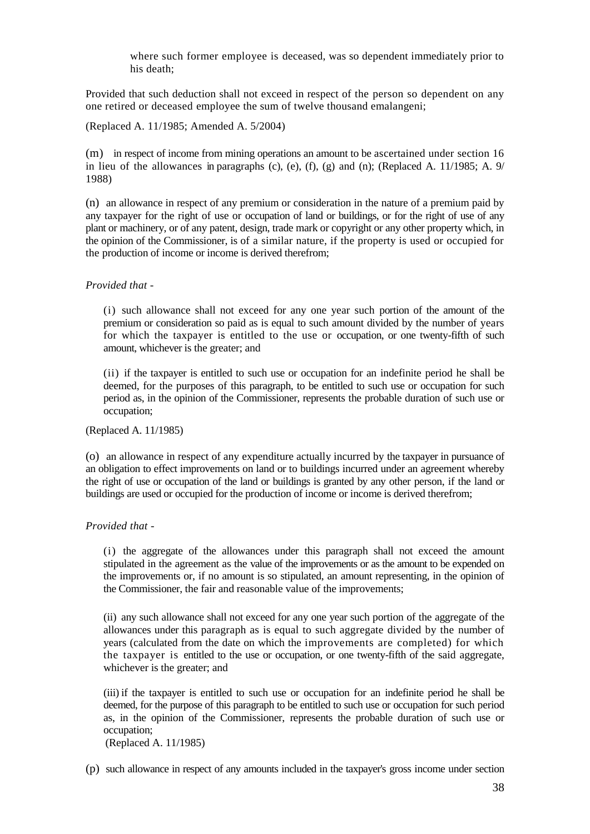where such former employee is deceased, was so dependent immediately prior to his death;

Provided that such deduction shall not exceed in respect of the person so dependent on any one retired or deceased employee the sum of twelve thousand emalangeni;

(Replaced A. 11/1985; Amended A. 5/2004)

(m) in respect of income from mining operations an amount to be ascertained under section 16 in lieu of the allowances in paragraphs (c), (e), (f), (g) and (n); (Replaced A. 11/1985; A. 9/ 1988)

(n) an allowance in respect of any premium or consideration in the nature of a premium paid by any taxpayer for the right of use or occupation of land or buildings, or for the right of use of any plant or machinery, or of any patent, design, trade mark or copyright or any other property which, in the opinion of the Commissioner, is of a similar nature, if the property is used or occupied for the production of income or income is derived therefrom;

## *Provided that -*

(i) such allowance shall not exceed for any one year such portion of the amount of the premium or consideration so paid as is equal to such amount divided by the number of years for which the taxpayer is entitled to the use or occupation, or one twenty-fifth of such amount, whichever is the greater; and

(ii) if the taxpayer is entitled to such use or occupation for an indefinite period he shall be deemed, for the purposes of this paragraph, to be entitled to such use or occupation for such period as, in the opinion of the Commissioner, represents the probable duration of such use or occupation;

(Replaced A. 11/1985)

(o) an allowance in respect of any expenditure actually incurred by the taxpayer in pursuance of an obligation to effect improvements on land or to buildings incurred under an agreement whereby the right of use or occupation of the land or buildings is granted by any other person, if the land or buildings are used or occupied for the production of income or income is derived therefrom;

## *Provided that -*

(i) the aggregate of the allowances under this paragraph shall not exceed the amount stipulated in the agreement as the value of the improvements or as the amount to be expended on the improvements or, if no amount is so stipulated, an amount representing, in the opinion of the Commissioner, the fair and reasonable value of the improvements;

(ii) any such allowance shall not exceed for any one year such portion of the aggregate of the allowances under this paragraph as is equal to such aggregate divided by the number of years (calculated from the date on which the improvements are completed) for which the taxpayer is entitled to the use or occupation, or one twenty-fifth of the said aggregate, whichever is the greater; and

(iii) if the taxpayer is entitled to such use or occupation for an indefinite period he shall be deemed, for the purpose of this paragraph to be entitled to such use or occupation for such period as, in the opinion of the Commissioner, represents the probable duration of such use or occupation;

(Replaced A. 11/1985)

(p) such allowance in respect of any amounts included in the taxpayer's gross income under section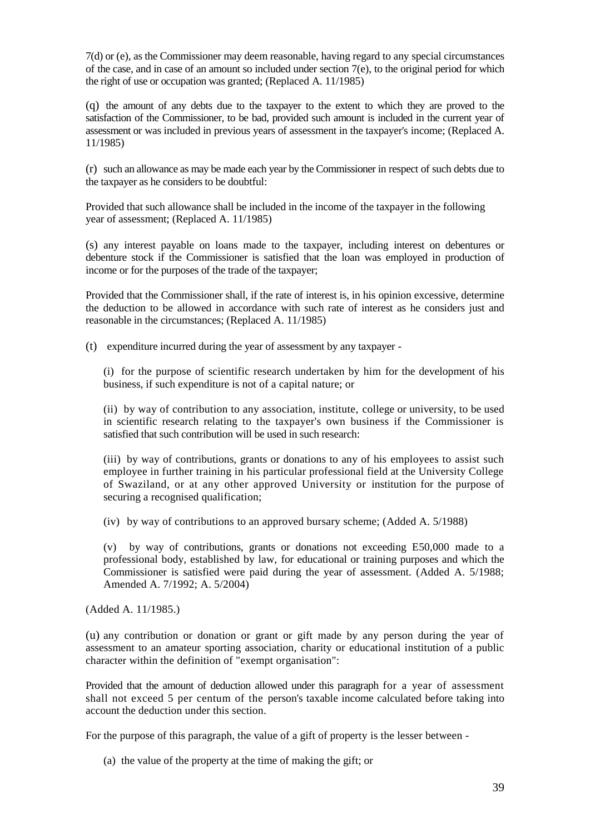7(d) or (e), as the Commissioner may deem reasonable, having regard to any special circumstances of the case, and in case of an amount so included under section 7(e), to the original period for which the right of use or occupation was granted; (Replaced A. 11/1985)

(q) the amount of any debts due to the taxpayer to the extent to which they are proved to the satisfaction of the Commissioner, to be bad, provided such amount is included in the current year of assessment or was included in previous years of assessment in the taxpayer's income; (Replaced A. 11/1985)

(r) such an allowance as may be made each year by the Commissioner in respect of such debts due to the taxpayer as he considers to be doubtful:

Provided that such allowance shall be included in the income of the taxpayer in the following year of assessment; (Replaced A. 11/1985)

(s) any interest payable on loans made to the taxpayer, including interest on debentures or debenture stock if the Commissioner is satisfied that the loan was employed in production of income or for the purposes of the trade of the taxpayer;

Provided that the Commissioner shall, if the rate of interest is, in his opinion excessive, determine the deduction to be allowed in accordance with such rate of interest as he considers just and reasonable in the circumstances; (Replaced A. 11/1985)

(t) expenditure incurred during the year of assessment by any taxpayer -

(i) for the purpose of scientific research undertaken by him for the development of his business, if such expenditure is not of a capital nature; or

(ii) by way of contribution to any association, institute, college or university, to be used in scientific research relating to the taxpayer's own business if the Commissioner is satisfied that such contribution will be used in such research:

(iii) by way of contributions, grants or donations to any of his employees to assist such employee in further training in his particular professional field at the University College of Swaziland, or at any other approved University or institution for the purpose of securing a recognised qualification;

(iv) by way of contributions to an approved bursary scheme; (Added A. 5/1988)

(v) by way of contributions, grants or donations not exceeding E50,000 made to a professional body, established by law, for educational or training purposes and which the Commissioner is satisfied were paid during the year of assessment. (Added A. 5/1988; Amended A. 7/1992; A. 5/2004)

(Added A. 11/1985.)

(u) any contribution or donation or grant or gift made by any person during the year of assessment to an amateur sporting association, charity or educational institution of a public character within the definition of "exempt organisation":

Provided that the amount of deduction allowed under this paragraph for a year of assessment shall not exceed 5 per centum of the person's taxable income calculated before taking into account the deduction under this section.

For the purpose of this paragraph, the value of a gift of property is the lesser between -

(a) the value of the property at the time of making the gift; or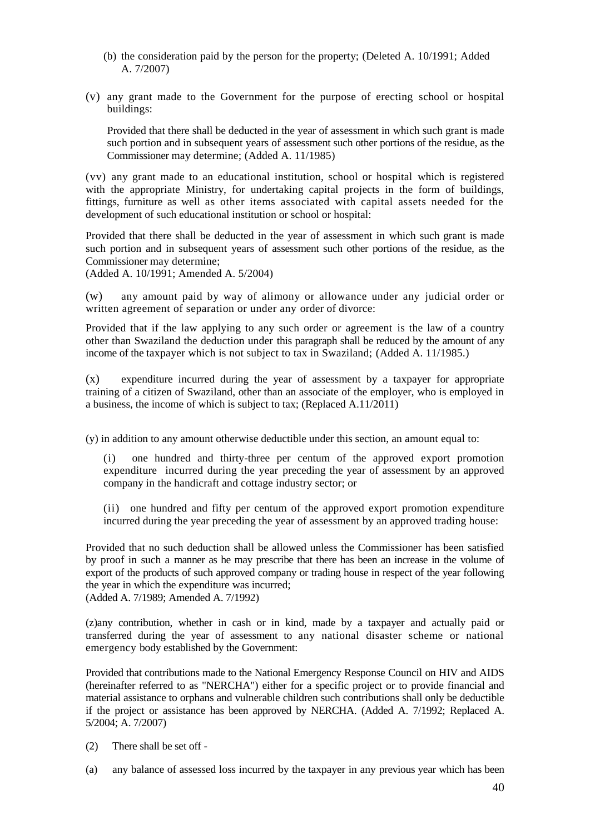- (b) the consideration paid by the person for the property; (Deleted A. 10/1991; Added A. 7/2007)
- (v) any grant made to the Government for the purpose of erecting school or hospital buildings:

Provided that there shall be deducted in the year of assessment in which such grant is made such portion and in subsequent years of assessment such other portions of the residue, as the Commissioner may determine; (Added A. 11/1985)

(vv) any grant made to an educational institution, school or hospital which is registered with the appropriate Ministry, for undertaking capital projects in the form of buildings, fittings, furniture as well as other items associated with capital assets needed for the development of such educational institution or school or hospital:

Provided that there shall be deducted in the year of assessment in which such grant is made such portion and in subsequent years of assessment such other portions of the residue, as the Commissioner may determine;

(Added A. 10/1991; Amended A. 5/2004)

(w) any amount paid by way of alimony or allowance under any judicial order or written agreement of separation or under any order of divorce:

Provided that if the law applying to any such order or agreement is the law of a country other than Swaziland the deduction under this paragraph shall be reduced by the amount of any income of the taxpayer which is not subject to tax in Swaziland; (Added A. 11/1985.)

(x) expenditure incurred during the year of assessment by a taxpayer for appropriate training of a citizen of Swaziland, other than an associate of the employer, who is employed in a business, the income of which is subject to tax; (Replaced A.11/2011)

(y) in addition to any amount otherwise deductible under this section, an amount equal to:

(i) one hundred and thirty-three per centum of the approved export promotion expenditure incurred during the year preceding the year of assessment by an approved company in the handicraft and cottage industry sector; or

(ii) one hundred and fifty per centum of the approved export promotion expenditure incurred during the year preceding the year of assessment by an approved trading house:

Provided that no such deduction shall be allowed unless the Commissioner has been satisfied by proof in such a manner as he may prescribe that there has been an increase in the volume of export of the products of such approved company or trading house in respect of the year following the year in which the expenditure was incurred; (Added A. 7/1989; Amended A. 7/1992)

(z)any contribution, whether in cash or in kind, made by a taxpayer and actually paid or transferred during the year of assessment to any national disaster scheme or national emergency body established by the Government:

Provided that contributions made to the National Emergency Response Council on HIV and AIDS (hereinafter referred to as "NERCHA") either for a specific project or to provide financial and material assistance to orphans and vulnerable children such contributions shall only be deductible if the project or assistance has been approved by NERCHA. (Added A. 7/1992; Replaced A. 5/2004; A. 7/2007)

(2) There shall be set off -

(a) any balance of assessed loss incurred by the taxpayer in any previous year which has been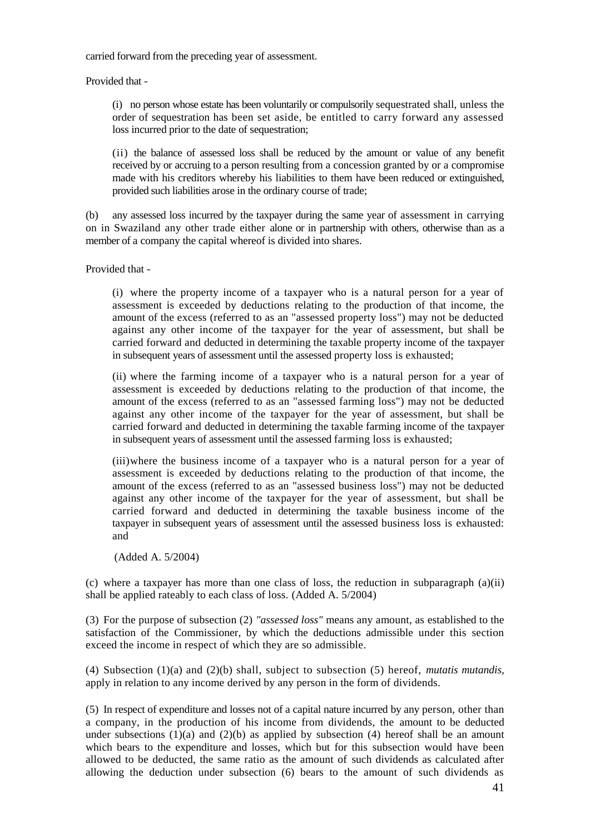carried forward from the preceding year of assessment.

Provided that -

(i) no person whose estate has been voluntarily or compulsorily sequestrated shall, unless the order of sequestration has been set aside, be entitled to carry forward any assessed loss incurred prior to the date of sequestration;

(ii) the balance of assessed loss shall be reduced by the amount or value of any benefit received by or accruing to a person resulting from a concession granted by or a compromise made with his creditors whereby his liabilities to them have been reduced or extinguished, provided such liabilities arose in the ordinary course of trade;

(b) any assessed loss incurred by the taxpayer during the same year of assessment in carrying on in Swaziland any other trade either alone or in partnership with others, otherwise than as a member of a company the capital whereof is divided into shares.

Provided that -

(i) where the property income of a taxpayer who is a natural person for a year of assessment is exceeded by deductions relating to the production of that income, the amount of the excess (referred to as an "assessed property loss") may not be deducted against any other income of the taxpayer for the year of assessment, but shall be carried forward and deducted in determining the taxable property income of the taxpayer in subsequent years of assessment until the assessed property loss is exhausted;

(ii) where the farming income of a taxpayer who is a natural person for a year of assessment is exceeded by deductions relating to the production of that income, the amount of the excess (referred to as an "assessed farming loss") may not be deducted against any other income of the taxpayer for the year of assessment, but shall be carried forward and deducted in determining the taxable farming income of the taxpayer in subsequent years of assessment until the assessed farming loss is exhausted;

(iii)where the business income of a taxpayer who is a natural person for a year of assessment is exceeded by deductions relating to the production of that income, the amount of the excess (referred to as an "assessed business loss") may not be deducted against any other income of the taxpayer for the year of assessment, but shall be carried forward and deducted in determining the taxable business income of the taxpayer in subsequent years of assessment until the assessed business loss is exhausted: and

(Added A. 5/2004)

(c) where a taxpayer has more than one class of loss, the reduction in subparagraph  $(a)(ii)$ shall be applied rateably to each class of loss. (Added A. 5/2004)

(3) For the purpose of subsection (2) *"assessed loss"* means any amount, as established to the satisfaction of the Commissioner, by which the deductions admissible under this section exceed the income in respect of which they are so admissible.

(4) Subsection (1)(a) and (2)(b) shall, subject to subsection (5) hereof, *mutatis mutandis,*  apply in relation to any income derived by any person in the form of dividends.

(5) In respect of expenditure and losses not of a capital nature incurred by any person, other than a company, in the production of his income from dividends, the amount to be deducted under subsections  $(1)(a)$  and  $(2)(b)$  as applied by subsection  $(4)$  hereof shall be an amount which bears to the expenditure and losses, which but for this subsection would have been allowed to be deducted, the same ratio as the amount of such dividends as calculated after allowing the deduction under subsection (6) bears to the amount of such dividends as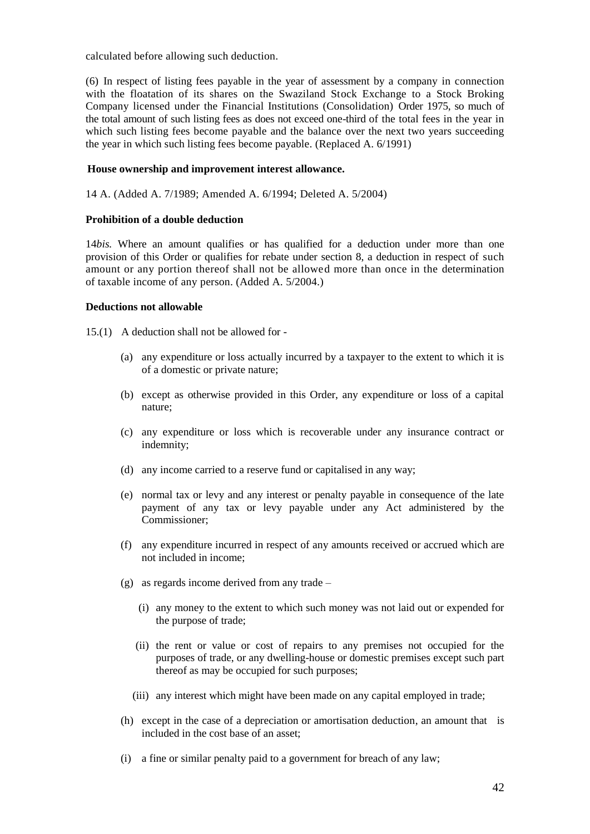calculated before allowing such deduction.

(6) In respect of listing fees payable in the year of assessment by a company in connection with the floatation of its shares on the Swaziland Stock Exchange to a Stock Broking Company licensed under the Financial Institutions (Consolidation) Order 1975, so much of the total amount of such listing fees as does not exceed one-third of the total fees in the year in which such listing fees become payable and the balance over the next two years succeeding the year in which such listing fees become payable. (Replaced A. 6/1991)

# **House ownership and improvement interest allowance.**

14 A. (Added A. 7/1989; Amended A. 6/1994; Deleted A. 5/2004)

## **Prohibition of a double deduction**

14*bis.* Where an amount qualifies or has qualified for a deduction under more than one provision of this Order or qualifies for rebate under section 8, a deduction in respect of such amount or any portion thereof shall not be allowed more than once in the determination of taxable income of any person. (Added A. 5/2004.)

# **Deductions not allowable**

15.(1) A deduction shall not be allowed for -

- (a) any expenditure or loss actually incurred by a taxpayer to the extent to which it is of a domestic or private nature;
- (b) except as otherwise provided in this Order, any expenditure or loss of a capital nature;
- (c) any expenditure or loss which is recoverable under any insurance contract or indemnity;
- (d) any income carried to a reserve fund or capitalised in any way;
- (e) normal tax or levy and any interest or penalty payable in consequence of the late payment of any tax or levy payable under any Act administered by the Commissioner;
- (f) any expenditure incurred in respect of any amounts received or accrued which are not included in income;
- (g) as regards income derived from any trade
	- (i) any money to the extent to which such money was not laid out or expended for the purpose of trade;
	- (ii) the rent or value or cost of repairs to any premises not occupied for the purposes of trade, or any dwelling-house or domestic premises except such part thereof as may be occupied for such purposes;
	- (iii) any interest which might have been made on any capital employed in trade;
- (h) except in the case of a depreciation or amortisation deduction, an amount that is included in the cost base of an asset;
- (i) a fine or similar penalty paid to a government for breach of any law;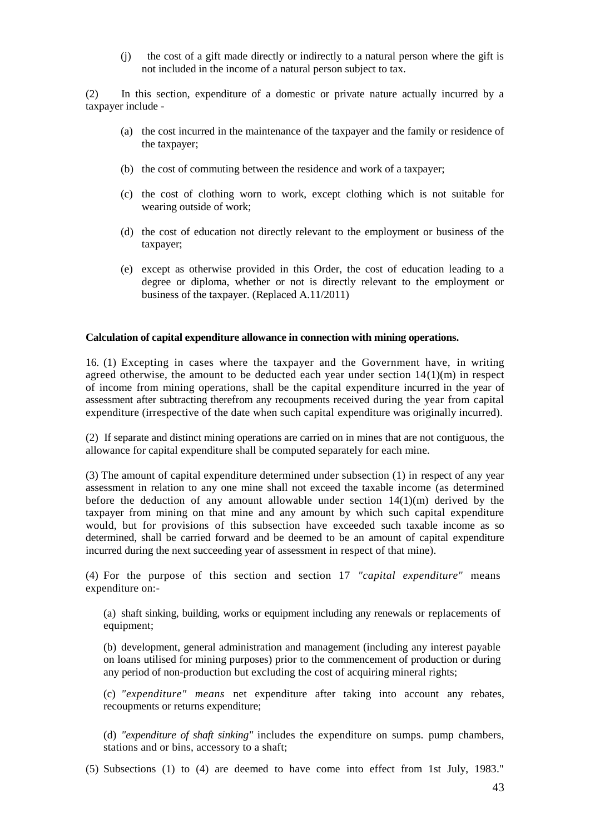(j) the cost of a gift made directly or indirectly to a natural person where the gift is not included in the income of a natural person subject to tax.

(2) In this section, expenditure of a domestic or private nature actually incurred by a taxpayer include -

- (a) the cost incurred in the maintenance of the taxpayer and the family or residence of the taxpayer;
- (b) the cost of commuting between the residence and work of a taxpayer;
- (c) the cost of clothing worn to work, except clothing which is not suitable for wearing outside of work;
- (d) the cost of education not directly relevant to the employment or business of the taxpayer;
- (e) except as otherwise provided in this Order, the cost of education leading to a degree or diploma, whether or not is directly relevant to the employment or business of the taxpayer. (Replaced A.11/2011)

### **Calculation of capital expenditure allowance in connection with mining operations.**

16. (1) Excepting in cases where the taxpayer and the Government have, in writing agreed otherwise, the amount to be deducted each year under section  $14(1)(m)$  in respect of income from mining operations, shall be the capital expenditure incurred in the year of assessment after subtracting therefrom any recoupments received during the year from capital expenditure (irrespective of the date when such capital expenditure was originally incurred).

(2) If separate and distinct mining operations are carried on in mines that are not contiguous, the allowance for capital expenditure shall be computed separately for each mine.

(3) The amount of capital expenditure determined under subsection (1) in respect of any year assessment in relation to any one mine shall not exceed the taxable income (as determined before the deduction of any amount allowable under section 14(1)(m) derived by the taxpayer from mining on that mine and any amount by which such capital expenditure would, but for provisions of this subsection have exceeded such taxable income as so determined, shall be carried forward and be deemed to be an amount of capital expenditure incurred during the next succeeding year of assessment in respect of that mine).

(4) For the purpose of this section and section 17 *"capital expenditure"* means expenditure on:-

(a) shaft sinking, building, works or equipment including any renewals or replacements of equipment;

(b) development, general administration and management (including any interest payable on loans utilised for mining purposes) prior to the commencement of production or during any period of non-production but excluding the cost of acquiring mineral rights;

(c) *"expenditure" means* net expenditure after taking into account any rebates, recoupments or returns expenditure;

(d) *"expenditure of shaft sinking"* includes the expenditure on sumps. pump chambers, stations and or bins, accessory to a shaft;

(5) Subsections (1) to (4) are deemed to have come into effect from 1st July, 1983."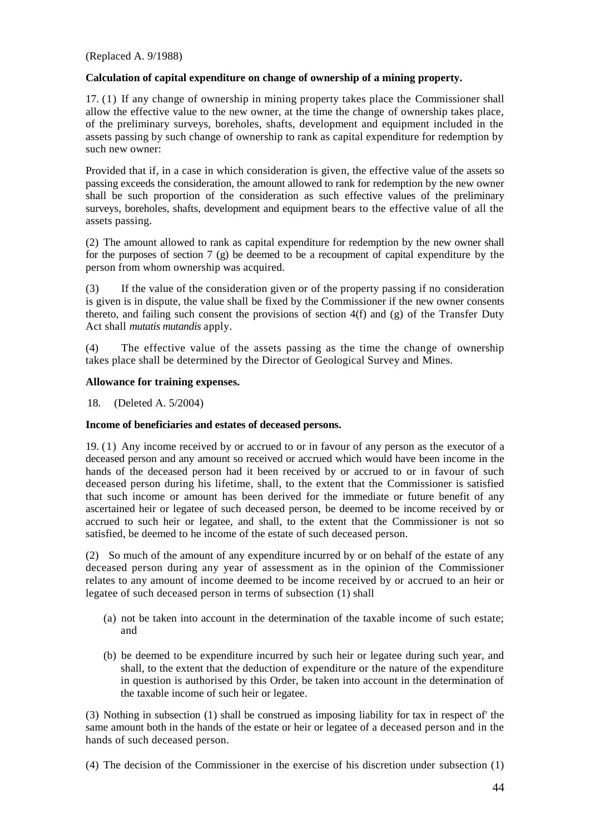(Replaced A. 9/1988)

## **Calculation of capital expenditure on change of ownership of a mining property.**

17. (1) If any change of ownership in mining property takes place the Commissioner shall allow the effective value to the new owner, at the time the change of ownership takes place, of the preliminary surveys, boreholes, shafts, development and equipment included in the assets passing by such change of ownership to rank as capital expenditure for redemption by such new owner:

Provided that if, in a case in which consideration is given, the effective value of the assets so passing exceeds the consideration, the amount allowed to rank for redemption by the new owner shall be such proportion of the consideration as such effective values of the preliminary surveys, boreholes, shafts, development and equipment bears to the effective value of all the assets passing.

(2) The amount allowed to rank as capital expenditure for redemption by the new owner shall for the purposes of section 7 (g) be deemed to be a recoupment of capital expenditure by the person from whom ownership was acquired.

(3) If the value of the consideration given or of the property passing if no consideration is given is in dispute, the value shall be fixed by the Commissioner if the new owner consents thereto, and failing such consent the provisions of section  $4(f)$  and (g) of the Transfer Duty Act shall *mutatis mutandis* apply.

(4) The effective value of the assets passing as the time the change of ownership takes place shall be determined by the Director of Geological Survey and Mines.

## **Allowance for training expenses.**

18. (Deleted A. 5/2004)

## **Income of beneficiaries and estates of deceased persons.**

19. (1) Any income received by or accrued to or in favour of any person as the executor of a deceased person and any amount so received or accrued which would have been income in the hands of the deceased person had it been received by or accrued to or in favour of such deceased person during his lifetime, shall, to the extent that the Commissioner is satisfied that such income or amount has been derived for the immediate or future benefit of any ascertained heir or legatee of such deceased person, be deemed to be income received by or accrued to such heir or legatee, and shall, to the extent that the Commissioner is not so satisfied, be deemed to he income of the estate of such deceased person.

(2) So much of the amount of any expenditure incurred by or on behalf of the estate of any deceased person during any year of assessment as in the opinion of the Commissioner relates to any amount of income deemed to be income received by or accrued to an heir or legatee of such deceased person in terms of subsection (1) shall

- (a) not be taken into account in the determination of the taxable income of such estate; and
- (b) be deemed to be expenditure incurred by such heir or legatee during such year, and shall, to the extent that the deduction of expenditure or the nature of the expenditure in question is authorised by this Order, be taken into account in the determination of the taxable income of such heir or legatee.

(3) Nothing in subsection (1) shall be construed as imposing liability for tax in respect of' the same amount both in the hands of the estate or heir or legatee of a deceased person and in the hands of such deceased person.

(4) The decision of the Commissioner in the exercise of his discretion under subsection (1)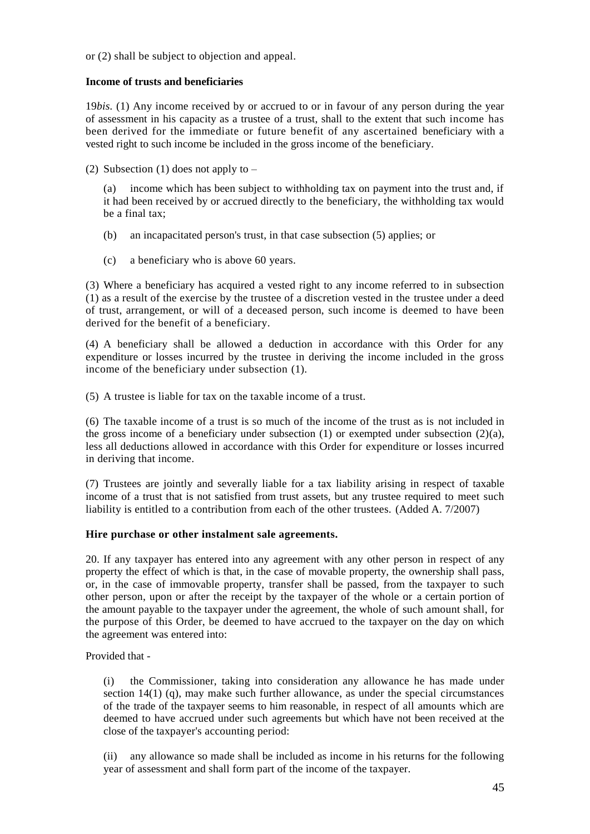or (2) shall be subject to objection and appeal.

## **Income of trusts and beneficiaries**

19*bis.* (1) Any income received by or accrued to or in favour of any person during the year of assessment in his capacity as a trustee of a trust, shall to the extent that such income has been derived for the immediate or future benefit of any ascertained beneficiary with a vested right to such income be included in the gross income of the beneficiary.

(2) Subsection (1) does not apply to  $-$ 

(a) income which has been subject to withholding tax on payment into the trust and, if it had been received by or accrued directly to the beneficiary, the withholding tax would be a final tax;

- (b) an incapacitated person's trust, in that case subsection (5) applies; or
- (c) a beneficiary who is above 60 years.

(3) Where a beneficiary has acquired a vested right to any income referred to in subsection (1) as a result of the exercise by the trustee of a discretion vested in the trustee under a deed of trust, arrangement, or will of a deceased person, such income is deemed to have been derived for the benefit of a beneficiary.

(4) A beneficiary shall be allowed a deduction in accordance with this Order for any expenditure or losses incurred by the trustee in deriving the income included in the gross income of the beneficiary under subsection (1).

(5) A trustee is liable for tax on the taxable income of a trust.

(6) The taxable income of a trust is so much of the income of the trust as is not included in the gross income of a beneficiary under subsection  $(1)$  or exempted under subsection  $(2)(a)$ , less all deductions allowed in accordance with this Order for expenditure or losses incurred in deriving that income.

(7) Trustees are jointly and severally liable for a tax liability arising in respect of taxable income of a trust that is not satisfied from trust assets, but any trustee required to meet such liability is entitled to a contribution from each of the other trustees. (Added A. 7/2007)

# **Hire purchase or other instalment sale agreements.**

20. If any taxpayer has entered into any agreement with any other person in respect of any property the effect of which is that, in the case of movable property, the ownership shall pass, or, in the case of immovable property, transfer shall be passed, from the taxpayer to such other person, upon or after the receipt by the taxpayer of the whole or a certain portion of the amount payable to the taxpayer under the agreement, the whole of such amount shall, for the purpose of this Order, be deemed to have accrued to the taxpayer on the day on which the agreement was entered into:

Provided that -

(i) the Commissioner, taking into consideration any allowance he has made under section  $14(1)$  (q), may make such further allowance, as under the special circumstances of the trade of the taxpayer seems to him reasonable, in respect of all amounts which are deemed to have accrued under such agreements but which have not been received at the close of the taxpayer's accounting period:

(ii) any allowance so made shall be included as income in his returns for the following year of assessment and shall form part of the income of the taxpayer.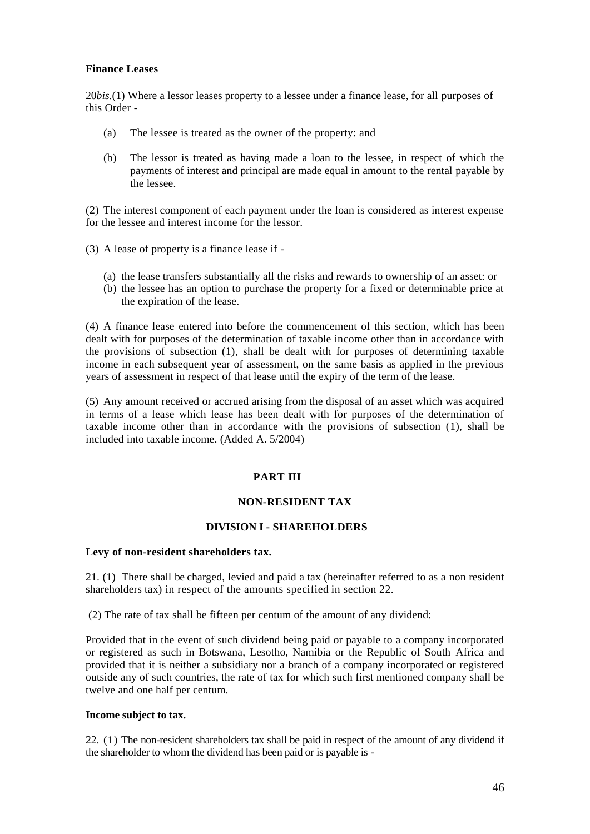## **Finance Leases**

20*bis.*(1) Where a lessor leases property to a lessee under a finance lease, for all purposes of this Order -

- (a) The lessee is treated as the owner of the property: and
- (b) The lessor is treated as having made a loan to the lessee, in respect of which the payments of interest and principal are made equal in amount to the rental payable by the lessee.

(2) The interest component of each payment under the loan is considered as interest expense for the lessee and interest income for the lessor.

- (3) A lease of property is a finance lease if
	- (a) the lease transfers substantially all the risks and rewards to ownership of an asset: or
	- (b) the lessee has an option to purchase the property for a fixed or determinable price at the expiration of the lease.

(4) A finance lease entered into before the commencement of this section, which has been dealt with for purposes of the determination of taxable income other than in accordance with the provisions of subsection (1), shall be dealt with for purposes of determining taxable income in each subsequent year of assessment, on the same basis as applied in the previous years of assessment in respect of that lease until the expiry of the term of the lease.

(5) Any amount received or accrued arising from the disposal of an asset which was acquired in terms of a lease which lease has been dealt with for purposes of the determination of taxable income other than in accordance with the provisions of subsection (1), shall be included into taxable income. (Added A. 5/2004)

# **PART III**

# **NON-RESIDENT TAX**

## **DIVISION I - SHAREHOLDERS**

## **Levy of non-resident shareholders tax.**

21. (1)There shall be charged, levied and paid a tax (hereinafter referred to as a non resident shareholders tax) in respect of the amounts specified in section 22.

(2) The rate of tax shall be fifteen per centum of the amount of any dividend:

Provided that in the event of such dividend being paid or payable to a company incorporated or registered as such in Botswana, Lesotho, Namibia or the Republic of South Africa and provided that it is neither a subsidiary nor a branch of a company incorporated or registered outside any of such countries, the rate of tax for which such first mentioned company shall be twelve and one half per centum.

## **Income subject to tax.**

22. (1) The non-resident shareholders tax shall be paid in respect of the amount of any dividend if the shareholder to whom the dividend has been paid or is payable is -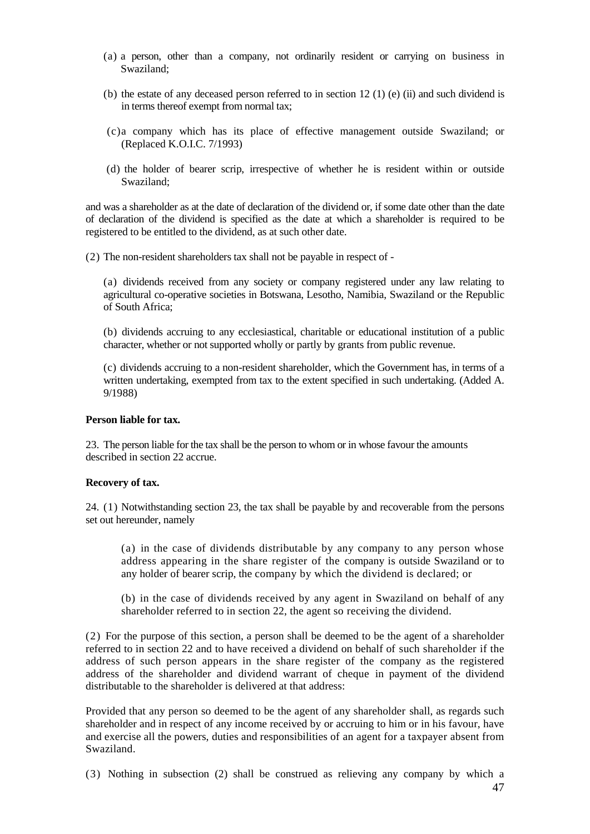- (a) a person, other than a company, not ordinarily resident or carrying on business in Swaziland;
- (b) the estate of any deceased person referred to in section 12 (1) (e) (ii) and such dividend is in terms thereof exempt from normal tax;
- (c)a company which has its place of effective management outside Swaziland; or (Replaced K.O.I.C. 7/1993)
- (d) the holder of bearer scrip, irrespective of whether he is resident within or outside Swaziland;

and was a shareholder as at the date of declaration of the dividend or, if some date other than the date of declaration of the dividend is specified as the date at which a shareholder is required to be registered to be entitled to the dividend, as at such other date.

(2) The non-resident shareholders tax shall not be payable in respect of -

(a) dividends received from any society or company registered under any law relating to agricultural co-operative societies in Botswana, Lesotho, Namibia, Swaziland or the Republic of South Africa;

(b) dividends accruing to any ecclesiastical, charitable or educational institution of a public character, whether or not supported wholly or partly by grants from public revenue.

(c) dividends accruing to a non-resident shareholder, which the Government has, in terms of a written undertaking, exempted from tax to the extent specified in such undertaking. (Added A. 9/1988)

### **Person liable for tax.**

23. The person liable for the tax shall be the person to whom or in whose favour the amounts described in section 22 accrue.

### **Recovery of tax.**

24. (1) Notwithstanding section 23, the tax shall be payable by and recoverable from the persons set out hereunder, namely

(a) in the case of dividends distributable by any company to any person whose address appearing in the share register of the company is outside Swaziland or to any holder of bearer scrip, the company by which the dividend is declared; or

(b) in the case of dividends received by any agent in Swaziland on behalf of any shareholder referred to in section 22, the agent so receiving the dividend.

(2) For the purpose of this section, a person shall be deemed to be the agent of a shareholder referred to in section 22 and to have received a dividend on behalf of such shareholder if the address of such person appears in the share register of the company as the registered address of the shareholder and dividend warrant of cheque in payment of the dividend distributable to the shareholder is delivered at that address:

Provided that any person so deemed to be the agent of any shareholder shall, as regards such shareholder and in respect of any income received by or accruing to him or in his favour, have and exercise all the powers, duties and responsibilities of an agent for a taxpayer absent from Swaziland.

(3) Nothing in subsection (2) shall be construed as relieving any company by which a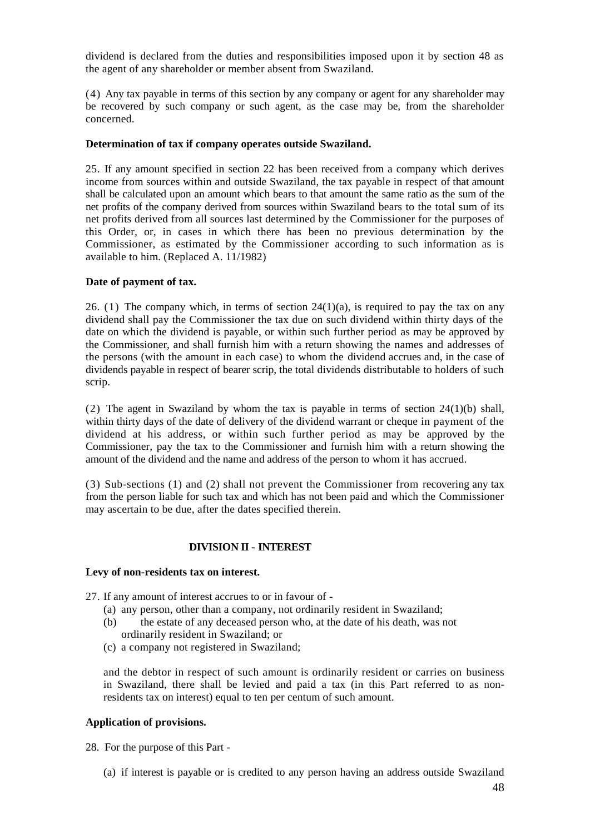dividend is declared from the duties and responsibilities imposed upon it by section 48 as the agent of any shareholder or member absent from Swaziland.

(4) Any tax payable in terms of this section by any company or agent for any shareholder may be recovered by such company or such agent, as the case may be, from the shareholder concerned.

### **Determination of tax if company operates outside Swaziland.**

25. If any amount specified in section 22 has been received from a company which derives income from sources within and outside Swaziland, the tax payable in respect of that amount shall be calculated upon an amount which bears to that amount the same ratio as the sum of the net profits of the company derived from sources within Swaziland bears to the total sum of its net profits derived from all sources last determined by the Commissioner for the purposes of this Order, or, in cases in which there has been no previous determination by the Commissioner, as estimated by the Commissioner according to such information as is available to him. (Replaced A. 11/1982)

## **Date of payment of tax.**

26. (1) The company which, in terms of section  $24(1)(a)$ , is required to pay the tax on any dividend shall pay the Commissioner the tax due on such dividend within thirty days of the date on which the dividend is payable, or within such further period as may be approved by the Commissioner, and shall furnish him with a return showing the names and addresses of the persons (with the amount in each case) to whom the dividend accrues and, in the case of dividends payable in respect of bearer scrip, the total dividends distributable to holders of such scrip.

(2) The agent in Swaziland by whom the tax is payable in terms of section  $24(1)(b)$  shall, within thirty days of the date of delivery of the dividend warrant or cheque in payment of the dividend at his address, or within such further period as may be approved by the Commissioner, pay the tax to the Commissioner and furnish him with a return showing the amount of the dividend and the name and address of the person to whom it has accrued.

(3) Sub-sections (1) and (2) shall not prevent the Commissioner from recovering any tax from the person liable for such tax and which has not been paid and which the Commissioner may ascertain to be due, after the dates specified therein.

## **DIVISION II - INTEREST**

#### **Levy of non-residents tax on interest.**

27. If any amount of interest accrues to or in favour of -

- (a) any person, other than a company, not ordinarily resident in Swaziland;
- (b) the estate of any deceased person who, at the date of his death, was not ordinarily resident in Swaziland; or
- (c) a company not registered in Swaziland;

and the debtor in respect of such amount is ordinarily resident or carries on business in Swaziland, there shall be levied and paid a tax (in this Part referred to as nonresidents tax on interest) equal to ten per centum of such amount.

## **Application of provisions.**

28. For the purpose of this Part -

(a) if interest is payable or is credited to any person having an address outside Swaziland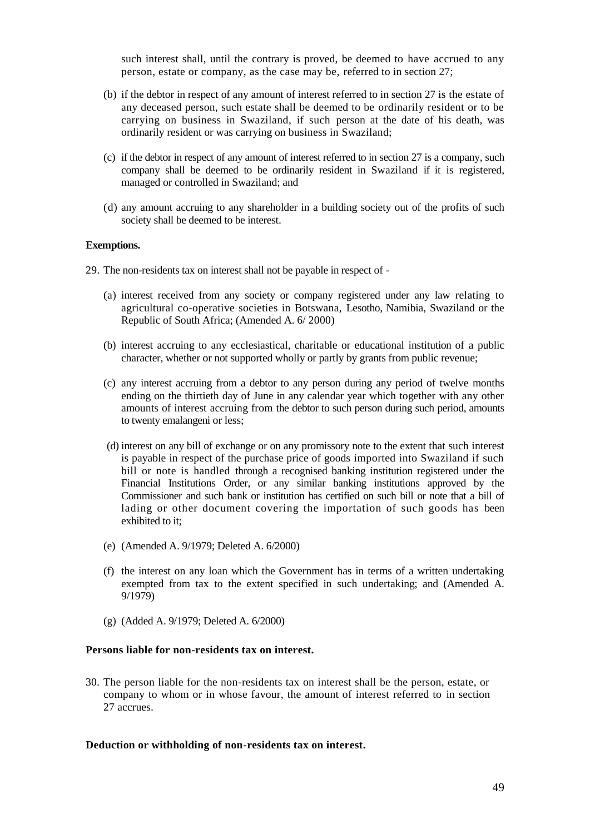such interest shall, until the contrary is proved, be deemed to have accrued to any person, estate or company, as the case may be, referred to in section 27;

- (b) if the debtor in respect of any amount of interest referred to in section 27 is the estate of any deceased person, such estate shall be deemed to be ordinarily resident or to be carrying on business in Swaziland, if such person at the date of his death, was ordinarily resident or was carrying on business in Swaziland;
- (c) if the debtor in respect of any amount of interest referred to in section 27 is a company, such company shall be deemed to be ordinarily resident in Swaziland if it is registered, managed or controlled in Swaziland; and
- (d) any amount accruing to any shareholder in a building society out of the profits of such society shall be deemed to be interest.

### **Exemptions.**

29. The non-residents tax on interest shall not be payable in respect of -

- (a) interest received from any society or company registered under any law relating to agricultural co-operative societies in Botswana, Lesotho, Namibia, Swaziland or the Republic of South Africa; (Amended A. 6/ 2000)
- (b) interest accruing to any ecclesiastical, charitable or educational institution of a public character, whether or not supported wholly or partly by grants from public revenue;
- (c) any interest accruing from a debtor to any person during any period of twelve months ending on the thirtieth day of June in any calendar year which together with any other amounts of interest accruing from the debtor to such person during such period, amounts to twenty emalangeni or less;
- (d) interest on any bill of exchange or on any promissory note to the extent that such interest is payable in respect of the purchase price of goods imported into Swaziland if such bill or note is handled through a recognised banking institution registered under the Financial Institutions Order, or any similar banking institutions approved by the Commissioner and such bank or institution has certified on such bill or note that a bill of lading or other document covering the importation of such goods has been exhibited to it;
- (e) (Amended A. 9/1979; Deleted A. 6/2000)
- (f) the interest on any loan which the Government has in terms of a written undertaking exempted from tax to the extent specified in such undertaking; and (Amended A. 9/1979)
- (g) (Added A. 9/1979; Deleted A. 6/2000)

## **Persons liable for non-residents tax on interest.**

30. The person liable for the non-residents tax on interest shall be the person, estate, or company to whom or in whose favour, the amount of interest referred to in section 27 accrues.

#### **Deduction or withholding of non-residents tax on interest.**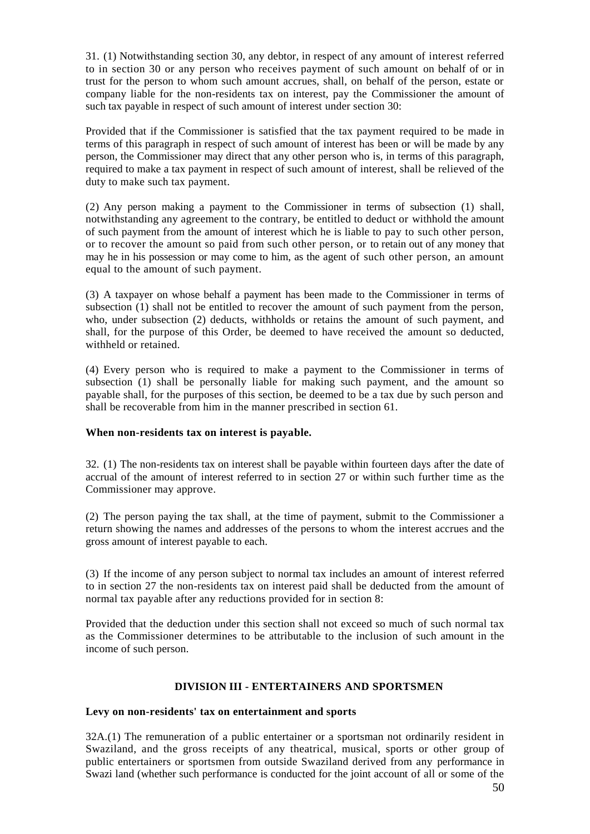31. (1) Notwithstanding section 30, any debtor, in respect of any amount of interest referred to in section 30 or any person who receives payment of such amount on behalf of or in trust for the person to whom such amount accrues, shall, on behalf of the person, estate or company liable for the non-residents tax on interest, pay the Commissioner the amount of such tax payable in respect of such amount of interest under section 30:

Provided that if the Commissioner is satisfied that the tax payment required to be made in terms of this paragraph in respect of such amount of interest has been or will be made by any person, the Commissioner may direct that any other person who is, in terms of this paragraph, required to make a tax payment in respect of such amount of interest, shall be relieved of the duty to make such tax payment.

(2) Any person making a payment to the Commissioner in terms of subsection (1) shall, notwithstanding any agreement to the contrary, be entitled to deduct or withhold the amount of such payment from the amount of interest which he is liable to pay to such other person, or to recover the amount so paid from such other person, or to retain out of any money that may he in his possession or may come to him, as the agent of such other person, an amount equal to the amount of such payment.

(3) A taxpayer on whose behalf a payment has been made to the Commissioner in terms of subsection (1) shall not be entitled to recover the amount of such payment from the person, who, under subsection (2) deducts, withholds or retains the amount of such payment, and shall, for the purpose of this Order, be deemed to have received the amount so deducted, withheld or retained.

(4) Every person who is required to make a payment to the Commissioner in terms of subsection (1) shall be personally liable for making such payment, and the amount so payable shall, for the purposes of this section, be deemed to be a tax due by such person and shall be recoverable from him in the manner prescribed in section 61.

## **When non-residents tax on interest is payable.**

32. (1) The non-residents tax on interest shall be payable within fourteen days after the date of accrual of the amount of interest referred to in section 27 or within such further time as the Commissioner may approve.

(2) The person paying the tax shall, at the time of payment, submit to the Commissioner a return showing the names and addresses of the persons to whom the interest accrues and the gross amount of interest payable to each.

(3) If the income of any person subject to normal tax includes an amount of interest referred to in section 27 the non-residents tax on interest paid shall be deducted from the amount of normal tax payable after any reductions provided for in section 8:

Provided that the deduction under this section shall not exceed so much of such normal tax as the Commissioner determines to be attributable to the inclusion of such amount in the income of such person.

## **DIVISION III - ENTERTAINERS AND SPORTSMEN**

## **Levy on non-residents' tax on entertainment and sports**

32A.(1) The remuneration of a public entertainer or a sportsman not ordinarily resident in Swaziland, and the gross receipts of any theatrical, musical, sports or other group of public entertainers or sportsmen from outside Swaziland derived from any performance in Swazi land (whether such performance is conducted for the joint account of all or some of the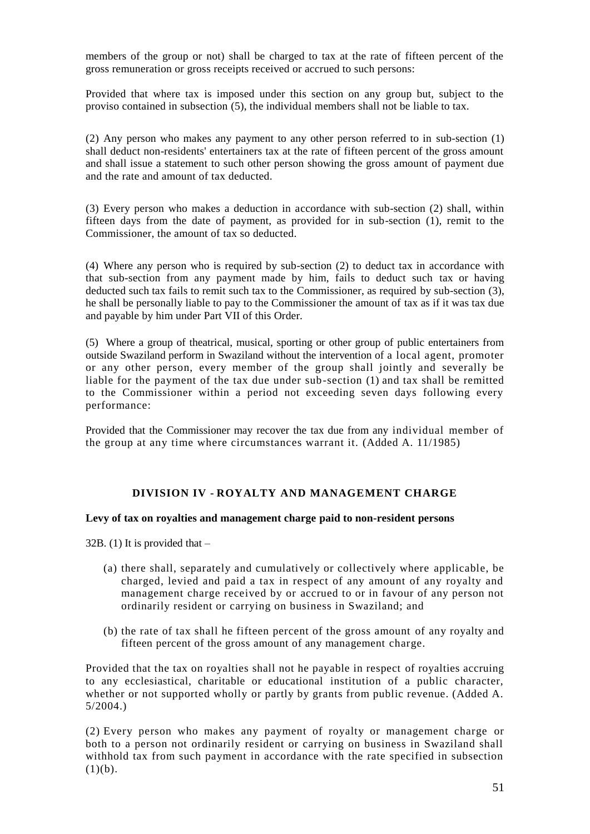members of the group or not) shall be charged to tax at the rate of fifteen percent of the gross remuneration or gross receipts received or accrued to such persons:

Provided that where tax is imposed under this section on any group but, subject to the proviso contained in subsection (5), the individual members shall not be liable to tax.

(2) Any person who makes any payment to any other person referred to in sub-section (1) shall deduct non-residents' entertainers tax at the rate of fifteen percent of the gross amount and shall issue a statement to such other person showing the gross amount of payment due and the rate and amount of tax deducted.

(3) Every person who makes a deduction in accordance with sub-section (2) shall, within fifteen days from the date of payment, as provided for in sub-section (1), remit to the Commissioner, the amount of tax so deducted.

(4) Where any person who is required by sub-section (2) to deduct tax in accordance with that sub-section from any payment made by him, fails to deduct such tax or having deducted such tax fails to remit such tax to the Commissioner, as required by sub-section (3), he shall be personally liable to pay to the Commissioner the amount of tax as if it was tax due and payable by him under Part VII of this Order.

(5) Where a group of theatrical, musical, sporting or other group of public entertainers from outside Swaziland perform in Swaziland without the intervention of a local agent, promoter or any other person, every member of the group shall jointly and severally be liable for the payment of the tax due under sub-section (1) and tax shall be remitted to the Commissioner within a period not exceeding seven days following every performance:

Provided that the Commissioner may recover the tax due from any individual member of the group at any time where circumstances warrant it. (Added A. 11/1985)

# **DIVISION IV - ROYALTY AND MANAGEMENT CHARGE**

## **Levy of tax on royalties and management charge paid to non-resident persons**

32B. (1) It is provided that  $-$ 

- (a) there shall, separately and cumulatively or collectively where applicable, be charged, levied and paid a tax in respect of any amount of any royalty and management charge received by or accrued to or in favour of any person not ordinarily resident or carrying on business in Swaziland; and
- (b) the rate of tax shall he fifteen percent of the gross amount of any royalty and fifteen percent of the gross amount of any management charge.

Provided that the tax on royalties shall not he payable in respect of royalties accruing to any ecclesiastical, charitable or educational institution of a public character, whether or not supported wholly or partly by grants from public revenue. (Added A. 5/2004.)

(2) Every person who makes any payment of royalty or management charge or both to a person not ordinarily resident or carrying on business in Swaziland shall withhold tax from such payment in accordance with the rate specified in subsection  $(1)(b).$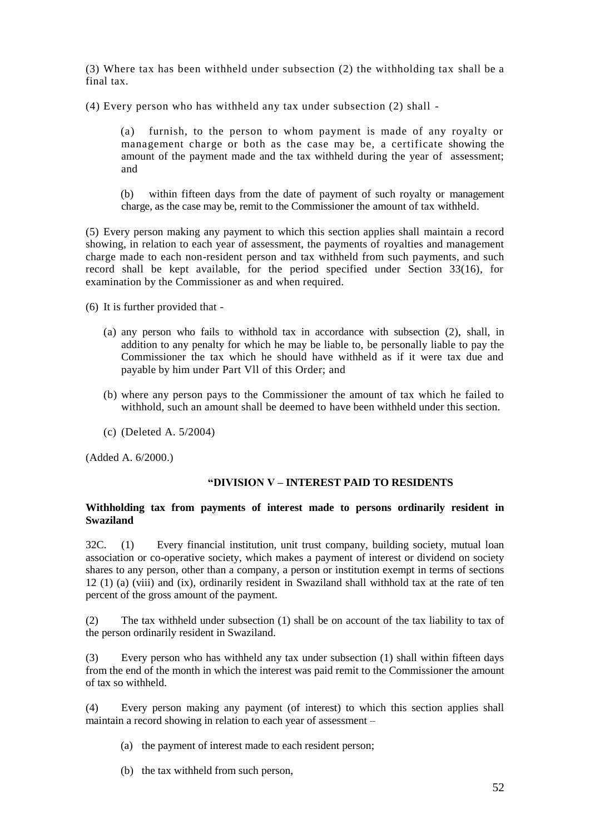(3) Where tax has been withheld under subsection (2) the withholding tax shall be a final tax.

(4) Every person who has withheld any tax under subsection (2) shall -

(a) furnish, to the person to whom payment is made of any royalty or management charge or both as the case may be, a certificate showing the amount of the payment made and the tax withheld during the year of assessment; and

(b) within fifteen days from the date of payment of such royalty or management charge, as the case may be, remit to the Commissioner the amount of tax withheld.

(5) Every person making any payment to which this section applies shall maintain a record showing, in relation to each year of assessment, the payments of royalties and management charge made to each non-resident person and tax withheld from such payments, and such record shall be kept available, for the period specified under Section 33(16), for examination by the Commissioner as and when required.

(6) It is further provided that -

- (a) any person who fails to withhold tax in accordance with subsection (2), shall, in addition to any penalty for which he may be liable to, be personally liable to pay the Commissioner the tax which he should have withheld as if it were tax due and payable by him under Part Vll of this Order; and
- (b) where any person pays to the Commissioner the amount of tax which he failed to withhold, such an amount shall be deemed to have been withheld under this section.
- (c) (Deleted A. 5/2004)

(Added A. 6/2000.)

## **"DIVISION V – INTEREST PAID TO RESIDENTS**

### **Withholding tax from payments of interest made to persons ordinarily resident in Swaziland**

32C. (1) Every financial institution, unit trust company, building society, mutual loan association or co-operative society, which makes a payment of interest or dividend on society shares to any person, other than a company, a person or institution exempt in terms of sections 12 (1) (a) (viii) and (ix), ordinarily resident in Swaziland shall withhold tax at the rate of ten percent of the gross amount of the payment.

(2) The tax withheld under subsection (1) shall be on account of the tax liability to tax of the person ordinarily resident in Swaziland.

(3) Every person who has withheld any tax under subsection (1) shall within fifteen days from the end of the month in which the interest was paid remit to the Commissioner the amount of tax so withheld.

(4) Every person making any payment (of interest) to which this section applies shall maintain a record showing in relation to each year of assessment –

- (a) the payment of interest made to each resident person;
- (b) the tax withheld from such person,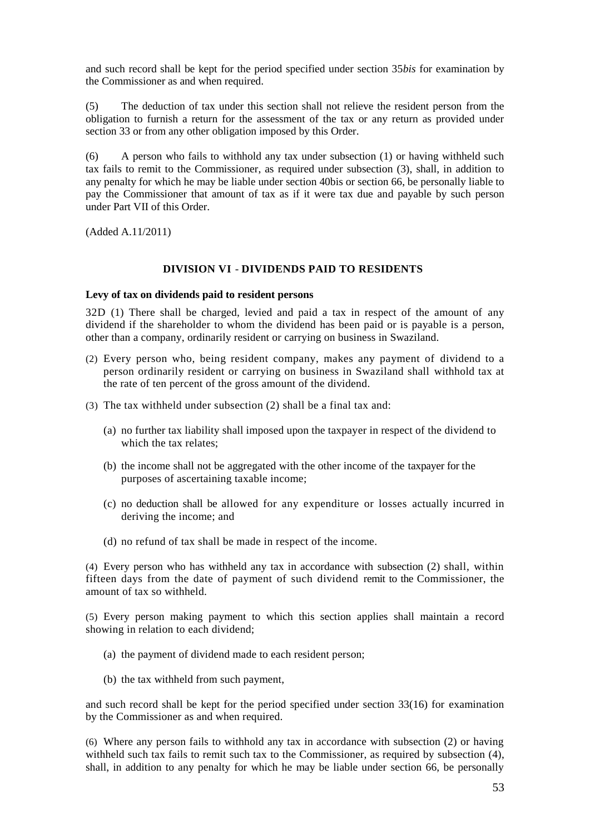and such record shall be kept for the period specified under section 35*bis* for examination by the Commissioner as and when required.

(5) The deduction of tax under this section shall not relieve the resident person from the obligation to furnish a return for the assessment of the tax or any return as provided under section 33 or from any other obligation imposed by this Order.

(6) A person who fails to withhold any tax under subsection (1) or having withheld such tax fails to remit to the Commissioner, as required under subsection (3), shall, in addition to any penalty for which he may be liable under section 40bis or section 66, be personally liable to pay the Commissioner that amount of tax as if it were tax due and payable by such person under Part VII of this Order.

(Added A.11/2011)

### **DIVISION VI** - **DIVIDENDS PAID TO RESIDENTS**

#### **Levy of tax on dividends paid to resident persons**

32D (1) There shall be charged, levied and paid a tax in respect of the amount of any dividend if the shareholder to whom the dividend has been paid or is payable is a person, other than a company, ordinarily resident or carrying on business in Swaziland.

- (2) Every person who, being resident company, makes any payment of dividend to a person ordinarily resident or carrying on business in Swaziland shall withhold tax at the rate of ten percent of the gross amount of the dividend.
- (3) The tax withheld under subsection (2) shall be a final tax and:
	- (a) no further tax liability shall imposed upon the taxpayer in respect of the dividend to which the tax relates:
	- (b) the income shall not be aggregated with the other income of the taxpayer for the purposes of ascertaining taxable income;
	- (c) no deduction shall be allowed for any expenditure or losses actually incurred in deriving the income; and
	- (d) no refund of tax shall be made in respect of the income.

(4) Every person who has withheld any tax in accordance with subsection (2) shall, within fifteen days from the date of payment of such dividend remit to the Commissioner, the amount of tax so withheld.

(5) Every person making payment to which this section applies shall maintain a record showing in relation to each dividend;

- (a) the payment of dividend made to each resident person;
- (b) the tax withheld from such payment,

and such record shall be kept for the period specified under section 33(16) for examination by the Commissioner as and when required.

(6) Where any person fails to withhold any tax in accordance with subsection (2) or having withheld such tax fails to remit such tax to the Commissioner, as required by subsection (4), shall, in addition to any penalty for which he may be liable under section 66, be personally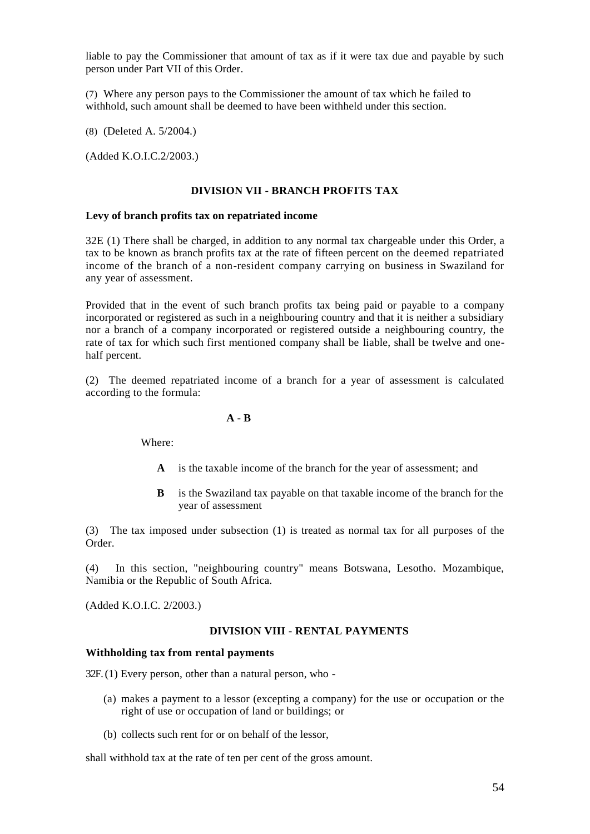liable to pay the Commissioner that amount of tax as if it were tax due and payable by such person under Part VII of this Order.

(7) Where any person pays to the Commissioner the amount of tax which he failed to withhold, such amount shall be deemed to have been withheld under this section.

(8) (Deleted A. 5/2004.)

(Added [K.O.I.C.2/2003.\)](http://k.o.i.c.2/2003.))

# **DIVISION VII - BRANCH PROFITS TAX**

#### **Levy of branch profits tax on repatriated income**

32E (1) There shall be charged, in addition to any normal tax chargeable under this Order, a tax to be known as branch profits tax at the rate of fifteen percent on the deemed repatriated income of the branch of a non-resident company carrying on business in Swaziland for any year of assessment.

Provided that in the event of such branch profits tax being paid or payable to a company incorporated or registered as such in a neighbouring country and that it is neither a subsidiary nor a branch of a company incorporated or registered outside a neighbouring country, the rate of tax for which such first mentioned company shall be liable, shall be twelve and onehalf percent.

(2) The deemed repatriated income of a branch for a year of assessment is calculated according to the formula:

**A - B**

Where:

- **A** is the taxable income of the branch for the year of assessment; and
- **B** is the Swaziland tax payable on that taxable income of the branch for the year of assessment

(3) The tax imposed under subsection (1) is treated as normal tax for all purposes of the Order.

(4) In this section, "neighbouring country" means Botswana, Lesotho. Mozambique, Namibia or the Republic of South Africa.

(Added K.O.I.C. 2/2003.)

#### **DIVISION VIII - RENTAL PAYMENTS**

### **Withholding tax from rental payments**

32F. (1) Every person, other than a natural person, who -

- (a) makes a payment to a lessor (excepting a company) for the use or occupation or the right of use or occupation of land or buildings; or
- (b) collects such rent for or on behalf of the lessor,

shall withhold tax at the rate of ten per cent of the gross amount.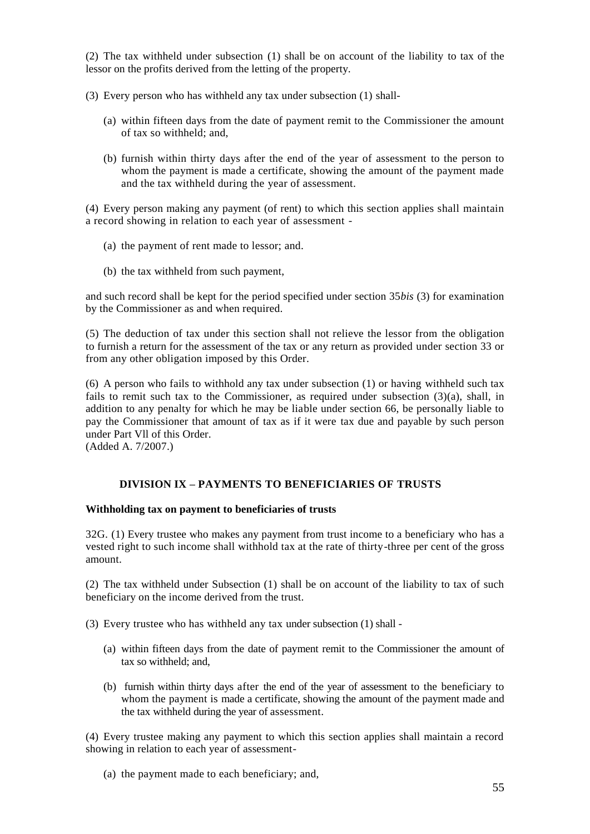(2) The tax withheld under subsection (1) shall be on account of the liability to tax of the lessor on the profits derived from the letting of the property.

(3) Every person who has withheld any tax under subsection (1) shall-

- (a) within fifteen days from the date of payment remit to the Commissioner the amount of tax so withheld; and,
- (b) furnish within thirty days after the end of the year of assessment to the person to whom the payment is made a certificate, showing the amount of the payment made and the tax withheld during the year of assessment.

(4) Every person making any payment (of rent) to which this section applies shall maintain a record showing in relation to each year of assessment -

- (a) the payment of rent made to lessor; and.
- (b) the tax withheld from such payment,

and such record shall be kept for the period specified under section 35*bis* (3) for examination by the Commissioner as and when required.

(5) The deduction of tax under this section shall not relieve the lessor from the obligation to furnish a return for the assessment of the tax or any return as provided under section 33 or from any other obligation imposed by this Order.

(6) A person who fails to withhold any tax under subsection (1) or having withheld such tax fails to remit such tax to the Commissioner, as required under subsection  $(3)(a)$ , shall, in addition to any penalty for which he may be liable under section 66, be personally liable to pay the Commissioner that amount of tax as if it were tax due and payable by such person under Part Vll of this Order.

(Added A. 7/2007.)

# **DIVISION IX – PAYMENTS TO BENEFICIARIES OF TRUSTS**

## **Withholding tax on payment to beneficiaries of trusts**

32G. (1) Every trustee who makes any payment from trust income to a beneficiary who has a vested right to such income shall withhold tax at the rate of thirty-three per cent of the gross amount.

(2) The tax withheld under Subsection (1) shall be on account of the liability to tax of such beneficiary on the income derived from the trust.

(3) Every trustee who has withheld any tax under subsection (1) shall -

- (a) within fifteen days from the date of payment remit to the Commissioner the amount of tax so withheld; and,
- (b) furnish within thirty days after the end of the year of assessment to the beneficiary to whom the payment is made a certificate, showing the amount of the payment made and the tax withheld during the year of assessment.

(4) Every trustee making any payment to which this section applies shall maintain a record showing in relation to each year of assessment-

(a) the payment made to each beneficiary; and,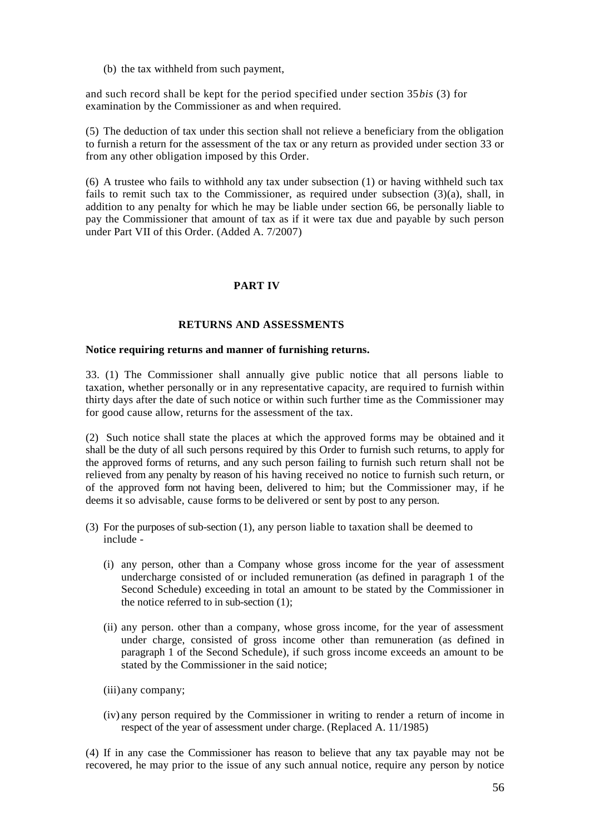(b) the tax withheld from such payment,

and such record shall be kept for the period specified under section 35*bis* (3) for examination by the Commissioner as and when required.

(5) The deduction of tax under this section shall not relieve a beneficiary from the obligation to furnish a return for the assessment of the tax or any return as provided under section 33 or from any other obligation imposed by this Order.

(6) A trustee who fails to withhold any tax under subsection (1) or having withheld such tax fails to remit such tax to the Commissioner, as required under subsection  $(3)(a)$ , shall, in addition to any penalty for which he may be liable under section 66, be personally liable to pay the Commissioner that amount of tax as if it were tax due and payable by such person under Part VII of this Order. (Added A. 7/2007)

# **PART IV**

## **RETURNS AND ASSESSMENTS**

#### **Notice requiring returns and manner of furnishing returns.**

33. (1) The Commissioner shall annually give public notice that all persons liable to taxation, whether personally or in any representative capacity, are required to furnish within thirty days after the date of such notice or within such further time as the Commissioner may for good cause allow, returns for the assessment of the tax.

(2) Such notice shall state the places at which the approved forms may be obtained and it shall be the duty of all such persons required by this Order to furnish such returns, to apply for the approved forms of returns, and any such person failing to furnish such return shall not be relieved from any penalty by reason of his having received no notice to furnish such return, or of the approved form not having been, delivered to him; but the Commissioner may, if he deems it so advisable, cause forms to be delivered or sent by post to any person.

- (3) For the purposes of sub-section (1), any person liable to taxation shall be deemed to include -
	- (i) any person, other than a Company whose gross income for the year of assessment undercharge consisted of or included remuneration (as defined in paragraph 1 of the Second Schedule) exceeding in total an amount to be stated by the Commissioner in the notice referred to in sub-section (1);
	- (ii) any person. other than a company, whose gross income, for the year of assessment under charge, consisted of gross income other than remuneration (as defined in paragraph 1 of the Second Schedule), if such gross income exceeds an amount to be stated by the Commissioner in the said notice;
	- (iii)any company;
	- (iv) any person required by the Commissioner in writing to render a return of income in respect of the year of assessment under charge. (Replaced A. 11/1985)

(4) If in any case the Commissioner has reason to believe that any tax payable may not be recovered, he may prior to the issue of any such annual notice, require any person by notice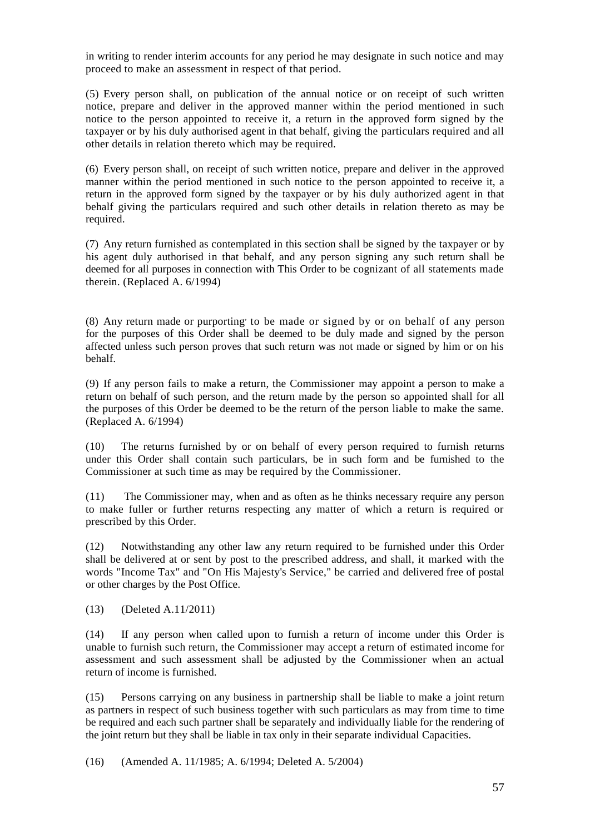in writing to render interim accounts for any period he may designate in such notice and may proceed to make an assessment in respect of that period.

(5) Every person shall, on publication of the annual notice or on receipt of such written notice, prepare and deliver in the approved manner within the period mentioned in such notice to the person appointed to receive it, a return in the approved form signed by the taxpayer or by his duly authorised agent in that behalf, giving the particulars required and all other details in relation thereto which may be required.

(6) Every person shall, on receipt of such written notice, prepare and deliver in the approved manner within the period mentioned in such notice to the person appointed to receive it, a return in the approved form signed by the taxpayer or by his duly authorized agent in that behalf giving the particulars required and such other details in relation thereto as may be required.

(7) Any return furnished as contemplated in this section shall be signed by the taxpayer or by his agent duly authorised in that behalf, and any person signing any such return shall be deemed for all purposes in connection with This Order to be cognizant of all statements made therein. (Replaced A. 6/1994)

(8) Any return made or purporting to be made or signed by or on behalf of any person for the purposes of this Order shall be deemed to be duly made and signed by the person affected unless such person proves that such return was not made or signed by him or on his behalf.

(9) If any person fails to make a return, the Commissioner may appoint a person to make a return on behalf of such person, and the return made by the person so appointed shall for all the purposes of this Order be deemed to be the return of the person liable to make the same. (Replaced A. 6/1994)

(10) The returns furnished by or on behalf of every person required to furnish returns under this Order shall contain such particulars, be in such form and be furnished to the Commissioner at such time as may be required by the Commissioner.

(11) The Commissioner may, when and as often as he thinks necessary require any person to make fuller or further returns respecting any matter of which a return is required or prescribed by this Order.

(12) Notwithstanding any other law any return required to be furnished under this Order shall be delivered at or sent by post to the prescribed address, and shall, it marked with the words "Income Tax" and "On His Majesty's Service," be carried and delivered free of postal or other charges by the Post Office.

(13) (Deleted A.11/2011)

(14) If any person when called upon to furnish a return of income under this Order is unable to furnish such return, the Commissioner may accept a return of estimated income for assessment and such assessment shall be adjusted by the Commissioner when an actual return of income is furnished.

(15) Persons carrying on any business in partnership shall be liable to make a joint return as partners in respect of such business together with such particulars as may from time to time be required and each such partner shall be separately and individually liable for the rendering of the joint return but they shall be liable in tax only in their separate individual Capacities.

(16) (Amended A. 11/1985; A. 6/1994; Deleted A. 5/2004)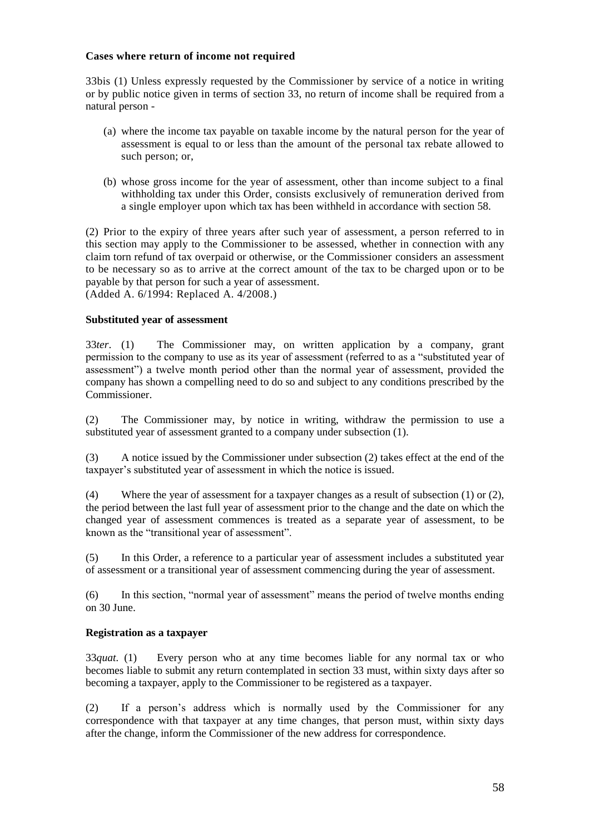## **Cases where return of income not required**

33bis (1) Unless expressly requested by the Commissioner by service of a notice in writing or by public notice given in terms of section 33, no return of income shall be required from a natural person -

- (a) where the income tax payable on taxable income by the natural person for the year of assessment is equal to or less than the amount of the personal tax rebate allowed to such person; or,
- (b) whose gross income for the year of assessment, other than income subject to a final withholding tax under this Order, consists exclusively of remuneration derived from a single employer upon which tax has been withheld in accordance with section 58.

(2) Prior to the expiry of three years after such year of assessment, a person referred to in this section may apply to the Commissioner to be assessed, whether in connection with any claim torn refund of tax overpaid or otherwise, or the Commissioner considers an assessment to be necessary so as to arrive at the correct amount of the tax to be charged upon or to be payable by that person for such a year of assessment. (Added A. 6/1994: Replaced A. 4/2008.)

# **Substituted year of assessment**

33*ter*. (1) The Commissioner may, on written application by a company, grant permission to the company to use as its year of assessment (referred to as a "substituted year of assessment") a twelve month period other than the normal year of assessment, provided the company has shown a compelling need to do so and subject to any conditions prescribed by the Commissioner.

(2) The Commissioner may, by notice in writing, withdraw the permission to use a substituted year of assessment granted to a company under subsection (1).

(3) A notice issued by the Commissioner under subsection (2) takes effect at the end of the taxpayer's substituted year of assessment in which the notice is issued.

(4) Where the year of assessment for a taxpayer changes as a result of subsection (1) or (2), the period between the last full year of assessment prior to the change and the date on which the changed year of assessment commences is treated as a separate year of assessment, to be known as the "transitional year of assessment".

(5) In this Order, a reference to a particular year of assessment includes a substituted year of assessment or a transitional year of assessment commencing during the year of assessment.

(6) In this section, "normal year of assessment" means the period of twelve months ending on 30 June.

## **Registration as a taxpayer**

33*quat.* (1) Every person who at any time becomes liable for any normal tax or who becomes liable to submit any return contemplated in section 33 must, within sixty days after so becoming a taxpayer, apply to the Commissioner to be registered as a taxpayer.

(2) If a person's address which is normally used by the Commissioner for any correspondence with that taxpayer at any time changes, that person must, within sixty days after the change, inform the Commissioner of the new address for correspondence.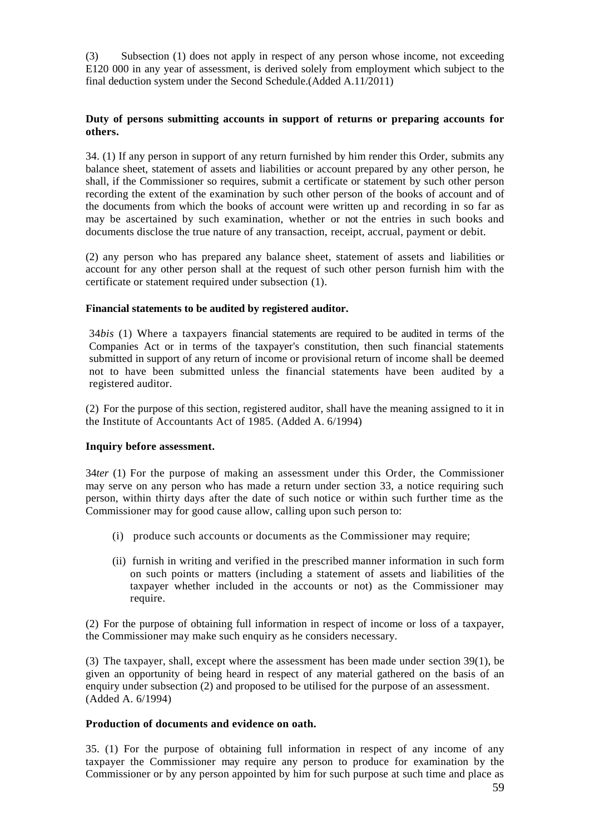(3) Subsection (1) does not apply in respect of any person whose income, not exceeding E120 000 in any year of assessment, is derived solely from employment which subject to the final deduction system under the Second Schedule.(Added A.11/2011)

## **Duty of persons submitting accounts in support of returns or preparing accounts for others.**

34. (1) If any person in support of any return furnished by him render this Order, submits any balance sheet, statement of assets and liabilities or account prepared by any other person, he shall, if the Commissioner so requires, submit a certificate or statement by such other person recording the extent of the examination by such other person of the books of account and of the documents from which the books of account were written up and recording in so far as may be ascertained by such examination, whether or not the entries in such books and documents disclose the true nature of any transaction, receipt, accrual, payment or debit.

(2) any person who has prepared any balance sheet, statement of assets and liabilities or account for any other person shall at the request of such other person furnish him with the certificate or statement required under subsection (1).

## **Financial statements to be audited by registered auditor.**

34*bis* (1) Where a taxpayers financial statements are required to be audited in terms of the Companies Act or in terms of the taxpayer's constitution, then such financial statements submitted in support of any return of income or provisional return of income shall be deemed not to have been submitted unless the financial statements have been audited by a registered auditor.

(2) For the purpose of this section, registered auditor, shall have the meaning assigned to it in the Institute of Accountants Act of 1985. (Added A. 6/1994)

## **Inquiry before assessment.**

34*ter* (1) For the purpose of making an assessment under this Order, the Commissioner may serve on any person who has made a return under section 33, a notice requiring such person, within thirty days after the date of such notice or within such further time as the Commissioner may for good cause allow, calling upon such person to:

- (i) produce such accounts or documents as the Commissioner may require;
- (ii) furnish in writing and verified in the prescribed manner information in such form on such points or matters (including a statement of assets and liabilities of the taxpayer whether included in the accounts or not) as the Commissioner may require.

(2) For the purpose of obtaining full information in respect of income or loss of a taxpayer, the Commissioner may make such enquiry as he considers necessary.

(3) The taxpayer, shall, except where the assessment has been made under section 39(1), be given an opportunity of being heard in respect of any material gathered on the basis of an enquiry under subsection (2) and proposed to be utilised for the purpose of an assessment. (Added A. 6/1994)

## **Production of documents and evidence on oath.**

35. (1) For the purpose of obtaining full information in respect of any income of any taxpayer the Commissioner may require any person to produce for examination by the Commissioner or by any person appointed by him for such purpose at such time and place as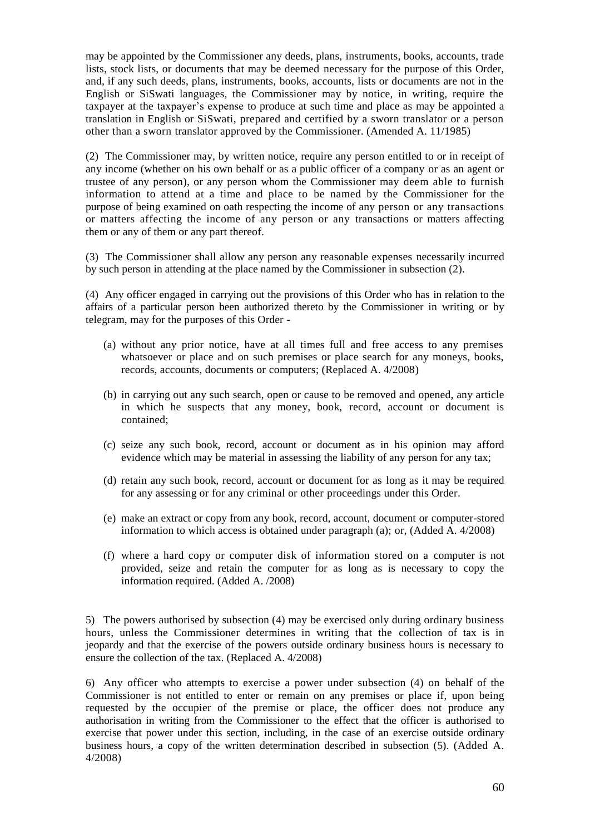may be appointed by the Commissioner any deeds, plans, instruments, books, accounts, trade lists, stock lists, or documents that may be deemed necessary for the purpose of this Order, and, if any such deeds, plans, instruments, books, accounts, lists or documents are not in the English or SiSwati languages, the Commissioner may by notice, in writing, require the taxpayer at the taxpayer's expense to produce at such time and place as may be appointed a translation in English or SiSwati, prepared and certified by a sworn translator or a person other than a sworn translator approved by the Commissioner. (Amended A. 11/1985)

(2) The Commissioner may, by written notice, require any person entitled to or in receipt of any income (whether on his own behalf or as a public officer of a company or as an agent or trustee of any person), or any person whom the Commissioner may deem able to furnish information to attend at a time and place to be named by the Commissioner for the purpose of being examined on oath respecting the income of any person or any transactions or matters affecting the income of any person or any transactions or matters affecting them or any of them or any part thereof.

(3) The Commissioner shall allow any person any reasonable expenses necessarily incurred by such person in attending at the place named by the Commissioner in subsection (2).

(4) Any officer engaged in carrying out the provisions of this Order who has in relation to the affairs of a particular person been authorized thereto by the Commissioner in writing or by telegram, may for the purposes of this Order -

- (a) without any prior notice, have at all times full and free access to any premises whatsoever or place and on such premises or place search for any moneys, books, records, accounts, documents or computers; (Replaced A. 4/2008)
- (b) in carrying out any such search, open or cause to be removed and opened, any article in which he suspects that any money, book, record, account or document is contained;
- (c) seize any such book, record, account or document as in his opinion may afford evidence which may be material in assessing the liability of any person for any tax;
- (d) retain any such book, record, account or document for as long as it may be required for any assessing or for any criminal or other proceedings under this Order.
- (e) make an extract or copy from any book, record, account, document or computer-stored information to which access is obtained under paragraph (a); or, (Added A. 4/2008)
- (f) where a hard copy or computer disk of information stored on a computer is not provided, seize and retain the computer for as long as is necessary to copy the information required. (Added A. /2008)

5) The powers authorised by subsection (4) may be exercised only during ordinary business hours, unless the Commissioner determines in writing that the collection of tax is in jeopardy and that the exercise of the powers outside ordinary business hours is necessary to ensure the collection of the tax. (Replaced A. 4/2008)

6) Any officer who attempts to exercise a power under subsection (4) on behalf of the Commissioner is not entitled to enter or remain on any premises or place if, upon being requested by the occupier of the premise or place, the officer does not produce any authorisation in writing from the Commissioner to the effect that the officer is authorised to exercise that power under this section, including, in the case of an exercise outside ordinary business hours, a copy of the written determination described in subsection (5). (Added A. 4/2008)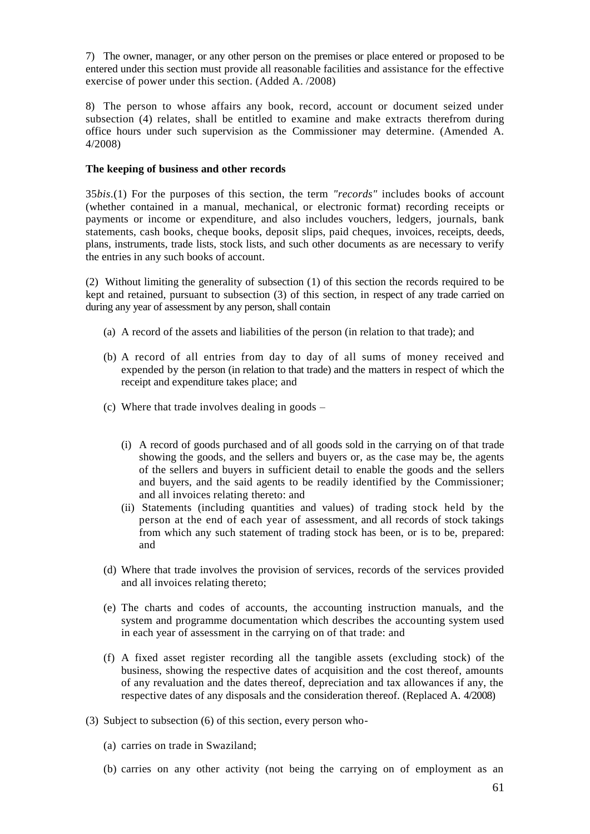7) The owner, manager, or any other person on the premises or place entered or proposed to be entered under this section must provide all reasonable facilities and assistance for the effective exercise of power under this section. (Added A. /2008)

8) The person to whose affairs any book, record, account or document seized under subsection (4) relates, shall be entitled to examine and make extracts therefrom during office hours under such supervision as the Commissioner may determine. (Amended A. 4/2008)

### **The keeping of business and other records**

35*bis*.(1) For the purposes of this section, the term *"records"* includes books of account (whether contained in a manual, mechanical, or electronic format) recording receipts or payments or income or expenditure, and also includes vouchers, ledgers, journals, bank statements, cash books, cheque books, deposit slips, paid cheques, invoices, receipts, deeds, plans, instruments, trade lists, stock lists, and such other documents as are necessary to verify the entries in any such books of account.

(2) Without limiting the generality of subsection (1) of this section the records required to be kept and retained, pursuant to subsection (3) of this section, in respect of any trade carried on during any year of assessment by any person, shall contain

- (a) A record of the assets and liabilities of the person (in relation to that trade); and
- (b) A record of all entries from day to day of all sums of money received and expended by the person (in relation to that trade) and the matters in respect of which the receipt and expenditure takes place; and
- (c) Where that trade involves dealing in goods
	- (i) A record of goods purchased and of all goods sold in the carrying on of that trade showing the goods, and the sellers and buyers or, as the case may be, the agents of the sellers and buyers in sufficient detail to enable the goods and the sellers and buyers, and the said agents to be readily identified by the Commissioner; and all invoices relating thereto: and
	- (ii) Statements (including quantities and values) of trading stock held by the person at the end of each year of assessment, and all records of stock takings from which any such statement of trading stock has been, or is to be, prepared: and
- (d) Where that trade involves the provision of services, records of the services provided and all invoices relating thereto;
- (e) The charts and codes of accounts, the accounting instruction manuals, and the system and programme documentation which describes the accounting system used in each year of assessment in the carrying on of that trade: and
- (f) A fixed asset register recording all the tangible assets (excluding stock) of the business, showing the respective dates of acquisition and the cost thereof, amounts of any revaluation and the dates thereof, depreciation and tax allowances if any, the respective dates of any disposals and the consideration thereof. (Replaced A. 4/2008)
- (3) Subject to subsection (6) of this section, every person who-
	- (a) carries on trade in Swaziland;
	- (b) carries on any other activity (not being the carrying on of employment as an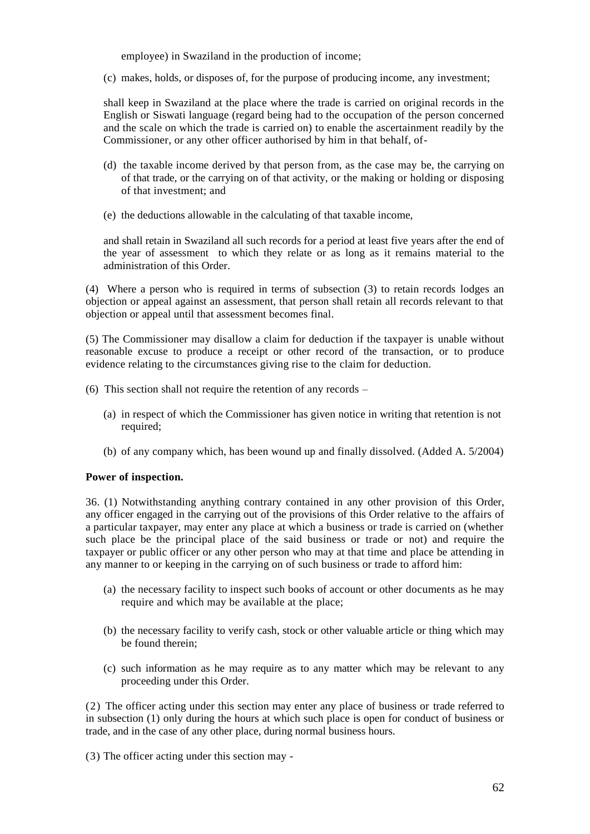employee) in Swaziland in the production of income;

(c) makes, holds, or disposes of, for the purpose of producing income, any investment;

shall keep in Swaziland at the place where the trade is carried on original records in the English or Siswati language (regard being had to the occupation of the person concerned and the scale on which the trade is carried on) to enable the ascertainment readily by the Commissioner, or any other officer authorised by him in that behalf, of-

- (d) the taxable income derived by that person from, as the case may be, the carrying on of that trade, or the carrying on of that activity, or the making or holding or disposing of that investment; and
- (e) the deductions allowable in the calculating of that taxable income,

and shall retain in Swaziland all such records for a period at least five years after the end of the year of assessment to which they relate or as long as it remains material to the administration of this Order.

(4) Where a person who is required in terms of subsection (3) to retain records lodges an objection or appeal against an assessment, that person shall retain all records relevant to that objection or appeal until that assessment becomes final.

(5) The Commissioner may disallow a claim for deduction if the taxpayer is unable without reasonable excuse to produce a receipt or other record of the transaction, or to produce evidence relating to the circumstances giving rise to the claim for deduction.

- (6) This section shall not require the retention of any records
	- (a) in respect of which the Commissioner has given notice in writing that retention is not required;
	- (b) of any company which, has been wound up and finally dissolved. (Added A. 5/2004)

# **Power of inspection.**

36. (1) Notwithstanding anything contrary contained in any other provision of this Order, any officer engaged in the carrying out of the provisions of this Order relative to the affairs of a particular taxpayer, may enter any place at which a business or trade is carried on (whether such place be the principal place of the said business or trade or not) and require the taxpayer or public officer or any other person who may at that time and place be attending in any manner to or keeping in the carrying on of such business or trade to afford him:

- (a) the necessary facility to inspect such books of account or other documents as he may require and which may be available at the place;
- (b) the necessary facility to verify cash, stock or other valuable article or thing which may be found therein;
- (c) such information as he may require as to any matter which may be relevant to any proceeding under this Order.

(2) The officer acting under this section may enter any place of business or trade referred to in subsection (1) only during the hours at which such place is open for conduct of business or trade, and in the case of any other place, during normal business hours.

(3) The officer acting under this section may -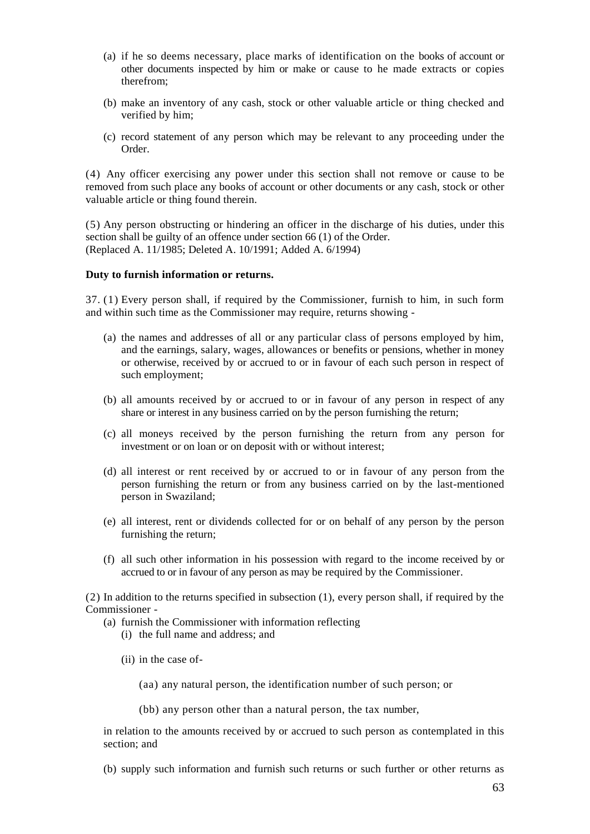- (a) if he so deems necessary, place marks of identification on the books of account or other documents inspected by him or make or cause to he made extracts or copies therefrom;
- (b) make an inventory of any cash, stock or other valuable article or thing checked and verified by him;
- (c) record statement of any person which may be relevant to any proceeding under the Order.

(4) Any officer exercising any power under this section shall not remove or cause to be removed from such place any books of account or other documents or any cash, stock or other valuable article or thing found therein.

(5) Any person obstructing or hindering an officer in the discharge of his duties, under this section shall be guilty of an offence under section 66 (1) of the Order. (Replaced A. 11/1985; Deleted A. 10/1991; Added A. 6/1994)

### **Duty to furnish information or returns.**

37. (1) Every person shall, if required by the Commissioner, furnish to him, in such form and within such time as the Commissioner may require, returns showing -

- (a) the names and addresses of all or any particular class of persons employed by him, and the earnings, salary, wages, allowances or benefits or pensions, whether in money or otherwise, received by or accrued to or in favour of each such person in respect of such employment;
- (b) all amounts received by or accrued to or in favour of any person in respect of any share or interest in any business carried on by the person furnishing the return;
- (c) all moneys received by the person furnishing the return from any person for investment or on loan or on deposit with or without interest;
- (d) all interest or rent received by or accrued to or in favour of any person from the person furnishing the return or from any business carried on by the last-mentioned person in Swaziland;
- (e) all interest, rent or dividends collected for or on behalf of any person by the person furnishing the return;
- (f) all such other information in his possession with regard to the income received by or accrued to or in favour of any person as may be required by the Commissioner.

(2) In addition to the returns specified in subsection (1), every person shall, if required by the Commissioner -

- (a) furnish the Commissioner with information reflecting
	- (i) the full name and address; and
	- (ii) in the case of-

(aa) any natural person, the identification number of such person; or

(bb) any person other than a natural person, the tax number,

in relation to the amounts received by or accrued to such person as contemplated in this section; and

(b) supply such information and furnish such returns or such further or other returns as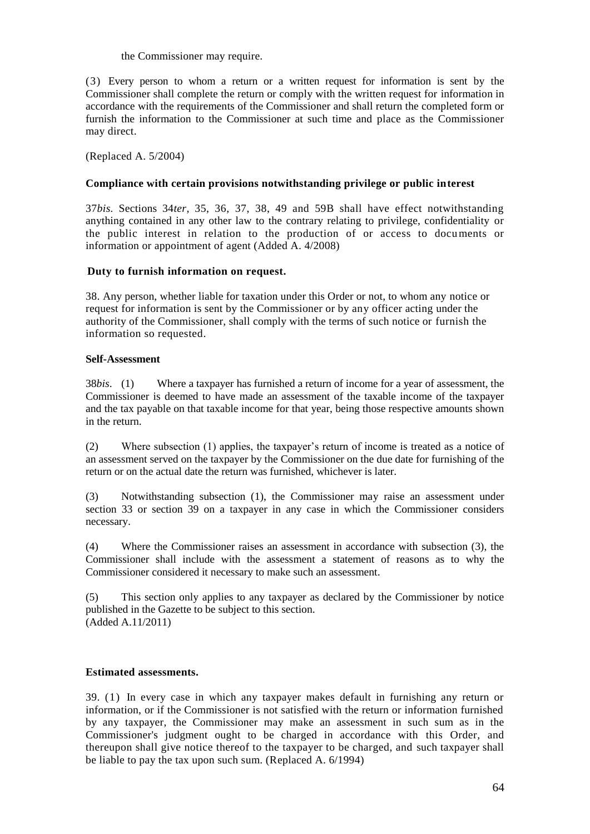the Commissioner may require.

(3) Every person to whom a return or a written request for information is sent by the Commissioner shall complete the return or comply with the written request for information in accordance with the requirements of the Commissioner and shall return the completed form or furnish the information to the Commissioner at such time and place as the Commissioner may direct.

(Replaced A. 5/2004)

# **Compliance with certain provisions notwithstanding privilege or public interest**

37*bis.* Sections 34*ter,* 35, 36, 37, 38, 49 and 59B shall have effect notwithstanding anything contained in any other law to the contrary relating to privilege, confidentiality or the public interest in relation to the production of or access to documents or information or appointment of agent (Added A. 4/2008)

# **Duty to furnish information on request.**

38. Any person, whether liable for taxation under this Order or not, to whom any notice or request for information is sent by the Commissioner or by any officer acting under the authority of the Commissioner, shall comply with the terms of such notice or furnish the information so requested.

## **Self-Assessment**

38*bis*. (1) Where a taxpayer has furnished a return of income for a year of assessment, the Commissioner is deemed to have made an assessment of the taxable income of the taxpayer and the tax payable on that taxable income for that year, being those respective amounts shown in the return.

(2) Where subsection (1) applies, the taxpayer's return of income is treated as a notice of an assessment served on the taxpayer by the Commissioner on the due date for furnishing of the return or on the actual date the return was furnished, whichever is later.

(3) Notwithstanding subsection (1), the Commissioner may raise an assessment under section 33 or section 39 on a taxpayer in any case in which the Commissioner considers necessary.

(4) Where the Commissioner raises an assessment in accordance with subsection (3), the Commissioner shall include with the assessment a statement of reasons as to why the Commissioner considered it necessary to make such an assessment.

(5) This section only applies to any taxpayer as declared by the Commissioner by notice published in the Gazette to be subject to this section. (Added A.11/2011)

## **Estimated assessments.**

39. (1) In every case in which any taxpayer makes default in furnishing any return or information, or if the Commissioner is not satisfied with the return or information furnished by any taxpayer, the Commissioner may make an assessment in such sum as in the Commissioner's judgment ought to be charged in accordance with this Order, and thereupon shall give notice thereof to the taxpayer to be charged, and such taxpayer shall be liable to pay the tax upon such sum. (Replaced A. 6/1994)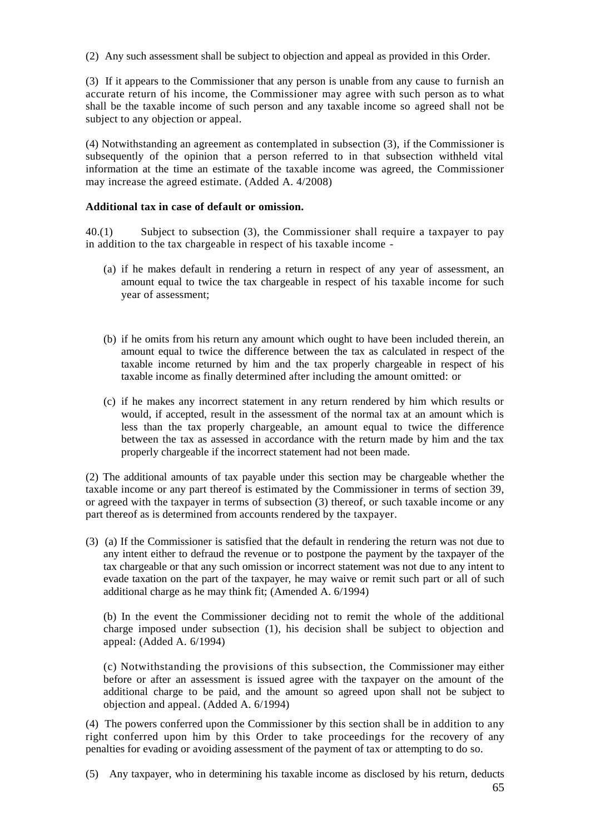(2) Any such assessment shall be subject to objection and appeal as provided in this Order.

(3) If it appears to the Commissioner that any person is unable from any cause to furnish an accurate return of his income, the Commissioner may agree with such person as to what shall be the taxable income of such person and any taxable income so agreed shall not be subject to any objection or appeal.

(4) Notwithstanding an agreement as contemplated in subsection (3), if the Commissioner is subsequently of the opinion that a person referred to in that subsection withheld vital information at the time an estimate of the taxable income was agreed, the Commissioner may increase the agreed estimate. (Added A. 4/2008)

# **Additional tax in case of default or omission.**

40.(1) Subject to subsection (3), the Commissioner shall require a taxpayer to pay in addition to the tax chargeable in respect of his taxable income -

- (a) if he makes default in rendering a return in respect of any year of assessment, an amount equal to twice the tax chargeable in respect of his taxable income for such year of assessment;
- (b) if he omits from his return any amount which ought to have been included therein, an amount equal to twice the difference between the tax as calculated in respect of the taxable income returned by him and the tax properly chargeable in respect of his taxable income as finally determined after including the amount omitted: or
- (c) if he makes any incorrect statement in any return rendered by him which results or would, if accepted, result in the assessment of the normal tax at an amount which is less than the tax properly chargeable, an amount equal to twice the difference between the tax as assessed in accordance with the return made by him and the tax properly chargeable if the incorrect statement had not been made.

(2) The additional amounts of tax payable under this section may be chargeable whether the taxable income or any part thereof is estimated by the Commissioner in terms of section 39, or agreed with the taxpayer in terms of subsection (3) thereof, or such taxable income or any part thereof as is determined from accounts rendered by the taxpayer.

(3) (a) If the Commissioner is satisfied that the default in rendering the return was not due to any intent either to defraud the revenue or to postpone the payment by the taxpayer of the tax chargeable or that any such omission or incorrect statement was not due to any intent to evade taxation on the part of the taxpayer, he may waive or remit such part or all of such additional charge as he may think fit; (Amended A. 6/1994)

(b) In the event the Commissioner deciding not to remit the whole of the additional charge imposed under subsection (1), his decision shall be subject to objection and appeal: (Added A. 6/1994)

(c) Notwithstanding the provisions of this subsection, the Commissioner may either before or after an assessment is issued agree with the taxpayer on the amount of the additional charge to be paid, and the amount so agreed upon shall not be subject to objection and appeal. (Added A. 6/1994)

(4) The powers conferred upon the Commissioner by this section shall be in addition to any right conferred upon him by this Order to take proceedings for the recovery of any penalties for evading or avoiding assessment of the payment of tax or attempting to do so.

(5) Any taxpayer, who in determining his taxable income as disclosed by his return, deducts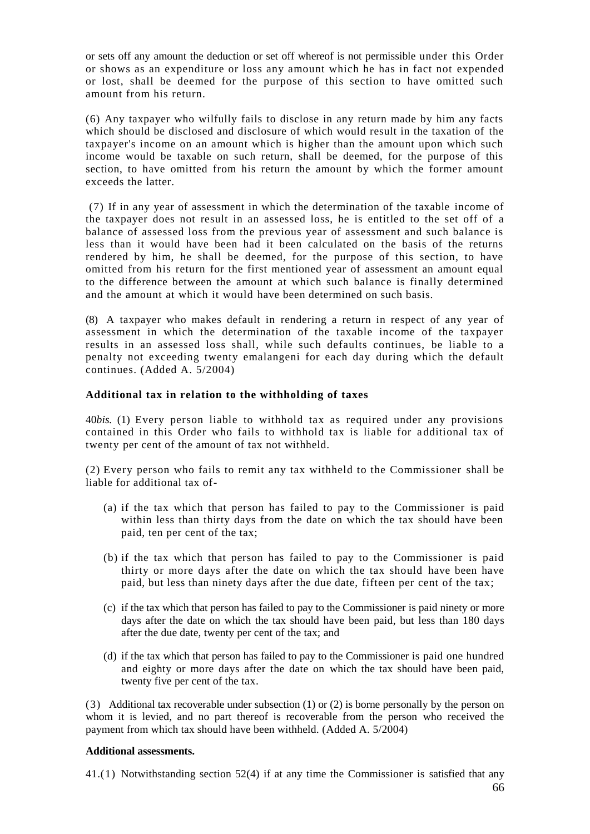or sets off any amount the deduction or set off whereof is not permissible under this Order or shows as an expenditure or loss any amount which he has in fact not expended or lost, shall be deemed for the purpose of this section to have omitted such amount from his return.

(6) Any taxpayer who wilfully fails to disclose in any return made by him any facts which should be disclosed and disclosure of which would result in the taxation of the taxpayer's income on an amount which is higher than the amount upon which such income would be taxable on such return, shall be deemed, for the purpose of this section, to have omitted from his return the amount by which the former amount exceeds the latter.

(7) If in any year of assessment in which the determination of the taxable income of the taxpayer does not result in an assessed loss, he is entitled to the set off of a balance of assessed loss from the previous year of assessment and such balance is less than it would have been had it been calculated on the basis of the returns rendered by him, he shall be deemed, for the purpose of this section, to have omitted from his return for the first mentioned year of assessment an amount equal to the difference between the amount at which such balance is finally determined and the amount at which it would have been determined on such basis.

(8) A taxpayer who makes default in rendering a return in respect of any year of assessment in which the determination of the taxable income of the taxpayer results in an assessed loss shall, while such defaults continues, be liable to a penalty not exceeding twenty emalangeni for each day during which the default continues. (Added A. 5/2004)

## **Additional tax in relation to the withholding of taxes**

40*bis.* (1) Every person liable to withhold tax as required under any provisions contained in this Order who fails to withhold tax is liable for a dditional tax of twenty per cent of the amount of tax not withheld.

(2) Every person who fails to remit any tax withheld to the Commissioner shall be liable for additional tax of-

- (a) if the tax which that person has failed to pay to the Commissioner is paid within less than thirty days from the date on which the tax should have been paid, ten per cent of the tax;
- (b) if the tax which that person has failed to pay to the Commissioner is paid thirty or more days after the date on which the tax should have been have paid, but less than ninety days after the due date, fifteen per cent of the tax;
- (c) if the tax which that person has failed to pay to the Commissioner is paid ninety or more days after the date on which the tax should have been paid, but less than 180 days after the due date, twenty per cent of the tax; and
- (d) if the tax which that person has failed to pay to the Commissioner is paid one hundred and eighty or more days after the date on which the tax should have been paid, twenty five per cent of the tax.

(3) Additional tax recoverable under subsection (1) or (2) is borne personally by the person on whom it is levied, and no part thereof is recoverable from the person who received the payment from which tax should have been withheld. (Added A. 5/2004)

## **Additional assessments.**

41.(1) Notwithstanding section 52(4) if at any time the Commissioner is satisfied that any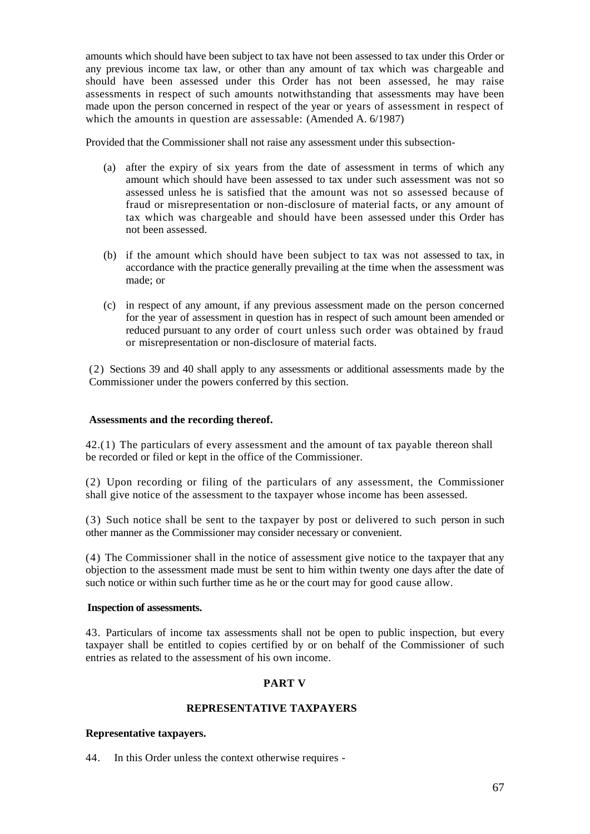amounts which should have been subject to tax have not been assessed to tax under this Order or any previous income tax law, or other than any amount of tax which was chargeable and should have been assessed under this Order has not been assessed, he may raise assessments in respect of such amounts notwithstanding that assessments may have been made upon the person concerned in respect of the year or years of assessment in respect of which the amounts in question are assessable: (Amended A. 6/1987)

Provided that the Commissioner shall not raise any assessment under this subsection-

- (a) after the expiry of six years from the date of assessment in terms of which any amount which should have been assessed to tax under such assessment was not so assessed unless he is satisfied that the amount was not so assessed because of fraud or misrepresentation or non-disclosure of material facts, or any amount of tax which was chargeable and should have been assessed under this Order has not been assessed.
- (b) if the amount which should have been subject to tax was not assessed to tax, in accordance with the practice generally prevailing at the time when the assessment was made; or
- (c) in respect of any amount, if any previous assessment made on the person concerned for the year of assessment in question has in respect of such amount been amended or reduced pursuant to any order of court unless such order was obtained by fraud or misrepresentation or non-disclosure of material facts.

(2) Sections 39 and 40 shall apply to any assessments or additional assessments made by the Commissioner under the powers conferred by this section.

## **Assessments and the recording thereof.**

42.(1) The particulars of every assessment and the amount of tax payable thereon shall be recorded or filed or kept in the office of the Commissioner.

(2) Upon recording or filing of the particulars of any assessment, the Commissioner shall give notice of the assessment to the taxpayer whose income has been assessed.

(3) Such notice shall be sent to the taxpayer by post or delivered to such person in such other manner as the Commissioner may consider necessary or convenient.

(4) The Commissioner shall in the notice of assessment give notice to the taxpayer that any objection to the assessment made must be sent to him within twenty one days after the date of such notice or within such further time as he or the court may for good cause allow.

#### **Inspection of assessments.**

43. Particulars of income tax assessments shall not be open to public inspection, but every taxpayer shall be entitled to copies certified by or on behalf of the Commissioner of such entries as related to the assessment of his own income.

## **PART V**

## **REPRESENTATIVE TAXPAYERS**

## **Representative taxpayers.**

44. In this Order unless the context otherwise requires -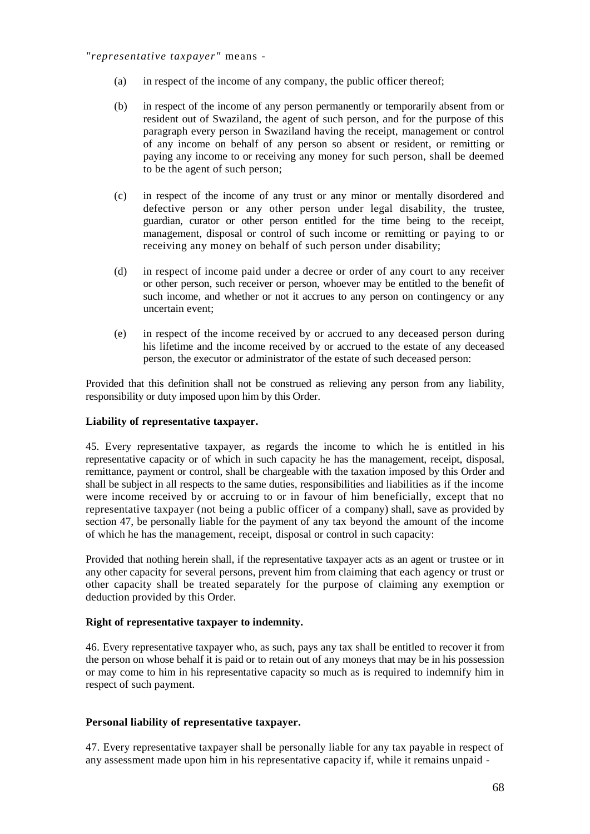*"representative taxpayer"* means -

- (a) in respect of the income of any company, the public officer thereof;
- (b) in respect of the income of any person permanently or temporarily absent from or resident out of Swaziland, the agent of such person, and for the purpose of this paragraph every person in Swaziland having the receipt, management or control of any income on behalf of any person so absent or resident, or remitting or paying any income to or receiving any money for such person, shall be deemed to be the agent of such person;
- (c) in respect of the income of any trust or any minor or mentally disordered and defective person or any other person under legal disability, the trustee, guardian, curator or other person entitled for the time being to the receipt, management, disposal or control of such income or remitting or paying to or receiving any money on behalf of such person under disability;
- (d) in respect of income paid under a decree or order of any court to any receiver or other person, such receiver or person, whoever may be entitled to the benefit of such income, and whether or not it accrues to any person on contingency or any uncertain event;
- (e) in respect of the income received by or accrued to any deceased person during his lifetime and the income received by or accrued to the estate of any deceased person, the executor or administrator of the estate of such deceased person:

Provided that this definition shall not be construed as relieving any person from any liability, responsibility or duty imposed upon him by this Order.

# **Liability of representative taxpayer.**

45. Every representative taxpayer, as regards the income to which he is entitled in his representative capacity or of which in such capacity he has the management, receipt, disposal, remittance, payment or control, shall be chargeable with the taxation imposed by this Order and shall be subject in all respects to the same duties, responsibilities and liabilities as if the income were income received by or accruing to or in favour of him beneficially, except that no representative taxpayer (not being a public officer of a company) shall, save as provided by section 47, be personally liable for the payment of any tax beyond the amount of the income of which he has the management, receipt, disposal or control in such capacity:

Provided that nothing herein shall, if the representative taxpayer acts as an agent or trustee or in any other capacity for several persons, prevent him from claiming that each agency or trust or other capacity shall be treated separately for the purpose of claiming any exemption or deduction provided by this Order.

## **Right of representative taxpayer to indemnity.**

46. Every representative taxpayer who, as such, pays any tax shall be entitled to recover it from the person on whose behalf it is paid or to retain out of any moneys that may be in his possession or may come to him in his representative capacity so much as is required to indemnify him in respect of such payment.

## **Personal liability of representative taxpayer.**

47. Every representative taxpayer shall be personally liable for any tax payable in respect of any assessment made upon him in his representative capacity if, while it remains unpaid -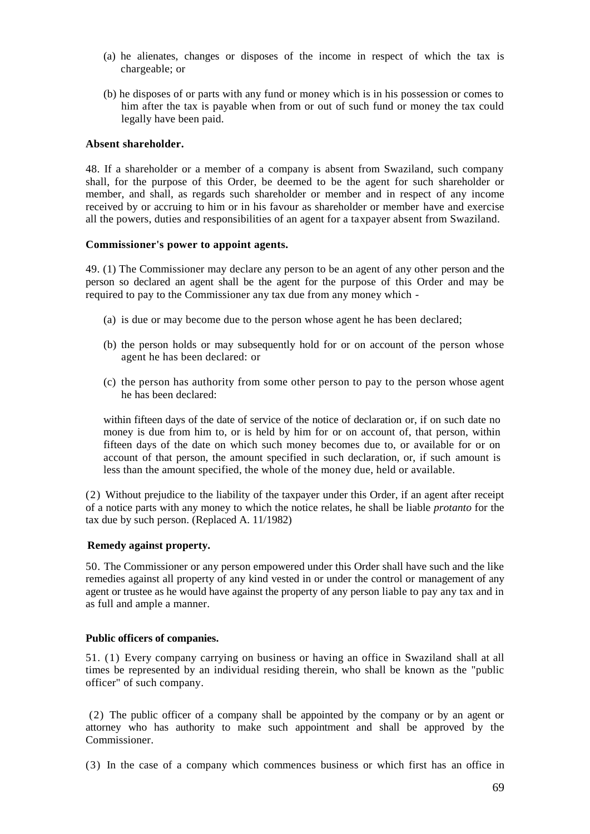- (a) he alienates, changes or disposes of the income in respect of which the tax is chargeable; or
- (b) he disposes of or parts with any fund or money which is in his possession or comes to him after the tax is payable when from or out of such fund or money the tax could legally have been paid.

### **Absent shareholder.**

48. If a shareholder or a member of a company is absent from Swaziland, such company shall, for the purpose of this Order, be deemed to be the agent for such shareholder or member, and shall, as regards such shareholder or member and in respect of any income received by or accruing to him or in his favour as shareholder or member have and exercise all the powers, duties and responsibilities of an agent for a taxpayer absent from Swaziland.

### **Commissioner's power to appoint agents.**

49. (1) The Commissioner may declare any person to be an agent of any other person and the person so declared an agent shall be the agent for the purpose of this Order and may be required to pay to the Commissioner any tax due from any money which -

- (a) is due or may become due to the person whose agent he has been declared;
- (b) the person holds or may subsequently hold for or on account of the person whose agent he has been declared: or
- (c) the person has authority from some other person to pay to the person whose agent he has been declared:

within fifteen days of the date of service of the notice of declaration or, if on such date no money is due from him to, or is held by him for or on account of, that person, within fifteen days of the date on which such money becomes due to, or available for or on account of that person, the amount specified in such declaration, or, if such amount is less than the amount specified, the whole of the money due, held or available.

(2) Without prejudice to the liability of the taxpayer under this Order, if an agent after receipt of a notice parts with any money to which the notice relates, he shall be liable *protanto* for the tax due by such person. (Replaced A. 11/1982)

## **Remedy against property.**

50. The Commissioner or any person empowered under this Order shall have such and the like remedies against all property of any kind vested in or under the control or management of any agent or trustee as he would have against the property of any person liable to pay any tax and in as full and ample a manner.

#### **Public officers of companies.**

51. (1) Every company carrying on business or having an office in Swaziland shall at all times be represented by an individual residing therein, who shall be known as the "public officer" of such company.

(2) The public officer of a company shall be appointed by the company or by an agent or attorney who has authority to make such appointment and shall be approved by the Commissioner.

(3) In the case of a company which commences business or which first has an office in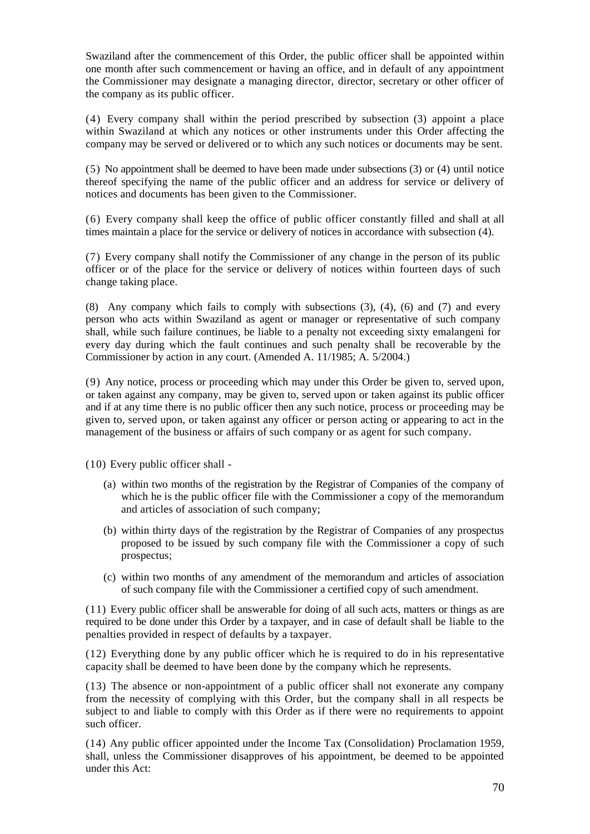Swaziland after the commencement of this Order, the public officer shall be appointed within one month after such commencement or having an office, and in default of any appointment the Commissioner may designate a managing director, director, secretary or other officer of the company as its public officer.

(4) Every company shall within the period prescribed by subsection (3) appoint a place within Swaziland at which any notices or other instruments under this Order affecting the company may be served or delivered or to which any such notices or documents may be sent.

(5) No appointment shall be deemed to have been made under subsections (3) or (4) until notice thereof specifying the name of the public officer and an address for service or delivery of notices and documents has been given to the Commissioner.

(6) Every company shall keep the office of public officer constantly filled and shall at all times maintain a place for the service or delivery of notices in accordance with subsection (4).

(7) Every company shall notify the Commissioner of any change in the person of its public officer or of the place for the service or delivery of notices within fourteen days of such change taking place.

(8) Any company which fails to comply with subsections (3), (4), (6) and (7) and every person who acts within Swaziland as agent or manager or representative of such company shall, while such failure continues, be liable to a penalty not exceeding sixty emalangeni for every day during which the fault continues and such penalty shall be recoverable by the Commissioner by action in any court. (Amended A. 11/1985; A. 5/2004.)

(9) Any notice, process or proceeding which may under this Order be given to, served upon, or taken against any company, may be given to, served upon or taken against its public officer and if at any time there is no public officer then any such notice, process or proceeding may be given to, served upon, or taken against any officer or person acting or appearing to act in the management of the business or affairs of such company or as agent for such company.

(10) Every public officer shall -

- (a) within two months of the registration by the Registrar of Companies of the company of which he is the public officer file with the Commissioner a copy of the memorandum and articles of association of such company;
- (b) within thirty days of the registration by the Registrar of Companies of any prospectus proposed to be issued by such company file with the Commissioner a copy of such prospectus;
- (c) within two months of any amendment of the memorandum and articles of association of such company file with the Commissioner a certified copy of such amendment.

(11) Every public officer shall be answerable for doing of all such acts, matters or things as are required to be done under this Order by a taxpayer, and in case of default shall be liable to the penalties provided in respect of defaults by a taxpayer.

(12) Everything done by any public officer which he is required to do in his representative capacity shall be deemed to have been done by the company which he represents.

(13) The absence or non-appointment of a public officer shall not exonerate any company from the necessity of complying with this Order, but the company shall in all respects be subject to and liable to comply with this Order as if there were no requirements to appoint such officer.

(14) Any public officer appointed under the Income Tax (Consolidation) Proclamation 1959, shall, unless the Commissioner disapproves of his appointment, be deemed to be appointed under this Act: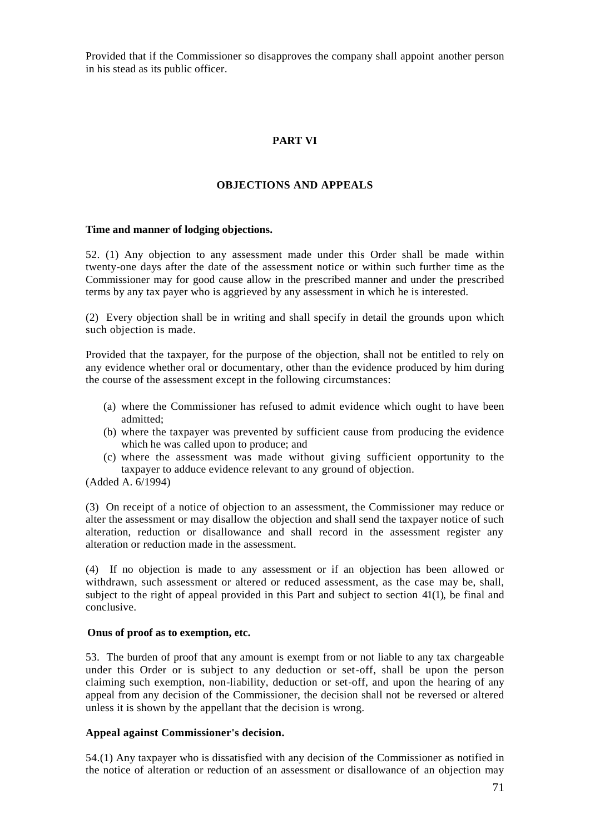Provided that if the Commissioner so disapproves the company shall appoint another person in his stead as its public officer.

# **PART VI**

## **OBJECTIONS AND APPEALS**

### **Time and manner of lodging objections.**

52. (1) Any objection to any assessment made under this Order shall be made within twenty-one days after the date of the assessment notice or within such further time as the Commissioner may for good cause allow in the prescribed manner and under the prescribed terms by any tax payer who is aggrieved by any assessment in which he is interested.

(2) Every objection shall be in writing and shall specify in detail the grounds upon which such objection is made.

Provided that the taxpayer, for the purpose of the objection, shall not be entitled to rely on any evidence whether oral or documentary, other than the evidence produced by him during the course of the assessment except in the following circumstances:

- (a) where the Commissioner has refused to admit evidence which ought to have been admitted;
- (b) where the taxpayer was prevented by sufficient cause from producing the evidence which he was called upon to produce; and
- (c) where the assessment was made without giving sufficient opportunity to the taxpayer to adduce evidence relevant to any ground of objection.

(Added A. 6/1994)

(3) On receipt of a notice of objection to an assessment, the Commissioner may reduce or alter the assessment or may disallow the objection and shall send the taxpayer notice of such alteration, reduction or disallowance and shall record in the assessment register any alteration or reduction made in the assessment.

(4) If no objection is made to any assessment or if an objection has been allowed or withdrawn, such assessment or altered or reduced assessment, as the case may be, shall, subject to the right of appeal provided in this Part and subject to section 41(1), be final and conclusive.

#### **Onus of proof as to exemption, etc.**

53. The burden of proof that any amount is exempt from or not liable to any tax chargeable under this Order or is subject to any deduction or set-off, shall be upon the person claiming such exemption, non-liability, deduction or set-off, and upon the hearing of any appeal from any decision of the Commissioner, the decision shall not be reversed or altered unless it is shown by the appellant that the decision is wrong.

## **Appeal against Commissioner's decision.**

54.(1) Any taxpayer who is dissatisfied with any decision of the Commissioner as notified in the notice of alteration or reduction of an assessment or disallowance of an objection may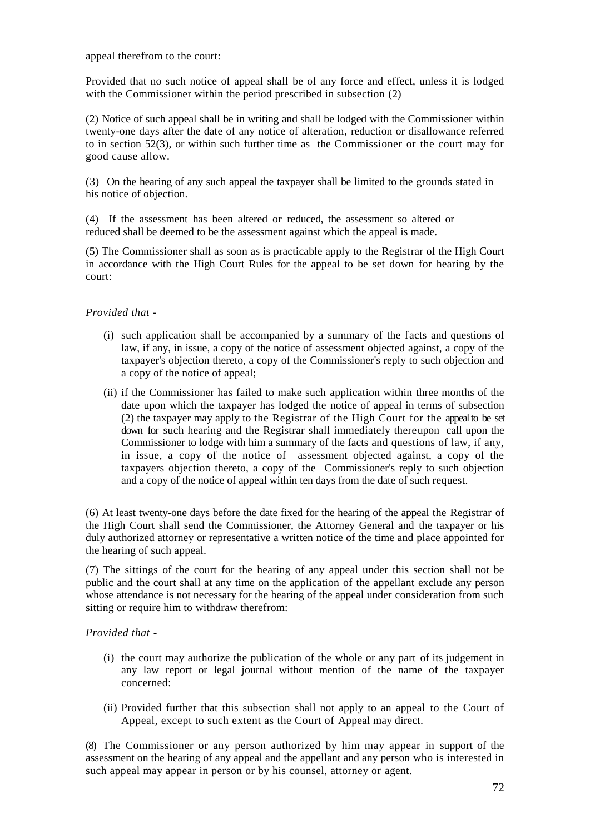appeal therefrom to the court:

Provided that no such notice of appeal shall be of any force and effect, unless it is lodged with the Commissioner within the period prescribed in subsection (2)

(2) Notice of such appeal shall be in writing and shall be lodged with the Commissioner within twenty-one days after the date of any notice of alteration, reduction or disallowance referred to in section 52(3), or within such further time as the Commissioner or the court may for good cause allow.

(3) On the hearing of any such appeal the taxpayer shall be limited to the grounds stated in his notice of objection.

(4) If the assessment has been altered or reduced, the assessment so altered or reduced shall be deemed to be the assessment against which the appeal is made.

(5) The Commissioner shall as soon as is practicable apply to the Registrar of the High Court in accordance with the High Court Rules for the appeal to be set down for hearing by the court:

# *Provided that -*

- (i) such application shall be accompanied by a summary of the facts and questions of law, if any, in issue, a copy of the notice of assessment objected against, a copy of the taxpayer's objection thereto, a copy of the Commissioner's reply to such objection and a copy of the notice of appeal;
- (ii) if the Commissioner has failed to make such application within three months of the date upon which the taxpayer has lodged the notice of appeal in terms of subsection (2) the taxpayer may apply to the Registrar of the High Court for the appeal to be set down for such hearing and the Registrar shall immediately thereupon call upon the Commissioner to lodge with him a summary of the facts and questions of law, if any, in issue, a copy of the notice of assessment objected against, a copy of the taxpayers objection thereto, a copy of the Commissioner's reply to such objection and a copy of the notice of appeal within ten days from the date of such request.

(6) At least twenty-one days before the date fixed for the hearing of the appeal the Registrar of the High Court shall send the Commissioner, the Attorney General and the taxpayer or his duly authorized attorney or representative a written notice of the time and place appointed for the hearing of such appeal.

(7) The sittings of the court for the hearing of any appeal under this section shall not be public and the court shall at any time on the application of the appellant exclude any person whose attendance is not necessary for the hearing of the appeal under consideration from such sitting or require him to withdraw therefrom:

## *Provided that -*

- (i) the court may authorize the publication of the whole or any part of its judgement in any law report or legal journal without mention of the name of the taxpayer concerned:
- (ii) Provided further that this subsection shall not apply to an appeal to the Court of Appeal, except to such extent as the Court of Appeal may direct.

(8) The Commissioner or any person authorized by him may appear in support of the assessment on the hearing of any appeal and the appellant and any person who is interested in such appeal may appear in person or by his counsel, attorney or agent.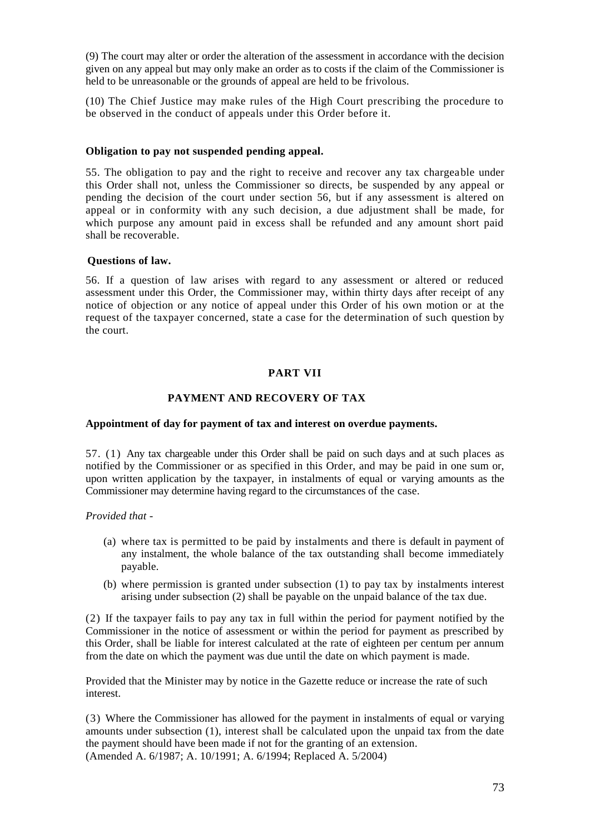(9) The court may alter or order the alteration of the assessment in accordance with the decision given on any appeal but may only make an order as to costs if the claim of the Commissioner is held to be unreasonable or the grounds of appeal are held to be frivolous.

(10) The Chief Justice may make rules of the High Court prescribing the procedure to be observed in the conduct of appeals under this Order before it.

### **Obligation to pay not suspended pending appeal.**

55. The obligation to pay and the right to receive and recover any tax chargeable under this Order shall not, unless the Commissioner so directs, be suspended by any appeal or pending the decision of the court under section 56, but if any assessment is altered on appeal or in conformity with any such decision, a due adjustment shall be made, for which purpose any amount paid in excess shall be refunded and any amount short paid shall be recoverable.

### **Questions of law.**

56. If a question of law arises with regard to any assessment or altered or reduced assessment under this Order, the Commissioner may, within thirty days after receipt of any notice of objection or any notice of appeal under this Order of his own motion or at the request of the taxpayer concerned, state a case for the determination of such question by the court.

# **PART VII**

# **PAYMENT AND RECOVERY OF TAX**

## **Appointment of day for payment of tax and interest on overdue payments.**

57. (1) Any tax chargeable under this Order shall be paid on such days and at such places as notified by the Commissioner or as specified in this Order, and may be paid in one sum or, upon written application by the taxpayer, in instalments of equal or varying amounts as the Commissioner may determine having regard to the circumstances of the case.

*Provided that -*

- (a) where tax is permitted to be paid by instalments and there is default in payment of any instalment, the whole balance of the tax outstanding shall become immediately payable.
- (b) where permission is granted under subsection (1) to pay tax by instalments interest arising under subsection (2) shall be payable on the unpaid balance of the tax due.

(2) If the taxpayer fails to pay any tax in full within the period for payment notified by the Commissioner in the notice of assessment or within the period for payment as prescribed by this Order, shall be liable for interest calculated at the rate of eighteen per centum per annum from the date on which the payment was due until the date on which payment is made.

Provided that the Minister may by notice in the Gazette reduce or increase the rate of such interest.

(3) Where the Commissioner has allowed for the payment in instalments of equal or varying amounts under subsection (1), interest shall be calculated upon the unpaid tax from the date the payment should have been made if not for the granting of an extension. (Amended A. 6/1987; A. 10/1991; A. 6/1994; Replaced A. 5/2004)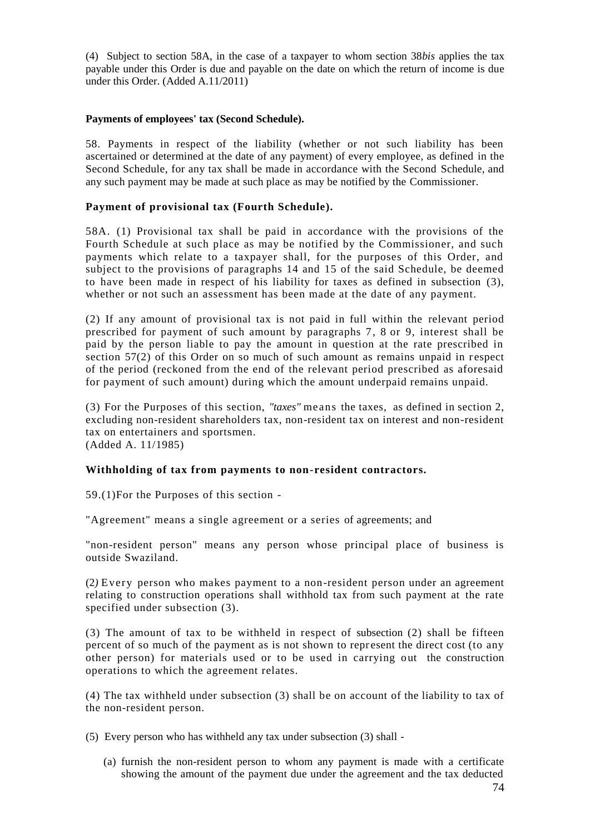(4) Subject to section 58A, in the case of a taxpayer to whom section 38*bis* applies the tax payable under this Order is due and payable on the date on which the return of income is due under this Order. (Added A.11/2011)

### **Payments of employees' tax (Second Schedule).**

58. Payments in respect of the liability (whether or not such liability has been ascertained or determined at the date of any payment) of every employee, as defined in the Second Schedule, for any tax shall be made in accordance with the Second Schedule, and any such payment may be made at such place as may be notified by the Commissioner.

### **Payment of provisional tax (Fourth Schedule).**

58A. (1) Provisional tax shall be paid in accordance with the provisions of the Fourth Schedule at such place as may be notified by the Commissioner, and such payments which relate to a taxpayer shall, for the purposes of this Order, and subject to the provisions of paragraphs 14 and 15 of the said Schedule, be deemed to have been made in respect of his liability for taxes as defined in subsection (3), whether or not such an assessment has been made at the date of any payment.

(2) If any amount of provisional tax is not paid in full within the relevant period prescribed for payment of such amount by paragraphs 7, 8 or 9, interest shall be paid by the person liable to pay the amount in question at the rate prescribed in section  $57(2)$  of this Order on so much of such amount as remains unpaid in respect of the period (reckoned from the end of the relevant period prescribed as aforesaid for payment of such amount) during which the amount underpaid remains unpaid.

(3) For the Purposes of this section, *"taxes"* means the taxes, as defined in section 2, excluding non-resident shareholders tax, non-resident tax on interest and non-resident tax on entertainers and sportsmen. (Added A. 11/1985)

# **Withholding of tax from payments to non-resident contractors.**

59.(1)For the Purposes of this section -

"Agreement" means a single agreement or a series of agreements; and

"non-resident person" means any person whose principal place of business is outside Swaziland.

(2*)* Every person who makes payment to a non-resident person under an agreement relating to construction operations shall withhold tax from such payment at the rate specified under subsection (3).

(3) The amount of tax to be withheld in respect of subsection (2) shall be fifteen percent of so much of the payment as is not shown to represent the direct cost (to any other person) for materials used or to be used in carrying out the construction operations to which the agreement relates.

(4) The tax withheld under subsection (3) shall be on account of the liability to tax of the non-resident person.

(5) Every person who has withheld any tax under subsection (3) shall -

(a) furnish the non-resident person to whom any payment is made with a certificate showing the amount of the payment due under the agreement and the tax deducted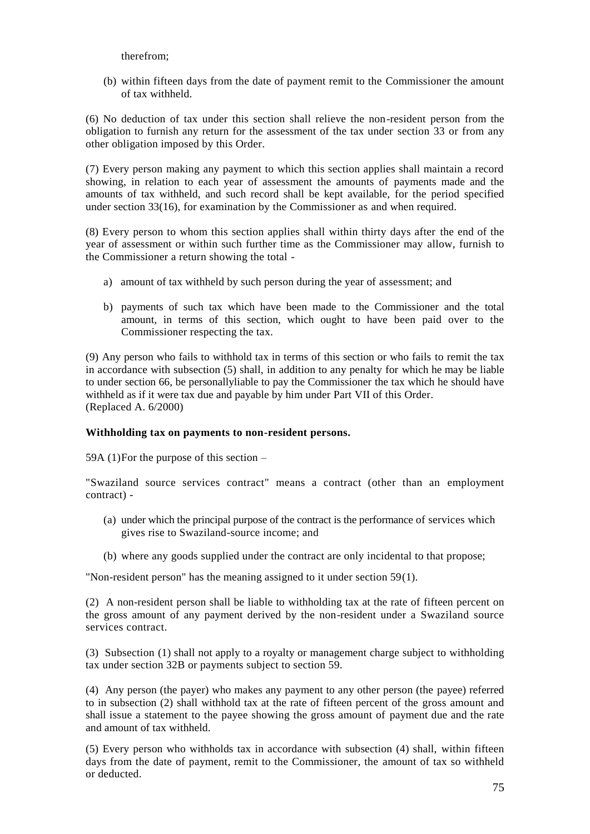therefrom;

(b) within fifteen days from the date of payment remit to the Commissioner the amount of tax withheld.

(6) No deduction of tax under this section shall relieve the non-resident person from the obligation to furnish any return for the assessment of the tax under section 33 or from any other obligation imposed by this Order.

(7) Every person making any payment to which this section applies shall maintain a record showing, in relation to each year of assessment the amounts of payments made and the amounts of tax withheld, and such record shall be kept available, for the period specified under section 33(16), for examination by the Commissioner as and when required.

(8) Every person to whom this section applies shall within thirty days after the end of the year of assessment or within such further time as the Commissioner may allow, furnish to the Commissioner a return showing the total -

- a) amount of tax withheld by such person during the year of assessment; and
- b) payments of such tax which have been made to the Commissioner and the total amount, in terms of this section, which ought to have been paid over to the Commissioner respecting the tax.

(9) Any person who fails to withhold tax in terms of this section or who fails to remit the tax in accordance with subsection (5) shall, in addition to any penalty for which he may be liable to under section 66, be personallyliable to pay the Commissioner the tax which he should have withheld as if it were tax due and payable by him under Part VII of this Order. (Replaced A. 6/2000)

### **Withholding tax on payments to non-resident persons.**

59A (1)For the purpose of this section –

"Swaziland source services contract" means a contract (other than an employment contract) -

- (a) under which the principal purpose of the contract is the performance of services which gives rise to Swaziland-source income; and
- (b) where any goods supplied under the contract are only incidental to that propose;

"Non-resident person" has the meaning assigned to it under section 59(1).

(2) A non-resident person shall be liable to withholding tax at the rate of fifteen percent on the gross amount of any payment derived by the non-resident under a Swaziland source services contract.

(3) Subsection (1) shall not apply to a royalty or management charge subject to withholding tax under section 32B or payments subject to section 59.

(4) Any person (the payer) who makes any payment to any other person (the payee) referred to in subsection (2) shall withhold tax at the rate of fifteen percent of the gross amount and shall issue a statement to the payee showing the gross amount of payment due and the rate and amount of tax withheld.

(5) Every person who withholds tax in accordance with subsection (4) shall, within fifteen days from the date of payment, remit to the Commissioner, the amount of tax so withheld or deducted.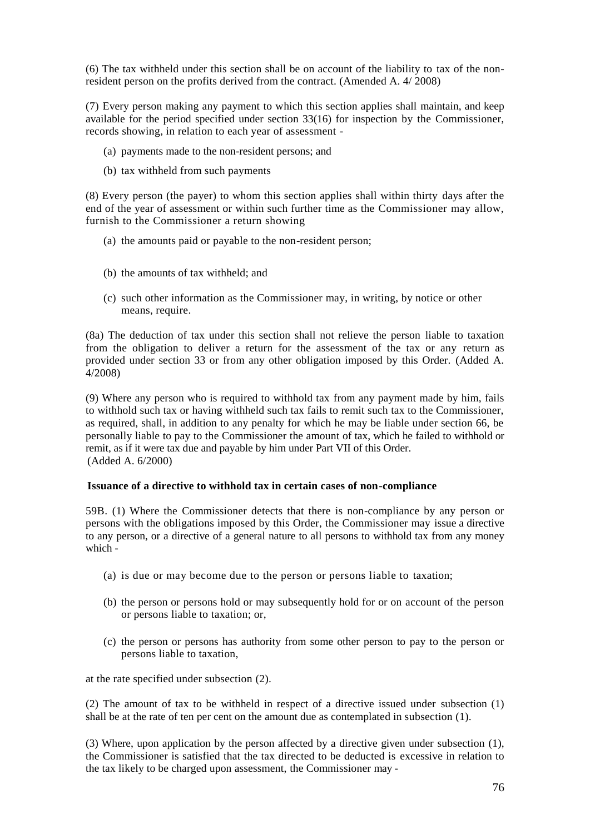(6) The tax withheld under this section shall be on account of the liability to tax of the nonresident person on the profits derived from the contract. (Amended A. 4/ 2008)

(7) Every person making any payment to which this section applies shall maintain, and keep available for the period specified under section 33(16) for inspection by the Commissioner, records showing, in relation to each year of assessment -

- (a) payments made to the non-resident persons; and
- (b) tax withheld from such payments

(8) Every person (the payer) to whom this section applies shall within thirty days after the end of the year of assessment or within such further time as the Commissioner may allow, furnish to the Commissioner a return showing

- (a) the amounts paid or payable to the non-resident person;
- (b) the amounts of tax withheld; and
- (c) such other information as the Commissioner may, in writing, by notice or other means, require.

(8a) The deduction of tax under this section shall not relieve the person liable to taxation from the obligation to deliver a return for the assessment of the tax or any return as provided under section 33 or from any other obligation imposed by this Order. (Added A. 4/2008)

(9) Where any person who is required to withhold tax from any payment made by him, fails to withhold such tax or having withheld such tax fails to remit such tax to the Commissioner, as required, shall, in addition to any penalty for which he may be liable under section 66, be personally liable to pay to the Commissioner the amount of tax, which he failed to withhold or remit, as if it were tax due and payable by him under Part VII of this Order. (Added A. 6/2000)

### **Issuance of a directive to withhold tax in certain cases of non-compliance**

59B. (1) Where the Commissioner detects that there is non-compliance by any person or persons with the obligations imposed by this Order, the Commissioner may issue a directive to any person, or a directive of a general nature to all persons to withhold tax from any money which -

- (a) is due or may become due to the person or persons liable to taxation;
- (b) the person or persons hold or may subsequently hold for or on account of the person or persons liable to taxation; or,
- (c) the person or persons has authority from some other person to pay to the person or persons liable to taxation,

at the rate specified under subsection (2).

(2) The amount of tax to be withheld in respect of a directive issued under subsection (1) shall be at the rate of ten per cent on the amount due as contemplated in subsection (1).

(3) Where, upon application by the person affected by a directive given under subsection (1), the Commissioner is satisfied that the tax directed to be deducted is excessive in relation to the tax likely to be charged upon assessment, the Commissioner may -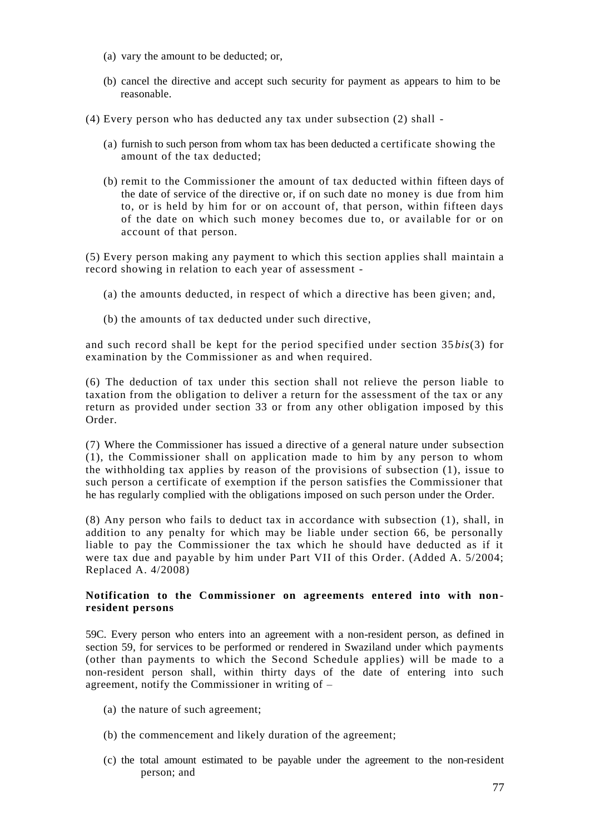- (a) vary the amount to be deducted; or,
- (b) cancel the directive and accept such security for payment as appears to him to be reasonable.
- (4) Every person who has deducted any tax under subsection (2) shall
	- (a) furnish to such person from whom tax has been deducted a certificate showing the amount of the tax deducted;
	- (b) remit to the Commissioner the amount of tax deducted within fifteen days of the date of service of the directive or, if on such date no money is due from him to, or is held by him for or on account of, that person, within fifteen days of the date on which such money becomes due to, or available for or on account of that person.

(5) Every person making any payment to which this section applies shall maintain a record showing in relation to each year of assessment -

- (a) the amounts deducted, in respect of which a directive has been given; and,
- (b) the amounts of tax deducted under such directive,

and such record shall be kept for the period specified under section 35 *bis*(3) for examination by the Commissioner as and when required.

(6) The deduction of tax under this section shall not relieve the person liable to taxation from the obligation to deliver a return for the assessment of the tax or any return as provided under section 33 or from any other obligation imposed by this Order.

(7) Where the Commissioner has issued a directive of a general nature under subsection (1), the Commissioner shall on application made to him by any person to whom the withholding tax applies by reason of the provisions of subsection (1), issue to such person a certificate of exemption if the person satisfies the Commissioner that he has regularly complied with the obligations imposed on such person under the Order.

(8) Any person who fails to deduct tax in accordance with subsection (1), shall, in addition to any penalty for which may be liable under section 66, be personally liable to pay the Commissioner the tax which he should have deducted as if it were tax due and payable by him under Part VII of this Order. (Added A. 5/2004; Replaced A. 4/2008)

# **Notification to the Commissioner on agreements entered into with nonresident persons**

59C. Every person who enters into an agreement with a non-resident person, as defined in section 59, for services to be performed or rendered in Swaziland under which payments (other than payments to which the Second Schedule applies) will be made to a non-resident person shall, within thirty days of the date of entering into such agreement, notify the Commissioner in writing of –

- (a) the nature of such agreement;
- (b) the commencement and likely duration of the agreement;
- (c) the total amount estimated to be payable under the agreement to the non-resident person; and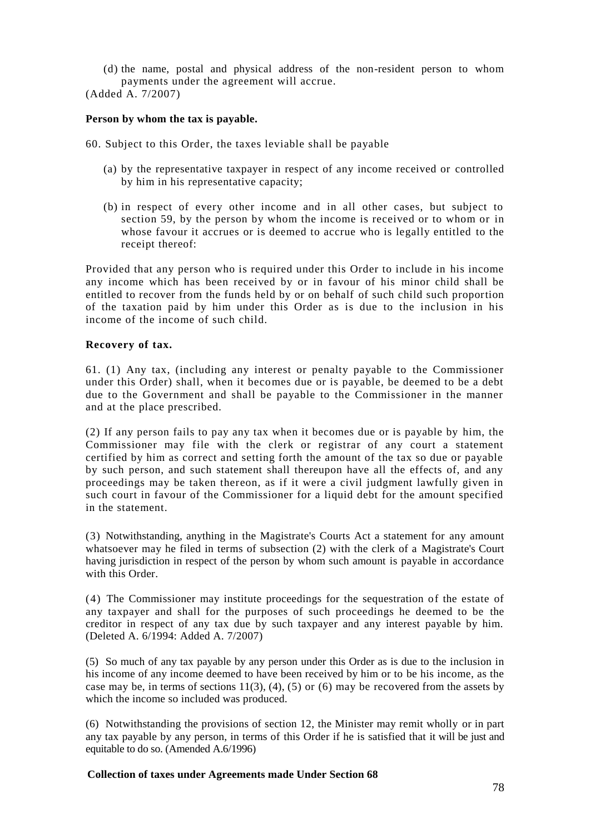(d) the name, postal and physical address of the non-resident person to whom payments under the agreement will accrue.

(Added A. 7/2007)

## **Person by whom the tax is payable.**

- 60. Subject to this Order, the taxes leviable shall be payable
	- (a) by the representative taxpayer in respect of any income received or controlled by him in his representative capacity;
	- (b) in respect of every other income and in all other cases, but subject to section 59, by the person by whom the income is received or to whom or in whose favour it accrues or is deemed to accrue who is legally entitled to the receipt thereof:

Provided that any person who is required under this Order to include in his income any income which has been received by or in favour of his minor child shall be entitled to recover from the funds held by or on behalf of such child such proportion of the taxation paid by him under this Order as is due to the inclusion in his income of the income of such child.

### **Recovery of tax.**

61. (1) Any tax, (including any interest or penalty payable to the Commissioner under this Order) shall, when it becomes due or is payable, be deemed to be a debt due to the Government and shall be payable to the Commissioner in the manner and at the place prescribed.

(2) If any person fails to pay any tax when it becomes due or is payable by him, the Commissioner may file with the clerk or registrar of any court a statement certified by him as correct and setting forth the amount of the tax so due or payable by such person, and such statement shall thereupon have all the effects of, and any proceedings may be taken thereon, as if it were a civil judgment lawfully given in such court in favour of the Commissioner for a liquid debt for the amount specified in the statement.

(3) Notwithstanding, anything in the Magistrate's Courts Act a statement for any amount whatsoever may he filed in terms of subsection (2) with the clerk of a Magistrate's Court having jurisdiction in respect of the person by whom such amount is payable in accordance with this Order

(4) The Commissioner may institute proceedings for the sequestration of the estate of any taxpayer and shall for the purposes of such proceedings he deemed to be the creditor in respect of any tax due by such taxpayer and any interest payable by him. (Deleted A. 6/1994: Added A. 7/2007)

(5) So much of any tax payable by any person under this Order as is due to the inclusion in his income of any income deemed to have been received by him or to be his income, as the case may be, in terms of sections  $11(3)$ ,  $(4)$ ,  $(5)$  or  $(6)$  may be recovered from the assets by which the income so included was produced.

(6) Notwithstanding the provisions of section 12, the Minister may remit wholly or in part any tax payable by any person, in terms of this Order if he is satisfied that it will be just and equitable to do so. (Amended A.6/1996)

### **Collection of taxes under Agreements made Under Section 68**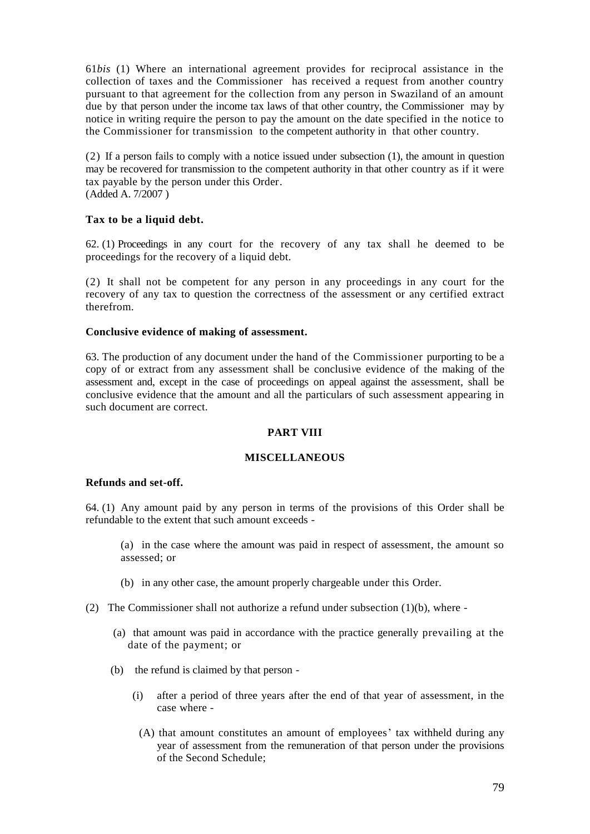61*bis* (1) Where an international agreement provides for reciprocal assistance in the collection of taxes and the Commissioner has received a request from another country pursuant to that agreement for the collection from any person in Swaziland of an amount due by that person under the income tax laws of that other country, the Commissioner may by notice in writing require the person to pay the amount on the date specified in the notice to the Commissioner for transmission to the competent authority in that other country.

(2) If a person fails to comply with a notice issued under subsection (1), the amount in question may be recovered for transmission to the competent authority in that other country as if it were tax payable by the person under this Order. (Added A. 7/2007 )

# **Tax to be a liquid debt.**

62. (1) Proceedings in any court for the recovery of any tax shall he deemed to be proceedings for the recovery of a liquid debt.

(2) It shall not be competent for any person in any proceedings in any court for the recovery of any tax to question the correctness of the assessment or any certified extract therefrom.

### **Conclusive evidence of making of assessment.**

63. The production of any document under the hand of the Commissioner purporting to be a copy of or extract from any assessment shall be conclusi*v*e evidence of the making of the assessment and, except in the case of proceedings on appeal against the assessment, shall be conclusive evidence that the amount and all the particulars of such assessment appearing in such document are correct.

### **PART VIII**

### **MISCELLANEOUS**

# **Refunds and set-off.**

64. (1) Any amount paid by any person in terms of the provisions of this Order shall be refundable to the extent that such amount exceeds -

(a) in the case where the amount was paid in respect of assessment, the amount so assessed; or

- (b) in any other case, the amount properly chargeable under this Order.
- (2) The Commissioner shall not authorize a refund under subsection  $(1)(b)$ , where -
	- (a) that amount was paid in accordance with the practice generally prevailing at the date of the payment; or
	- (b) the refund is claimed by that person
		- (i) after a period of three years after the end of that year of assessment, in the case where -
			- (A) that amount constitutes an amount of employees' tax withheld during any year of assessment from the remuneration of that person under the provisions of the Second Schedule;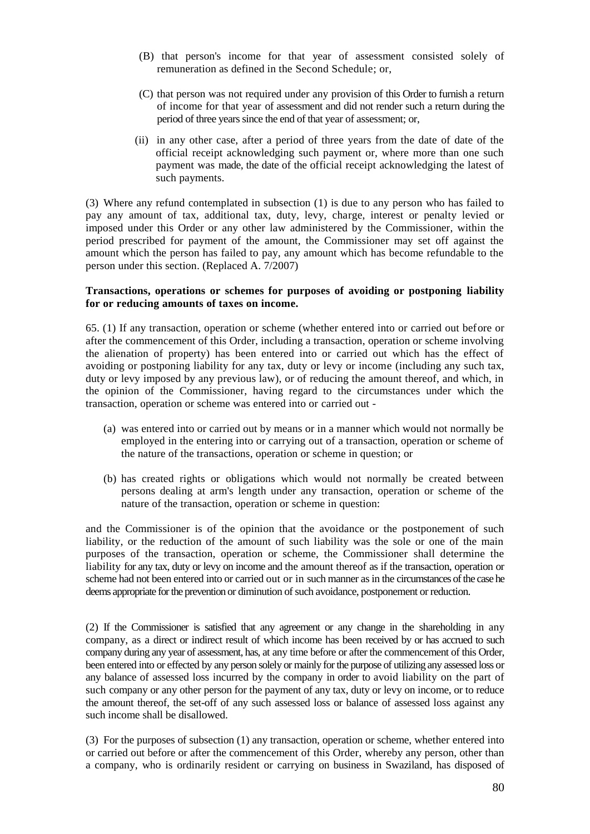- (B) that person's income for that year of assessment consisted solely of remuneration as defined in the Second Schedule; or,
- (C) that person was not required under any provision of this Order to furnish a return of income for that year of assessment and did not render such a return during the period of three years since the end of that year of assessment; or,
- (ii) in any other case, after a period of three years from the date of date of the official receipt acknowledging such payment or, where more than one such payment was made, the date of the official receipt acknowledging the latest of such payments.

(3) Where any refund contemplated in subsection (1) is due to any person who has failed to pay any amount of tax, additional tax, duty, levy, charge, interest or penalty levied or imposed under this Order or any other law administered by the Commissioner, within the period prescribed for payment of the amount, the Commissioner may set off against the amount which the person has failed to pay, any amount which has become refundable to the person under this section. (Replaced A. 7/2007)

#### **Transactions, operations or schemes for purposes of avoiding or postponing liability for or reducing amounts of taxes on income.**

65. (1) If any transaction, operation or scheme (whether entered into or carried out before or after the commencement of this Order, including a transaction, operation or scheme involving the alienation of property) has been entered into or carried out which has the effect of avoiding or postponing liability for any tax, duty or levy or income (including any such tax, duty or levy imposed by any previous law), or of reducing the amount thereof, and which, in the opinion of the Commissioner, having regard to the circumstances under which the transaction, operation or scheme was entered into or carried out -

- (a) was entered into or carried out by means or in a manner which would not normally be employed in the entering into or carrying out of a transaction, operation or scheme of the nature of the transactions, operation or scheme in question; or
- (b) has created rights or obligations which would not normally be created between persons dealing at arm's length under any transaction, operation or scheme of the nature of the transaction, operation or scheme in question:

and the Commissioner is of the opinion that the avoidance or the postponement of such liability, or the reduction of the amount of such liability was the sole or one of the main purposes of the transaction, operation or scheme, the Commissioner shall determine the liability for any tax, duty or levy on income and the amount thereof as if the transaction, operation or scheme had not been entered into or carried out or in such manner as in the circumstances of the case he deems appropriate for the prevention or diminution of such avoidance, postponement or reduction.

(2) If the Commissioner is satisfied that any agreement or any change in the shareholding in any company, as a direct or indirect result of which income has been received by or has accrued to such company during any year of assessment, has, at any time before or after the commencement of this Order, been entered into or effected by any person solely or mainly for the purpose of utilizing any assessed loss or any balance of assessed loss incurred by the company in order to avoid liability on the part of such company or any other person for the payment of any tax, duty or levy on income, or to reduce the amount thereof, the set-off of any such assessed loss or balance of assessed loss against any such income shall be disallowed.

(3) For the purposes of subsection (1) any transaction, operation or scheme, whether entered into or carried out before or after the commencement of this Order, whereby any person, other than a company, who is ordinarily resident or carrying on business in Swaziland, has disposed of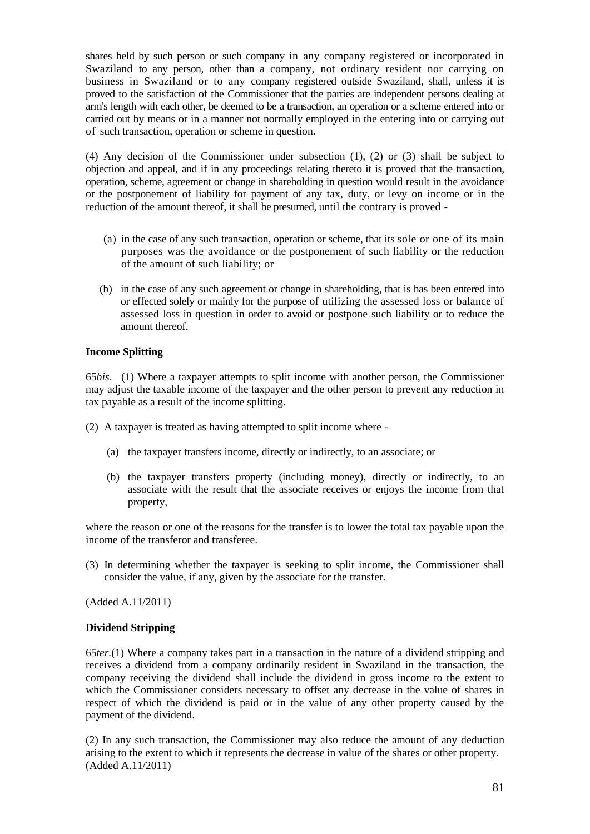shares held by such person or such company in any company registered or incorporated in Swaziland to any person, other than a company, not ordinary resident nor carrying on business in Swaziland or to any company registered outside Swaziland, shall, unless it is proved to the satisfaction of the Commissioner that the parties are independent persons dealing at arm's length with each other, be deemed to be a transaction, an operation or a scheme entered into or carried out by means or in a manner not normally employed in the entering into or carrying out of such transaction, operation or scheme in question.

(4) Any decision of the Commissioner under subsection (1), (2) or (3) shall be subject to objection and appeal, and if in any proceedings relating thereto it is proved that the transaction, operation, scheme, agreement or change in shareholding in question would result in the avoidance or the postponement of liability for payment of any tax, duty, or levy on income or in the reduction of the amount thereof, it shall be presumed, until the contrary is proved -

- (a) in the case of any such transaction, operation or scheme, that its sole or one of its main purposes was the avoidance or the postponement of such liability or the reduction of the amount of such liability; or
- (b) in the case of any such agreement or change in shareholding, that is has been entered into or effected solely or mainly for the purpose of utilizing the assessed loss or balance of assessed loss in question in order to avoid or postpone such liability or to reduce the amount thereof.

# **Income Splitting**

65*bis*. (1) Where a taxpayer attempts to split income with another person, the Commissioner may adjust the taxable income of the taxpayer and the other person to prevent any reduction in tax payable as a result of the income splitting.

- (2) A taxpayer is treated as having attempted to split income where
	- (a) the taxpayer transfers income, directly or indirectly, to an associate; or
	- (b) the taxpayer transfers property (including money), directly or indirectly, to an associate with the result that the associate receives or enjoys the income from that property,

where the reason or one of the reasons for the transfer is to lower the total tax payable upon the income of the transferor and transferee.

(3) In determining whether the taxpayer is seeking to split income, the Commissioner shall consider the value, if any, given by the associate for the transfer.

(Added A.11/2011)

### **Dividend Stripping**

65*ter.*(1) Where a company takes part in a transaction in the nature of a dividend stripping and receives a dividend from a company ordinarily resident in Swaziland in the transaction, the company receiving the dividend shall include the dividend in gross income to the extent to which the Commissioner considers necessary to offset any decrease in the value of shares in respect of which the dividend is paid or in the value of any other property caused by the payment of the dividend.

(2) In any such transaction, the Commissioner may also reduce the amount of any deduction arising to the extent to which it represents the decrease in value of the shares or other property. (Added A.11/2011)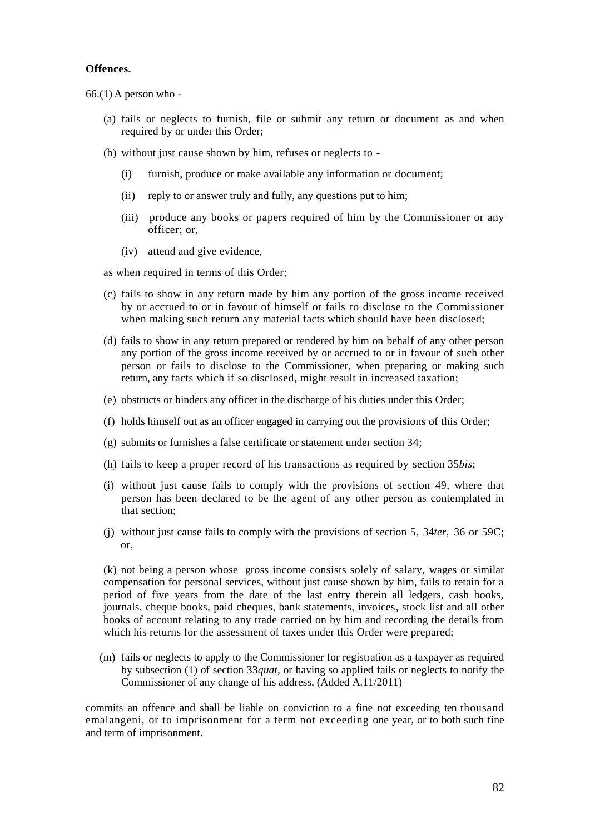#### **Offences.**

66.(1) A person who -

- (a) fails or neglects to furnish, file or submit any return or document as and when required by or under this Order;
- (b) without just cause shown by him, refuses or neglects to
	- (i) furnish, produce or make available any information or document;
	- (ii) reply to or answer truly and fully, any questions put to him;
	- (iii) produce any books or papers required of him by the Commissioner or any officer; or,
	- (iv) attend and give evidence,

as when required in terms of this Order;

- (c) fails to show in any return made by him any portion of the gross income received by or accrued to or in favour of himself or fails to disclose to the Commissioner when making such return any material facts which should have been disclosed;
- (d) fails to show in any return prepared or rendered by him on behalf of any other person any portion of the gross income received by or accrued to or in favour of such other person or fails to disclose to the Commissioner, when preparing or making such return, any facts which if so disclosed, might result in increased taxation;
- (e) obstructs or hinders any officer in the discharge of his duties under this Order;
- (f) holds himself out as an officer engaged in carrying out the provisions of this Order;
- (g) submits or furnishes a false certificate or statement under section 34;
- (h) fails to keep a proper record of his transactions as required by section 35*bis*;
- (i) without just cause fails to comply with the provisions of section 49, where that person has been declared to be the agent of any other person as contemplated in that section;
- (j) without just cause fails to comply with the provisions of section 5, 34*ter,* 36 or 59C; or,

(k) not being a person whose gross income consists solely of salary, wages or similar compensation for personal services, without just cause shown by him, fails to retain for a period of five years from the date of the last entry therein all ledgers, cash books, journals, cheque books, paid cheques, bank statements, invoices, stock list and all other books of account relating to any trade carried on by him and recording the details from which his returns for the assessment of taxes under this Order were prepared;

(m) fails or neglects to apply to the Commissioner for registration as a taxpayer as required by subsection (1) of section 33*quat*, or having so applied fails or neglects to notify the Commissioner of any change of his address, (Added A.11/2011)

commits an offence and shall be liable on conviction to a fine not exceeding ten thousand emalangeni, or to imprisonment for a term not exceeding one year, or to both such fine and term of imprisonment.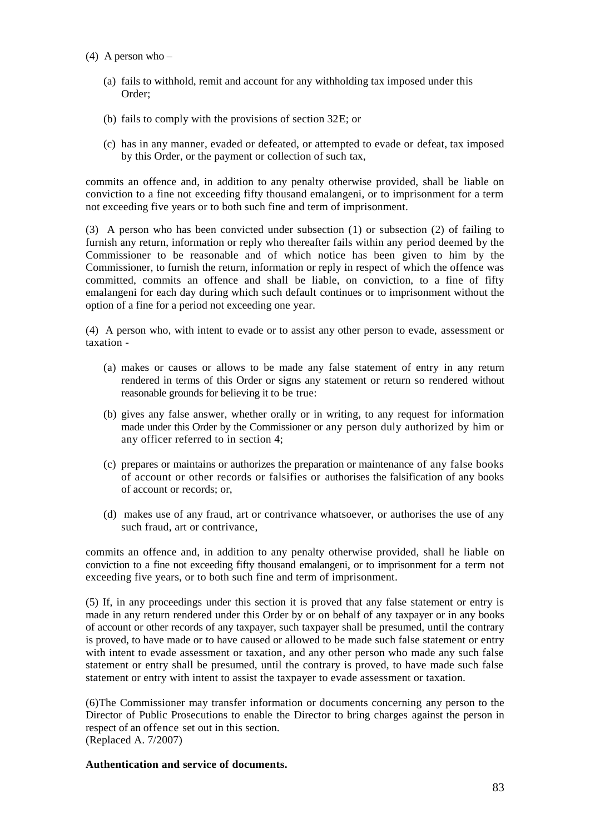- (4) A person who
	- (a) fails to withhold, remit and account for any withholding tax imposed under this Order;
	- (b) fails to comply with the provisions of section 32E; or
	- (c) has in any manner, evaded or defeated, or attempted to evade or defeat, tax imposed by this Order, or the payment or collection of such tax,

commits an offence and, in addition to any penalty otherwise provided, shall be liable on conviction to a fine not exceeding fifty thousand emalangeni, or to imprisonment for a term not exceeding five years or to both such fine and term of imprisonment.

(3) A person who has been convicted under subsection (1) or subsection (2) of failing to furnish any return, information or reply who thereafter fails within any period deemed by the Commissioner to be reasonable and of which notice has been given to him by the Commissioner, to furnish the return, information or reply in respect of which the offence was committed, commits an offence and shall be liable, on conviction, to a fine of fifty emalangeni for each day during which such default continues or to imprisonment without the option of a fine for a period not exceeding one year.

(4) A person who, with intent to evade or to assist any other person to evade, assessment or taxation -

- (a) makes or causes or allows to be made any false statement of entry in any return rendered in terms of this Order or signs any statement or return so rendered without reasonable grounds for believing it to be true:
- (b) gives any false answer, whether orally or in writing, to any request for information made under this Order by the Commissioner or any person duly authorized by him or any officer referred to in section 4;
- (c) prepares or maintains or authorizes the preparation or maintenance of any false books of account or other records or falsifies or authorises the falsification of any books of account or records; or,
- (d) makes use of any fraud, art or contrivance whatsoever, or authorises the use of any such fraud, art or contrivance,

commits an offence and, in addition to any penalty otherwise provided, shall he liable on conviction to a fine not exceeding fifty thousand emalangeni, or to imprisonment for a term not exceeding five years, or to both such fine and term of imprisonment.

(5) If, in any proceedings under this section it is proved that any false statement or entry is made in any return rendered under this Order by or on behalf of any taxpayer or in any books of account or other records of any taxpayer, such taxpayer shall be presumed, until the contrary is proved, to have made or to have caused or allowed to be made such false statement or entry with intent to evade assessment or taxation, and any other person who made any such false statement or entry shall be presumed, until the contrary is proved, to have made such false statement or entry with intent to assist the taxpayer to evade assessment or taxation.

(6)The Commissioner may transfer information or documents concerning any person to the Director of Public Prosecutions to enable the Director to bring charges against the person in respect of an offence set out in this section. (Replaced A. 7/2007)

### **Authentication and service of documents.**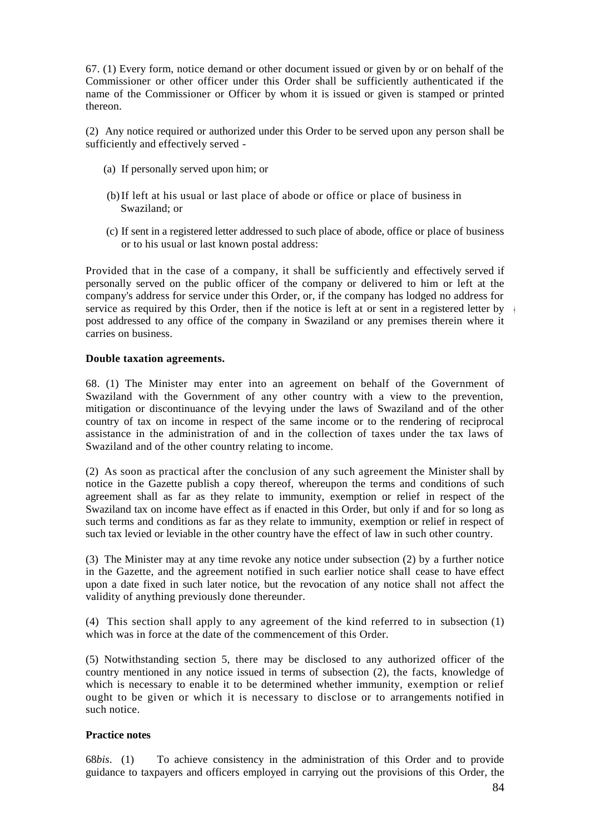67. (1) Every form, notice demand or other document issued or given by or on behalf of the Commissioner or other officer under this Order shall be sufficiently authenticated if the name of the Commissioner or Officer by whom it is issued or given is stamped or printed thereon.

(2) Any notice required or authorized under this Order to be served upon any person shall be sufficiently and effectively served -

- (a) If personally served upon him; or
- (b)If left at his usual or last place of abode or office or place of business in Swaziland; or
- (c) If sent in a registered letter addressed to such place of abode, office or place of business or to his usual or last known postal address:

Provided that in the case of a company, it shall be sufficiently and effectively served if personally served on the public officer of the company or delivered to him or left at the company's address for service under this Order, or, if the company has lodged no address for service as required by this Order, then if the notice is left at or sent in a registered letter by  $\frac{1}{2}$ post addressed to any office of the company in Swaziland or any premises therein where it carries on business.

### **Double taxation agreements.**

68. (1) The Minister may enter into an agreement on behalf of the Government of Swaziland with the Government of any other country with a view to the prevention, mitigation or discontinuance of the levying under the laws of Swaziland and of the other country of tax on income in respect of the same income or to the rendering of reciprocal assistance in the administration of and in the collection of taxes under the tax laws of Swaziland and of the other country relating to income.

(2) As soon as practical after the conclusion of any such agreement the Minister shall by notice in the Gazette publish a copy thereof, whereupon the terms and conditions of such agreement shall as far as they relate to immunity, exemption or relief in respect of the Swaziland tax on income have effect as if enacted in this Order, but only if and for so long as such terms and conditions as far as they relate to immunity, exemption or relief in respect of such tax levied or leviable in the other country have the effect of law in such other country.

(3) The Minister may at any time revoke any notice under subsection (2) by a further notice in the Gazette, and the agreement notified in such earlier notice shall cease to have effect upon a date fixed in such later notice, but the revocation of any notice shall not affect the validity of anything previously done thereunder.

(4) This section shall apply to any agreement of the kind referred to in subsection (1) which was in force at the date of the commencement of this Order.

(5) Notwithstanding section 5, there may be disclosed to any authorized officer of the country mentioned in any notice issued in terms of subsection (2), the facts, knowledge of which is necessary to enable it to be determined whether immunity, exemption or relief ought to be given or which it is necessary to disclose or to arrangements notified in such notice.

### **Practice notes**

68*bis*. (1) To achieve consistency in the administration of this Order and to provide guidance to taxpayers and officers employed in carrying out the provisions of this Order, the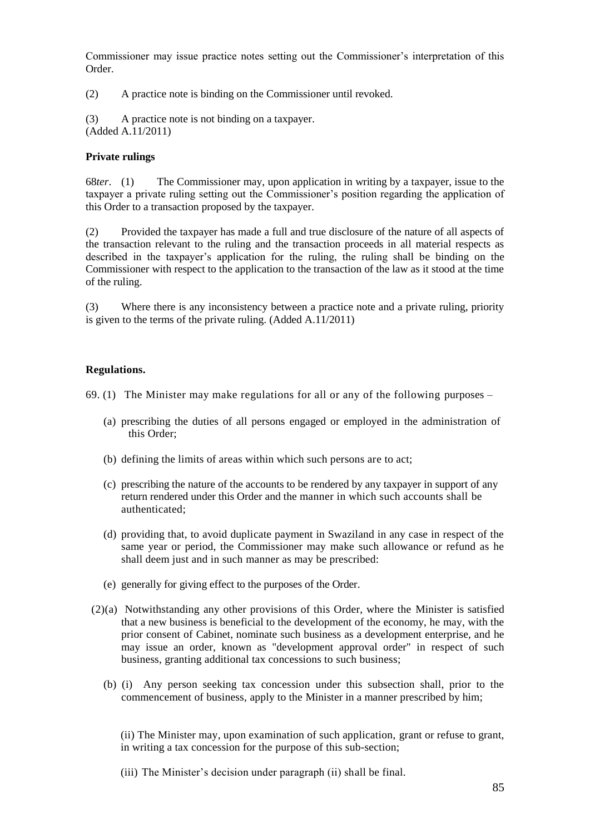Commissioner may issue practice notes setting out the Commissioner's interpretation of this Order.

(2) A practice note is binding on the Commissioner until revoked.

(3) A practice note is not binding on a taxpayer. (Added A.11/2011)

# **Private rulings**

68*ter*. (1) The Commissioner may, upon application in writing by a taxpayer, issue to the taxpayer a private ruling setting out the Commissioner's position regarding the application of this Order to a transaction proposed by the taxpayer.

(2) Provided the taxpayer has made a full and true disclosure of the nature of all aspects of the transaction relevant to the ruling and the transaction proceeds in all material respects as described in the taxpayer's application for the ruling, the ruling shall be binding on the Commissioner with respect to the application to the transaction of the law as it stood at the time of the ruling.

(3) Where there is any inconsistency between a practice note and a private ruling, priority is given to the terms of the private ruling. (Added A.11/2011)

# **Regulations.**

69. (1) The Minister may make regulations for all or any of the following purposes –

- (a) prescribing the duties of all persons engaged or employed in the administration of this Order;
- (b) defining the limits of areas within which such persons are to act;
- (c) prescribing the nature of the accounts to be rendered by any taxpayer in support of any return rendered under this Order and the manner in which such accounts shall be authenticated;
- (d) providing that, to avoid duplicate payment in Swaziland in any case in respect of the same year or period, the Commissioner may make such allowance or refund as he shall deem just and in such manner as may be prescribed:
- (e) generally for giving effect to the purposes of the Order.
- (2)(a) Notwithstanding any other provisions of this Order, where the Minister is satisfied that a new business is beneficial to the development of the economy, he may, with the prior consent of Cabinet, nominate such business as a development enterprise, and he may issue an order, known as "development approval order" in respect of such business, granting additional tax concessions to such business;
	- (b) (i) Any person seeking tax concession under this subsection shall, prior to the commencement of business, apply to the Minister in a manner prescribed by him;

(ii) The Minister may, upon examination of such application, grant or refuse to grant, in writing a tax concession for the purpose of this sub-section;

(iii) The Minister's decision under paragraph (ii) shall be final.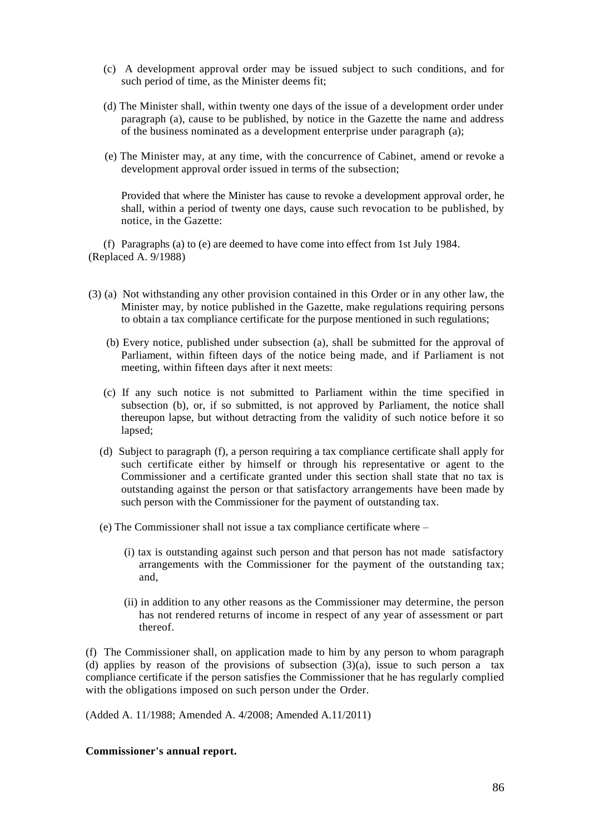- (c) A development approval order may be issued subject to such conditions, and for such period of time, as the Minister deems fit;
- (d) The Minister shall, within twenty one days of the issue of a development order under paragraph (a), cause to be published, by notice in the Gazette the name and address of the business nominated as a development enterprise under paragraph (a);
- (e) The Minister may, at any time, with the concurrence of Cabinet, amend or revoke a development approval order issued in terms of the subsection;

Provided that where the Minister has cause to revoke a development approval order, he shall, within a period of twenty one days, cause such revocation to be published, by notice, in the Gazette:

(f) Paragraphs (a) to (e) are deemed to have come into effect from 1st July 1984. (Replaced A. 9/1988)

- (3) (a) Not withstanding any other provision contained in this Order or in any other law, the Minister may, by notice published in the Gazette, make regulations requiring persons to obtain a tax compliance certificate for the purpose mentioned in such regulations;
	- (b) Every notice, published under subsection (a), shall be submitted for the approval of Parliament, within fifteen days of the notice being made, and if Parliament is not meeting, within fifteen days after it next meets:
	- (c) If any such notice is not submitted to Parliament within the time specified in subsection (b), or, if so submitted, is not approved by Parliament, the notice shall thereupon lapse, but without detracting from the validity of such notice before it so lapsed;
	- (d) Subject to paragraph (f), a person requiring a tax compliance certificate shall apply for such certificate either by himself or through his representative or agent to the Commissioner and a certificate granted under this section shall state that no tax is outstanding against the person or that satisfactory arrangements have been made by such person with the Commissioner for the payment of outstanding tax.
	- (e) The Commissioner shall not issue a tax compliance certificate where
		- (i) tax is outstanding against such person and that person has not made satisfactory arrangements with the Commissioner for the payment of the outstanding tax; and,
		- (ii) in addition to any other reasons as the Commissioner may determine, the person has not rendered returns of income in respect of any year of assessment or part thereof.

(f) The Commissioner shall, on application made to him by any person to whom paragraph (d) applies by reason of the provisions of subsection  $(3)(a)$ , issue to such person a tax compliance certificate if the person satisfies the Commissioner that he has regularly complied with the obligations imposed on such person under the Order.

(Added A. 11/1988; Amended A. 4/2008; Amended A.11/2011)

#### **Commissioner's annual report.**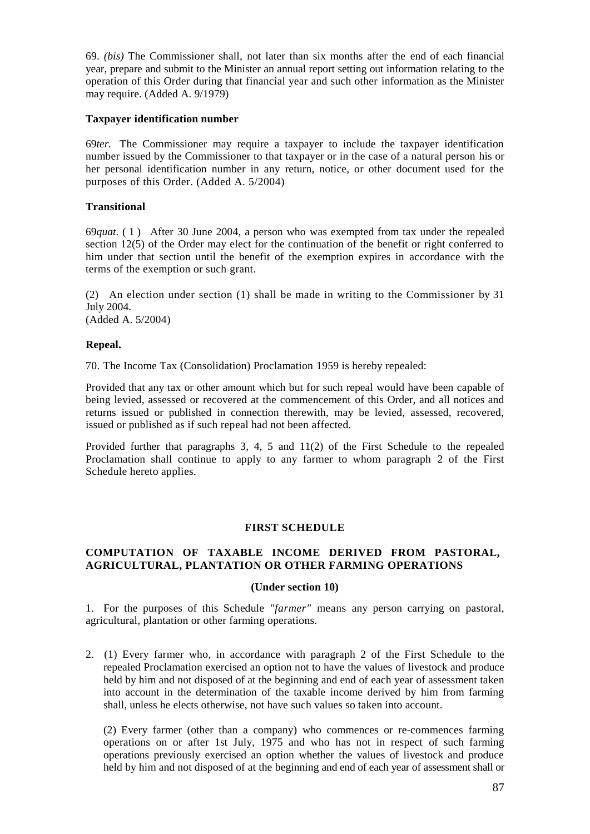69. *(bis)* The Commissioner shall, not later than six months after the end of each financial year, prepare and submit to the Minister an annual report setting out information relating to the operation of this Order during that financial year and such other information as the Minister may require. (Added A. 9/1979)

## **Taxpayer identification number**

69*ter.* The Commissioner may require a taxpayer to include the taxpayer identification number issued by the Commissioner to that taxpayer or in the case of a natural person his or her personal identification number in any return, notice, or other document used for the purposes of this Order. (Added A. 5/2004)

# **Transitional**

69*quat.* ( 1 ) After 30 June 2004, a person who was exempted from tax under the repealed section 12(5) of the Order may elect for the continuation of the benefit or right conferred to him under that section until the benefit of the exemption expires in accordance with the terms of the exemption or such grant.

(2) An election under section (1) shall be made in writing to the Commissioner by 31 July 2004.

(Added A. 5/2004)

### **Repeal.**

70. The Income Tax (Consolidation) Proclamation 1959 is hereby repealed:

Provided that any tax or other amount which but for such repeal would have been capable of being levied, assessed or recovered at the commencement of this Order, and all notices and returns issued or published in connection therewith, may be levied, assessed, recovered, issued or published as if such repeal had not been affected.

Provided further that paragraphs 3, 4, 5 and 11(2) of the First Schedule to the repealed Proclamation shall continue to apply to any farmer to whom paragraph 2 of the First Schedule hereto applies.

### **FIRST SCHEDULE**

# **COMPUTATION OF TAXABLE INCOME DERIVED FROM PASTORAL, AGRICULTURAL, PLANTATION OR OTHER FARMING OPERATIONS**

### **(Under section 10)**

1. For the purposes of this Schedule *"farmer"* means any person carrying on pastoral, agricultural, plantation or other farming operations.

2. (1) Every farmer who, in accordance with paragraph 2 of the First Schedule to the repealed Proclamation exercised an option not to have the values of livestock and produce held by him and not disposed of at the beginning and end of each year of assessment taken into account in the determination of the taxable income derived by him from farming shall, unless he elects otherwise, not have such values so taken into account.

(2) Every farmer (other than a company) who commences or re-commences farming operations on or after 1st July, 1975 and who has not in respect of such farming operations previously exercised an option whether the values of livestock and produce held by him and not disposed of at the beginning and end of each year of assessment shall or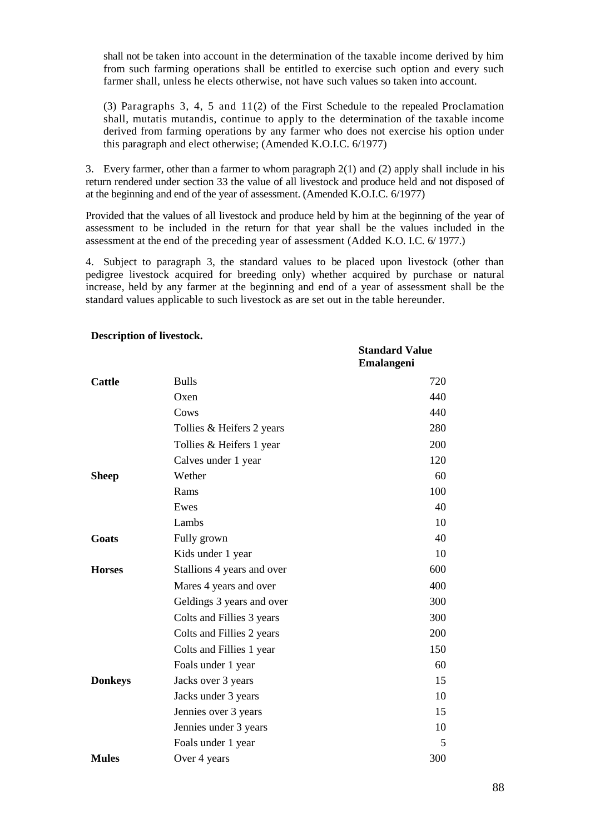shall not be taken into account in the determination of the taxable income derived by him from such farming operations shall be entitled to exercise such option and every such farmer shall, unless he elects otherwise, not have such values so taken into account.

(3) Paragraphs 3, 4, 5 and 11(2) of the First Schedule to the repealed Proclamation shall, mutatis mutandis, continue to apply to the determination of the taxable income derived from farming operations by any farmer who does not exercise his option under this paragraph and elect otherwise; (Amended K.O.I.C. 6/1977)

3. Every farmer, other than a farmer to whom paragraph 2(1) and (2) apply shall include in his return rendered under section 33 the value of all livestock and produce held and not disposed of at the beginning and end of the year of assessment. (Amended K.O.I.C. 6/1977)

Provided that the values of all livestock and produce held by him at the beginning of the year of assessment to be included in the return for that year shall be the values included in the assessment at the end of the preceding year of assessment (Added K.O. I.C. 6/ 1977.)

4. Subject to paragraph 3, the standard values to be placed upon livestock (other than pedigree livestock acquired for breeding only) whether acquired by purchase or natural increase, held by any farmer at the beginning and end of a year of assessment shall be the standard values applicable to such livestock as are set out in the table hereunder.

|                |                            | <b>Standard Value</b><br>Emalangeni |
|----------------|----------------------------|-------------------------------------|
| <b>Cattle</b>  | <b>Bulls</b>               | 720                                 |
|                | Oxen                       | 440                                 |
|                | Cows                       | 440                                 |
|                | Tollies & Heifers 2 years  | 280                                 |
|                | Tollies & Heifers 1 year   | 200                                 |
|                | Calves under 1 year        | 120                                 |
| <b>Sheep</b>   | Wether                     | 60                                  |
|                | Rams                       | 100                                 |
|                | Ewes                       | 40                                  |
|                | Lambs                      | 10                                  |
| Goats          | Fully grown                | 40                                  |
|                | Kids under 1 year          | 10                                  |
| <b>Horses</b>  | Stallions 4 years and over | 600                                 |
|                | Mares 4 years and over     | 400                                 |
|                | Geldings 3 years and over  | 300                                 |
|                | Colts and Fillies 3 years  | 300                                 |
|                | Colts and Fillies 2 years  | 200                                 |
|                | Colts and Fillies 1 year   | 150                                 |
|                | Foals under 1 year         | 60                                  |
| <b>Donkeys</b> | Jacks over 3 years         | 15                                  |
|                | Jacks under 3 years        | 10                                  |
|                | Jennies over 3 years       | 15                                  |
|                | Jennies under 3 years      | 10                                  |
|                | Foals under 1 year         | 5                                   |
| <b>Mules</b>   | Over 4 years               | 300                                 |

#### **Description of livestock.**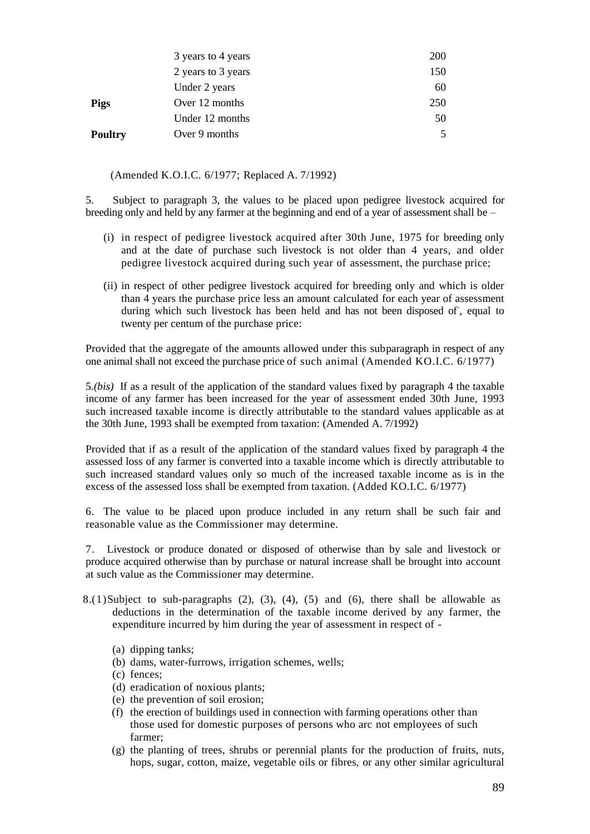|                | 3 years to 4 years | <b>200</b> |
|----------------|--------------------|------------|
|                | 2 years to 3 years | 150        |
|                | Under 2 years      | 60         |
| <b>Pigs</b>    | Over 12 months     | 250        |
|                | Under 12 months    | 50         |
| <b>Poultry</b> | Over 9 months      | 5          |

(Amended [K.O.I.C. 6/1977;](http://k.o.i.c.6/1977;) Replaced A. 7/1992)

5. Subject to paragraph 3, the values to be placed upon pedigree livestock acquired for breeding only and held by any farmer at the beginning and end of a year of assessment shall be –

- (i) in respect of pedigree livestock acquired after 30th June, 1975 for breeding only and at the date of purchase such livestock is not older than 4 years, and older pedigree livestock acquired during such year of assessment, the purchase price;
- (ii) in respect of other pedigree livestock acquired for breeding only and which is older than 4 years the purchase price less an amount calculated for each year of assessment during which such livestock has been held and has not been disposed of, equal to twenty per centum of the purchase price:

Provided that the aggregate of the amounts allowed under this subparagraph in respect of any one animal shall not exceed the purchase price of such animal (Amended KO.I.C. 6/1977)

5.*(bis)* If as a result of the application of the standard values fixed by paragraph 4 the taxable income of any farmer has been increased for the year of assessment ended 30th June, 1993 such increased taxable income is directly attributable to the standard values applicable as at the 30th June, 1993 shall be exempted from taxation: (Amended A. 7/1992)

Provided that if as a result of the application of the standard values fixed by paragraph 4 the assessed loss of any farmer is converted into a taxable income which is directly attributable to such increased standard values only so much of the increased taxable income as is in the excess of the assessed loss shall be exempted from taxation. (Added KO.I.C. 6/1977)

6. The value to be placed upon produce included in any return shall be such fair and reasonable value as the Commissioner may determine.

7. Livestock or produce donated or disposed of otherwise than by sale and livestock or produce acquired otherwise than by purchase or natural increase shall be brought into account at such value as the Commissioner may determine.

- 8.(1)Subject to sub-paragraphs  $(2)$ ,  $(3)$ ,  $(4)$ ,  $(5)$  and  $(6)$ , there shall be allowable as deductions in the determination of the taxable income derived by any farmer, the expenditure incurred by him during the year of assessment in respect of -
	- (a) dipping tanks;
	- (b) dams, water-furrows, irrigation schemes, wells;
	- (c) fences;
	- (d) eradication of noxious plants;
	- (e) the prevention of soil erosion;
	- (f) the erection of buildings used in connection with farming operations other than those used for domestic purposes of persons who arc not employees of such farmer;
	- (g) the planting of trees, shrubs or perennial plants for the production of fruits, nuts, hops, sugar, cotton, maize, vegetable oils or fibres, or any other similar agricultural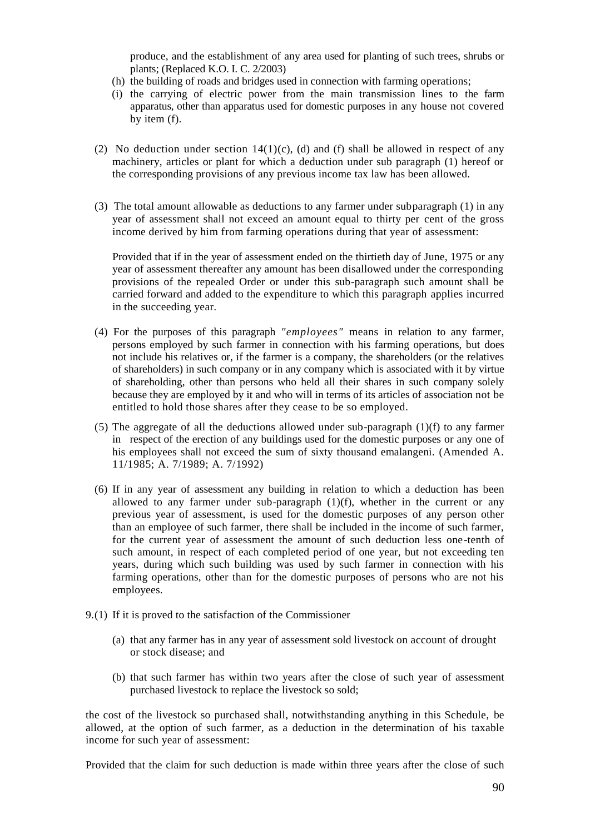produce, and the establishment of any area used for planting of such trees, shrubs or plants; (Replaced K.O. I. C. 2/2003)

- (h) the building of roads and bridges used in connection with farming operations;
- (i) the carrying of electric power from the main transmission lines to the farm apparatus, other than apparatus used for domestic purposes in any house not covered by item (f).
- (2) No deduction under section  $14(1)(c)$ , (d) and (f) shall be allowed in respect of any machinery, articles or plant for which a deduction under sub paragraph (1) hereof or the corresponding provisions of any previous income tax law has been allowed.
- (3) The total amount allowable as deductions to any farmer under subparagraph (1) in any year of assessment shall not exceed an amount equal to thirty per cent of the gross income derived by him from farming operations during that year of assessment:

Provided that if in the year of assessment ended on the thirtieth day of June, 1975 or any year of assessment thereafter any amount has been disallowed under the corresponding provisions of the repealed Order or under this sub-paragraph such amount shall be carried forward and added to the expenditure to which this paragraph applies incurred in the succeeding year.

- (4) For the purposes of this paragraph *"employees"* means in relation to any farmer, persons employed by such farmer in connection with his farming operations, but does not include his relatives or, if the farmer is a company, the shareholders (or the relatives of shareholders) in such company or in any company which is associated with it by virtue of shareholding, other than persons who held all their shares in such company solely because they are employed by it and who will in terms of its articles of association not be entitled to hold those shares after they cease to be so employed.
- (5) The aggregate of all the deductions allowed under sub-paragraph (1)(f) to any farmer in respect of the erection of any buildings used for the domestic purposes or any one of his employees shall not exceed the sum of sixty thousand emalangeni. (Amended A. 11/1985; A. 7/1989; A. 7/1992)
- (6) If in any year of assessment any building in relation to which a deduction has been allowed to any farmer under sub-paragraph  $(1)(f)$ , whether in the current or any previous year of assessment, is used for the domestic purposes of any person other than an employee of such farmer, there shall be included in the income of such farmer, for the current year of assessment the amount of such deduction less one-tenth of such amount, in respect of each completed period of one year, but not exceeding ten years, during which such building was used by such farmer in connection with his farming operations, other than for the domestic purposes of persons who are not his employees.
- 9.(1) If it is proved to the satisfaction of the Commissioner
	- (a) that any farmer has in any year of assessment sold livestock on account of drought or stock disease; and
	- (b) that such farmer has within two years after the close of such year of assessment purchased livestock to replace the livestock so sold;

the cost of the livestock so purchased shall, notwithstanding anything in this Schedule, be allowed, at the option of such farmer, as a deduction in the determination of his taxable income for such year of assessment:

Provided that the claim for such deduction is made within three years after the close of such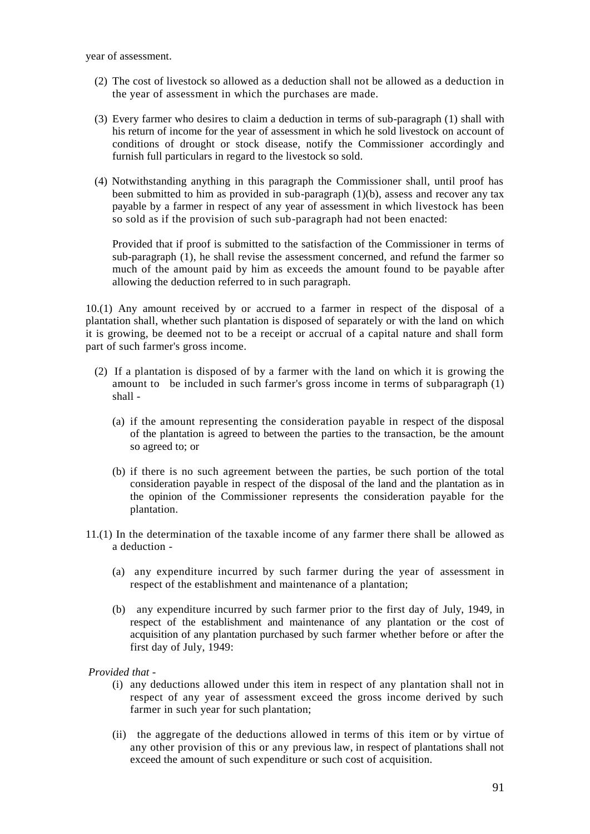year of assessment.

- (2) The cost of livestock so allowed as a deduction shall not be allowed as a deduction in the year of assessment in which the purchases are made.
- (3) Every farmer who desires to claim a deduction in terms of sub-paragraph (1) shall with his return of income for the year of assessment in which he sold livestock on account of conditions of drought or stock disease, notify the Commissioner accordingly and furnish full particulars in regard to the livestock so sold.
- (4) Notwithstanding anything in this paragraph the Commissioner shall, until proof has been submitted to him as provided in sub-paragraph  $(1)(b)$ , assess and recover any tax payable by a farmer in respect of any year of assessment in which livestock has been so sold as if the provision of such sub-paragraph had not been enacted:

Provided that if proof is submitted to the satisfaction of the Commissioner in terms of sub-paragraph (1), he shall revise the assessment concerned, and refund the farmer so much of the amount paid by him as exceeds the amount found to be payable after allowing the deduction referred to in such paragraph.

10.(1) Any amount received by or accrued to a farmer in respect of the disposal of a plantation shall, whether such plantation is disposed of separately or with the land on which it is growing, be deemed not to be a receipt or accrual of a capital nature and shall form part of such farmer's gross income.

- (2) If a plantation is disposed of by a farmer with the land on which it is growing the amount to be included in such farmer's gross income in terms of subparagraph (1) shall -
	- (a) if the amount representing the consideration payable in respect of the disposal of the plantation is agreed to between the parties to the transaction, be the amount so agreed to; or
	- (b) if there is no such agreement between the parties, be such portion of the total consideration payable in respect of the disposal of the land and the plantation as in the opinion of the Commissioner represents the consideration payable for the plantation.
- 11.(1) In the determination of the taxable income of any farmer there shall be allowed as a deduction -
	- (a) any expenditure incurred by such farmer during the year of assessment in respect of the establishment and maintenance of a plantation;
	- (b) any expenditure incurred by such farmer prior to the first day of July, 1949, in respect of the establishment and maintenance of any plantation or the cost of acquisition of any plantation purchased by such farmer whether before or after the first day of July, 1949:

*Provided that -*

- (i) any deductions allowed under this item in respect of any plantation shall not in respect of any year of assessment exceed the gross income derived by such farmer in such year for such plantation;
- (ii) the aggregate of the deductions allowed in terms of this item or by virtue of any other provision of this or any previous law, in respect of plantations shall not exceed the amount of such expenditure or such cost of acquisition.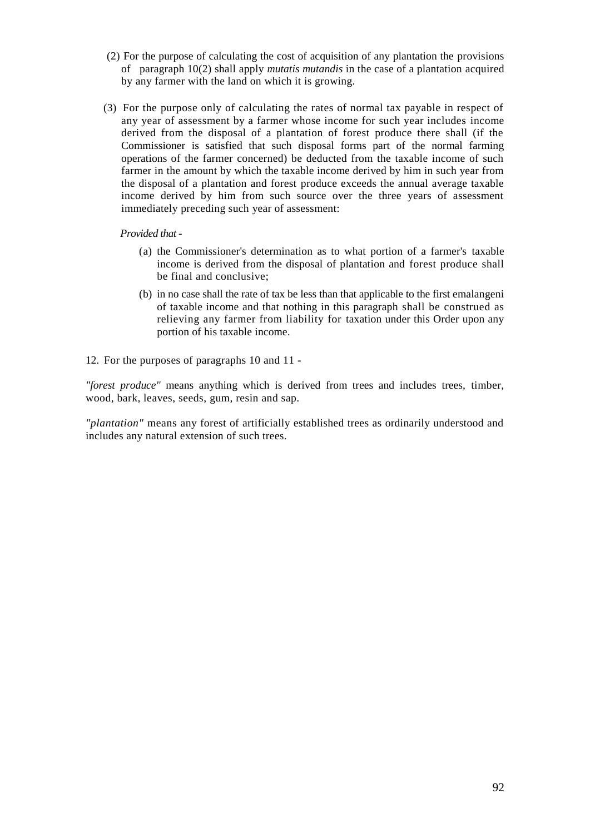- (2) For the purpose of calculating the cost of acquisition of any plantation the provisions of paragraph 10(2) shall apply *mutatis mutandis* in the case of a plantation acquired by any farmer with the land on which it is growing.
- (3) For the purpose only of calculating the rates of normal tax payable in respect of any year of assessment by a farmer whose income for such year includes income derived from the disposal of a plantation of forest produce there shall (if the Commissioner is satisfied that such disposal forms part of the normal farming operations of the farmer concerned) be deducted from the taxable income of such farmer in the amount by which the taxable income derived by him in such year from the disposal of a plantation and forest produce exceeds the annual average taxable income derived by him from such source over the three years of assessment immediately preceding such year of assessment:

### *Provided that -*

- (a) the Commissioner's determination as to what portion of a farmer's taxable income is derived from the disposal of plantation and forest produce shall be final and conclusive;
- (b) in no case shall the rate of tax be less than that applicable to the first emalangeni of taxable income and that nothing in this paragraph shall be construed as relieving any farmer from liability for taxation under this Order upon any portion of his taxable income.
- 12. For the purposes of paragraphs 10 and 11 **-**

*"forest produce"* means anything which is derived from trees and includes trees, timber, wood, bark, leaves, seeds, gum, resin and sap.

*"plantation"* means any forest of artificially established trees as ordinarily understood and includes any natural extension of such trees.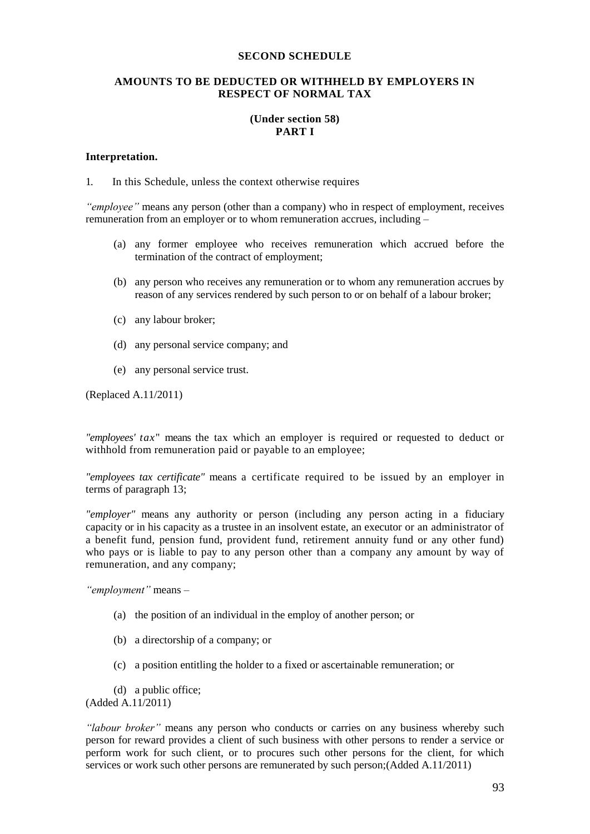#### **SECOND SCHEDULE**

### **AMOUNTS TO BE DEDUCTED OR WITHHELD BY EMPLOYERS IN RESPECT OF NORMAL TAX**

# **(Under section 58) PART I**

#### **Interpretation.**

1. In this Schedule, unless the context otherwise requires

*"employee"* means any person (other than a company) who in respect of employment, receives remuneration from an employer or to whom remuneration accrues, including –

- (a) any former employee who receives remuneration which accrued before the termination of the contract of employment;
- (b) any person who receives any remuneration or to whom any remuneration accrues by reason of any services rendered by such person to or on behalf of a labour broker;
- (c) any labour broker;
- (d) any personal service company; and
- (e) any personal service trust.

(Replaced A.11/2011)

*"employees' tax*" means the tax which an employer is required or requested to deduct or withhold from remuneration paid or payable to an employee;

*"employees tax certificate"* means a certificate required to be issued by an employer in terms of paragraph 13;

*"employer"* means any authority or person (including any person acting in a fiduciary capacity or in his capacity as a trustee in an insolvent estate, an executor or an administrator of a benefit fund, pension fund, provident fund, retirement annuity fund or any other fund) who pays or is liable to pay to any person other than a company any amount by way of remuneration, and any company;

*"employment"* means –

- (a) the position of an individual in the employ of another person; or
- (b) a directorship of a company; or
- (c) a position entitling the holder to a fixed or ascertainable remuneration; or
- (d) a public office;

(Added A.11/2011)

*"labour broker"* means any person who conducts or carries on any business whereby such person for reward provides a client of such business with other persons to render a service or perform work for such client, or to procures such other persons for the client, for which services or work such other persons are remunerated by such person;(Added A.11/2011)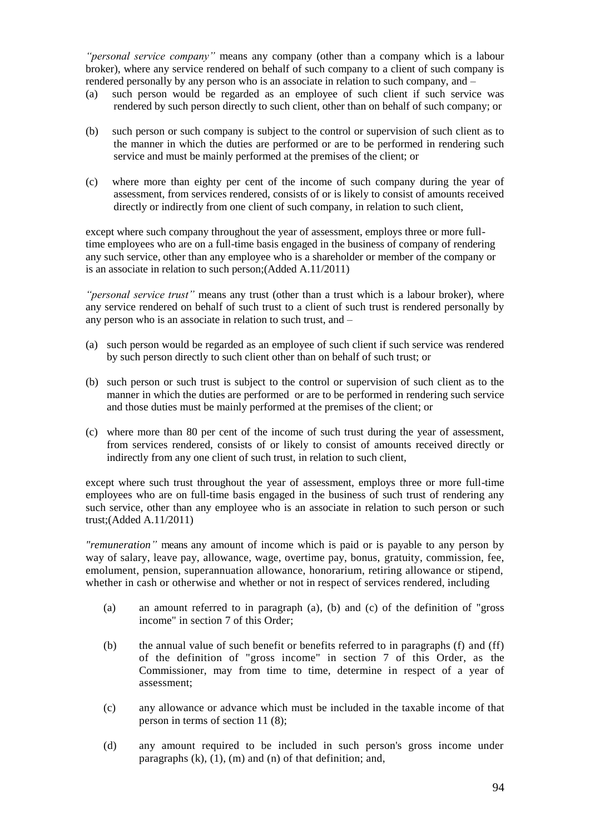*"personal service company"* means any company (other than a company which is a labour broker), where any service rendered on behalf of such company to a client of such company is rendered personally by any person who is an associate in relation to such company, and –

- (a) such person would be regarded as an employee of such client if such service was rendered by such person directly to such client, other than on behalf of such company; or
- (b) such person or such company is subject to the control or supervision of such client as to the manner in which the duties are performed or are to be performed in rendering such service and must be mainly performed at the premises of the client; or
- (c) where more than eighty per cent of the income of such company during the year of assessment, from services rendered, consists of or is likely to consist of amounts received directly or indirectly from one client of such company, in relation to such client,

except where such company throughout the year of assessment, employs three or more fulltime employees who are on a full-time basis engaged in the business of company of rendering any such service, other than any employee who is a shareholder or member of the company or is an associate in relation to such person;(Added A.11/2011)

*"personal service trust"* means any trust (other than a trust which is a labour broker), where any service rendered on behalf of such trust to a client of such trust is rendered personally by any person who is an associate in relation to such trust, and –

- (a) such person would be regarded as an employee of such client if such service was rendered by such person directly to such client other than on behalf of such trust; or
- (b) such person or such trust is subject to the control or supervision of such client as to the manner in which the duties are performed or are to be performed in rendering such service and those duties must be mainly performed at the premises of the client; or
- (c) where more than 80 per cent of the income of such trust during the year of assessment, from services rendered, consists of or likely to consist of amounts received directly or indirectly from any one client of such trust, in relation to such client,

except where such trust throughout the year of assessment, employs three or more full-time employees who are on full-time basis engaged in the business of such trust of rendering any such service, other than any employee who is an associate in relation to such person or such trust;(Added A.11/2011)

*"remuneration"* means any amount of income which is paid or is payable to any person by way of salary, leave pay, allowance, wage, overtime pay, bonus, gratuity, commission, fee, emolument, pension, superannuation allowance, honorarium, retiring allowance or stipend, whether in cash or otherwise and whether or not in respect of services rendered, including

- (a) an amount referred to in paragraph (a), (b) and (c) of the definition of "gross income" in section 7 of this Order;
- (b) the annual value of such benefit or benefits referred to in paragraphs (f) and (ff) of the definition of "gross income" in section 7 of this Order, as the Commissioner, may from time to time, determine in respect of a year of assessment;
- (c) any allowance or advance which must be included in the taxable income of that person in terms of section 11 (8);
- (d) any amount required to be included in such person's gross income under paragraphs  $(k)$ ,  $(1)$ ,  $(m)$  and  $(n)$  of that definition; and,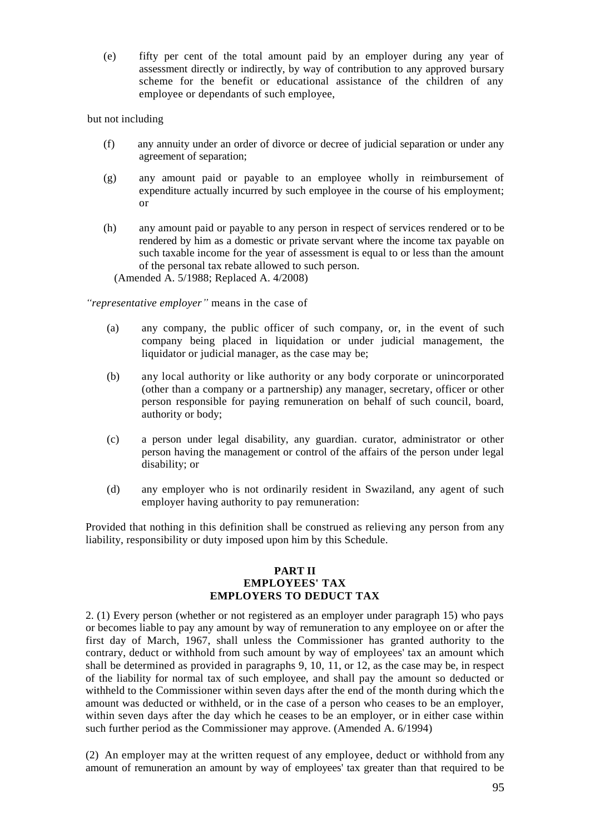(e) fifty per cent of the total amount paid by an employer during any year of assessment directly or indirectly, by way of contribution to any approved bursary scheme for the benefit or educational assistance of the children of any employee or dependants of such employee,

## but not including

- (f) any annuity under an order of divorce or decree of judicial separation or under any agreement of separation;
- (g) any amount paid or payable to an employee wholly in reimbursement of expenditure actually incurred by such employee in the course of his employment; or
- (h) any amount paid or payable to any person in respect of services rendered or to be rendered by him as a domestic or private servant where the income tax payable on such taxable income for the year of assessment is equal to or less than the amount of the personal tax rebate allowed to such person.

(Amended A. 5/1988; Replaced A. 4/2008)

*"representative employer"* means in the case of

- (a) any company, the public officer of such company, or, in the event of such company being placed in liquidation or under judicial management, the liquidator or judicial manager, as the case may be;
- (b) any local authority or like authority or any body corporate or unincorporated (other than a company or a partnership) any manager, secretary, officer or other person responsible for paying remuneration on behalf of such council, board, authority or body;
- (c) a person under legal disability, any guardian. curator, administrator or other person having the management or control of the affairs of the person under legal disability; or
- (d) any employer who is not ordinarily resident in Swaziland, any agent of such employer having authority to pay remuneration:

Provided that nothing in this definition shall be construed as relieving any person from any liability, responsibility or duty imposed upon him by this Schedule.

#### **PART II EMPLOYEES' TAX EMPLOYERS TO DEDUCT TAX**

2. (1) Every person (whether or not registered as an employer under paragraph 15) who pays or becomes liable to pay any amount by way of remuneration to any employee on or after the first day of March, 1967, shall unless the Commissioner has granted authority to the contrary, deduct or withhold from such amount by way of employees' tax an amount which shall be determined as provided in paragraphs 9, 10, 11, or 12, as the case may be, in respect of the liability for normal tax of such employee, and shall pay the amount so deducted or withheld to the Commissioner within seven days after the end of the month during which the amount was deducted or withheld, or in the case of a person who ceases to be an employer, within seven days after the day which he ceases to be an employer, or in either case within such further period as the Commissioner may approve. (Amended A. 6/1994)

(2) An employer may at the written request of any employee, deduct or withhold from any amount of remuneration an amount by way of employees' tax greater than that required to be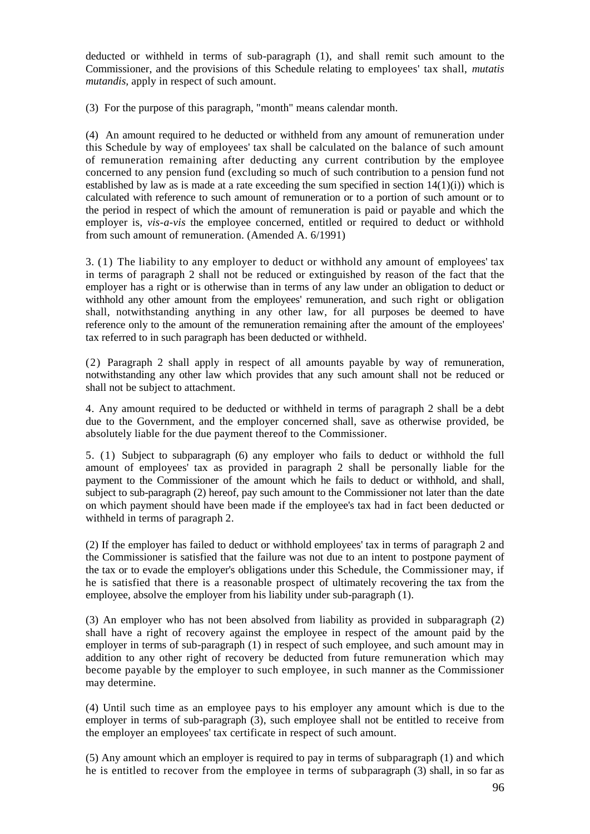deducted or withheld in terms of sub-paragraph (1), and shall remit such amount to the Commissioner, and the provisions of this Schedule relating to employees' tax shall, *mutatis mutandis,* apply in respect of such amount.

(3) For the purpose of this paragraph, "month" means calendar month.

(4) An amount required to he deducted or withheld from any amount of remuneration under this Schedule by way of employees' tax shall be calculated on the balance of such amount of remuneration remaining after deducting any current contribution by the employee concerned to any pension fund (excluding so much of such contribution to a pension fund not established by law as is made at a rate exceeding the sum specified in section  $14(1)(i)$ ) which is calculated with reference to such amount of remuneration or to a portion of such amount or to the period in respect of which the amount of remuneration is paid or payable and which the employer is, *vis-a-vis* the employee concerned, entitled or required to deduct or withhold from such amount of remuneration. (Amended A. 6/1991)

3. (1) The liability to any employer to deduct or withhold any amount of employees' tax in terms of paragraph 2 shall not be reduced or extinguished by reason of the fact that the employer has a right or is otherwise than in terms of any law under an obligation to deduct or withhold any other amount from the employees' remuneration, and such right or obligation shall, notwithstanding anything in any other law, for all purposes be deemed to have reference only to the amount of the remuneration remaining after the amount of the employees' tax referred to in such paragraph has been deducted or withheld.

(2) Paragraph 2 shall apply in respect of all amounts payable by way of remuneration, notwithstanding any other law which provides that any such amount shall not be reduced or shall not be subject to attachment.

4. Any amount required to be deducted or withheld in terms of paragraph 2 shall be a debt due to the Government, and the employer concerned shall, save as otherwise provided, be absolutely liable for the due payment thereof to the Commissioner.

5. (1) Subject to subparagraph (6) any employer who fails to deduct or withhold the full amount of employees' tax as provided in paragraph 2 shall be personally liable for the payment to the Commissioner of the amount which he fails to deduct or withhold, and shall, subject to sub-paragraph (2) hereof, pay such amount to the Commissioner not later than the date on which payment should have been made if the employee's tax had in fact been deducted or withheld in terms of paragraph 2.

(2) If the employer has failed to deduct or withhold employees' tax in terms of paragraph 2 and the Commissioner is satisfied that the failure was not due to an intent to postpone payment of the tax or to evade the employer's obligations under this Schedule, the Commissioner may, if he is satisfied that there is a reasonable prospect of ultimately recovering the tax from the employee, absolve the employer from his liability under sub-paragraph (1).

(3) An employer who has not been absolved from liability as provided in subparagraph (2) shall have a right of recovery against the employee in respect of the amount paid by the employer in terms of sub-paragraph (1) in respect of such employee, and such amount may in addition to any other right of recovery be deducted from future remuneration which may become payable by the employer to such employee, in such manner as the Commissioner may determine.

(4) Until such time as an employee pays to his employer any amount which is due to the employer in terms of sub-paragraph (3), such employee shall not be entitled to receive from the employer an employees' tax certificate in respect of such amount.

(5) Any amount which an employer is required to pay in terms of subparagraph (1) and which he is entitled to recover from the employee in terms of subparagraph (3) shall, in so far as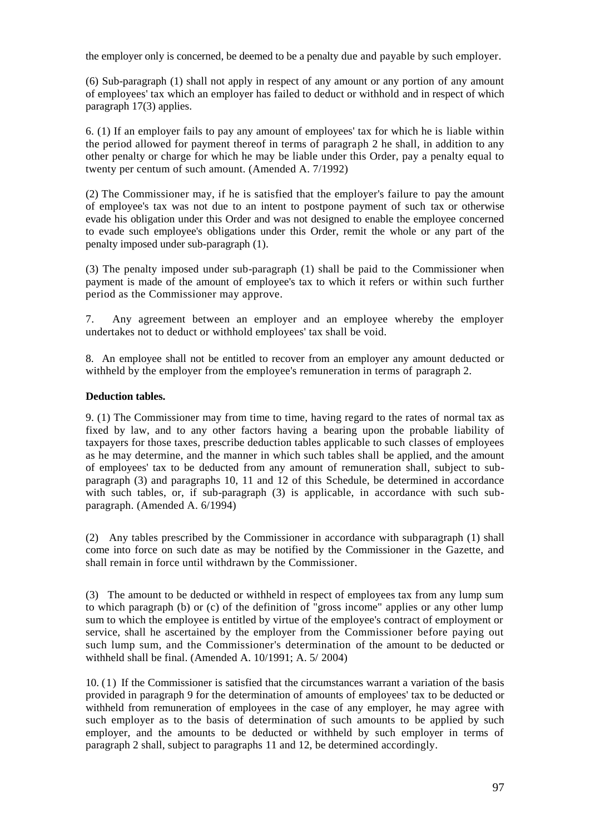the employer only is concerned, be deemed to be a penalty due and payable by such employer.

(6) Sub-paragraph (1) shall not apply in respect of any amount or any portion of any amount of employees' tax which an employer has failed to deduct or withhold and in respect of which paragraph 17(3) applies.

6. (1) If an employer fails to pay any amount of employees' tax for which he is liable within the period allowed for payment thereof in terms of paragraph 2 he shall, in addition to any other penalty or charge for which he may be liable under this Order, pay a penalty equal to twenty per centum of such amount. (Amended A. 7/1992)

(2) The Commissioner may, if he is satisfied that the employer's failure to pay the amount of employee's tax was not due to an intent to postpone payment of such tax or otherwise evade his obligation under this Order and was not designed to enable the employee concerned to evade such employee's obligations under this Order, remit the whole or any part of the penalty imposed under sub-paragraph (1).

(3) The penalty imposed under sub-paragraph (1) shall be paid to the Commissioner when payment is made of the amount of employee's tax to which it refers or within such further period as the Commissioner may approve.

7. Any agreement between an employer and an employee whereby the employer undertakes not to deduct or withhold employees' tax shall be void.

8. An employee shall not be entitled to recover from an employer any amount deducted or withheld by the employer from the employee's remuneration in terms of paragraph 2.

# **Deduction tables.**

9. (1) The Commissioner may from time to time, having regard to the rates of normal tax as fixed by law, and to any other factors having a bearing upon the probable liability of taxpayers for those taxes, prescribe deduction tables applicable to such classes of employees as he may determine, and the manner in which such tables shall be applied, and the amount of employees' tax to be deducted from any amount of remuneration shall, subject to subparagraph (3) and paragraphs 10, 11 and 12 of this Schedule, be determined in accordance with such tables, or, if sub-paragraph (3) is applicable, in accordance with such subparagraph. (Amended A. 6/1994)

(2) Any tables prescribed by the Commissioner in accordance with subparagraph (1) shall come into force on such date as may be notified by the Commissioner in the Gazette, and shall remain in force until withdrawn by the Commissioner.

(3) The amount to be deducted or withheld in respect of employees tax from any lump sum to which paragraph (b) or (c) of the definition of "gross income" applies or any other lump sum to which the employee is entitled by virtue of the employee's contract of employment or service, shall he ascertained by the employer from the Commissioner before paying out such lump sum, and the Commissioner's determination of the amount to be deducted or withheld shall be final. (Amended A. 10/1991; A. 5/ 2004)

10. (1) If the Commissioner is satisfied that the circumstances warrant a variation of the basis provided in paragraph 9 for the determination of amounts of employees' tax to be deducted or withheld from remuneration of employees in the case of any employer, he may agree with such employer as to the basis of determination of such amounts to be applied by such employer, and the amounts to be deducted or withheld by such employer in terms of paragraph 2 shall, subject to paragraphs 11 and 12, be determined accordingly.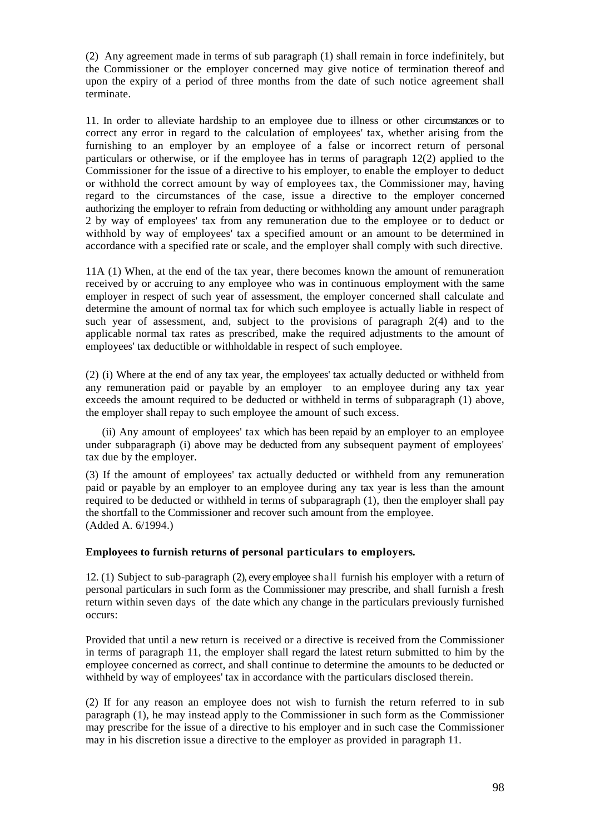(2) Any agreement made in terms of sub paragraph (1) shall remain in force indefinitely, but the Commissioner or the employer concerned may give notice of termination thereof and upon the expiry of a period of three months from the date of such notice agreement shall terminate.

11. In order to alleviate hardship to an employee due to illness or other circumstances or to correct any error in regard to the calculation of employees' tax, whether arising from the furnishing to an employer by an employee of a false or incorrect return of personal particulars or otherwise, or if the employee has in terms of paragraph 12(2) applied to the Commissioner for the issue of a directive to his employer, to enable the employer to deduct or withhold the correct amount by way of employees tax, the Commissioner may, having regard to the circumstances of the case, issue a directive to the employer concerned authorizing the employer to refrain from deducting or withholding any amount under paragraph 2 by way of employees' tax from any remuneration due to the employee or to deduct or withhold by way of employees' tax a specified amount or an amount to be determined in accordance with a specified rate or scale, and the employer shall comply with such directive.

11A (1) When, at the end of the tax year, there becomes known the amount of remuneration received by or accruing to any employee who was in continuous employment with the same employer in respect of such year of assessment, the employer concerned shall calculate and determine the amount of normal tax for which such employee is actually liable in respect of such year of assessment, and, subject to the provisions of paragraph 2(4) and to the applicable normal tax rates as prescribed, make the required adjustments to the amount of employees' tax deductible or withholdable in respect of such employee.

(2) (i) Where at the end of any tax year, the employees' tax actually deducted or withheld from any remuneration paid or payable by an employer to an employee during any tax year exceeds the amount required to be deducted or withheld in terms of subparagraph (1) above, the employer shall repay to such employee the amount of such excess.

 (ii) Any amount of employees' tax which has been repaid by an employer to an employee under subparagraph (i) above may be deducted from any subsequent payment of employees' tax due by the employer.

(3) If the amount of employees' tax actually deducted or withheld from any remuneration paid or payable by an employer to an employee during any tax year is less than the amount required to be deducted or withheld in terms of subparagraph (1), then the employer shall pay the shortfall to the Commissioner and recover such amount from the employee. (Added A. 6/1994.)

## **Employees to furnish returns of personal particulars to employers.**

12. (1) Subject to sub-paragraph (2), every employee shall furnish his employer with a return of personal particulars in such form as the Commissioner may prescribe, and shall furnish a fresh return within seven days of the date which any change in the particulars previously furnished occurs:

Provided that until a new return is received or a directive is received from the Commissioner in terms of paragraph 11, the employer shall regard the latest return submitted to him by the employee concerned as correct, and shall continue to determine the amounts to be deducted or withheld by way of employees' tax in accordance with the particulars disclosed therein.

(2) If for any reason an employee does not wish to furnish the return referred to in sub paragraph (1), he may instead apply to the Commissioner in such form as the Commissioner may prescribe for the issue of a directive to his employer and in such case the Commissioner may in his discretion issue a directive to the employer as provided in paragraph 11.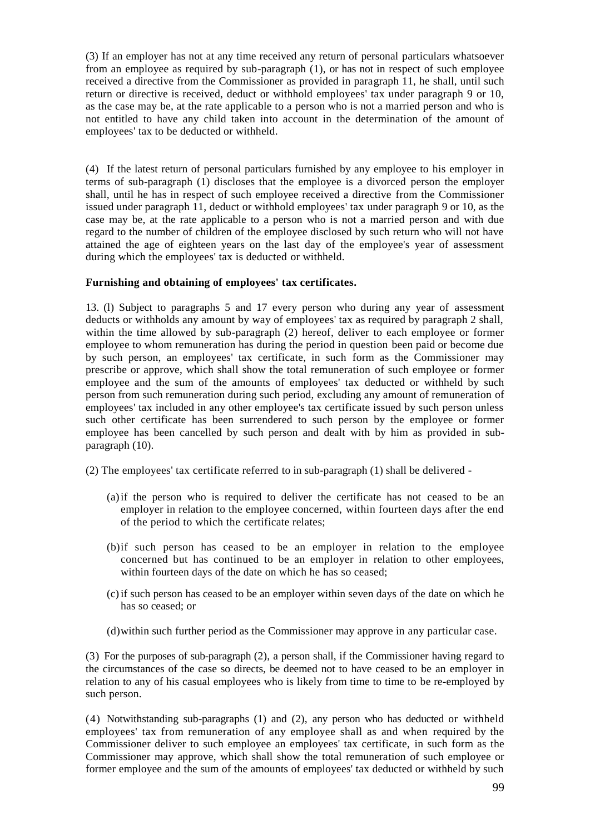(3) If an employer has not at any time received any return of personal particulars whatsoever from an employee as required by sub-paragraph (1), or has not in respect of such employee received a directive from the Commissioner as provided in paragraph 11, he shall, until such return or directive is received, deduct or withhold employees' tax under paragraph 9 or 10, as the case may be, at the rate applicable to a person who is not a married person and who is not entitled to have any child taken into account in the determination of the amount of employees' tax to be deducted or withheld.

(4) If the latest return of personal particulars furnished by any employee to his employer in terms of sub-paragraph (1) discloses that the employee is a divorced person the employer shall, until he has in respect of such employee received a directive from the Commissioner issued under paragraph 11, deduct or withhold employees' tax under paragraph 9 or 10, as the case may be, at the rate applicable to a person who is not a married person and with due regard to the number of children of the employee disclosed by such return who will not have attained the age of eighteen years on the last day of the employee's year of assessment during which the employees' tax is deducted or withheld.

# **Furnishing and obtaining of employees' tax certificates.**

13. (l) Subject to paragraphs 5 and 17 every person who during any year of assessment deducts or withholds any amount by way of employees' tax as required by paragraph 2 shall, within the time allowed by sub-paragraph (2) hereof, deliver to each employee or former employee to whom remuneration has during the period in question been paid or become due by such person, an employees' tax certificate, in such form as the Commissioner may prescribe or approve, which shall show the total remuneration of such employee or former employee and the sum of the amounts of employees' tax deducted or withheld by such person from such remuneration during such period, excluding any amount of remuneration of employees' tax included in any other employee's tax certificate issued by such person unless such other certificate has been surrendered to such person by the employee or former employee has been cancelled by such person and dealt with by him as provided in subparagraph (10).

(2) The employees' tax certificate referred to in sub-paragraph (1) shall be delivered -

- (a)if the person who is required to deliver the certificate has not ceased to be an employer in relation to the employee concerned, within fourteen days after the end of the period to which the certificate relates;
- (b)if such person has ceased to be an employer in relation to the employee concerned but has continued to be an employer in relation to other employees, within fourteen days of the date on which he has so ceased;
- (c)if such person has ceased to be an employer within seven days of the date on which he has so ceased; or
- (d)within such further period as the Commissioner may approve in any particular case.

(3) For the purposes of sub-paragraph (2), a person shall, if the Commissioner having regard to the circumstances of the case so directs, be deemed not to have ceased to be an employer in relation to any of his casual employees who is likely from time to time to be re-employed by such person.

(4) Notwithstanding sub-paragraphs (1) and (2), any person who has deducted or withheld employees' tax from remuneration of any employee shall as and when required by the Commissioner deliver to such employee an employees' tax certificate, in such form as the Commissioner may approve, which shall show the total remuneration of such employee or former employee and the sum of the amounts of employees' tax deducted or withheld by such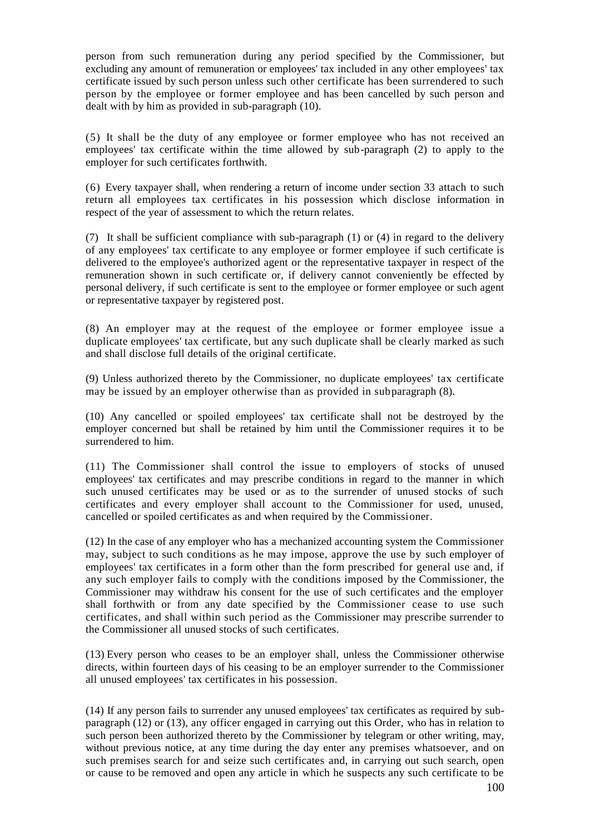person from such remuneration during any period specified by the Commissioner, but excluding any amount of remuneration or employees' tax included in any other employees' tax certificate issued by such person unless such other certificate has been surrendered to such person by the employee or former employee and has been cancelled by such person and dealt with by him as provided in sub-paragraph (10).

(5) It shall be the duty of any employee or former employee who has not received an employees' tax certificate within the time allowed by sub-paragraph (2) to apply to the employer for such certificates forthwith.

(6) Every taxpayer shall, when rendering a return of income under section 33 attach to such return all employees tax certificates in his possession which disclose information in respect of the year of assessment to which the return relates.

(7) It shall be sufficient compliance with sub-paragraph  $(1)$  or  $(4)$  in regard to the delivery of any employees' tax certificate to any employee or former employee if such certificate is delivered to the employee's authorized agent or the representative taxpayer in respect of the remuneration shown in such certificate or, if delivery cannot conveniently be effected by personal delivery, if such certificate is sent to the employee or former employee or such agent or representative taxpayer by registered post.

(8) An employer may at the request of the employee or former employee issue a duplicate employees' tax certificate, but any such duplicate shall be clearly marked as such and shall disclose full details of the original certificate.

(9) Unless authorized thereto by the Commissioner, no duplicate employees' tax certificate may be issued by an employer otherwise than as provided in subparagraph (8).

(10) Any cancelled or spoiled employees' tax certificate shall not be destroyed by the employer concerned but shall be retained by him until the Commissioner requires it to be surrendered to him.

(11) The Commissioner shall control the issue to employers of stocks of unused employees' tax certificates and may prescribe conditions in regard to the manner in which such unused certificates may be used or as to the surrender of unused stocks of such certificates and every employer shall account to the Commissioner for used, unused, cancelled or spoiled certificates as and when required by the Commissioner.

(12) In the case of any employer who has a mechanized accounting system the Commissioner may, subject to such conditions as he may impose, approve the use by such employer of employees' tax certificates in a form other than the form prescribed for general use and, if any such employer fails to comply with the conditions imposed by the Commissioner, the Commissioner may withdraw his consent for the use of such certificates and the employer shall forthwith or from any date specified by the Commissioner cease to use such certificates, and shall within such period as the Commissioner may prescribe surrender to the Commissioner all unused stocks of such certificates.

(13) Every person who ceases to be an employer shall, unless the Commissioner otherwise directs, within fourteen days of his ceasing to be an employer surrender to the Commissioner all unused employees' tax certificates in his possession.

(14) If any person fails to surrender any unused employees' tax certificates as required by subparagraph (12) or (13), any officer engaged in carrying out this Order, who has in relation to such person been authorized thereto by the Commissioner by telegram or other writing, may, without previous notice, at any time during the day enter any premises whatsoever, and on such premises search for and seize such certificates and, in carrying out such search, open or cause to be removed and open any article in which he suspects any such certificate to be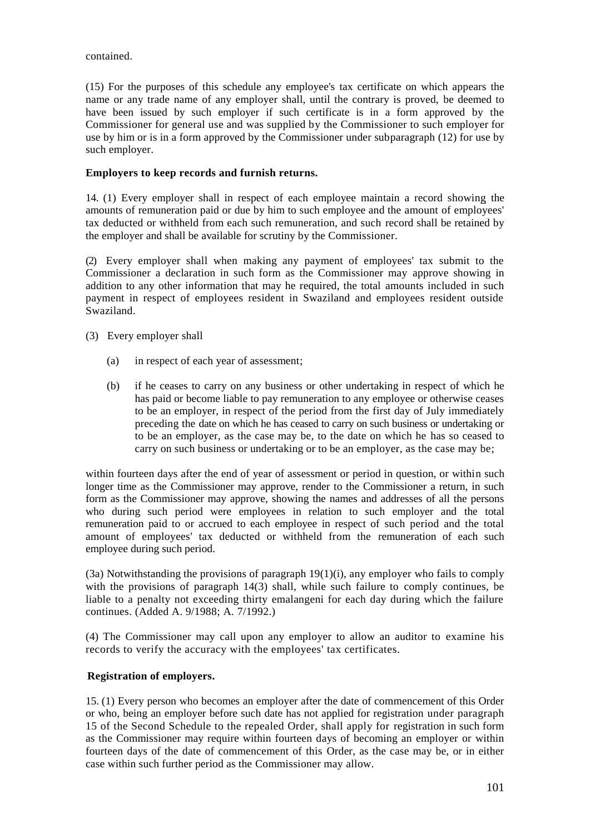contained.

(15) For the purposes of this schedule any employee's tax certificate on which appears the name or any trade name of any employer shall, until the contrary is proved, be deemed to have been issued by such employer if such certificate is in a form approved by the Commissioner for general use and was supplied by the Commissioner to such employer for use by him or is in a form approved by the Commissioner under subparagraph (12) for use by such employer.

# **Employers to keep records and furnish returns.**

14. (1) Every employer shall in respect of each employee maintain a record showing the amounts of remuneration paid or due by him to such employee and the amount of employees' tax deducted or withheld from each such remuneration, and such record shall be retained by the employer and shall be available for scrutiny by the Commissioner.

(2) Every employer shall when making any payment of employees' tax submit to the Commissioner a declaration in such form as the Commissioner may approve showing in addition to any other information that may he required, the total amounts included in such payment in respect of employees resident in Swaziland and employees resident outside Swaziland.

(3) Every employer shall

- (a) in respect of each year of assessment;
- (b) if he ceases to carry on any business or other undertaking in respect of which he has paid or become liable to pay remuneration to any employee or otherwise ceases to be an employer, in respect of the period from the first day of July immediately preceding the date on which he has ceased to carry on such business or undertaking or to be an employer, as the case may be, to the date on which he has so ceased to carry on such business or undertaking or to be an employer, as the case may be;

within fourteen days after the end of year of assessment or period in question, or within such longer time as the Commissioner may approve, render to the Commissioner a return, in such form as the Commissioner may approve, showing the names and addresses of all the persons who during such period were employees in relation to such employer and the total remuneration paid to or accrued to each employee in respect of such period and the total amount of employees' tax deducted or withheld from the remuneration of each such employee during such period.

(3a) Notwithstanding the provisions of paragraph 19(1)(i), any employer who fails to comply with the provisions of paragraph 14(3) shall, while such failure to comply continues, be liable to a penalty not exceeding thirty emalangeni for each day during which the failure continues. (Added A. 9/1988; A. 7/1992.)

(4) The Commissioner may call upon any employer to allow an auditor to examine his records to verify the accuracy with the employees' tax certificates.

# **Registration of employers.**

15. (1) Every person who becomes an employer after the date of commencement of this Order or who, being an employer before such date has not applied for registration under paragraph 15 of the Second Schedule to the repealed Order, shall apply for registration in such form as the Commissioner may require within fourteen days of becoming an employer or within fourteen days of the date of commencement of this Order, as the case may be, or in either case within such further period as the Commissioner may allow.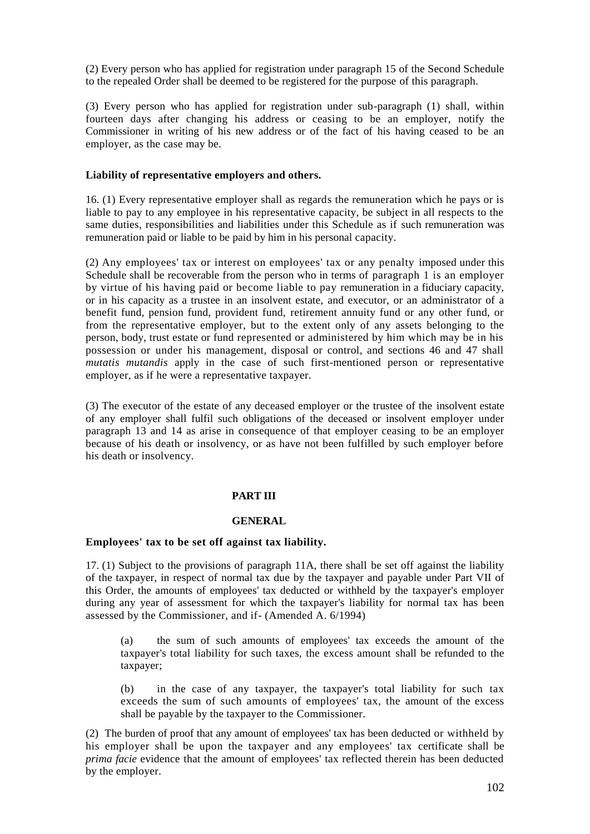(2) Every person who has applied for registration under paragraph 15 of the Second Schedule to the repealed Order shall be deemed to be registered for the purpose of this paragraph.

(3) Every person who has applied for registration under sub-paragraph (1) shall, within fourteen days after changing his address or ceasing to be an employer, notify the Commissioner in writing of his new address or of the fact of his having ceased to be an employer, as the case may be.

## **Liability of representative employers and others.**

16. (1) Every representative employer shall as regards the remuneration which he pays or is liable to pay to any employee in his representative capacity, be subject in all respects to the same duties, responsibilities and liabilities under this Schedule as if such remuneration was remuneration paid or liable to be paid by him in his personal capacity.

(2) Any employees' tax or interest on employees' tax or any penalty imposed under this Schedule shall be recoverable from the person who in terms of paragraph 1 is an employer by virtue of his having paid or become liable to pay remuneration in a fiduciary capacity, or in his capacity as a trustee in an insolvent estate, and executor, or an administrator of a benefit fund, pension fund, provident fund, retirement annuity fund or any other fund, or from the representative employer, but to the extent only of any assets belonging to the person, body, trust estate or fund represented or administered by him which may be in his possession or under his management, disposal or control, and sections 46 and 47 shall *mutatis mutandis* apply in the case of such first-mentioned person or representative employer, as if he were a representative taxpayer.

(3) The executor of the estate of any deceased employer or the trustee of the insolvent estate of any employer shall fulfil such obligations of the deceased or insolvent employer under paragraph 13 and 14 as arise in consequence of that employer ceasing to be an employer because of his death or insolvency, or as have not been fulfilled by such employer before his death or insolvency.

### **PART III**

### **GENERAL**

### **Employees' tax to be set off against tax liability.**

17. (1) Subject to the provisions of paragraph 11A, there shall be set off against the liability of the taxpayer, in respect of normal tax due by the taxpayer and payable under Part VII of this Order, the amounts of employees' tax deducted or withheld by the taxpayer's employer during any year of assessment for which the taxpayer's liability for normal tax has been assessed by the Commissioner, and if- (Amended A. 6/1994)

(a) the sum of such amounts of employees' tax exceeds the amount of the taxpayer's total liability for such taxes, the excess amount shall be refunded to the taxpayer;

(b) in the case of any taxpayer, the taxpayer's total liability for such tax exceeds the sum of such amounts of employees' tax, the amount of the excess shall be payable by the taxpayer to the Commissioner.

(2) The burden of proof that any amount of employees' tax has been deducted or withheld by his employer shall be upon the taxpayer and any employees' tax certificate shall be *prima facie* evidence that the amount of employees' tax reflected therein has been deducted by the employer.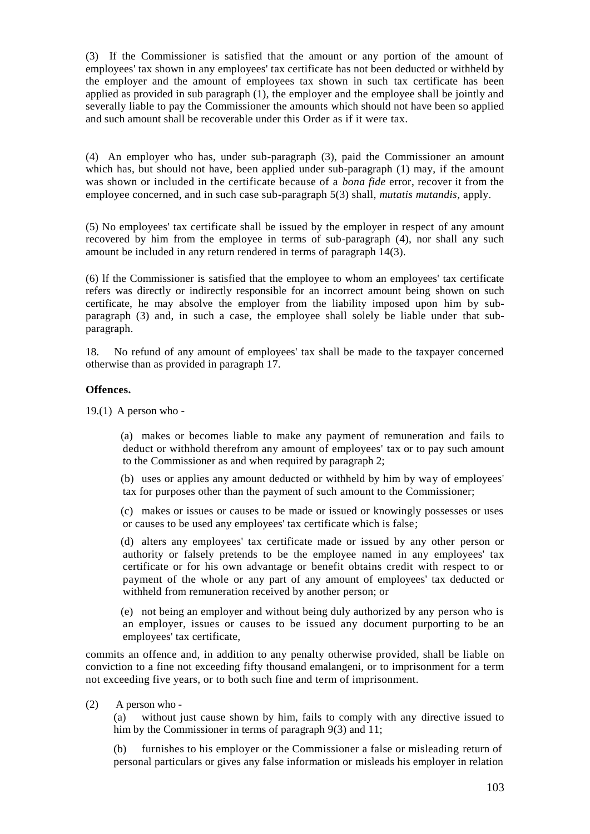(3) If the Commissioner is satisfied that the amount or any portion of the amount of employees' tax shown in any employees' tax certificate has not been deducted or withheld by the employer and the amount of employees tax shown in such tax certificate has been applied as provided in sub paragraph (1), the employer and the employee shall be jointly and severally liable to pay the Commissioner the amounts which should not have been so applied and such amount shall be recoverable under this Order as if it were tax.

(4) An employer who has, under sub-paragraph (3), paid the Commissioner an amount which has, but should not have, been applied under sub-paragraph (1) may, if the amount was shown or included in the certificate because of a *bona fide* error, recover it from the employee concerned, and in such case sub-paragraph 5(3) shall, *mutatis mutandis,* apply.

(5) No employees' tax certificate shall be issued by the employer in respect of any amount recovered by him from the employee in terms of sub-paragraph (4), nor shall any such amount be included in any return rendered in terms of paragraph 14(3).

(6) lf the Commissioner is satisfied that the employee to whom an employees' tax certificate refers was directly or indirectly responsible for an incorrect amount being shown on such certificate, he may absolve the employer from the liability imposed upon him by subparagraph (3) and, in such a case, the employee shall solely be liable under that subparagraph.

18. No refund of any amount of employees' tax shall be made to the taxpayer concerned otherwise than as provided in paragraph 17.

### **Offences.**

 $19.(1)$  A person who -

(a) makes or becomes liable to make any payment of remuneration and fails to deduct or withhold therefrom any amount of employees' tax or to pay such amount to the Commissioner as and when required by paragraph 2;

(b) uses or applies any amount deducted or withheld by him by way of employees' tax for purposes other than the payment of such amount to the Commissioner;

(c) makes or issues or causes to be made or issued or knowingly possesses or uses or causes to be used any employees' tax certificate which is false;

(d) alters any employees' tax certificate made or issued by any other person or authority or falsely pretends to be the employee named in any employees' tax certificate or for his own advantage or benefit obtains credit with respect to or payment of the whole or any part of any amount of employees' tax deducted or withheld from remuneration received by another person; or

(e) not being an employer and without being duly authorized by any person who is an employer, issues or causes to be issued any document purporting to be an employees' tax certificate,

commits an offence and, in addition to any penalty otherwise provided, shall be liable on conviction to a fine not exceeding fifty thousand emalangeni, or to imprisonment for a term not exceeding five years, or to both such fine and term of imprisonment.

(2) A person who -

(a) without just cause shown by him, fails to comply with any directive issued to him by the Commissioner in terms of paragraph 9(3) and 11;

(b) furnishes to his employer or the Commissioner a false or misleading return of personal particulars or gives any false information or misleads his employer in relation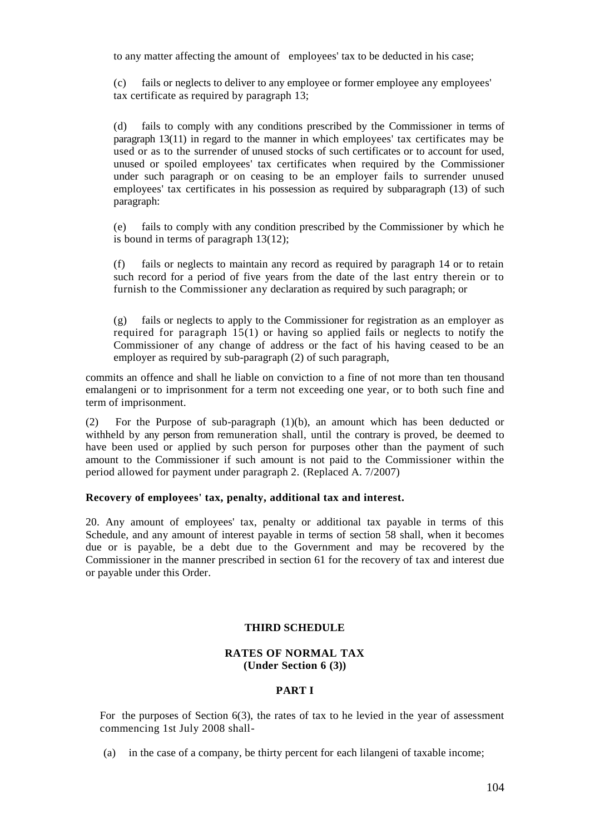to any matter affecting the amount of employees' tax to be deducted in his case;

(c) fails or neglects to deliver to any employee or former employee any employees' tax certificate as required by paragraph 13;

(d) fails to comply with any conditions prescribed by the Commissioner in terms of paragraph 13(11) in regard to the manner in which employees' tax certificates may be used or as to the surrender of unused stocks of such certificates or to account for used, unused or spoiled employees' tax certificates when required by the Commissioner under such paragraph or on ceasing to be an employer fails to surrender unused employees' tax certificates in his possession as required by subparagraph (13) of such paragraph:

(e) fails to comply with any condition prescribed by the Commissioner by which he is bound in terms of paragraph 13(12);

(f) fails or neglects to maintain any record as required by paragraph 14 or to retain such record for a period of five years from the date of the last entry therein or to furnish to the Commissioner any declaration as required by such paragraph; or

(g) fails or neglects to apply to the Commissioner for registration as an employer as required for paragraph 15(1) or having so applied fails or neglects to notify the Commissioner of any change of address or the fact of his having ceased to be an employer as required by sub-paragraph (2) of such paragraph,

commits an offence and shall he liable on conviction to a fine of not more than ten thousand emalangeni or to imprisonment for a term not exceeding one year, or to both such fine and term of imprisonment.

(2) For the Purpose of sub-paragraph (1)(b), an amount which has been deducted or withheld by any person from remuneration shall, until the contrary is [proved,](http://proved.be/) be deemed to have been used or applied by such person for purposes other than the payment of such amount to the Commissioner if such amount is not paid to the Commissioner within the period allowed for payment under paragraph 2. (Replaced A. 7/2007)

### **Recovery of employees' tax, penalty, additional tax and interest.**

20. Any amount of employees' tax, penalty or additional tax payable in terms of this Schedule, and any amount of interest payable in terms of section 58 shall, when it becomes due or is payable, be a debt due to the Government and may be recovered by the Commissioner in the manner prescribed in section 61 for the recovery of tax and interest due or payable under this Order.

### **THIRD SCHEDULE**

## **RATES OF NORMAL TAX (Under Section 6 (3))**

#### **PART I**

For the purposes of Section 6(3), the rates of tax to he levied in the year of assessment commencing 1st July 2008 shall-

(a) in the case of a company, be thirty percent for each lilangeni of taxable income;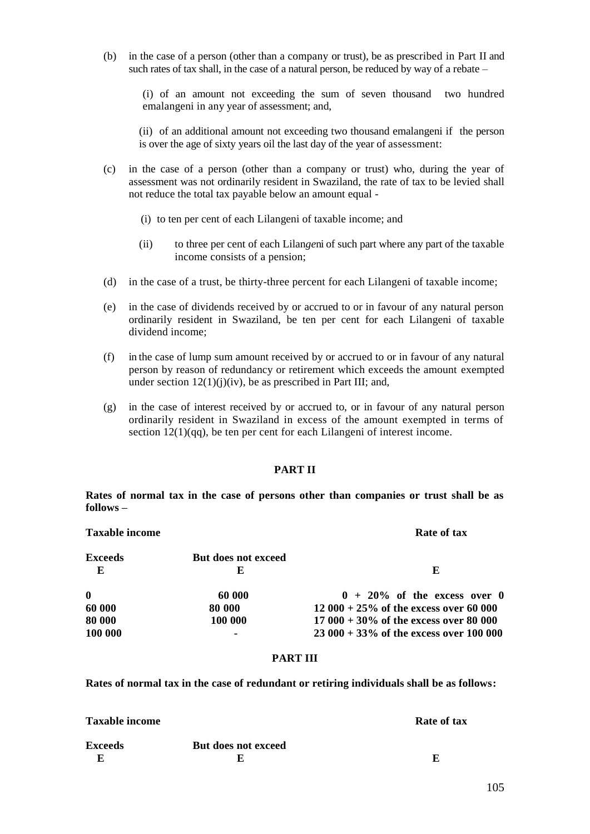(b) in the case of a person (other than a company or trust), be as prescribed in Part II and such rates of tax [shall, in](http://shall.in/) the case of a natural person, be reduced by way of a rebate –

(i) of an amount not exceeding the sum of seven thousand two hundred emalangeni in any year of assessment; and,

(ii) of an additional amount not exceeding two thousand emalangeni if the person is over the age of sixty years oil the last day of the year of assessment:

- (c) in the case of a person (other than a company or trust) who, during the year of assessment was not ordinarily resident in Swaziland, the rate of tax to be levied shall not reduce the total tax payable below an amount equal -
	- (i) to ten per cent of each Lilangeni of taxable income; and
	- (ii) to three per cent of each Lilan*ge*ni of such part where any part of the taxable income consists of a pension;
- (d) in the case of a [trust, be](http://trust.be/) thirty-three percent for each Lilangeni of taxable income;
- (e) in the case of dividends received by or accrued to or in favour of any natural person ordinarily resident in Swaziland, be ten per cent for each Lilangeni of taxable dividend income;
- (f) in the case of lump sum amount received by or accrued to or in favour of any natural person by reason of redundancy or retirement which exceeds the amount exempted under section  $12(1)(j)(iv)$ , be as prescribed in Part III; and,
- (g) in the case of interest received by or accrued to, or in favour of any natural person ordinarily resident in Swaziland in excess of the amount exempted in terms of section  $12(1)(qq)$ , be ten per cent for each Lilangeni of interest income.

#### **PART II**

**Rates of normal tax in the case of persons other than companies or trust shall be as follows –**

| <b>Taxable income</b> |                          | Rate of tax                               |  |
|-----------------------|--------------------------|-------------------------------------------|--|
| <b>Exceeds</b><br>E   | But does not exceed<br>E | E                                         |  |
| $\mathbf{0}$          | 60 000                   | $0 + 20\%$ of the excess over 0           |  |
| 60 000                | 80 000                   | $12000 + 25\%$ of the excess over 60 000  |  |
| 80 000                | 100 000                  | $17000 + 30\%$ of the excess over 80 000  |  |
| 100 000               |                          | $23000 + 33\%$ of the excess over 100 000 |  |

#### **PART III**

**Rates of normal tax in the case of redundant or retiring individuals shall be as follows:**

| <b>Taxable income</b> |                     | Rate of tax |
|-----------------------|---------------------|-------------|
| <b>Exceeds</b>        | But does not exceed |             |
|                       |                     |             |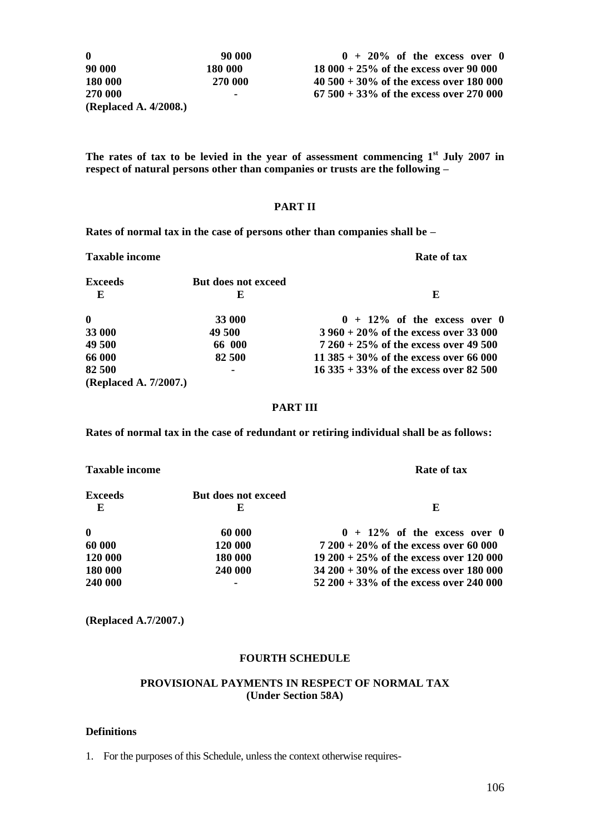90 000 **0** 90 000 **0** 90 000 **18 000 + 20% of the excess over 0**  $\frac{90,000}{2000}$  18 000 + 25% of the excess over 90 000 **000 180 000 18 000 + 25% of the excess over 90 000 000 270 000 40 500 + 30% of the excess over 180 000 000 - 67 500 + 33% of the excess over 270 000**

**The rates of tax to be levied in the year of assessment commencing 1st July 2007 in respect of natural persons other than companies or trusts are the following –**

### **PART II**

**Rates of normal tax in the case of persons other than companies shall be –**

**Taxable income Rate of tax Exceeds But does not exceed E** E **0**  $33\,000$   $33\,000$   $33\,000$   $49\,500$   $3960 + 20\%$  of the excess over 0 **33** 000 49 500 49 500 3 960 + 20% of the excess over 33 000 49 500 66 000 7 260 + 25% of the excess over 49 500 **49 500 66 000 7 260 + 25% of the excess over 49 500 66 000 82 500 11 385 + 30% of the excess over 66 000 82 500 - 16 335 + 33% of the excess over 82 500 (Replaced A. 7/2007.)**

#### **PART III**

**Rates of normal tax in the case of redundant or retiring individual shall be as follows:**

| <b>Taxable income</b> |                          | Rate of tax                                 |  |
|-----------------------|--------------------------|---------------------------------------------|--|
| <b>Exceeds</b><br>E   | But does not exceed<br>E | E                                           |  |
| $\boldsymbol{0}$      | 60 000                   | $0 + 12\%$ of the excess over 0             |  |
| 60 000                | 120 000                  | $7200 + 20\%$ of the excess over 60 000     |  |
| 120 000               | 180 000                  | 19 200 + 25% of the excess over 120 000     |  |
| 180 000               | 240 000                  | $34\,200 + 30\%$ of the excess over 180 000 |  |
| 240 000               |                          | 52 200 + 33% of the excess over 240 000     |  |

**(Replaced A.7/2007.)**

### **FOURTH SCHEDULE**

### **PROVISIONAL PAYMENTS IN RESPECT OF NORMAL TAX (Under Section 58A)**

### **Definitions**

1. For the purposes of this Schedule, unless the context otherwise requires-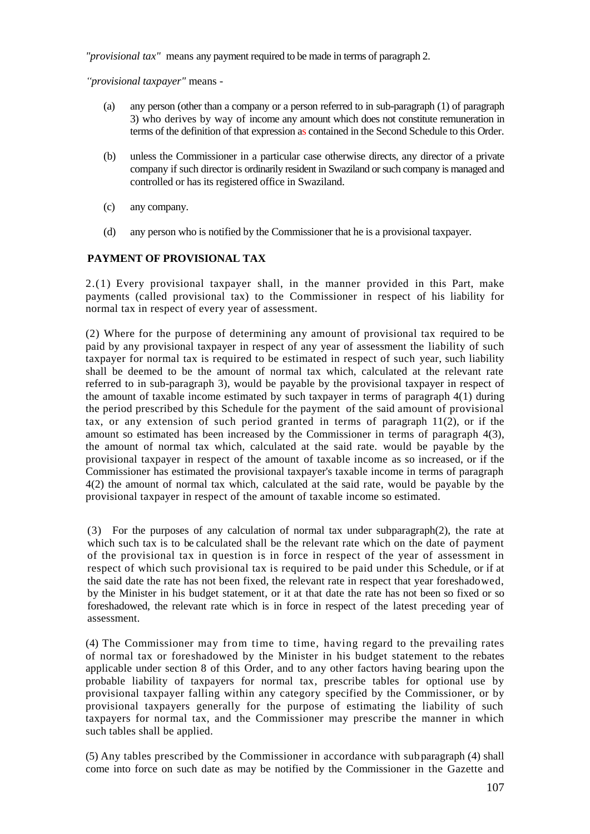*"provisional tax"* means any payment required to be made in terms of paragraph 2.

*"provisional taxpayer"* means *-*

- (a) any person (other than a company or a person referred to in sub-paragraph (1) of paragraph 3) who derives by way of income any amount which does not constitute remuneration in terms of the definition of that expression as contained in the Second Schedule to this Order.
- (b) unless the Commissioner in a particular case otherwise directs, any director of a private company if such director is ordinarily resident in Swaziland or such company is managed and controlled or has its registered office in Swaziland.
- (c) any company.
- (d) any person who is notified by the Commissioner that he is a provisional taxpayer.

# **PAYMENT OF PROVISIONAL TAX**

2.(1) Every provisional taxpayer [shall, in](http://shall.in/) the manner provided in this Part, make payments (called provisional tax) to the Commissioner in respect of his liability for normal tax in respect of every year of assessment.

(2) Where for the purpose of determining any amount of provisional tax required to be paid by any provisional taxpayer in respect of any year of assessment the liability of such taxpayer for normal tax is required to be estimated in respect of such year, such liability shall be deemed to be the amount of normal tax which, calculated at the relevant rate referred to in sub-paragraph 3), would be payable by the provisional taxpayer in respect of the amount of taxable income estimated by such taxpayer in terms of paragraph 4(1) during the period prescribed by this Schedule for the payment of the said amount of provisional tax, or any extension of such period granted in terms of paragraph  $11(2)$ , or if the amount so estimated has been increased by the Commissioner in terms of paragraph 4(3), the amount of normal tax which, calculated at the said rate. would be payable by the provisional taxpayer in respect of the amount of taxable income as so increased, or if the Commissioner has estimated the provisional taxpayer's taxable income in terms of paragraph 4(2) the amount of normal tax which, calculated at the said rate, would be payable by the provisional taxpayer in respect of the amount of taxable income so estimated.

(3) For the purposes of any calculation of normal tax under subparagraph(2), the rate at which such tax is to be calculated shall be the relevant rate which on the date of payment of the provisional tax in question is in force in respect of the year of assessment in respect of which such provisional tax is required to be paid under this Schedule, or if at the said date the rate has not been fixed, the relevant rate in respect that year foreshadowed, by the Minister in his budget statement, or it at that date the rate has not been so fixed or so foreshadowed, the relevant rate which is in force in respect of the latest preceding year of assessment.

(4) The Commissioner may from time to time, having regard to the prevailing rates of normal tax or foreshadowed by the Minister in his budget statement to the rebates applicable under section 8 of this Order, and to any other factors having bearing upon the probable liability of taxpayers for normal tax, prescribe tables for optional use by provisional taxpayer falling within any category specified by the Commissioner, or by provisional taxpayers generally for the purpose of estimating the liability of such taxpayers for normal tax, and the Commissioner may prescribe the manner in which such tables shall be applied.

(5) Any tables prescribed by the Commissioner in accordance with subparagraph (4) shall come into force on such date as may be notified by the Commissioner in the Gazette and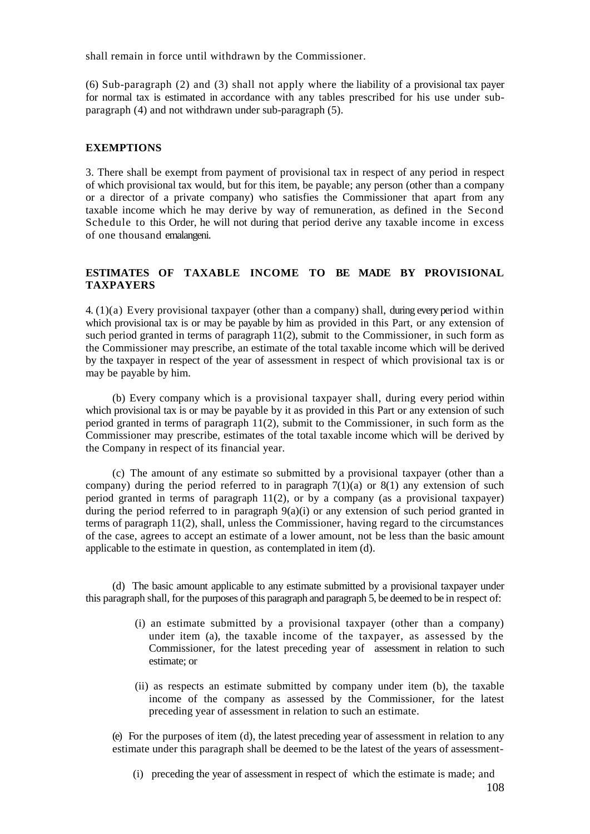shall remain in force until withdrawn by the Commissioner.

(6) Sub-paragraph (2) and (3) shall not apply where the liability of a provisional tax payer for normal tax is estimated in accordance with any tables prescribed for his use under subparagraph (4) and not withdrawn under sub-paragraph (5).

### **EXEMPTIONS**

3. There shall be exempt from payment of provisional tax in respect of any period in respect of which provisional tax would, but for this item, be payable; any person (other than a company or a director of a private company) who satisfies the Commissioner that apart from any taxable income which he may derive by way of remuneration, as defined in the Second Schedule to this Order, he will not during that period derive any taxable income in excess of one thousand emalangeni.

# **ESTIMATES OF TAXABLE INCOME TO BE MADE BY PROVISIONAL TAXPAYERS**

4. (1)(a) Every provisional taxpayer (other than a company) shall, during every period within which provisional tax is or may be payable by him as provided in this Part, or any extension of such period granted in terms of paragraph 11(2), submit to the Commissioner, in such form as the Commissioner may prescribe, an estimate of the total taxable income which will be derived by the taxpayer in respect of the year of assessment in respect of which provisional tax is or may be payable by him.

(b) Every company which is a provisional taxpayer shall, during every period within which provisional tax is or may be payable by it as provided in this Part or any extension of such period granted in terms of paragraph 11(2), submit to the Commissioner, in such form as the Commissioner may prescribe, estimates of the total taxable income which will be derived by the Company in respect of its financial year.

(c) The amount of any estimate so submitted by a provisional taxpayer (other than a company) during the period referred to in paragraph  $7(1)(a)$  or  $8(1)$  any extension of such period granted in terms of paragraph 11(2), or by a company (as a provisional taxpayer) during the period referred to in paragraph  $9(a)(i)$  or any extension of such period granted in terms of paragraph 11(2), shall, unless the Commissioner, having regard to the circumstances of the case, agrees to accept an estimate of a lower amount, not be less than the basic amount applicable to the estimate in question, as contemplated in item (d).

(d) The basic amount applicable to any estimate submitted by a provisional taxpayer under this paragraph shall, for the purposes of this paragraph and paragraph 5, be deemed to be in respect of:

- (i) an estimate submitted by a provisional taxpayer (other than a company) under item (a), the taxable income of the taxpayer, as assessed by the Commissioner, for the latest preceding year of assessment in relation to such estimate; or
- (ii) as respects an estimate submitted by company under item (b), the taxable income of the company as assessed by the Commissioner, for the latest preceding year of assessment in relation to such an estimate.

(e) For the purposes of item (d), the latest preceding year of assessment in relation to any estimate under this paragraph shall be deemed to be the latest of the years of assessment-

(i) preceding the year of assessment in respect of which the estimate is made; and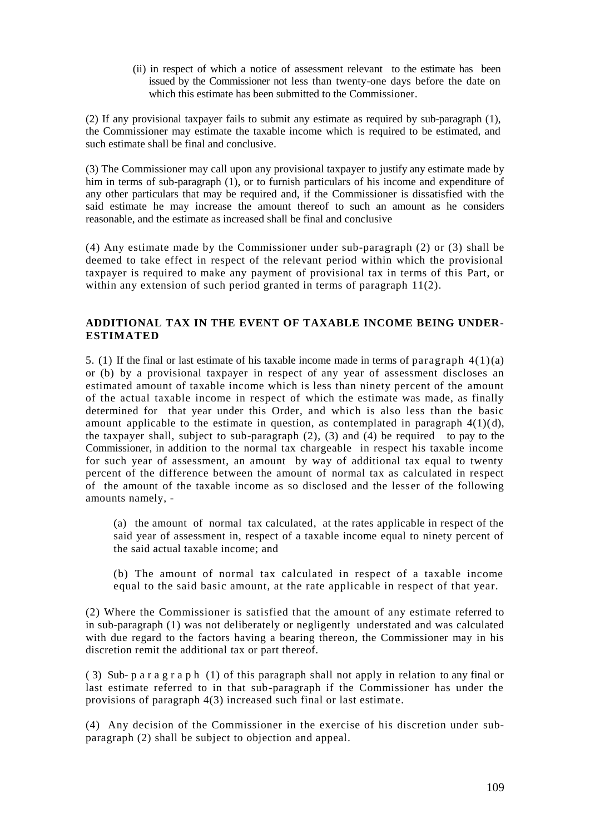(ii) in respect of which a notice of assessment relevant to the estimate has been issued by the Commissioner not less than twenty-one days before the date on which this estimate has been submitted to the Commissioner.

(2) If any provisional taxpayer fails to submit any estimate as required by sub-paragraph (1), the Commissioner may estimate the taxable income which is required to be estimated, and such estimate shall be final and conclusive.

(3) The Commissioner may call upon any provisional taxpayer to justify any estimate made by him in terms of sub-paragraph (1), or to furnish particulars of his income and expenditure of any other particulars that may be required and, if the Commissioner is dissatisfied with the said estimate he may increase the amount thereof to such an amount as he considers reasonable, and the estimate as increased shall be final and conclusive

(4) Any estimate made by the Commissioner under sub-paragraph (2) or (3) shall be deemed to take effect in respect of the relevant period within which the provisional taxpayer is required to make any payment of provisional tax in terms of this Part, or within any extension of such period granted in terms of paragraph 11(2).

## **ADDITIONAL TAX IN THE EVENT OF TAXABLE INCOME BEING UNDER-ESTIMATED**

5. (1) If the final or last estimate of his taxable income made in terms of paragraph  $4(1)(a)$ or (b) by a provisional taxpayer in respect of any year of assessment discloses an estimated amount of taxable income which is less than ninety percent of the amount of the actual taxable income in respect of which the estimate was made, as finally determined for that year under this Order, and which is also less than the basic amount applicable to the estimate in question, as contemplated in paragraph  $4(1)(d)$ , the taxpayer shall, subject to sub-paragraph  $(2)$ ,  $(3)$  and  $(4)$  be required to pay to the Commissioner, in addition to the normal tax chargeable in respect his taxable income for such year of assessment, an amount by way of additional tax equal to twenty percent of the difference between the amount of normal tax as calculated in respect of the amount of the taxable income as so disclosed and the lesser of the following amounts namely, -

(a) the amount of normal tax calculated, at the rates applicable in respect of the said year of assessment in, respect of a taxable income equal to ninety percent of the said actual taxable income; and

(b) The amount of normal tax calculated in respect of a taxable income equal to the said basic amount, at the rate applicable in respect of that year.

(2) Where the Commissioner is satisfied that the amount of any estimate referred to in sub-paragraph (1) was not deliberately or negligently understated and was calculated with due regard to the factors having a bearing thereon, the Commissioner may in his discretion remit the additional tax or part thereof.

( 3) Sub- p a r a g r a p h (1) of this paragraph shall not apply in relation to any final or last estimate referred to in that sub-paragraph if the Commissioner has under the provisions of paragraph 4(3) increased such final or last estimat e.

(4) Any decision of the Commissioner in the exercise of his discretion under subparagraph (2) shall be subject to objection and appeal.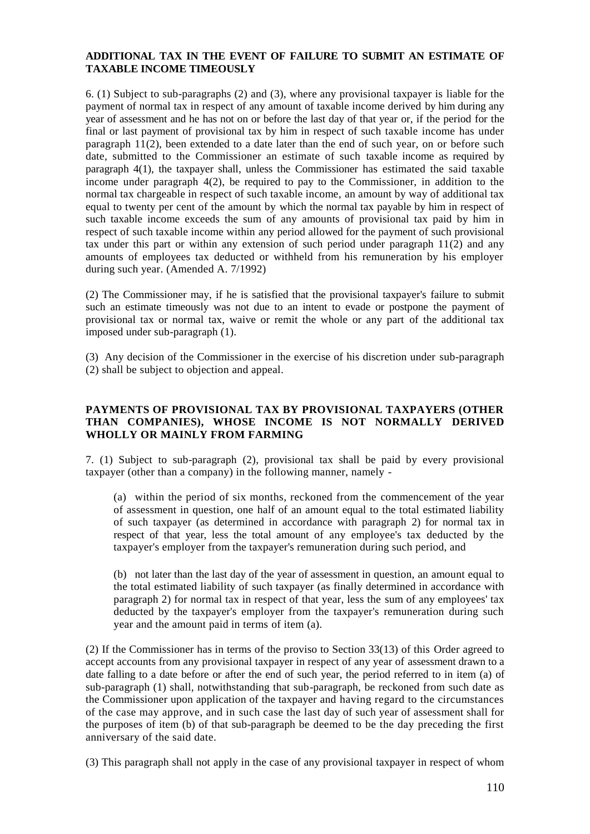## **ADDITIONAL TAX IN THE EVENT OF FAILURE TO SUBMIT AN ESTIMATE OF TAXABLE INCOME TIMEOUSLY**

6. (1) Subject to sub-paragraphs (2) and (3), where any provisional taxpayer is liable for the payment of normal tax in respect of any amount of taxable income derived by him during any year of assessment and he has not on or before the last day of that year or, if the period for the final or last payment of provisional tax by him in respect of such taxable income has under paragraph 11(2), been extended to a date later than the end of such year, on or before such date, submitted to the Commissioner an estimate of such taxable income as required by paragraph 4(1), the taxpayer shall, unless the Commissioner has estimated the said taxable income under paragraph 4(2), be required to pay to the Commissioner, in addition to the normal tax chargeable in respect of such taxable income, an amount by way of additional tax equal to twenty per cent of the amount by which the normal tax payable by him in respect of such taxable income exceeds the sum of any amounts of provisional tax paid by him in respect of such taxable income within any period allowed for the payment of such provisional tax under this part or within any extension of such period under paragraph  $11(2)$  and any amounts of employees tax deducted or withheld from his remuneration by his employer during such year. (Amended A. 7/1992)

(2) The Commissioner may, if he is satisfied that the provisional taxpayer's failure to submit such an estimate timeously was not due to an intent to evade or postpone the payment of provisional tax or normal tax, waive or remit the whole or any part of the additional tax imposed under sub-paragraph (1).

(3) Any decision of the Commissioner in the exercise of his discretion under sub-paragraph (2) shall be subject to objection and appeal.

## **PAYMENTS OF PROVISIONAL TAX BY PROVISIONAL TAXPAYERS (OTHER THAN COMPANIES), WHOSE INCOME IS NOT NORMALLY DERIVED WHOLLY OR MAINLY FROM FARMING**

7. (1) Subject to sub-paragraph (2), provisional tax shall be paid by every provisional taxpayer (other than a company) in the following manner, namely -

(a) within the period of six months, reckoned from the commencement of the year of assessment in question, one half of an amount equal to the total estimated liability of such taxpayer (as determined in accordance with paragraph 2) for normal tax in respect of that year, less the total amount of any employee's tax deducted by the taxpayer's employer from the taxpayer's remuneration during such period, and

(b) not later than the last day of the year of assessment in question, an amount equal to the total estimated liability of such taxpayer (as finally determined in accordance with paragraph 2) for normal tax in respect of that year, less the sum of any employees' tax deducted by the taxpayer's employer from the taxpayer's remuneration during such year and the amount paid in terms of item (a).

(2) If the Commissioner has in terms of the proviso to Section 33(13) of this Order agreed to accept accounts from any provisional taxpayer in respect of any year of assessment drawn to a date falling to a date before or after the end of such year, the period referred to in item (a) of sub-paragraph (1) shall, notwithstanding that sub-paragraph, be reckoned from such date as the Commissioner upon application of the taxpayer and having regard to the circumstances of the case may approve, and in such case the last day of such year of assessment shall for the purposes of item (b) of that sub-paragraph be deemed to be the day preceding the first anniversary of the said date.

(3) This paragraph shall not apply in the case of any provisional taxpayer in respect of whom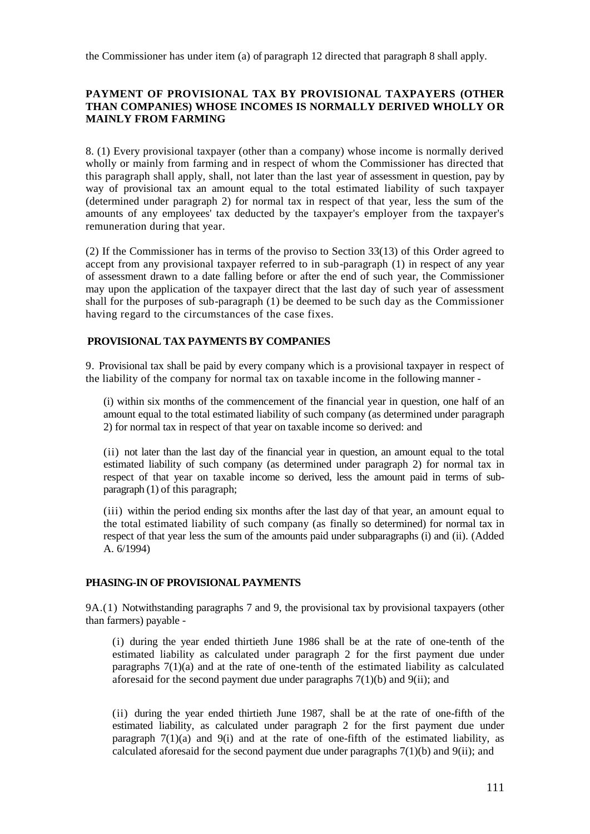the Commissioner has under item (a) of paragraph 12 directed that paragraph 8 shall apply.

## **PAYMENT OF PROVISIONAL TAX BY PROVISIONAL TAXPAYERS (OTHER THAN COMPANIES) WHOSE INCOMES IS NORMALLY DERIVED WHOLLY OR MAINLY FROM FARMING**

8. (1) Every provisional taxpayer (other than a company) whose income is normally derived wholly or mainly from farming and in respect of whom the Commissioner has directed that this paragraph shall apply, shall, not later than the last year of assessment in question, pay by way of provisional tax an amount equal to the total estimated liability of such taxpayer (determined under paragraph 2) for normal tax in respect of that year, less the sum of the amounts of any employees' tax deducted by the taxpayer's employer from the taxpayer's remuneration during that year.

(2) If the Commissioner has in terms of the proviso to Section 33(13) of this Order agreed to accept from any provisional taxpayer referred to in sub-paragraph (1) in respect of any year of assessment drawn to a date falling before or after the end of such year, the Commissioner may upon the application of the taxpayer direct that the last day of such year of assessment shall for the purposes of sub-paragraph (1) be deemed to be such day as the Commissioner having regard to the circumstances of the case fixes.

# **PROVISIONAL TAX PAYMENTS BY COMPANIES**

9. Provisional tax shall be paid by every company which is a provisional taxpayer in respect of the liability of the company for normal tax on taxable income in the following manner -

(i) within six months of the commencement of the financial year in question, one half of an amount equal to the total estimated liability of such company (as determined under paragraph 2) for normal tax in respect of that year on taxable income so derived: and

(ii) not later than the last day of the financial year in question, an amount equal to the total estimated liability of such company (as determined under paragraph 2) for normal tax in respect of that year on taxable income so derived, less the amount paid in terms of subparagraph (1) of this paragraph;

(iii) within the period ending six months after the last day of that year, an amount equal to the total estimated liability of such company (as finally so determined) for normal tax in respect of that year less the sum of the amounts paid under subparagraphs (i) and (ii). (Added A. 6/1994)

## **PHASING-IN OF PROVISIONAL PAYMENTS**

9A.(1) Notwithstanding paragraphs 7 and 9, the provisional tax by provisional taxpayers (other than farmers) payable -

(i) during the year ended thirtieth June 1986 shall be at the rate of one-tenth of the estimated liability as calculated under paragraph 2 for the first payment due under paragraphs 7(1)(a) and at the rate of one-tenth of the estimated liability as calculated aforesaid for the second payment due under paragraphs  $7(1)(b)$  and  $9(ii)$ ; and

(ii) during the year ended thirtieth June 1987, shall be at the rate of one-fifth of the estimated liability, as calculated under paragraph 2 for the first payment due under paragraph  $7(1)(a)$  and  $9(i)$  and at the rate of one-fifth of the estimated liability, as calculated aforesaid for the second payment due under paragraphs  $7(1)(b)$  and  $9(ii)$ ; and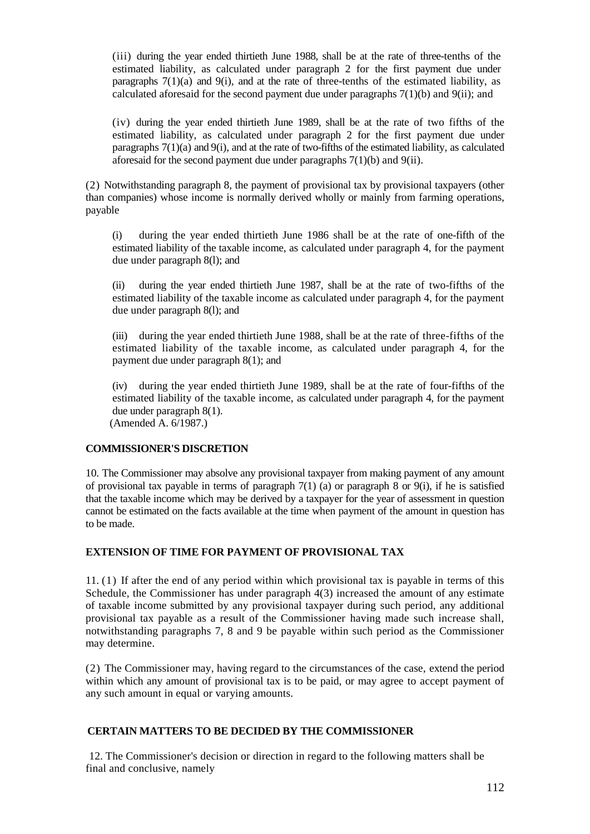(iii) during the year ended thirtieth June 1988, shall be at the rate of three-tenths of the estimated liability, as calculated under paragraph 2 for the first payment due under paragraphs  $7(1)(a)$  and  $9(i)$ , and at the rate of three-tenths of the estimated liability, as calculated aforesaid for the second payment due under paragraphs 7(1)(b) and 9(ii); and

(iv) during the year ended thirtieth June 1989, shall be at the rate of two fifths of the estimated liability, as calculated under paragraph 2 for the first payment due under paragraphs  $7(1)(a)$  and  $9(i)$ , and at the rate of two-fifths of the estimated liability, as calculated aforesaid for the second payment due under paragraphs 7(1)(b) and 9(ii).

(2) Notwithstanding paragraph 8, the payment of provisional tax by provisional taxpayers (other than companies) whose income is normally derived wholly or mainly from farming operations, payable

(i) during the year ended thirtieth June 1986 shall be at the rate of one-fifth of the estimated liability of the taxable income, as calculated under paragraph 4, for the payment due under paragraph 8(l); and

(ii) during the year ended thirtieth June 1987, shall be at the rate of two-fifths of the estimated liability of the taxable income as calculated under paragraph 4, for the payment due under paragraph 8(l); and

(iii) during the year ended thirtieth June 1988, shall be at the rate of three-fifths of the estimated liability of the taxable income, as calculated under paragraph 4, for the payment due under paragraph 8(1); and

(iv) during the year ended thirtieth June 1989, shall be at the rate of four-fifths of the estimated liability of the taxable income, as calculated under paragraph 4, for the payment due under paragraph 8(1).

(Amended A. 6/1987.)

### **COMMISSIONER'S DISCRETION**

10. The Commissioner may absolve any provisional taxpayer from making payment of any amount of provisional tax payable in terms of paragraph  $7(1)$  (a) or paragraph 8 or  $9(i)$ , if he is satisfied that the taxable income which may be derived by a taxpayer for the year of assessment in question cannot be estimated on the facts available at the time when payment of the amount in question has to be made.

### **EXTENSION OF TIME FOR PAYMENT OF PROVISIONAL TAX**

11. (1) If after the end of any period within which provisional tax is payable in terms of this Schedule, the Commissioner has under paragraph 4(3) increased the amount of any estimate of taxable income submitted by any provisional taxpayer during such period, any additional provisional tax payable as a result of the Commissioner having made such increase shall, notwithstanding paragraphs 7, 8 and 9 be payable within such period as the Commissioner may determine.

(2) The Commissioner may, having regard to the circumstances of the case, extend the period within which any amount of provisional tax is to be paid, or may agree to accept payment of any such amount in equal or varying amounts.

### **CERTAIN MATTERS TO BE DECIDED BY THE COMMISSIONER**

12. The Commissioner's decision or direction in regard to the following matters shall be final and conclusive, namely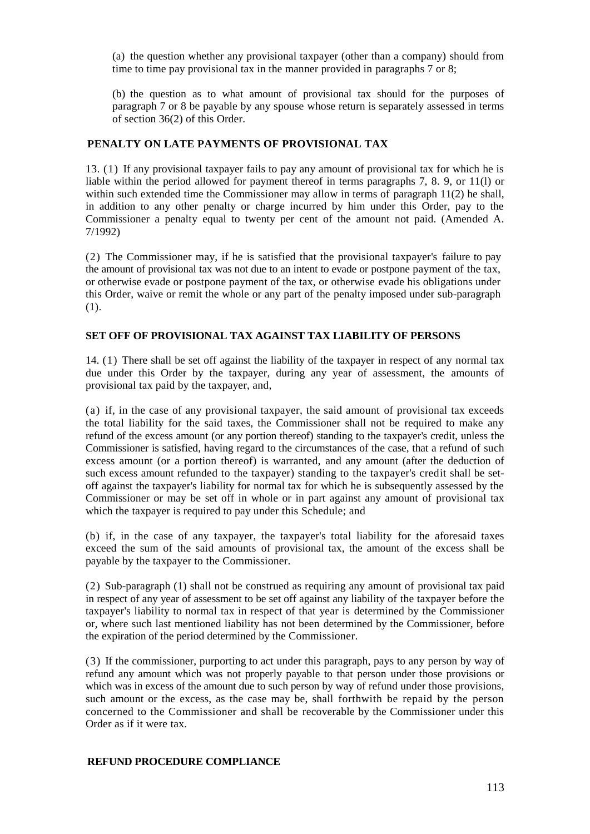(a) the question whether any provisional taxpayer (other than a company) should from time to time pay provisional tax in the manner provided in paragraphs 7 or 8;

(b) the question as to what amount of provisional tax should for the purposes of paragraph 7 or 8 be payable by any spouse whose return is separately assessed in terms of section 36(2) of this Order.

#### **PENALTY ON LATE PAYMENTS OF PROVISIONAL TAX**

13. (1) If any provisional taxpayer fails to pay any amount of provisional tax for which he is liable within the period allowed for payment thereof in terms paragraphs 7, 8. 9, or 11(l) or within such extended time the Commissioner may allow in terms of paragraph 11(2) he shall, in addition to any other penalty or charge incurred by him under this Order, pay to the Commissioner a penalty equal to twenty per cent of the amount not paid. (Amended A. 7/1992)

(2) The Commissioner may, if he is satisfied that the provisional taxpayer's failure to pay the amount of provisional tax was not due to an intent to evade or postpone payment of the tax, or otherwise evade or postpone payment of the tax, or otherwise evade his obligations under this Order, waive or remit the whole or any part of the penalty imposed under sub-paragraph (1).

## **SET OFF OF PROVISIONAL TAX AGAINST TAX LIABILITY OF PERSONS**

14. (1) There shall be set off against the liability of the taxpayer in respect of any normal tax due under this Order by the taxpayer, during any year of assessment, the amounts of provisional tax paid by the taxpayer, and,

(a) if, in the case of any provisional taxpayer, the said amount of provisional tax exceeds the total liability for the said taxes, the Commissioner shall not be required to make any refund of the excess amount (or any portion thereof) standing to the taxpayer's credit, unless the Commissioner is satisfied, having regard to the circumstances of the case, that a refund of such excess amount (or a portion thereof) is warranted, and any amount (after the deduction of such excess amount refunded to the taxpayer) standing to the taxpayer's credit shall be setoff against the taxpayer's liability for normal tax for which he is subsequently assessed by the Commissioner or may be set off in whole or in part against any amount of provisional tax which the taxpayer is required to pay under this Schedule; and

(b) if, in the case of any taxpayer, the taxpayer's total liability for the aforesaid taxes exceed the sum of the said amounts of provisional tax, the amount of the excess shall be payable by the taxpayer to the Commissioner.

(2) Sub-paragraph (1) shall not be construed as requiring any amount of provisional tax paid in respect of any year of assessment to be set off against any liability of the taxpayer before the taxpayer's liability to normal tax in respect of that year is determined by the Commissioner or, where such last mentioned liability has not been determined by the Commissioner, before the expiration of the period determined by the Commissioner.

(3) If the commissioner, purporting to act under this paragraph, pays to any person by way of refund any amount which was not properly payable to that person under those provisions or which was in excess of the amount due to such person by way of refund under those provisions, such amount or the excess, as the case may be, shall forthwith be repaid by the person concerned to the Commissioner and shall be recoverable by the Commissioner under this Order as if it were tax.

#### **REFUND PROCEDURE COMPLIANCE**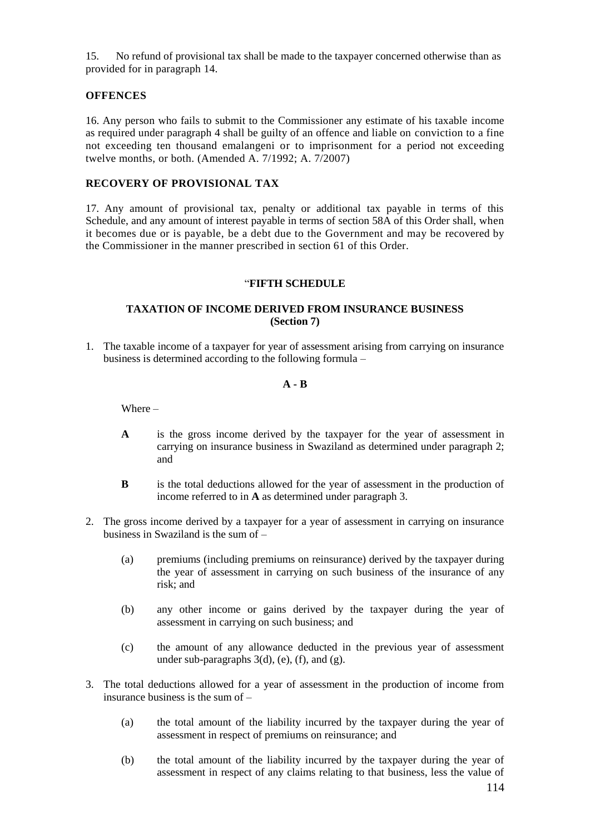15. No refund of provisional tax shall be made to the taxpayer concerned otherwise than as provided for in paragraph 14.

### **OFFENCES**

16. Any person who fails to submit to the Commissioner any estimate of his taxable income as required under paragraph 4 shall be guilty of an offence and liable on conviction to a fine not exceeding ten thousand emalangeni or to imprisonment for a period not exceeding twelve months, or both. (Amended A. 7/1992; A. 7/2007)

### **RECOVERY OF PROVISIONAL TAX**

17. Any amount of provisional tax, penalty or additional tax payable in terms of this Schedule, and any amount of interest payable in terms of section 58A of this Order shall, when it becomes due or is payable, be a debt due to the Government and may be recovered by the Commissioner in the manner prescribed in section 61 of this Order.

#### "**FIFTH SCHEDULE**

## **TAXATION OF INCOME DERIVED FROM INSURANCE BUSINESS (Section 7)**

1. The taxable income of a taxpayer for year of assessment arising from carrying on insurance business is determined according to the following formula –

## **A - B**

Where –

- **A** is the gross income derived by the taxpayer for the year of assessment in carrying on insurance business in Swaziland as determined under paragraph 2; and
- **B** is the total deductions allowed for the year of assessment in the production of income referred to in **A** as determined under paragraph 3.
- 2. The gross income derived by a taxpayer for a year of assessment in carrying on insurance business in Swaziland is the sum of –
	- (a) premiums (including premiums on reinsurance) derived by the taxpayer during the year of assessment in carrying on such business of the insurance of any risk; and
	- (b) any other income or gains derived by the taxpayer during the year of assessment in carrying on such business; and
	- (c) the amount of any allowance deducted in the previous year of assessment under sub-paragraphs  $3(d)$ , (e), (f), and (g).
- 3. The total deductions allowed for a year of assessment in the production of income from insurance business is the sum of –
	- (a) the total amount of the liability incurred by the taxpayer during the year of assessment in respect of premiums on reinsurance; and
	- (b) the total amount of the liability incurred by the taxpayer during the year of assessment in respect of any claims relating to that business, less the value of